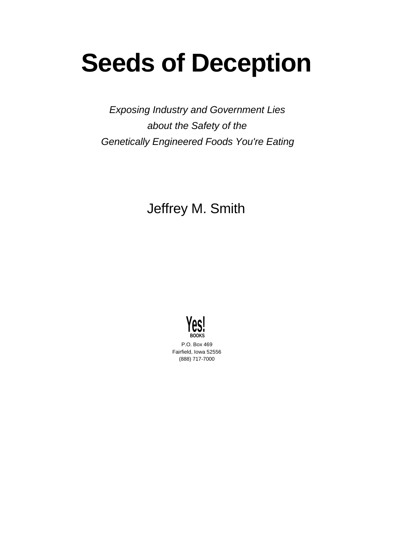*Exposing Industry and Government Lies about the Safety of the Genetically Engineered Foods You're Eating*

## Jeffrey M. Smith



P.O. Box 469 Fairfield, Iowa 52556 (888) 717-7000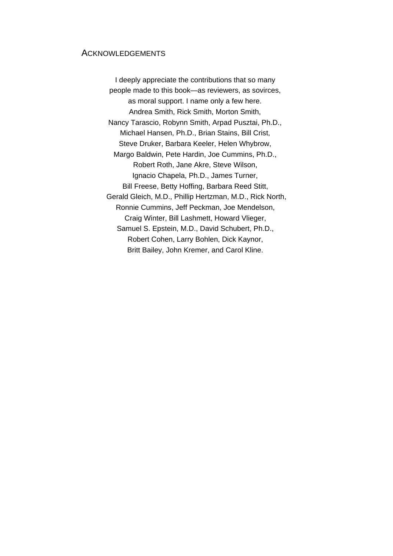#### **ACKNOWLEDGEMENTS**

I deeply appreciate the contributions that so many people made to this book—as reviewers, as sovirces, as moral support. I name only a few here. Andrea Smith, Rick Smith, Morton Smith, Nancy Tarascio, Robynn Smith, Arpad Pusztai, Ph.D., Michael Hansen, Ph.D., Brian Stains, Bill Crist, Steve Druker, Barbara Keeler, Helen Whybrow, Margo Baldwin, Pete Hardin, Joe Cummins, Ph.D., Robert Roth, Jane Akre, Steve Wilson, Ignacio Chapela, Ph.D., James Turner, Bill Freese, Betty Hoffing, Barbara Reed Stitt, Gerald Gleich, M.D., Phillip Hertzman, M.D., Rick North, Ronnie Cummins, Jeff Peckman, Joe Mendelson, Craig Winter, Bill Lashmett, Howard Vlieger, Samuel S. Epstein, M.D., David Schubert, Ph.D., Robert Cohen, Larry Bohlen, Dick Kaynor, Britt Bailey, John Kremer, and Carol Kline.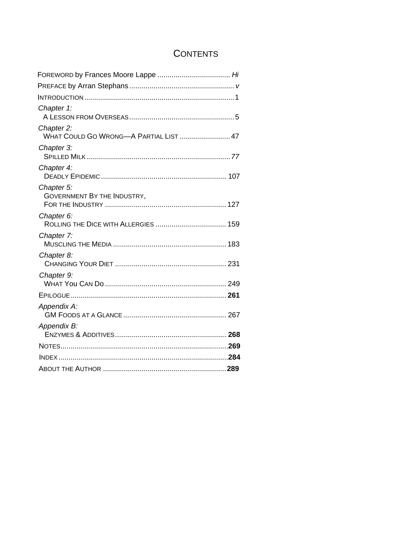## **CONTENTS**

| Chapter 1:                                           |  |
|------------------------------------------------------|--|
| Chapter 2:<br>WHAT COULD GO WRONG-A PARTIAL LIST  47 |  |
| Chapter 3:                                           |  |
| Chapter 4:                                           |  |
| Chapter 5:<br><b>GOVERNMENT BY THE INDUSTRY,</b>     |  |
| Chapter 6:<br>ROLLING THE DICE WITH ALLERGIES  159   |  |
| Chapter 7:                                           |  |
| Chapter 8:                                           |  |
| Chapter 9:                                           |  |
|                                                      |  |
| Appendix A:                                          |  |
| Appendix B:                                          |  |
|                                                      |  |
|                                                      |  |
|                                                      |  |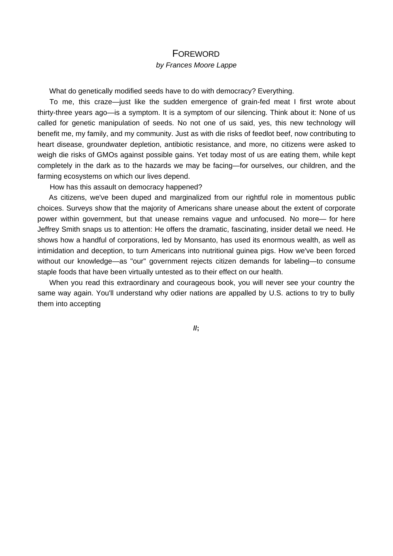## FOREWORD *by Frances Moore Lappe*

What do genetically modified seeds have to do with democracy? Everything.

To me, this craze—just like the sudden emergence of grain-fed meat I first wrote about thirty-three years ago—is a symptom. It is a symptom of our silencing. Think about it: None of us called for genetic manipulation of seeds. No not one of us said, yes, this new technology will benefit me, my family, and my community. Just as with die risks of feedlot beef, now contributing to heart disease, groundwater depletion, antibiotic resistance, and more, no citizens were asked to weigh die risks of GMOs against possible gains. Yet today most of us are eating them, while kept completely in the dark as to the hazards we may be facing—for ourselves, our children, and the farming ecosystems on which our lives depend.

How has this assault on democracy happened?

As citizens, we've been duped and marginalized from our rightful role in momentous public choices. Surveys show that the majority of Americans share unease about the extent of corporate power within government, but that unease remains vague and unfocused. No more— for here Jeffrey Smith snaps us to attention: He offers the dramatic, fascinating, insider detail we need. He shows how a handful of corporations, led by Monsanto, has used its enormous wealth, as well as intimidation and deception, to turn Americans into nutritional guinea pigs. How we've been forced without our knowledge—as "our" government rejects citizen demands for labeling—to consume staple foods that have been virtually untested as to their effect on our health.

When you read this extraordinary and courageous book, you will never see your country the same way again. You'll understand why odier nations are appalled by U.S. actions to try to bully them into accepting

**//;**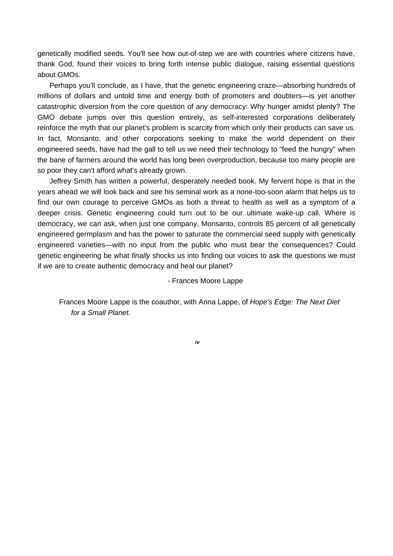genetically modified seeds. You'll see how out-of-step we are with countries where citizens have, thank God, found their voices to bring forth intense public dialogue, raising essential questions about GMOs.

Perhaps you'll conclude, as I have, that the genetic engineering craze—absorbing hundreds of millions of dollars and untold time and energy both of promoters and doubters—is yet another catastrophic diversion from the core question of any democracy: Why hunger amidst plenty? The GMO debate jumps over this question entirely, as self-interested corporations deliberately reinforce the myth that our planet's problem is scarcity from which only their products can save us. In fact, Monsanto, and other corporations seeking to make the world dependent on their engineered seeds, have had the gall to tell us we need their technology to "feed the hungry" when the bane of farmers around the world has long been overproduction, because too many people are so poor they can't afford what's already grown.

Jeffrey Smith has written a powerful, desperately needed book. My fervent hope is that in the years ahead we will look back and see his seminal work as a none-too-soon alarm that helps us to find our own courage to perceive GMOs as both a threat to health as well as a symptom of a deeper crisis. Genetic engineering could turn out to be our ultimate wake-up call. Where is democracy, we can ask, when just one company, Monsanto, controls 85 percent of all genetically engineered germplasm and has the power to saturate the commercial seed supply with genetically engineered varieties—with no input from the public who must bear the consequences? Could genetic engineering be what *finally* shocks us into finding our voices to ask the questions we must if we are to create authentic democracy and heal our planet?

- Frances Moore Lappe

Frances Moore Lappe is the coauthor, with Anna Lappe, of *Hope's Edge: The Next Diet for a Small Planet.*

*iv*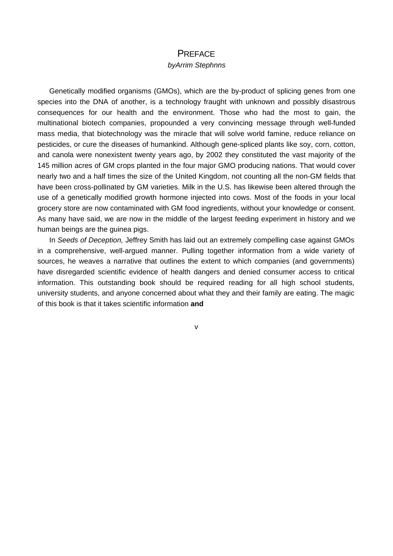## **PREFACE**

#### *byArrim Stephnns*

Genetically modified organisms (GMOs), which are the by-product of splicing genes from one species into the DNA of another, is a technology fraught with unknown and possibly disastrous consequences for our health and the environment. Those who had the most to gain, the multinational biotech companies, propounded a very convincing message through well-funded mass media, that biotechnology was the miracle that will solve world famine, reduce reliance on pesticides, or cure the diseases of humankind. Although gene-spliced plants like soy, corn, cotton, and canola were nonexistent twenty years ago, by 2002 they constituted the vast majority of the 145 million acres of GM crops planted in the four major GMO producing nations. That would cover nearly two and a half times the size of the United Kingdom, not counting all the non-GM fields that have been cross-pollinated by GM varieties. Milk in the U.S. has likewise been altered through the use of a genetically modified growth hormone injected into cows. Most of the foods in your local grocery store are now contaminated with GM food ingredients, without your knowledge or consent. As many have said, we are now in the middle of the largest feeding experiment in history and we human beings are the guinea pigs.

In *Seeds of Deception,* Jeffrey Smith has laid out an extremely compelling case against GMOs in a comprehensive, well-argued manner. Pulling together information from a wide variety of sources, he weaves a narrative that outlines the extent to which companies (and governments) have disregarded scientific evidence of health dangers and denied consumer access to critical information. This outstanding book should be required reading for all high school students, university students, and anyone concerned about what they and their family are eating. The magic of this book is that it takes scientific information **and**

v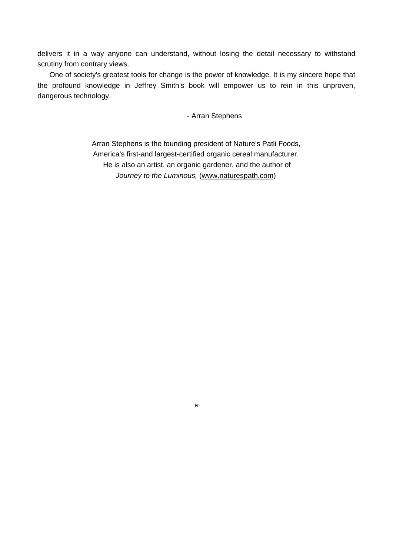delivers it in a way anyone can understand, without losing the detail necessary to withstand scrutiny from contrary views.

One of society's greatest tools for change is the power of knowledge. It is my sincere hope that the profound knowledge in Jeffrey Smith's book will empower us to rein in this unproven, dangerous technology.

- Arran Stephens

Arran Stephens is the founding president of Nature's Patli Foods, America's first-and largest-certified organic cereal manufacturer. He is also an artist, an organic gardener, and the author of *Journey to the Luminous,* (www.naturespath.com)

*VI*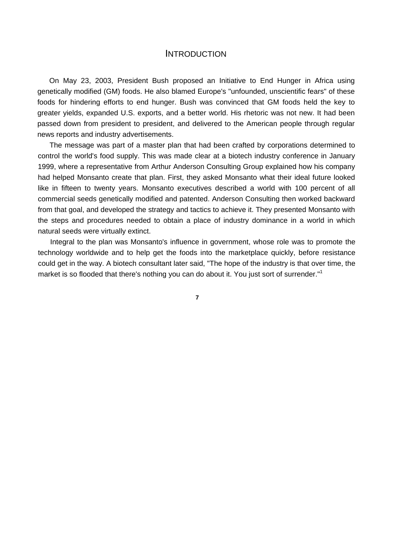### **INTRODUCTION**

On May 23, 2003, President Bush proposed an Initiative to End Hunger in Africa using genetically modified (GM) foods. He also blamed Europe's "unfounded, unscientific fears" of these foods for hindering efforts to end hunger. Bush was convinced that GM foods held the key to greater yields, expanded U.S. exports, and a better world. His rhetoric was not new. It had been passed down from president to president, and delivered to the American people through regular news reports and industry advertisements.

The message was part of a master plan that had been crafted by corporations determined to control the world's food supply. This was made clear at a biotech industry conference in January 1999, where a representative from Arthur Anderson Consulting Group explained how his company had helped Monsanto create that plan. First, they asked Monsanto what their ideal future looked like in fifteen to twenty years. Monsanto executives described a world with 100 percent of all commercial seeds genetically modified and patented. Anderson Consulting then worked backward from that goal, and developed the strategy and tactics to achieve it. They presented Monsanto with the steps and procedures needed to obtain a place of industry dominance in a world in which natural seeds were virtually extinct.

Integral to the plan was Monsanto's influence in government, whose role was to promote the technology worldwide and to help get the foods into the marketplace quickly, before resistance could get in the way. A biotech consultant later said, "The hope of the industry is that over time, the market is so flooded that there's nothing you can do about it. You just sort of surrender."<sup>1</sup>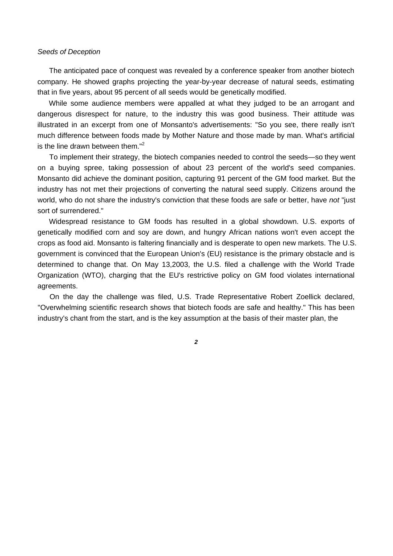The anticipated pace of conquest was revealed by a conference speaker from another biotech company. He showed graphs projecting the year-by-year decrease of natural seeds, estimating that in five years, about 95 percent of all seeds would be genetically modified.

While some audience members were appalled at what they judged to be an arrogant and dangerous disrespect for nature, to the industry this was good business. Their attitude was illustrated in an excerpt from one of Monsanto's advertisements: "So you see, there really isn't much difference between foods made by Mother Nature and those made by man. What's artificial is the line drawn between them."<sup>2</sup>

To implement their strategy, the biotech companies needed to control the seeds—so they went on a buying spree, taking possession of about 23 percent of the world's seed companies. Monsanto did achieve the dominant position, capturing 91 percent of the GM food market. But the industry has not met their projections of converting the natural seed supply. Citizens around the world, who do not share the industry's conviction that these foods are safe or better, have *not* "just sort of surrendered."

Widespread resistance to GM foods has resulted in a global showdown. U.S. exports of genetically modified corn and soy are down, and hungry African nations won't even accept the crops as food aid. Monsanto is faltering financially and is desperate to open new markets. The U.S. government is convinced that the European Union's (EU) resistance is the primary obstacle and is determined to change that. On May 13,2003, the U.S. filed a challenge with the World Trade Organization (WTO), charging that the EU's restrictive policy on GM food violates international agreements.

On the day the challenge was filed, U.S. Trade Representative Robert Zoellick declared, "Overwhelming scientific research shows that biotech foods are safe and healthy." This has been industry's chant from the start, and is the key assumption at the basis of their master plan, the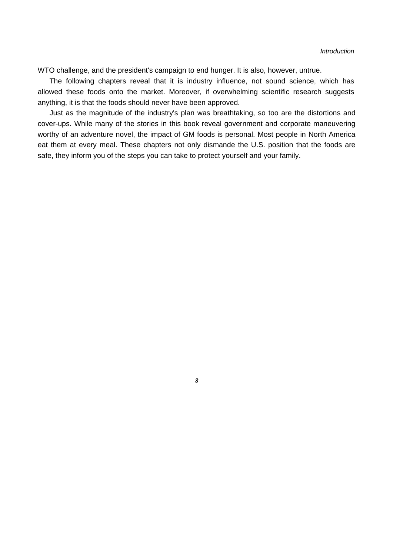WTO challenge, and the president's campaign to end hunger. It is also, however, untrue.

The following chapters reveal that it is industry influence, not sound science, which has allowed these foods onto the market. Moreover, if overwhelming scientific research suggests anything, it is that the foods should never have been approved.

Just as the magnitude of the industry's plan was breathtaking, so too are the distortions and cover-ups. While many of the stories in this book reveal government and corporate maneuvering worthy of an adventure novel, the impact of GM foods is personal. Most people in North America eat them at every meal. These chapters not only dismande the U.S. position that the foods are safe, they inform you of the steps you can take to protect yourself and your family.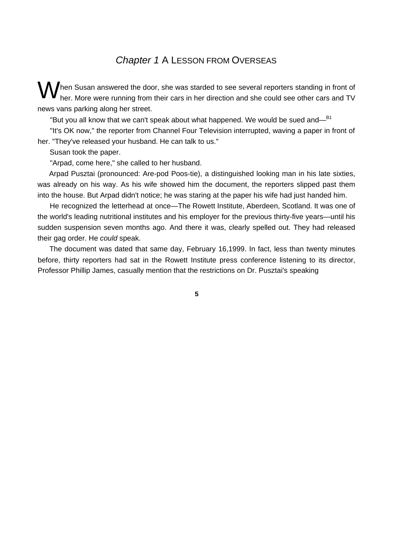## *Chapter 1* A LESSON FROM OVERSEAS

hen Susan answered the door, she was starded to see several reporters standing in front of her. More were running from their cars in her direction and she could see other cars and TV news vans parking along her street.  $\mathbf{W}_{\textrm{\tiny{he}}}^{\textrm{\tiny{he}}}$ 

"But you all know that we can't speak about what happened. We would be sued and—<sup>B1</sup>

"It's OK now," the reporter from Channel Four Television interrupted, waving a paper in front of her. "They've released your husband. He can talk to us."

Susan took the paper.

"Arpad, come here," she called to her husband.

Arpad Pusztai (pronounced: Are-pod Poos-tie), a distinguished looking man in his late sixties, was already on his way. As his wife showed him the document, the reporters slipped past them into the house. But Arpad didn't notice; he was staring at the paper his wife had just handed him.

He recognized the letterhead at once—The Rowett Institute, Aberdeen, Scotland. It was one of the world's leading nutritional institutes and his employer for the previous thirty-five years—until his sudden suspension seven months ago. And there it was, clearly spelled out. They had released their gag order. He *could* speak.

The document was dated that same day, February 16,1999. In fact, less than twenty minutes before, thirty reporters had sat in the Rowett Institute press conference listening to its director, Professor Phillip James, casually mention that the restrictions on Dr. Pusztai's speaking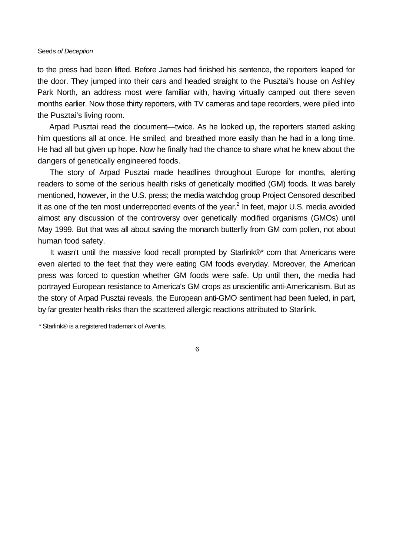to the press had been lifted. Before James had finished his sentence, the reporters leaped for the door. They jumped into their cars and headed straight to the Pusztai's house on Ashley Park North, an address most were familiar with, having virtually camped out there seven months earlier. Now those thirty reporters, with TV cameras and tape recorders, were piled into the Pusztai's living room.

Arpad Pusztai read the document—twice. As he looked up, the reporters started asking him questions all at once. He smiled, and breathed more easily than he had in a long time. He had all but given up hope. Now he finally had the chance to share what he knew about the dangers of genetically engineered foods.

The story of Arpad Pusztai made headlines throughout Europe for months, alerting readers to some of the serious health risks of genetically modified (GM) foods. It was barely mentioned, however, in the U.S. press; the media watchdog group Project Censored described it as one of the ten most underreported events of the year.<sup>2</sup> In feet, major U.S. media avoided almost any discussion of the controversy over genetically modified organisms (GMOs) until May 1999. But that was all about saving the monarch butterfly from GM corn pollen, not about human food safety.

It wasn't until the massive food recall prompted by Starlink®\* corn that Americans were even alerted to the feet that they were eating GM foods everyday. Moreover, the American press was forced to question whether GM foods were safe. Up until then, the media had portrayed European resistance to America's GM crops as unscientific anti-Americanism. But as the story of Arpad Pusztai reveals, the European anti-GMO sentiment had been fueled, in part, by far greater health risks than the scattered allergic reactions attributed to Starlink.

\* Starlink® is a registered trademark of Aventis.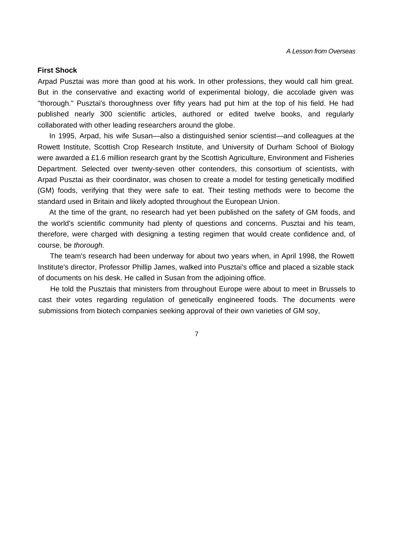#### **First Shock**

Arpad Pusztai was more than good at his work. In other professions, they would call him great. But in the conservative and exacting world of experimental biology, die accolade given was "thorough." Pusztai's thoroughness over fifty years had put him at the top of his field. He had published nearly 300 scientific articles, authored or edited twelve books, and regularly collaborated with other leading researchers around the globe.

In 1995, Arpad, his wife Susan—also a distinguished senior scientist—and colleagues at the Rowett Institute, Scottish Crop Research Institute, and University of Durham School of Biology were awarded a £1.6 million research grant by the Scottish Agriculture, Environment and Fisheries Department. Selected over twenty-seven other contenders, this consortium of scientists, with Arpad Pusztai as their coordinator, was chosen to create a model for testing genetically modified (GM) foods, verifying that they were safe to eat. Their testing methods were to become the standard used in Britain and likely adopted throughout the European Union.

At the time of the grant, no research had yet been published on the safety of GM foods, and the world's scientific community had plenty of questions and concerns. Pusztai and his team, therefore, were charged with designing a testing regimen that would create confidence and, of course, be *thorough.*

The team's research had been underway for about two years when, in April 1998, the Rowett Institute's director, Professor Phillip James, walked into Pusztai's office and placed a sizable stack of documents on his desk. He called in Susan from the adjoining office.

He told the Pusztais that ministers from throughout Europe were about to meet in Brussels to cast their votes regarding regulation of genetically engineered foods. The documents were submissions from biotech companies seeking approval of their own varieties of GM soy,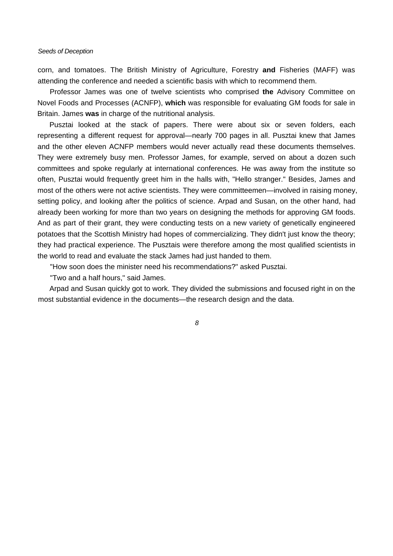corn, and tomatoes. The British Ministry of Agriculture, Forestry **and** Fisheries (MAFF) was attending the conference and needed a scientific basis with which to recommend them.

Professor James was one of twelve scientists who comprised **the** Advisory Committee on Novel Foods and Processes (ACNFP), **which** was responsible for evaluating GM foods for sale in Britain. James **was** in charge of the nutritional analysis.

Pusztai looked at the stack of papers. There were about six or seven folders, each representing a different request for approval—nearly 700 pages in all. Pusztai knew that James and the other eleven ACNFP members would never actually read these documents themselves. They were extremely busy men. Professor James, for example, served on about a dozen such committees and spoke regularly at international conferences. He was away from the institute so often, Pusztai would frequently greet him in the halls with, "Hello stranger." Besides, James and most of the others were not active scientists. They were committeemen—involved in raising money, setting policy, and looking after the politics of science. Arpad and Susan, on the other hand, had already been working for more than two years on designing the methods for approving GM foods. And as part of their grant, they were conducting tests on a new variety of genetically engineered potatoes that the Scottish Ministry had hopes of commercializing. They didn't just know the theory; they had practical experience. The Pusztais were therefore among the most qualified scientists in the world to read and evaluate the stack James had just handed to them.

"How soon does the minister need his recommendations?" asked Pusztai.

"Two and a half hours," said James.

Arpad and Susan quickly got to work. They divided the submissions and focused right in on the most substantial evidence in the documents—the research design and the data.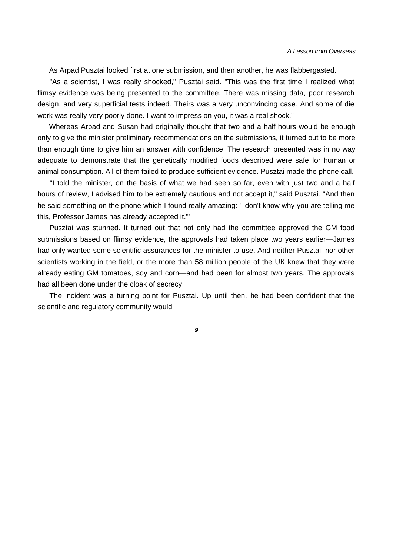As Arpad Pusztai looked first at one submission, and then another, he was flabbergasted.

"As a scientist, I was really shocked," Pusztai said. "This was the first time I realized what flimsy evidence was being presented to the committee. There was missing data, poor research design, and very superficial tests indeed. Theirs was a very unconvincing case. And some of die work was really very poorly done. I want to impress on you, it was a real shock."

Whereas Arpad and Susan had originally thought that two and a half hours would be enough only to give the minister preliminary recommendations on the submissions, it turned out to be more than enough time to give him an answer with confidence. The research presented was in no way adequate to demonstrate that the genetically modified foods described were safe for human or animal consumption. All of them failed to produce sufficient evidence. Pusztai made the phone call.

"I told the minister, on the basis of what we had seen so far, even with just two and a half hours of review, I advised him to be extremely cautious and not accept it," said Pusztai. "And then he said something on the phone which I found really amazing: 'I don't know why you are telling me this, Professor James has already accepted it.'"

Pusztai was stunned. It turned out that not only had the committee approved the GM food submissions based on flimsy evidence, the approvals had taken place two years earlier—James had only wanted some scientific assurances for the minister to use. And neither Pusztai, nor other scientists working in the field, or the more than 58 million people of the UK knew that they were already eating GM tomatoes, soy and corn—and had been for almost two years. The approvals had all been done under the cloak of secrecy.

The incident was a turning point for Pusztai. Up until then, he had been confident that the scientific and regulatory community would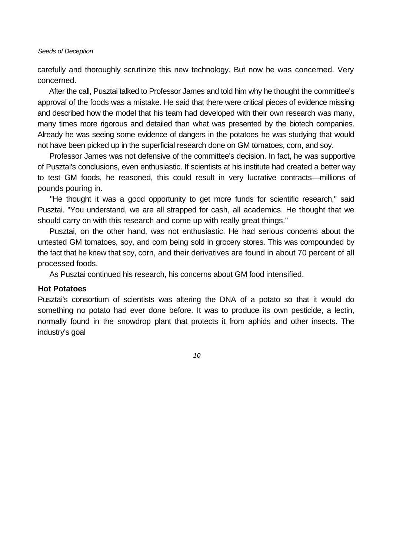carefully and thoroughly scrutinize this new technology. But now he was concerned. Very concerned.

After the call, Pusztai talked to Professor James and told him why he thought the committee's approval of the foods was a mistake. He said that there were critical pieces of evidence missing and described how the model that his team had developed with their own research was many, many times more rigorous and detailed than what was presented by the biotech companies. Already he was seeing some evidence of dangers in the potatoes he was studying that would not have been picked up in the superficial research done on GM tomatoes, corn, and soy.

Professor James was not defensive of the committee's decision. In fact, he was supportive of Pusztai's conclusions, even enthusiastic. If scientists at his institute had created a better way to test GM foods, he reasoned, this could result in very lucrative contracts—millions of pounds pouring in.

"He thought it was a good opportunity to get more funds for scientific research," said Pusztai. "You understand, we are all strapped for cash, all academics. He thought that we should carry on with this research and come up with really great things."

Pusztai, on the other hand, was not enthusiastic. He had serious concerns about the untested GM tomatoes, soy, and corn being sold in grocery stores. This was compounded by the fact that he knew that soy, corn, and their derivatives are found in about 70 percent of all processed foods.

As Pusztai continued his research, his concerns about GM food intensified.

#### **Hot Potatoes**

Pusztai's consortium of scientists was altering the DNA of a potato so that it would do something no potato had ever done before. It was to produce its own pesticide, a lectin, normally found in the snowdrop plant that protects it from aphids and other insects. The industry's goal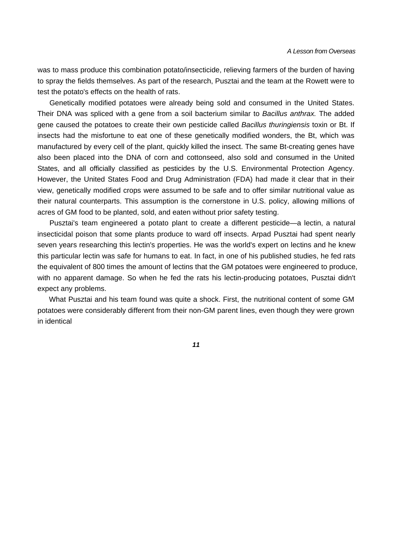was to mass produce this combination potato/insecticide, relieving farmers of the burden of having to spray the fields themselves. As part of the research, Pusztai and the team at the Rowett were to test the potato's effects on the health of rats.

Genetically modified potatoes were already being sold and consumed in the United States. Their DNA was spliced with a gene from a soil bacterium similar to *Bacillus anthrax.* The added gene caused the potatoes to create their own pesticide called *Bacillus thuringiensis* toxin or Bt. If insects had the misfortune to eat one of these genetically modified wonders, the Bt, which was manufactured by every cell of the plant, quickly killed the insect. The same Bt-creating genes have also been placed into the DNA of corn and cottonseed, also sold and consumed in the United States, and all officially classified as pesticides by the U.S. Environmental Protection Agency. However, the United States Food and Drug Administration (FDA) had made it clear that in their view, genetically modified crops were assumed to be safe and to offer similar nutritional value as their natural counterparts. This assumption is the cornerstone in U.S. policy, allowing millions of acres of GM food to be planted, sold, and eaten without prior safety testing.

Pusztai's team engineered a potato plant to create a different pesticide—a lectin, a natural insecticidal poison that some plants produce to ward off insects. Arpad Pusztai had spent nearly seven years researching this lectin's properties. He was the world's expert on lectins and he knew this particular lectin was safe for humans to eat. In fact, in one of his published studies, he fed rats the equivalent of 800 times the amount of lectins that the GM potatoes were engineered to produce, with no apparent damage. So when he fed the rats his lectin-producing potatoes, Pusztai didn't expect any problems.

What Pusztai and his team found was quite a shock. First, the nutritional content of some GM potatoes were considerably different from their non-GM parent lines, even though they were grown in identical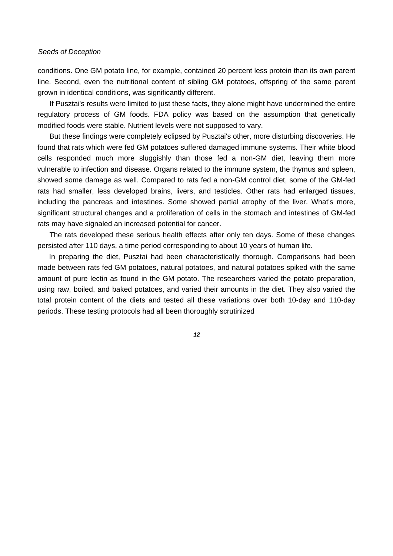conditions. One GM potato line, for example, contained 20 percent less protein than its own parent line. Second, even the nutritional content of sibling GM potatoes, offspring of the same parent grown in identical conditions, was significantly different.

If Pusztai's results were limited to just these facts, they alone might have undermined the entire regulatory process of GM foods. FDA policy was based on the assumption that genetically modified foods were stable. Nutrient levels were not supposed to vary.

But these findings were completely eclipsed by Pusztai's other, more disturbing discoveries. He found that rats which were fed GM potatoes suffered damaged immune systems. Their white blood cells responded much more sluggishly than those fed a non-GM diet, leaving them more vulnerable to infection and disease. Organs related to the immune system, the thymus and spleen, showed some damage as well. Compared to rats fed a non-GM control diet, some of the GM-fed rats had smaller, less developed brains, livers, and testicles. Other rats had enlarged tissues, including the pancreas and intestines. Some showed partial atrophy of the liver. What's more, significant structural changes and a proliferation of cells in the stomach and intestines of GM-fed rats may have signaled an increased potential for cancer.

The rats developed these serious health effects after only ten days. Some of these changes persisted after 110 days, a time period corresponding to about 10 years of human life.

In preparing the diet, Pusztai had been characteristically thorough. Comparisons had been made between rats fed GM potatoes, natural potatoes, and natural potatoes spiked with the same amount of pure lectin as found in the GM potato. The researchers varied the potato preparation, using raw, boiled, and baked potatoes, and varied their amounts in the diet. They also varied the total protein content of the diets and tested all these variations over both 10-day and 110-day periods. These testing protocols had all been thoroughly scrutinized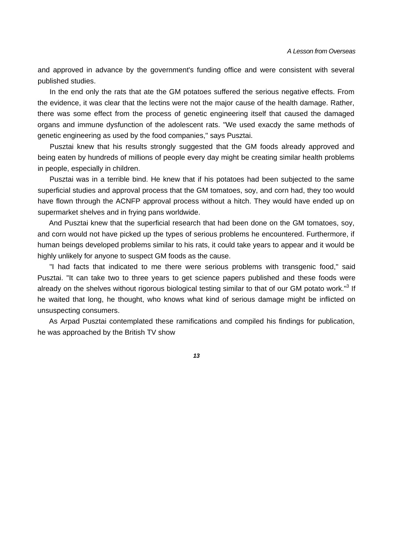and approved in advance by the government's funding office and were consistent with several published studies.

In the end only the rats that ate the GM potatoes suffered the serious negative effects. From the evidence, it was clear that the lectins were not the major cause of the health damage. Rather, there was some effect from the process of genetic engineering itself that caused the damaged organs and immune dysfunction of the adolescent rats. "We used exacdy the same methods of genetic engineering as used by the food companies," says Pusztai.

Pusztai knew that his results strongly suggested that the GM foods already approved and being eaten by hundreds of millions of people every day might be creating similar health problems in people, especially in children.

Pusztai was in a terrible bind. He knew that if his potatoes had been subjected to the same superficial studies and approval process that the GM tomatoes, soy, and corn had, they too would have flown through the ACNFP approval process without a hitch. They would have ended up on supermarket shelves and in frying pans worldwide.

And Pusztai knew that the superficial research that had been done on the GM tomatoes, soy, and corn would not have picked up the types of serious problems he encountered. Furthermore, if human beings developed problems similar to his rats, it could take years to appear and it would be highly unlikely for anyone to suspect GM foods as the cause.

"I had facts that indicated to me there were serious problems with transgenic food," said Pusztai. "It can take two to three years to get science papers published and these foods were already on the shelves without rigorous biological testing similar to that of our GM potato work."<sup>3</sup> If he waited that long, he thought, who knows what kind of serious damage might be inflicted on unsuspecting consumers.

As Arpad Pusztai contemplated these ramifications and compiled his findings for publication, he was approached by the British TV show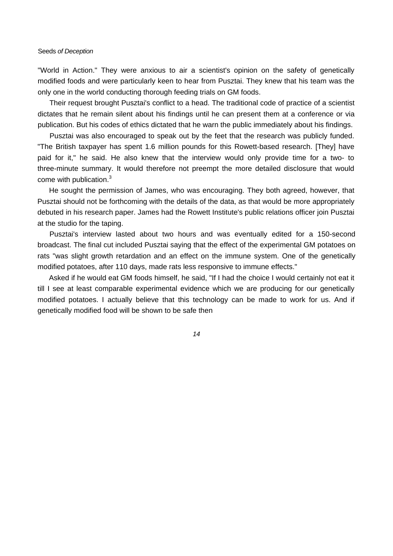"World in Action." They were anxious to air a scientist's opinion on the safety of genetically modified foods and were particularly keen to hear from Pusztai. They knew that his team was the only one in the world conducting thorough feeding trials on GM foods.

Their request brought Pusztai's conflict to a head. The traditional code of practice of a scientist dictates that he remain silent about his findings until he can present them at a conference or via publication. But his codes of ethics dictated that he warn the public immediately about his findings.

Pusztai was also encouraged to speak out by the feet that the research was publicly funded. "The British taxpayer has spent 1.6 million pounds for this Rowett-based research. [They] have paid for it," he said. He also knew that the interview would only provide time for a two- to three-minute summary. It would therefore not preempt the more detailed disclosure that would come with publication.<sup>3</sup>

He sought the permission of James, who was encouraging. They both agreed, however, that Pusztai should not be forthcoming with the details of the data, as that would be more appropriately debuted in his research paper. James had the Rowett Institute's public relations officer join Pusztai at the studio for the taping.

Pusztai's interview lasted about two hours and was eventually edited for a 150-second broadcast. The final cut included Pusztai saying that the effect of the experimental GM potatoes on rats "was slight growth retardation and an effect on the immune system. One of the genetically modified potatoes, after 110 days, made rats less responsive to immune effects."

Asked if he would eat GM foods himself, he said, "If I had the choice I would certainly not eat it till I see at least comparable experimental evidence which we are producing for our genetically modified potatoes. I actually believe that this technology can be made to work for us. And if genetically modified food will be shown to be safe then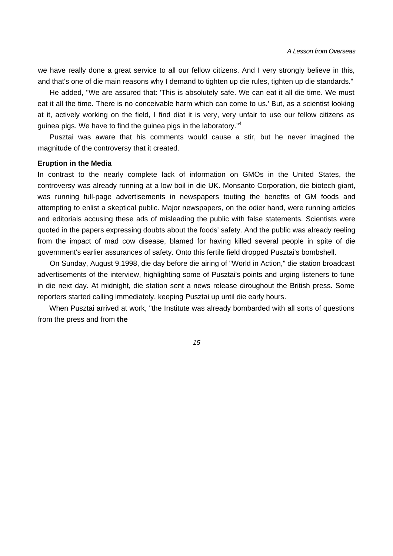we have really done a great service to all our fellow citizens. And I very strongly believe in this, and that's one of die main reasons why I demand to tighten up die rules, tighten up die standards."

He added, "We are assured that: 'This is absolutely safe. We can eat it all die time. We must eat it all the time. There is no conceivable harm which can come to us.' But, as a scientist looking at it, actively working on the field, I find diat it is very, very unfair to use our fellow citizens as guinea pigs. We have to find the guinea pigs in the laboratory."4

Pusztai was aware that his comments would cause a stir, but he never imagined the magnitude of the controversy that it created.

#### **Eruption in the Media**

In contrast to the nearly complete lack of information on GMOs in the United States, the controversy was already running at a low boil in die UK. Monsanto Corporation, die biotech giant, was running full-page advertisements in newspapers touting the benefits of GM foods and attempting to enlist a skeptical public. Major newspapers, on the odier hand, were running articles and editorials accusing these ads of misleading the public with false statements. Scientists were quoted in the papers expressing doubts about the foods' safety. And the public was already reeling from the impact of mad cow disease, blamed for having killed several people in spite of die government's earlier assurances of safety. Onto this fertile field dropped Pusztai's bombshell.

On Sunday, August 9,1998, die day before die airing of "World in Action," die station broadcast advertisements of the interview, highlighting some of Pusztai's points and urging listeners to tune in die next day. At midnight, die station sent a news release diroughout the British press. Some reporters started calling immediately, keeping Pusztai up until die early hours.

When Pusztai arrived at work, "the Institute was already bombarded with all sorts of questions from the press and from **the**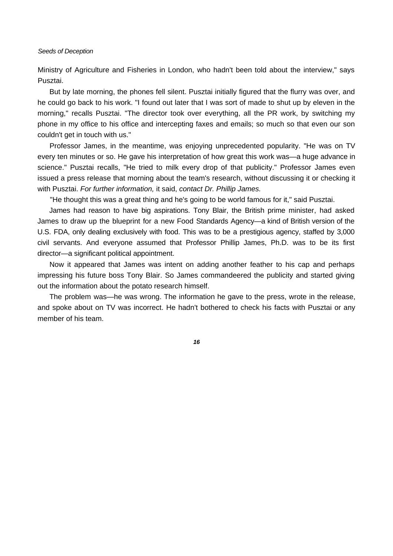Ministry of Agriculture and Fisheries in London, who hadn't been told about the interview," says Pusztai.

But by late morning, the phones fell silent. Pusztai initially figured that the flurry was over, and he could go back to his work. "I found out later that I was sort of made to shut up by eleven in the morning," recalls Pusztai. "The director took over everything, all the PR work, by switching my phone in my office to his office and intercepting faxes and emails; so much so that even our son couldn't get in touch with us."

Professor James, in the meantime, was enjoying unprecedented popularity. "He was on TV every ten minutes or so. He gave his interpretation of how great this work was—a huge advance in science." Pusztai recalls, "He tried to milk every drop of that publicity." Professor James even issued a press release that morning about the team's research, without discussing it or checking it with Pusztai. *For further information,* it said, *contact Dr. Phillip James.*

"He thought this was a great thing and he's going to be world famous for it," said Pusztai.

James had reason to have big aspirations. Tony Blair, the British prime minister, had asked James to draw up the blueprint for a new Food Standards Agency—a kind of British version of the U.S. FDA, only dealing exclusively with food. This was to be a prestigious agency, staffed by 3,000 civil servants. And everyone assumed that Professor Phillip James, Ph.D. was to be its first director—a significant political appointment.

Now it appeared that James was intent on adding another feather to his cap and perhaps impressing his future boss Tony Blair. So James commandeered the publicity and started giving out the information about the potato research himself.

The problem was—he was wrong. The information he gave to the press, wrote in the release, and spoke about on TV was incorrect. He hadn't bothered to check his facts with Pusztai or any member of his team.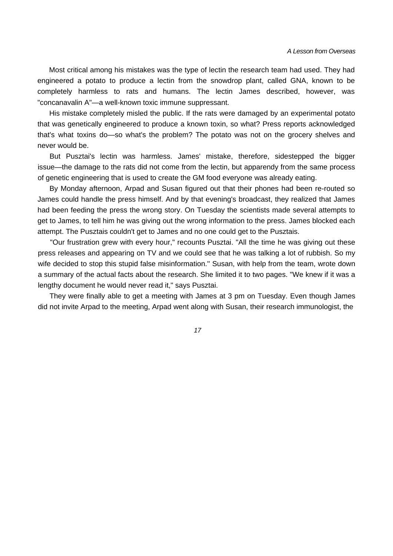Most critical among his mistakes was the type of lectin the research team had used. They had engineered a potato to produce a lectin from the snowdrop plant, called GNA, known to be completely harmless to rats and humans. The lectin James described, however, was "concanavalin A"—a well-known toxic immune suppressant.

His mistake completely misled the public. If the rats were damaged by an experimental potato that was genetically engineered to produce a known toxin, so what? Press reports acknowledged that's what toxins do—so what's the problem? The potato was not on the grocery shelves and never would be.

But Pusztai's lectin was harmless. James' mistake, therefore, sidestepped the bigger issue—the damage to the rats did not come from the lectin, but apparendy from the same process of genetic engineering that is used to create the GM food everyone was already eating.

By Monday afternoon, Arpad and Susan figured out that their phones had been re-routed so James could handle the press himself. And by that evening's broadcast, they realized that James had been feeding the press the wrong story. On Tuesday the scientists made several attempts to get to James, to tell him he was giving out the wrong information to the press. James blocked each attempt. The Pusztais couldn't get to James and no one could get to the Pusztais.

"Our frustration grew with every hour," recounts Pusztai. "All the time he was giving out these press releases and appearing on TV and we could see that he was talking a lot of rubbish. So my wife decided to stop this stupid false misinformation.'' Susan, with help from the team, wrote down a summary of the actual facts about the research. She limited it to two pages. "We knew if it was a lengthy document he would never read it," says Pusztai.

They were finally able to get a meeting with James at 3 pm on Tuesday. Even though James did not invite Arpad to the meeting, Arpad went along with Susan, their research immunologist, the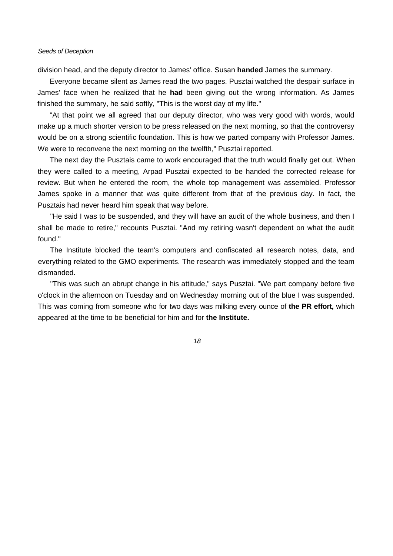division head, and the deputy director to James' office. Susan **handed** James the summary.

Everyone became silent as James read the two pages. Pusztai watched the despair surface in James' face when he realized that he **had** been giving out the wrong information. As James finished the summary, he said softly, "This is the worst day of my life."

"At that point we all agreed that our deputy director, who was very good with words, would make up a much shorter version to be press released on the next morning, so that the controversy would be on a strong scientific foundation. This is how we parted company with Professor James. We were to reconvene the next morning on the twelfth," Pusztai reported.

The next day the Pusztais came to work encouraged that the truth would finally get out. When they were called to a meeting, Arpad Pusztai expected to be handed the corrected release for review. But when he entered the room, the whole top management was assembled. Professor James spoke in a manner that was quite different from that of the previous day. In fact, the Pusztais had never heard him speak that way before.

"He said I was to be suspended, and they will have an audit of the whole business, and then I shall be made to retire," recounts Pusztai. "And my retiring wasn't dependent on what the audit found."

The Institute blocked the team's computers and confiscated all research notes, data, and everything related to the GMO experiments. The research was immediately stopped and the team dismanded.

"This was such an abrupt change in his attitude," says Pusztai. "We part company before five o'clock in the afternoon on Tuesday and on Wednesday morning out of the blue I was suspended. This was coming from someone who for two days was milking every ounce of **the PR effort,** which appeared at the time to be beneficial for him and for **the Institute.**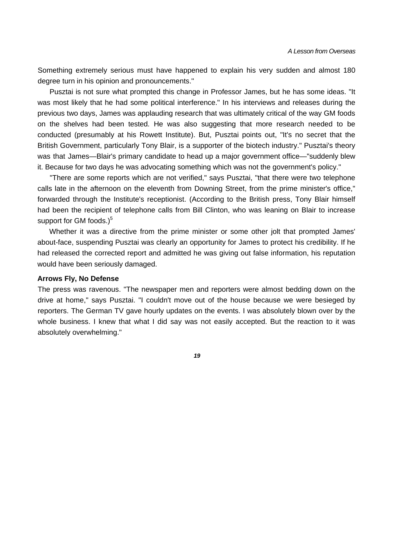Something extremely serious must have happened to explain his very sudden and almost 180 degree turn in his opinion and pronouncements.''

Pusztai is not sure what prompted this change in Professor James, but he has some ideas. "It was most likely that he had some political interference." In his interviews and releases during the previous two days, James was applauding research that was ultimately critical of the way GM foods on the shelves had been tested. He was also suggesting that more research needed to be conducted (presumably at his Rowett Institute). But, Pusztai points out, "It's no secret that the British Government, particularly Tony Blair, is a supporter of the biotech industry." Pusztai's theory was that James—Blair's primary candidate to head up a major government office—"suddenly blew it. Because for two days he was advocating something which was not the government's policy."

"There are some reports which are not verified," says Pusztai, "that there were two telephone calls late in the afternoon on the eleventh from Downing Street, from the prime minister's office," forwarded through the Institute's receptionist. (According to the British press, Tony Blair himself had been the recipient of telephone calls from Bill Clinton, who was leaning on Blair to increase support for GM foods. $)^5$ 

Whether it was a directive from the prime minister or some other jolt that prompted James' about-face, suspending Pusztai was clearly an opportunity for James to protect his credibility. If he had released the corrected report and admitted he was giving out false information, his reputation would have been seriously damaged.

#### **Arrows Fly, No Defense**

The press was ravenous. "The newspaper men and reporters were almost bedding down on the drive at home," says Pusztai. "I couldn't move out of the house because we were besieged by reporters. The German TV gave hourly updates on the events. I was absolutely blown over by the whole business. I knew that what I did say was not easily accepted. But the reaction to it was absolutely overwhelming."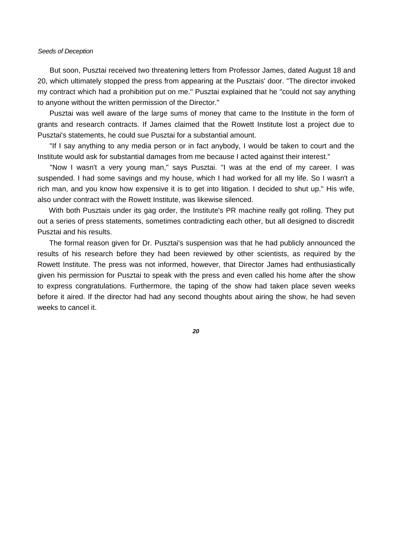But soon, Pusztai received two threatening letters from Professor James, dated August 18 and 20, which ultimately stopped the press from appearing at the Pusztais' door. "The director invoked my contract which had a prohibition put on me." Pusztai explained that he "could not say anything to anyone without the written permission of the Director."

Pusztai was well aware of the large sums of money that came to the Institute in the form of grants and research contracts. If James claimed that the Rowett Institute lost a project due to Pusztai's statements, he could sue Pusztai for a substantial amount.

"If I say anything to any media person or in fact anybody, I would be taken to court and the Institute would ask for substantial damages from me because I acted against their interest."

"Now I wasn't a very young man," says Pusztai. "I was at the end of my career. I was suspended. I had some savings and my house, which I had worked for all my life. So I wasn't a rich man, and you know how expensive it is to get into litigation. I decided to shut up." His wife, also under contract with the Rowett Institute, was likewise silenced.

With both Pusztais under its gag order, the Institute's PR machine really got rolling. They put out a series of press statements, sometimes contradicting each other, but all designed to discredit Pusztai and his results.

The formal reason given for Dr. Pusztai's suspension was that he had publicly announced the results of his research before they had been reviewed by other scientists, as required by the Rowett Institute. The press was not informed, however, that Director James had enthusiastically given his permission for Pusztai to speak with the press and even called his home after the show to express congratulations. Furthermore, the taping of the show had taken place seven weeks before it aired. If the director had had any second thoughts about airing the show, he had seven weeks to cancel it.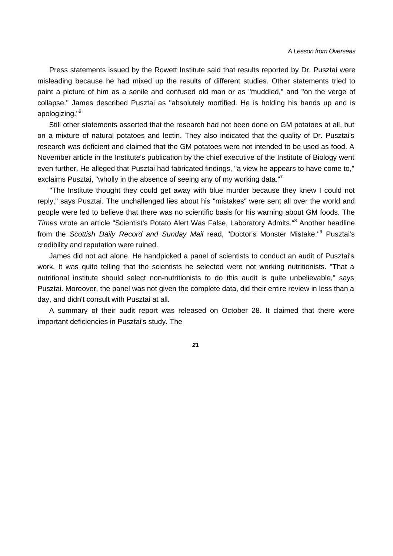Press statements issued by the Rowett Institute said that results reported by Dr. Pusztai were misleading because he had mixed up the results of different studies. Other statements tried to paint a picture of him as a senile and confused old man or as "muddled," and "on the verge of collapse." James described Pusztai as "absolutely mortified. He is holding his hands up and is apologizing."<sup>6</sup>

Still other statements asserted that the research had not been done on GM potatoes at all, but on a mixture of natural potatoes and lectin. They also indicated that the quality of Dr. Pusztai's research was deficient and claimed that the GM potatoes were not intended to be used as food. A November article in the Institute's publication by the chief executive of the Institute of Biology went even further. He alleged that Pusztai had fabricated findings, "a view he appears to have come to," exclaims Pusztai. "wholly in the absence of seeing any of my working data."<sup>7</sup>

"The Institute thought they could get away with blue murder because they knew I could not reply," says Pusztai. The unchallenged lies about his "mistakes" were sent all over the world and people were led to believe that there was no scientific basis for his warning about GM foods. The *Times* wrote an article "Scientist's Potato Alert Was False, Laboratory Admits."<sup>8</sup> Another headline from the *Scottish Daily Record and Sunday Mail* read, "Doctor's Monster Mistake."<sup>9</sup> Pusztai's credibility and reputation were ruined.

James did not act alone. He handpicked a panel of scientists to conduct an audit of Pusztai's work. It was quite telling that the scientists he selected were not working nutritionists. "That a nutritional institute should select non-nutritionists to do this audit is quite unbelievable," says Pusztai. Moreover, the panel was not given the complete data, did their entire review in less than a day, and didn't consult with Pusztai at all.

A summary of their audit report was released on October 28. It claimed that there were important deficiencies in Pusztai's study. The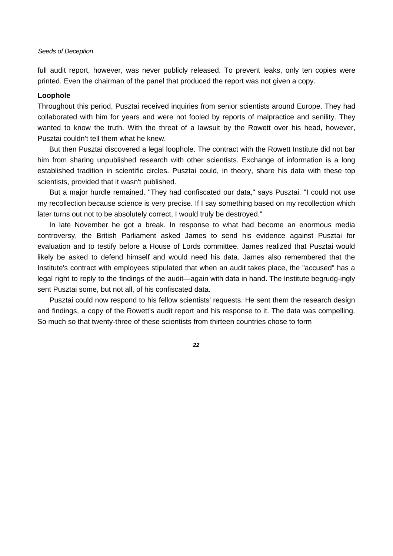full audit report, however, was never publicly released. To prevent leaks, only ten copies were printed. Even the chairman of the panel that produced the report was not given a copy.

#### **Loophole**

Throughout this period, Pusztai received inquiries from senior scientists around Europe. They had collaborated with him for years and were not fooled by reports of malpractice and senility. They wanted to know the truth. With the threat of a lawsuit by the Rowett over his head, however, Pusztai couldn't tell them what he knew.

But then Pusztai discovered a legal loophole. The contract with the Rowett Institute did not bar him from sharing unpublished research with other scientists. Exchange of information is a long established tradition in scientific circles. Pusztai could, in theory, share his data with these top scientists, provided that it wasn't published.

But a major hurdle remained. "They had confiscated our data," says Pusztai. "I could not use my recollection because science is very precise. If I say something based on my recollection which later turns out not to be absolutely correct, I would truly be destroyed."

In late November he got a break. In response to what had become an enormous media controversy, the British Parliament asked James to send his evidence against Pusztai for evaluation and to testify before a House of Lords committee. James realized that Pusztai would likely be asked to defend himself and would need his data. James also remembered that the Institute's contract with employees stipulated that when an audit takes place, the "accused" has a legal right to reply to the findings of the audit—again with data in hand. The Institute begrudg-ingly sent Pusztai some, but not all, of his confiscated data.

Pusztai could now respond to his fellow scientists' requests. He sent them the research design and findings, a copy of the Rowett's audit report and his response to it. The data was compelling. So much so that twenty-three of these scientists from thirteen countries chose to form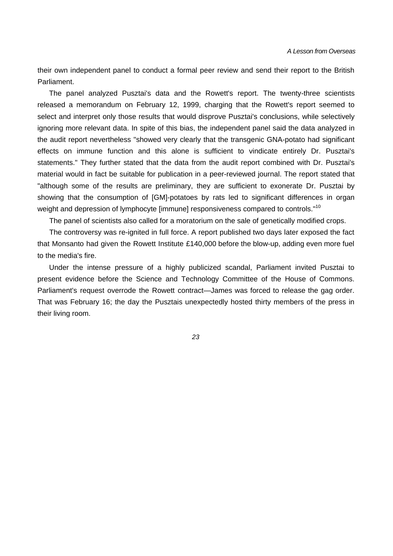their own independent panel to conduct a formal peer review and send their report to the British Parliament.

The panel analyzed Pusztai's data and the Rowett's report. The twenty-three scientists released a memorandum on February 12, 1999, charging that the Rowett's report seemed to select and interpret only those results that would disprove Pusztai's conclusions, while selectively ignoring more relevant data. In spite of this bias, the independent panel said the data analyzed in the audit report nevertheless "showed very clearly that the transgenic GNA-potato had significant effects on immune function and this alone is sufficient to vindicate entirely Dr. Pusztai's statements." They further stated that the data from the audit report combined with Dr. Pusztai's material would in fact be suitable for publication in a peer-reviewed journal. The report stated that "although some of the results are preliminary, they are sufficient to exonerate Dr. Pusztai by showing that the consumption of [GM]-potatoes by rats led to significant differences in organ weight and depression of lymphocyte [immune] responsiveness compared to controls."<sup>10</sup>

The panel of scientists also called for a moratorium on the sale of genetically modified crops.

The controversy was re-ignited in full force. A report published two days later exposed the fact that Monsanto had given the Rowett Institute £140,000 before the blow-up, adding even more fuel to the media's fire.

Under the intense pressure of a highly publicized scandal, Parliament invited Pusztai to present evidence before the Science and Technology Committee of the House of Commons. Parliament's request overrode the Rowett contract—James was forced to release the gag order. That was February 16; the day the Pusztais unexpectedly hosted thirty members of the press in their living room.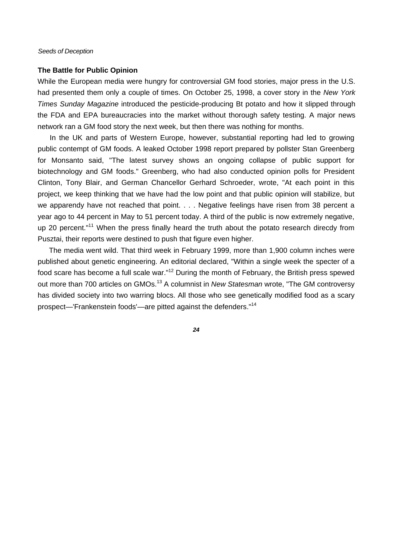#### **The Battle for Public Opinion**

While the European media were hungry for controversial GM food stories, major press in the U.S. had presented them only a couple of times. On October 25, 1998, a cover story in the *New York Times Sunday Magazine* introduced the pesticide-producing Bt potato and how it slipped through the FDA and EPA bureaucracies into the market without thorough safety testing. A major news network ran a GM food story the next week, but then there was nothing for months.

In the UK and parts of Western Europe, however, substantial reporting had led to growing public contempt of GM foods. A leaked October 1998 report prepared by pollster Stan Greenberg for Monsanto said, "The latest survey shows an ongoing collapse of public support for biotechnology and GM foods." Greenberg, who had also conducted opinion polls for President Clinton, Tony Blair, and German Chancellor Gerhard Schroeder, wrote, "At each point in this project, we keep thinking that we have had the low point and that public opinion will stabilize, but we apparendy have not reached that point. . . . Negative feelings have risen from 38 percent a year ago to 44 percent in May to 51 percent today. A third of the public is now extremely negative, up 20 percent."<sup>11</sup> When the press finally heard the truth about the potato research direcdy from Pusztai, their reports were destined to push that figure even higher.

The media went wild. That third week in February 1999, more than 1,900 column inches were published about genetic engineering. An editorial declared, "Within a single week the specter of a food scare has become a full scale war."12 During the month of February, the British press spewed out more than 700 articles on GMOs.<sup>13</sup> A columnist in *New Statesman* wrote, "The GM controversy has divided society into two warring blocs. All those who see genetically modified food as a scary prospect—'Frankenstein foods'—are pitted against the defenders."<sup>14</sup>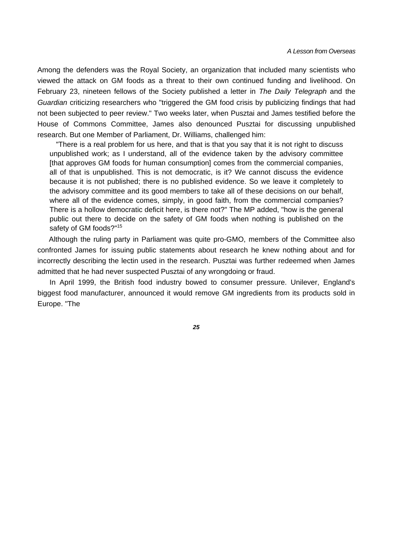Among the defenders was the Royal Society, an organization that included many scientists who viewed the attack on GM foods as a threat to their own continued funding and livelihood. On February 23, nineteen fellows of the Society published a letter in *The Daily Telegraph* and the *Guardian* criticizing researchers who "triggered the GM food crisis by publicizing findings that had not been subjected to peer review." Two weeks later, when Pusztai and James testified before the House of Commons Committee, James also denounced Pusztai for discussing unpublished research. But one Member of Parliament, Dr. Williams, challenged him:

"There is a real problem for us here, and that is that you say that it is not right to discuss unpublished work; as I understand, all of the evidence taken by the advisory committee [that approves GM foods for human consumption] comes from the commercial companies, all of that is unpublished. This is not democratic, is it? We cannot discuss the evidence because it is not published; there is no published evidence. So we leave it completely to the advisory committee and its good members to take all of these decisions on our behalf, where all of the evidence comes, simply, in good faith, from the commercial companies? There is a hollow democratic deficit here, is there not?" The MP added, "how is the general public out there to decide on the safety of GM foods when nothing is published on the safety of GM foods?"<sup>15</sup>

Although the ruling party in Parliament was quite pro-GMO, members of the Committee also confronted James for issuing public statements about research he knew nothing about and for incorrectly describing the lectin used in the research. Pusztai was further redeemed when James admitted that he had never suspected Pusztai of any wrongdoing or fraud.

In April 1999, the British food industry bowed to consumer pressure. Unilever, England's biggest food manufacturer, announced it would remove GM ingredients from its products sold in Europe. "The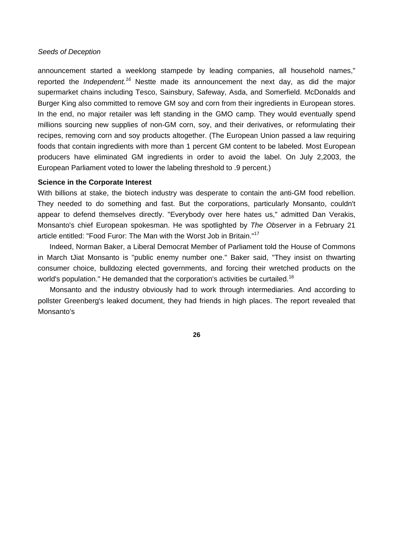announcement started a weeklong stampede by leading companies, all household names," reported the *Independent.<sup>16</sup>* Nestte made its announcement the next day, as did the major supermarket chains including Tesco, Sainsbury, Safeway, Asda, and Somerfield. McDonalds and Burger King also committed to remove GM soy and corn from their ingredients in European stores. In the end, no major retailer was left standing in the GMO camp. They would eventually spend millions sourcing new supplies of non-GM corn, soy, and their derivatives, or reformulating their recipes, removing corn and soy products altogether. (The European Union passed a law requiring foods that contain ingredients with more than 1 percent GM content to be labeled. Most European producers have eliminated GM ingredients in order to avoid the label. On July 2,2003, the European Parliament voted to lower the labeling threshold to .9 percent.)

#### **Science in the Corporate Interest**

With billions at stake, the biotech industry was desperate to contain the anti-GM food rebellion. They needed to do something and fast. But the corporations, particularly Monsanto, couldn't appear to defend themselves directly. "Everybody over here hates us," admitted Dan Verakis, Monsanto's chief European spokesman. He was spotlighted by *The Observer* in a February 21 article entitled: "Food Furor: The Man with the Worst Job in Britain."<sup>17</sup>

Indeed, Norman Baker, a Liberal Democrat Member of Parliament told the House of Commons in March tJiat Monsanto is "public enemy number one." Baker said, "They insist on thwarting consumer choice, bulldozing elected governments, and forcing their wretched products on the world's population." He demanded that the corporation's activities be curtailed.<sup>18</sup>

Monsanto and the industry obviously had to work through intermediaries. And according to pollster Greenberg's leaked document, they had friends in high places. The report revealed that Monsanto's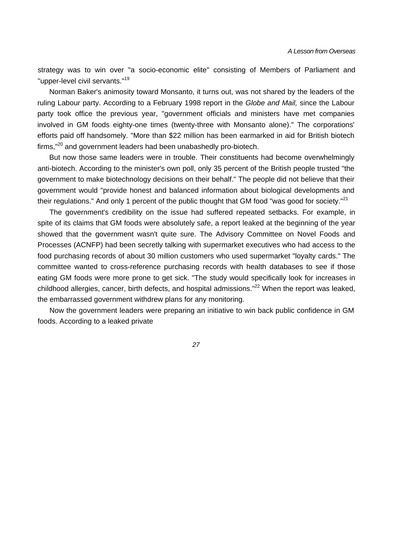strategy was to win over "a socio-economic elite" consisting of Members of Parliament and "upper-level civil servants."<sup>19</sup>

Norman Baker's animosity toward Monsanto, it turns out, was not shared by the leaders of the ruling Labour party. According to a February 1998 report in the *Globe and Mail,* since the Labour party took office the previous year, "government officials and ministers have met companies involved in GM foods eighty-one times (twenty-three with Monsanto alone)." The corporations' efforts paid off handsomely. "More than \$22 million has been earmarked in aid for British biotech firms,"20 and government leaders had been unabashedly pro-biotech.

But now those same leaders were in trouble. Their constituents had become overwhelmingly anti-biotech. According to the minister's own poll, only 35 percent of the British people trusted "the government to make biotechnology decisions on their behalf." The people did not believe that their government would "provide honest and balanced information about biological developments and their regulations." And only 1 percent of the public thought that GM food "was good for society."<sup>21</sup>

The government's credibility on the issue had suffered repeated setbacks. For example, in spite of its claims that GM foods were absolutely safe, a report leaked at the beginning of the year showed that the government wasn't quite sure. The Advisory Committee on Novel Foods and Processes (ACNFP) had been secretly talking with supermarket executives who had access to the food purchasing records of about 30 million customers who used supermarket "loyalty cards." The committee wanted to cross-reference purchasing records with health databases to see if those eating GM foods were more prone to get sick. "The study would specifically look for increases in childhood allergies, cancer, birth defects, and hospital admissions."<sup>22</sup> When the report was leaked, the embarrassed government withdrew plans for any monitoring.

Now the government leaders were preparing an initiative to win back public confidence in GM foods. According to a leaked private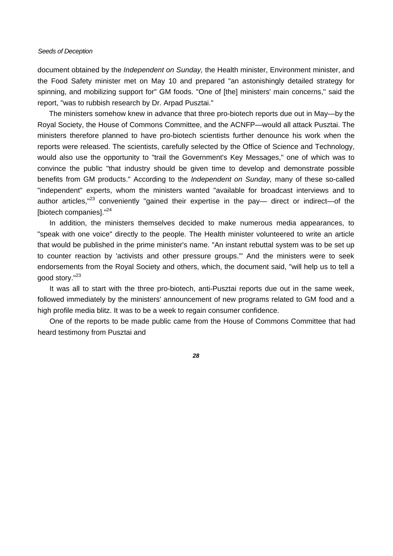document obtained by the *Independent on Sunday,* the Health minister, Environment minister, and the Food Safety minister met on May 10 and prepared "an astonishingly detailed strategy for spinning, and mobilizing support for" GM foods. "One of [the] ministers' main concerns," said the report, "was to rubbish research by Dr. Arpad Pusztai."

The ministers somehow knew in advance that three pro-biotech reports due out in May—by the Royal Society, the House of Commons Committee, and the ACNFP—would all attack Pusztai. The ministers therefore planned to have pro-biotech scientists further denounce his work when the reports were released. The scientists, carefully selected by the Office of Science and Technology, would also use the opportunity to "trail the Government's Key Messages," one of which was to convince the public "that industry should be given time to develop and demonstrate possible benefits from GM products." According to the *Independent on Sunday,* many of these so-called "independent" experts, whom the ministers wanted "available for broadcast interviews and to author articles."<sup>23</sup> conveniently "gained their expertise in the pay— direct or indirect—of the [biotech companies]."<sup>24</sup>

In addition, the ministers themselves decided to make numerous media appearances, to "speak with one voice" directly to the people. The Health minister volunteered to write an article that would be published in the prime minister's name. "An instant rebuttal system was to be set up to counter reaction by 'activists and other pressure groups.'" And the ministers were to seek endorsements from the Royal Society and others, which, the document said, "will help us to tell a good story."<sup>23</sup>

It was all to start with the three pro-biotech, anti-Pusztai reports due out in the same week, followed immediately by the ministers' announcement of new programs related to GM food and a high profile media blitz. It was to be a week to regain consumer confidence.

One of the reports to be made public came from the House of Commons Committee that had heard testimony from Pusztai and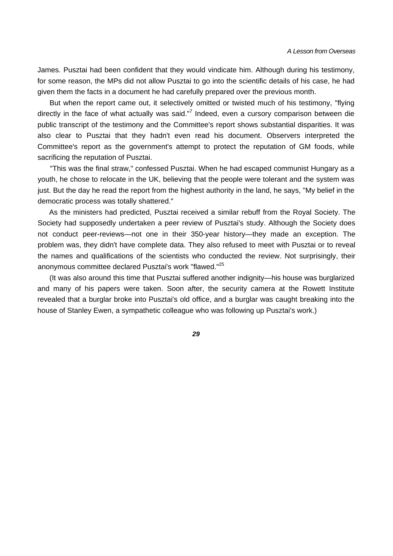James. Pusztai had been confident that they would vindicate him. Although during his testimony, for some reason, the MPs did not allow Pusztai to go into the scientific details of his case, he had given them the facts in a document he had carefully prepared over the previous month.

But when the report came out, it selectively omitted or twisted much of his testimony, "flying directly in the face of what actually was said."<sup>7</sup> Indeed, even a cursory comparison between die public transcript of the testimony and the Committee's report shows substantial disparities. It was also clear to Pusztai that they hadn't even read his document. Observers interpreted the Committee's report as the government's attempt to protect the reputation of GM foods, while sacrificing the reputation of Pusztai.

"This was the final straw," confessed Pusztai. When he had escaped communist Hungary as a youth, he chose to relocate in the UK, believing that the people were tolerant and the system was just. But the day he read the report from the highest authority in the land, he says, "My belief in the democratic process was totally shattered."

As the ministers had predicted, Pusztai received a similar rebuff from the Royal Society. The Society had supposedly undertaken a peer review of Pusztai's study. Although the Society does not conduct peer-reviews—not one in their 350-year history—they made an exception. The problem was, they didn't have complete data. They also refused to meet with Pusztai or to reveal the names and qualifications of the scientists who conducted the review. Not surprisingly, their anonymous committee declared Pusztai's work "flawed."25

(It was also around this time that Pusztai suffered another indignity—his house was burglarized and many of his papers were taken. Soon after, the security camera at the Rowett Institute revealed that a burglar broke into Pusztai's old office, and a burglar was caught breaking into the house of Stanley Ewen, a sympathetic colleague who was following up Pusztai's work.)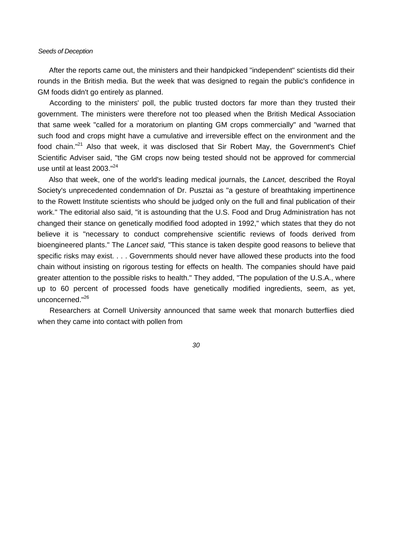After the reports came out, the ministers and their handpicked "independent" scientists did their rounds in the British media. But the week that was designed to regain the public's confidence in GM foods didn't go entirely as planned.

According to the ministers' poll, the public trusted doctors far more than they trusted their government. The ministers were therefore not too pleased when the British Medical Association that same week "called for a moratorium on planting GM crops commercially" and "warned that such food and crops might have a cumulative and irreversible effect on the environment and the food chain."21 Also that week, it was disclosed that Sir Robert May, the Government's Chief Scientific Adviser said, "the GM crops now being tested should not be approved for commercial use until at least 2003."<sup>24</sup>

Also that week, one of the world's leading medical journals, the *Lancet,* described the Royal Society's unprecedented condemnation of Dr. Pusztai as "a gesture of breathtaking impertinence to the Rowett Institute scientists who should be judged only on the full and final publication of their work." The editorial also said, "it is astounding that the U.S. Food and Drug Administration has not changed their stance on genetically modified food adopted in 1992," which states that they do not believe it is "necessary to conduct comprehensive scientific reviews of foods derived from bioengineered plants." The *Lancet said,* "This stance is taken despite good reasons to believe that specific risks may exist. . . . Governments should never have allowed these products into the food chain without insisting on rigorous testing for effects on health. The companies should have paid greater attention to the possible risks to health." They added, "The population of the U.S.A., where up to 60 percent of processed foods have genetically modified ingredients, seem, as yet, unconcerned."<sup>26</sup>

Researchers at Cornell University announced that same week that monarch butterflies died when they came into contact with pollen from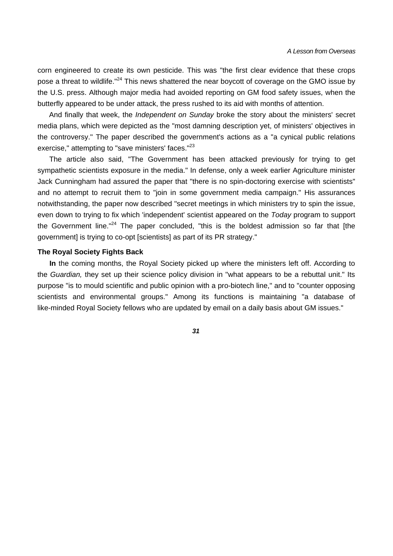corn engineered to create its own pesticide. This was "the first clear evidence that these crops pose a threat to wildlife."<sup>24</sup> This news shattered the near boycott of coverage on the GMO issue by the U.S. press. Although major media had avoided reporting on GM food safety issues, when the butterfly appeared to be under attack, the press rushed to its aid with months of attention.

And finally that week, the *Independent on Sunday* broke the story about the ministers' secret media plans, which were depicted as the "most damning description yet, of ministers' objectives in the controversy." The paper described the government's actions as a "a cynical public relations exercise," attempting to "save ministers' faces."<sup>23</sup>

The article also said, "The Government has been attacked previously for trying to get sympathetic scientists exposure in the media." In defense, only a week earlier Agriculture minister Jack Cunningham had assured the paper that "there is no spin-doctoring exercise with scientists" and no attempt to recruit them to "join in some government media campaign." His assurances notwithstanding, the paper now described "secret meetings in which ministers try to spin the issue, even down to trying to fix which 'independent' scientist appeared on the *Today* program to support the Government line."<sup>24</sup> The paper concluded. "this is the boldest admission so far that [the government] is trying to co-opt [scientists] as part of its PR strategy."

#### **The Royal Society Fights Back**

**In** the coming months, the Royal Society picked up where the ministers left off. According to the *Guardian,* they set up their science policy division in "what appears to be a rebuttal unit." Its purpose "is to mould scientific and public opinion with a pro-biotech line," and to "counter opposing scientists and environmental groups." Among its functions is maintaining "a database of like-minded Royal Society fellows who are updated by email on a daily basis about GM issues."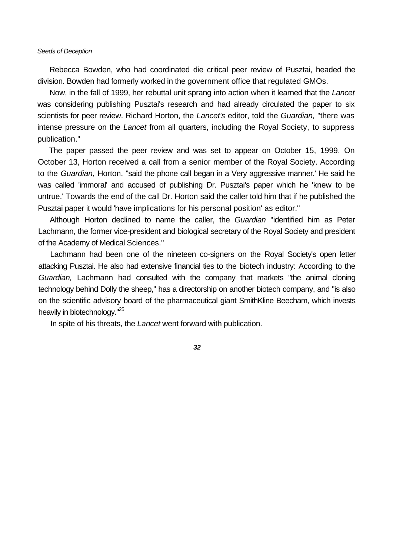Rebecca Bowden, who had coordinated die critical peer review of Pusztai, headed the division. Bowden had formerly worked in the government office that regulated GMOs.

Now, in the fall of 1999, her rebuttal unit sprang into action when it learned that the *Lancet*  was considering publishing Pusztai's research and had already circulated the paper to six scientists for peer review. Richard Horton, the *Lancet's* editor, told the *Guardian,* "there was intense pressure on the *Lancet* from all quarters, including the Royal Society, to suppress publication."

The paper passed the peer review and was set to appear on October 15, 1999. On October 13, Horton received a call from a senior member of the Royal Society. According to the *Guardian,* Horton, "said the phone call began in a Very aggressive manner.' He said he was called 'immoral' and accused of publishing Dr. Pusztai's paper which he 'knew to be untrue.' Towards the end of the call Dr. Horton said the caller told him that if he published the Pusztai paper it would 'have implications for his personal position' as editor."

Although Horton declined to name the caller, the *Guardian* "identified him as Peter Lachmann, the former vice-president and biological secretary of the Royal Society and president of the Academy of Medical Sciences."

Lachmann had been one of the nineteen co-signers on the Royal Society's open letter attacking Pusztai. He also had extensive financial ties to the biotech industry: According to the *Guardian,* Lachmann had consulted with the company that markets "the animal cloning technology behind Dolly the sheep," has a directorship on another biotech company, and "is also on the scientific advisory board of the pharmaceutical giant SmithKline Beecham, which invests heavily in biotechnology."<sup>25</sup>

In spite of his threats, the *Lancet* went forward with publication.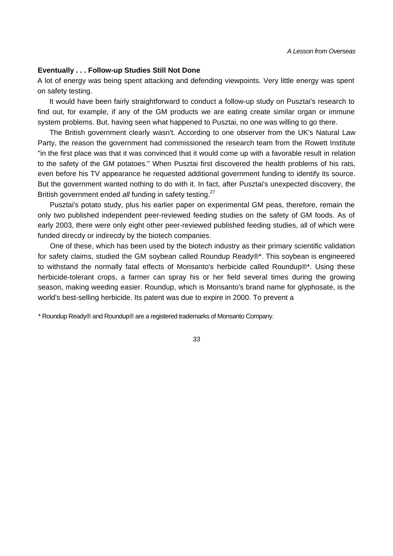## **Eventually . . . Follow-up Studies Still Not Done**

A lot of energy was being spent attacking and defending viewpoints. Very little energy was spent on safety testing.

It would have been fairly straightforward to conduct a follow-up study on Pusztai's research to find out, for example, if any of the GM products we are eating create similar organ or immune system problems. But, having seen what happened to Pusztai, no one was willing to go there.

The British government clearly wasn't. According to one observer from the UK's Natural Law Party, the reason the government had commissioned the research team from the Rowett Institute "in the first place was that it was convinced that it would come up with a favorable result in relation to the safety of the GM potatoes." When Pusztai first discovered the health problems of his rats, even before his TV appearance he requested additional government funding to identify its source. But the government wanted nothing to do with it. In fact, after Pusztai's unexpected discovery, the British government ended *all* funding in safety testing.<sup>27</sup>

Pusztai's potato study, plus his earlier paper on experimental GM peas, therefore, remain the only two published independent peer-reviewed feeding studies on the safety of GM foods. As of early 2003, there were only eight other peer-reviewed published feeding studies, all of which were funded direcdy or indirecdy by the biotech companies.

One of these, which has been used by the biotech industry as their primary scientific validation for safety claims, studied the GM soybean called Roundup Ready®\*. This soybean is engineered to withstand the normally fatal effects of Monsanto's herbicide called Roundup®\*. Using these herbicide-tolerant crops, a farmer can spray his or her field several times during the growing season, making weeding easier. Roundup, which is Monsanto's brand name for glyphosate, is the world's best-selling herbicide. Its patent was due to expire in 2000. To prevent a

\* Roundup Ready® and Roundup® are a registered trademarks of Monsanto Company.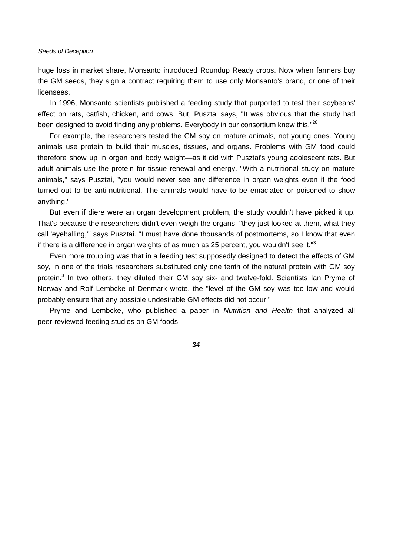huge loss in market share, Monsanto introduced Roundup Ready crops. Now when farmers buy the GM seeds, they sign a contract requiring them to use only Monsanto's brand, or one of their licensees.

In 1996, Monsanto scientists published a feeding study that purported to test their soybeans' effect on rats, catfish, chicken, and cows. But, Pusztai says, "It was obvious that the study had been designed to avoid finding any problems. Everybody in our consortium knew this."<sup>28</sup>

For example, the researchers tested the GM soy on mature animals, not young ones. Young animals use protein to build their muscles, tissues, and organs. Problems with GM food could therefore show up in organ and body weight—as it did with Pusztai's young adolescent rats. But adult animals use the protein for tissue renewal and energy. "With a nutritional study on mature animals," says Pusztai, "you would never see any difference in organ weights even if the food turned out to be anti-nutritional. The animals would have to be emaciated or poisoned to show anything."

But even if diere were an organ development problem, the study wouldn't have picked it up. That's because the researchers didn't even weigh the organs, "they just looked at them, what they call 'eyeballing,'" says Pusztai. "I must have done thousands of postmortems, so I know that even if there is a difference in organ weights of as much as 25 percent, you wouldn't see it." $3$ 

Even more troubling was that in a feeding test supposedly designed to detect the effects of GM soy, in one of the trials researchers substituted only one tenth of the natural protein with GM soy protein.<sup>3</sup> In two others, they diluted their GM soy six- and twelve-fold. Scientists Ian Pryme of Norway and Rolf Lembcke of Denmark wrote, the "level of the GM soy was too low and would probably ensure that any possible undesirable GM effects did not occur."

Pryme and Lembcke, who published a paper in *Nutrition and Health* that analyzed all peer-reviewed feeding studies on GM foods,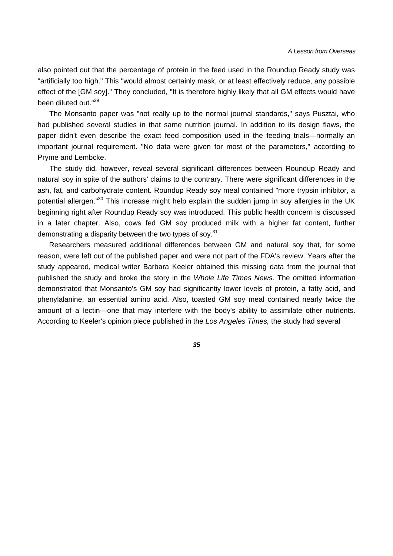also pointed out that the percentage of protein in the feed used in the Roundup Ready study was "artificially too high." This "would almost certainly mask, or at least effectively reduce, any possible effect of the [GM soy]." They concluded, "It is therefore highly likely that all GM effects would have been diluted out."<sup>29</sup>

The Monsanto paper was "not really up to the normal journal standards," says Pusztai, who had published several studies in that same nutrition journal. In addition to its design flaws, the paper didn't even describe the exact feed composition used in the feeding trials—normally an important journal requirement. "No data were given for most of the parameters," according to Pryme and Lembcke.

The study did, however, reveal several significant differences between Roundup Ready and natural soy in spite of the authors' claims to the contrary. There were significant differences in the ash, fat, and carbohydrate content. Roundup Ready soy meal contained "more trypsin inhibitor, a potential allergen."<sup>30</sup> This increase might help explain the sudden jump in soy allergies in the UK beginning right after Roundup Ready soy was introduced. This public health concern is discussed in a later chapter. Also, cows fed GM soy produced milk with a higher fat content, further demonstrating a disparity between the two types of soy.<sup>31</sup>

Researchers measured additional differences between GM and natural soy that, for some reason, were left out of the published paper and were not part of the FDA's review. Years after the study appeared, medical writer Barbara Keeler obtained this missing data from the journal that published the study and broke the story in the *Whole Life Times News.* The omitted information demonstrated that Monsanto's GM soy had significantiy lower levels of protein, a fatty acid, and phenylalanine, an essential amino acid. Also, toasted GM soy meal contained nearly twice the amount of a lectin—one that may interfere with the body's ability to assimilate other nutrients. According to Keeler's opinion piece published in the *Los Angeles Times,* the study had several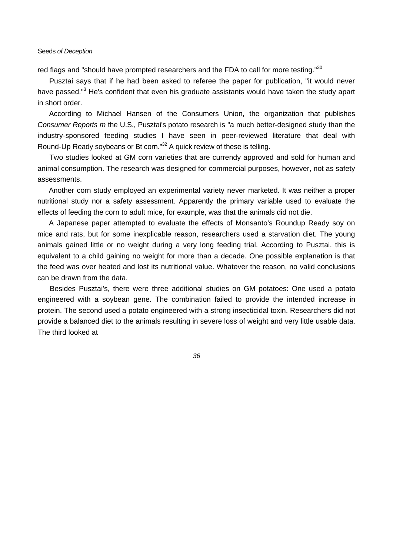red flags and "should have prompted researchers and the FDA to call for more testing."<sup>30</sup>

Pusztai says that if he had been asked to referee the paper for publication, "it would never have passed."<sup>3</sup> He's confident that even his graduate assistants would have taken the study apart in short order.

According to Michael Hansen of the Consumers Union, the organization that publishes *Consumer Reports m* the U.S., Pusztai's potato research is "a much better-designed study than the industry-sponsored feeding studies I have seen in peer-reviewed literature that deal with Round-Up Ready soybeans or Bt corn."<sup>32</sup> A quick review of these is telling.

Two studies looked at GM corn varieties that are currendy approved and sold for human and animal consumption. The research was designed for commercial purposes, however, not as safety assessments.

Another corn study employed an experimental variety never marketed. It was neither a proper nutritional study nor a safety assessment. Apparently the primary variable used to evaluate the effects of feeding the corn to adult mice, for example, was that the animals did not die.

A Japanese paper attempted to evaluate the effects of Monsanto's Roundup Ready soy on mice and rats, but for some inexplicable reason, researchers used a starvation diet. The young animals gained little or no weight during a very long feeding trial. According to Pusztai, this is equivalent to a child gaining no weight for more than a decade. One possible explanation is that the feed was over heated and lost its nutritional value. Whatever the reason, no valid conclusions can be drawn from the data.

Besides Pusztai's, there were three additional studies on GM potatoes: One used a potato engineered with a soybean gene. The combination failed to provide the intended increase in protein. The second used a potato engineered with a strong insecticidal toxin. Researchers did not provide a balanced diet to the animals resulting in severe loss of weight and very little usable data. The third looked at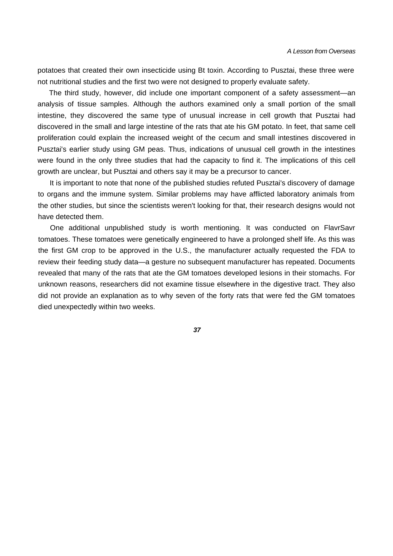potatoes that created their own insecticide using Bt toxin. According to Pusztai, these three were not nutritional studies and the first two were not designed to properly evaluate safety.

The third study, however, did include one important component of a safety assessment—an analysis of tissue samples. Although the authors examined only a small portion of the small intestine, they discovered the same type of unusual increase in cell growth that Pusztai had discovered in the small and large intestine of the rats that ate his GM potato. In feet, that same cell proliferation could explain the increased weight of the cecum and small intestines discovered in Pusztai's earlier study using GM peas. Thus, indications of unusual cell growth in the intestines were found in the only three studies that had the capacity to find it. The implications of this cell growth are unclear, but Pusztai and others say it may be a precursor to cancer.

It is important to note that none of the published studies refuted Pusztai's discovery of damage to organs and the immune system. Similar problems may have afflicted laboratory animals from the other studies, but since the scientists weren't looking for that, their research designs would not have detected them.

One additional unpublished study is worth mentioning. It was conducted on FlavrSavr tomatoes. These tomatoes were genetically engineered to have a prolonged shelf life. As this was the first GM crop to be approved in the U.S., the manufacturer actually requested the FDA to review their feeding study data—a gesture no subsequent manufacturer has repeated. Documents revealed that many of the rats that ate the GM tomatoes developed lesions in their stomachs. For unknown reasons, researchers did not examine tissue elsewhere in the digestive tract. They also did not provide an explanation as to why seven of the forty rats that were fed the GM tomatoes died unexpectedly within two weeks.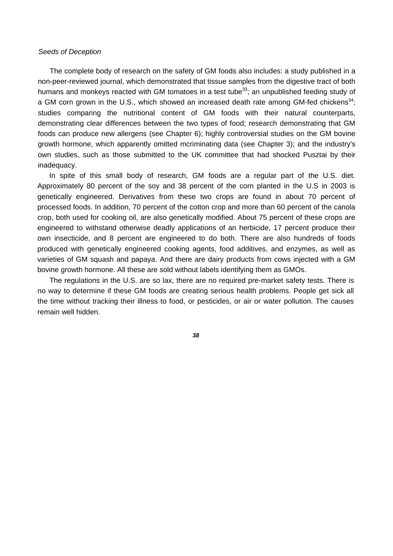The complete body of research on the safety of GM foods also includes: a study published in a non-peer-reviewed journal, which demonstrated that tissue samples from the digestive tract of both humans and monkeys reacted with GM tomatoes in a test tube<sup>33</sup>; an unpublished feeding study of a GM corn grown in the U.S., which showed an increased death rate among GM-fed chickens<sup>34</sup>; studies comparing the nutritional content of GM foods with their natural counterparts, demonstrating clear differences between the two types of food; research demonstrating that GM foods can produce new allergens (see Chapter 6); highly controversial studies on the GM bovine growth hormone, which apparently omitted mcriminating data (see Chapter 3); and the industry's own studies, such as those submitted to the UK committee that had shocked Pusztai by their inadequacy.

In spite of this small body of research, GM foods are a regular part of the U.S. diet. Approximately 80 percent of the soy and 38 percent of the corn planted in the U.S in 2003 is genetically engineered. Derivatives from these two crops are found in about 70 percent of processed foods. In addition, 70 percent of the cotton crop and more than 60 percent of the canola crop, both used for cooking oil, are also genetically modified. About 75 percent of these crops are engineered to withstand otherwise deadly applications of an herbicide, 17 percent produce their own insecticide, and 8 percent are engineered to do both. There are also hundreds of foods produced with genetically engineered cooking agents, food additives, and enzymes, as well as varieties of GM squash and papaya. And there are dairy products from cows injected with a GM bovine growth hormone. All these are sold without labels identifying them as GMOs.

The regulations in the U.S. are so lax, there are no required pre-market safety tests. There is no way to determine if these GM foods are creating serious health problems. People get sick all the time without tracking their illness to food, or pesticides, or air or water pollution. The causes remain well hidden.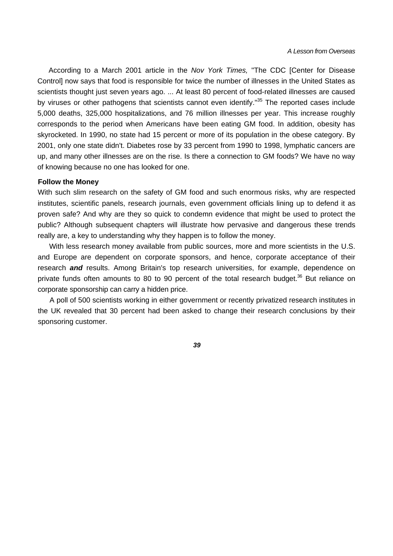According to a March 2001 article in the *Nov York Times,* "The CDC [Center for Disease Control] now says that food is responsible for twice the number of illnesses in the United States as scientists thought just seven years ago. ... At least 80 percent of food-related illnesses are caused by viruses or other pathogens that scientists cannot even identify."<sup>35</sup> The reported cases include 5,000 deaths, 325,000 hospitalizations, and 76 million illnesses per year. This increase roughly corresponds to the period when Americans have been eating GM food. In addition, obesity has skyrocketed. In 1990, no state had 15 percent or more of its population in the obese category. By 2001, only one state didn't. Diabetes rose by 33 percent from 1990 to 1998, lymphatic cancers are up, and many other illnesses are on the rise. Is there a connection to GM foods? We have no way of knowing because no one has looked for one.

#### **Follow the Money**

With such slim research on the safety of GM food and such enormous risks, why are respected institutes, scientific panels, research journals, even government officials lining up to defend it as proven safe? And why are they so quick to condemn evidence that might be used to protect the public? Although subsequent chapters will illustrate how pervasive and dangerous these trends really are, a key to understanding why they happen is to follow the money.

With less research money available from public sources, more and more scientists in the U.S. and Europe are dependent on corporate sponsors, and hence, corporate acceptance of their research *and* results. Among Britain's top research universities, for example, dependence on private funds often amounts to 80 to 90 percent of the total research budget.<sup>36</sup> But reliance on corporate sponsorship can carry a hidden price.

A poll of 500 scientists working in either government or recently privatized research institutes in the UK revealed that 30 percent had been asked to change their research conclusions by their sponsoring customer.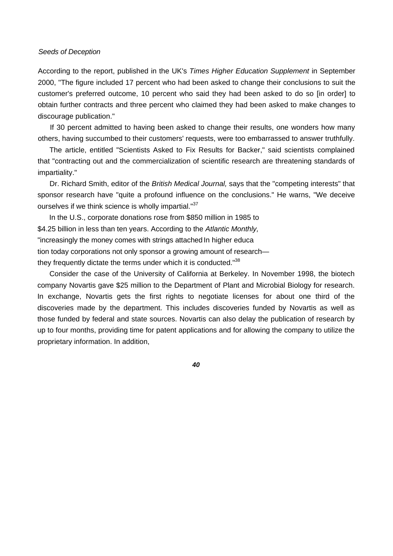According to the report, published in the UK's *Times Higher Education Supplement* in September 2000, "The figure included 17 percent who had been asked to change their conclusions to suit the customer's preferred outcome, 10 percent who said they had been asked to do so [in order] to obtain further contracts and three percent who claimed they had been asked to make changes to discourage publication."

If 30 percent admitted to having been asked to change their results, one wonders how many others, having succumbed to their customers' requests, were too embarrassed to answer truthfully.

The article, entitled "Scientists Asked to Fix Results for Backer," said scientists complained that "contracting out and the commercialization of scientific research are threatening standards of impartiality."

Dr. Richard Smith, editor of the *British Medical Journal,* says that the "competing interests" that sponsor research have "quite a profound influence on the conclusions." He warns, "We deceive ourselves if we think science is wholly impartial."<sup>37</sup>

In the U.S., corporate donations rose from \$850 million in 1985 to \$4.25 billion in less than ten years. According to the *Atlantic Monthly,*  "increasingly the money comes with strings attached In higher educa tion today corporations not only sponsor a growing amount of research they frequently dictate the terms under which it is conducted."<sup>38</sup>

Consider the case of the University of California at Berkeley. In November 1998, the biotech company Novartis gave \$25 million to the Department of Plant and Microbial Biology for research. In exchange, Novartis gets the first rights to negotiate licenses for about one third of the discoveries made by the department. This includes discoveries funded by Novartis as well as those funded by federal and state sources. Novartis can also delay the publication of research by up to four months, providing time for patent applications and for allowing the company to utilize the proprietary information. In addition,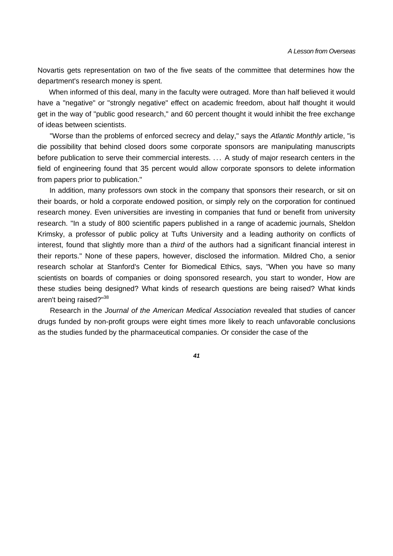Novartis gets representation on two of the five seats of the committee that determines how the department's research money is spent.

When informed of this deal, many in the faculty were outraged. More than half believed it would have a "negative" or "strongly negative" effect on academic freedom, about half thought it would get in the way of "public good research," and 60 percent thought it would inhibit the free exchange of ideas between scientists.

"Worse than the problems of enforced secrecy and delay," says the *Atlantic Monthly* article, "is die possibility that behind closed doors some corporate sponsors are manipulating manuscripts before publication to serve their commercial interests. . . . A study of major research centers in the field of engineering found that 35 percent would allow corporate sponsors to delete information from papers prior to publication."

In addition, many professors own stock in the company that sponsors their research, or sit on their boards, or hold a corporate endowed position, or simply rely on the corporation for continued research money. Even universities are investing in companies that fund or benefit from university research. "In a study of 800 scientific papers published in a range of academic journals, Sheldon Krimsky, a professor of public policy at Tufts University and a leading authority on conflicts of interest, found that slightly more than a *third* of the authors had a significant financial interest in their reports." None of these papers, however, disclosed the information. Mildred Cho, a senior research scholar at Stanford's Center for Biomedical Ethics, says, "When you have so many scientists on boards of companies or doing sponsored research, you start to wonder, How are these studies being designed? What kinds of research questions are being raised? What kinds aren't being raised?"<sup>38</sup>

Research in the *Journal of the American Medical Association* revealed that studies of cancer drugs funded by non-profit groups were eight times more likely to reach unfavorable conclusions as the studies funded by the pharmaceutical companies. Or consider the case of the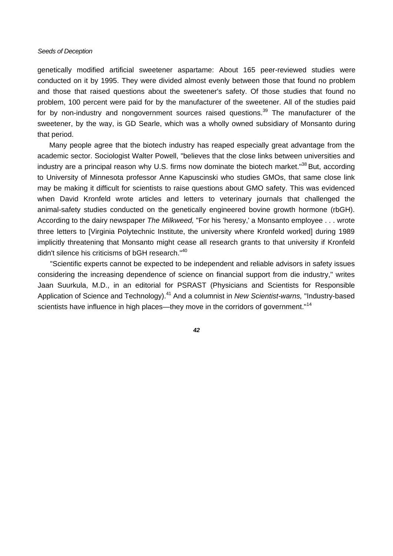genetically modified artificial sweetener aspartame: About 165 peer-reviewed studies were conducted on it by 1995. They were divided almost evenly between those that found no problem and those that raised questions about the sweetener's safety. Of those studies that found no problem, 100 percent were paid for by the manufacturer of the sweetener. All of the studies paid for by non-industry and nongovernment sources raised questions.<sup>39</sup> The manufacturer of the sweetener, by the way, is GD Searle, which was a wholly owned subsidiary of Monsanto during that period.

Many people agree that the biotech industry has reaped especially great advantage from the academic sector. Sociologist Walter Powell, "believes that the close links between universities and industry are a principal reason why U.S. firms now dominate the biotech market."<sup>38</sup> But, according to University of Minnesota professor Anne Kapuscinski who studies GMOs, that same close link may be making it difficult for scientists to raise questions about GMO safety. This was evidenced when David Kronfeld wrote articles and letters to veterinary journals that challenged the animal-safety studies conducted on the genetically engineered bovine growth hormone (rbGH). According to the dairy newspaper *The Milkweed,* "For his 'heresy,' a Monsanto employee . . . wrote three letters to [Virginia Polytechnic Institute, the university where Kronfeld worked] during 1989 implicitly threatening that Monsanto might cease all research grants to that university if Kronfeld didn't silence his criticisms of bGH research."<sup>40</sup>

"Scientific experts cannot be expected to be independent and reliable advisors in safety issues considering the increasing dependence of science on financial support from die industry," writes Jaan Suurkula, M.D., in an editorial for PSRAST (Physicians and Scientists for Responsible Application of Science and Technology).41 And a columnist in *New Scientist-warns,* "Industry-based scientists have influence in high places—they move in the corridors of government."<sup>14</sup>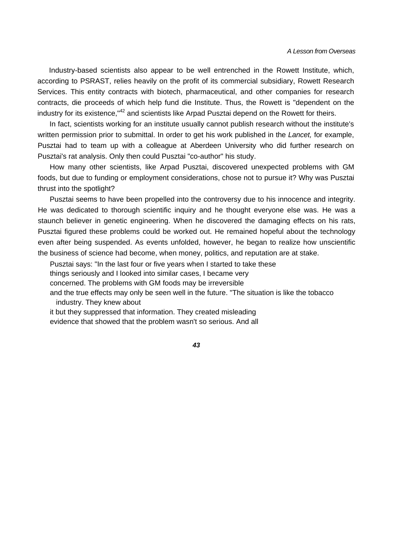Industry-based scientists also appear to be well entrenched in the Rowett Institute, which, according to PSRAST, relies heavily on the profit of its commercial subsidiary, Rowett Research Services. This entity contracts with biotech, pharmaceutical, and other companies for research contracts, die proceeds of which help fund die Institute. Thus, the Rowett is "dependent on the industry for its existence."<sup>42</sup> and scientists like Arpad Pusztai depend on the Rowett for theirs.

In fact, scientists working for an institute usually cannot publish research without the institute's written permission prior to submittal. In order to get his work published in the *Lancet,* for example, Pusztai had to team up with a colleague at Aberdeen University who did further research on Pusztai's rat analysis. Only then could Pusztai "co-author" his study.

How many other scientists, like Arpad Pusztai, discovered unexpected problems with GM foods, but due to funding or employment considerations, chose not to pursue it? Why was Pusztai thrust into the spotlight?

Pusztai seems to have been propelled into the controversy due to his innocence and integrity. He was dedicated to thorough scientific inquiry and he thought everyone else was. He was a staunch believer in genetic engineering. When he discovered the damaging effects on his rats, Pusztai figured these problems could be worked out. He remained hopeful about the technology even after being suspended. As events unfolded, however, he began to realize how unscientific the business of science had become, when money, politics, and reputation are at stake.

Pusztai says: "In the last four or five years when I started to take these

things seriously and I looked into similar cases, I became very

concerned. The problems with GM foods may be irreversible

and the true effects may only be seen well in the future. "The situation is like the tobacco industry. They knew about

it but they suppressed that information. They created misleading evidence that showed that the problem wasn't so serious. And all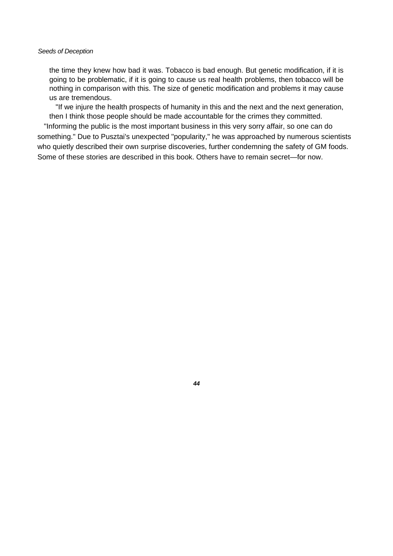the time they knew how bad it was. Tobacco is bad enough. But genetic modification, if it is going to be problematic, if it is going to cause us real health problems, then tobacco will be nothing in comparison with this. The size of genetic modification and problems it may cause us are tremendous.

"If we injure the health prospects of humanity in this and the next and the next generation, then I think those people should be made accountable for the crimes they committed. "Informing the public is the most important business in this very sorry affair, so one can do something." Due to Pusztai's unexpected "popularity," he was approached by numerous scientists who quietly described their own surprise discoveries, further condemning the safety of GM foods. Some of these stories are described in this book. Others have to remain secret—for now.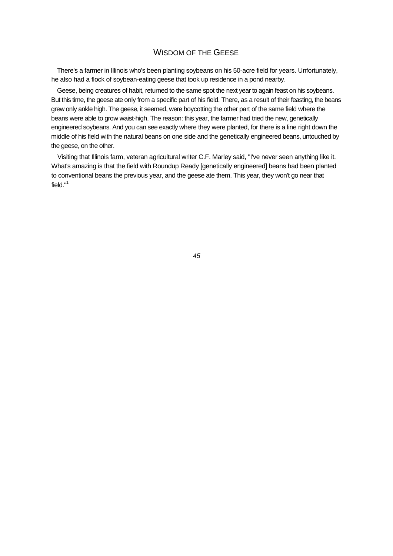# WISDOM OF THE GEESE

There's a farmer in Illinois who's been planting soybeans on his 50-acre field for years. Unfortunately, he also had a flock of soybean-eating geese that took up residence in a pond nearby.

Geese, being creatures of habit, returned to the same spot the next year to again feast on his soybeans. But this time, the geese ate only from a specific part of his field. There, as a result of their feasting, the beans grew only ankle high. The geese, it seemed, were boycotting the other part of the same field where the beans were able to grow waist-high. The reason: this year, the farmer had tried the new, genetically engineered soybeans. And you can see exactly where they were planted, for there is a line right down the middle of his field with the natural beans on one side and the genetically engineered beans, untouched by the geese, on the other.

Visiting that Illinois farm, veteran agricultural writer C.F. Marley said, "I've never seen anything like it. What's amazing is that the field with Roundup Ready [genetically engineered] beans had been planted to conventional beans the previous year, and the geese ate them. This year, they won't go near that field."1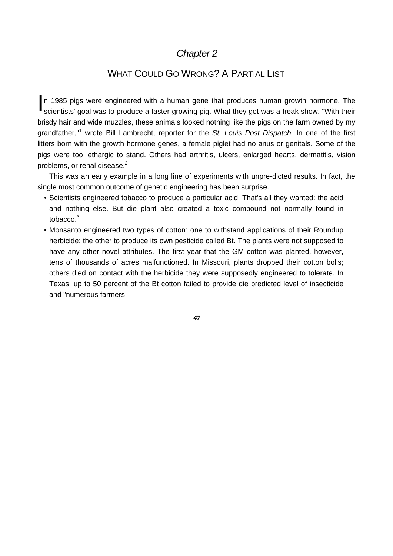# *Chapter 2*

# WHAT COULD GO WRONG? A PARTIAL LIST

In 1985 pigs were engineered with a human gene that produces human growth hormone. The scientists' goal was to produce a faster-growing pig. What they got was a freak show. "With their scientists' goal was to produce a faster-growing pig. What they got was a freak show. "With their brisdy hair and wide muzzles, these animals looked nothing like the pigs on the farm owned by my grandfather,"1 wrote Bill Lambrecht, reporter for the *St. Louis Post Dispatch.* In one of the first litters born with the growth hormone genes, a female piglet had no anus or genitals. Some of the pigs were too lethargic to stand. Others had arthritis, ulcers, enlarged hearts, dermatitis, vision problems, or renal disease.<sup>2</sup>

This was an early example in a long line of experiments with unpre-dicted results. In fact, the single most common outcome of genetic engineering has been surprise.

- Scientists engineered tobacco to produce a particular acid. That's all they wanted: the acid and nothing else. But die plant also created a toxic compound not normally found in tobacco.<sup>3</sup>
- Monsanto engineered two types of cotton: one to withstand applications of their Roundup herbicide; the other to produce its own pesticide called Bt. The plants were not supposed to have any other novel attributes. The first year that the GM cotton was planted, however, tens of thousands of acres malfunctioned. In Missouri, plants dropped their cotton bolls; others died on contact with the herbicide they were supposedly engineered to tolerate. In Texas, up to 50 percent of the Bt cotton failed to provide die predicted level of insecticide and "numerous farmers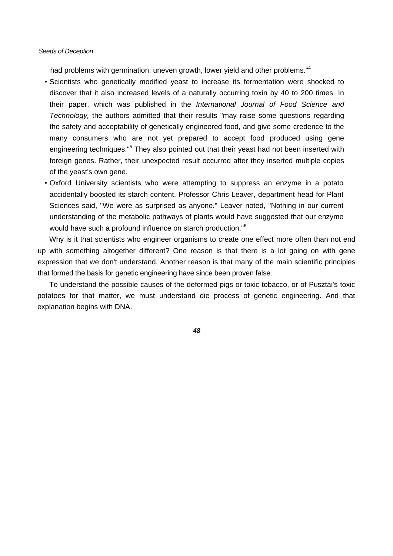had problems with germination, uneven growth, lower yield and other problems."<sup>4</sup>

- Scientists who genetically modified yeast to increase its fermentation were shocked to discover that it also increased levels of a naturally occurring toxin by 40 to 200 times. In their paper, which was published in the *International Journal of Food Science and Technology,* the authors admitted that their results "may raise some questions regarding the safety and acceptability of genetically engineered food, and give some credence to the many consumers who are not yet prepared to accept food produced using gene engineering techniques."<sup>5</sup> They also pointed out that their yeast had not been inserted with foreign genes. Rather, their unexpected result occurred after they inserted multiple copies of the yeast's own gene.
- Oxford University scientists who were attempting to suppress an enzyme in a potato accidentally boosted its starch content. Professor Chris Leaver, department head for Plant Sciences said, "We were as surprised as anyone." Leaver noted, "Nothing in our current understanding of the metabolic pathways of plants would have suggested that our enzyme would have such a profound influence on starch production."<sup>6</sup>

Why is it that scientists who engineer organisms to create one effect more often than not end up with something altogether different? One reason is that there is a lot going on with gene expression that we don't understand. Another reason is that many of the main scientific principles that formed the basis for genetic engineering have since been proven false.

To understand the possible causes of the deformed pigs or toxic tobacco, or of Pusztai's toxic potatoes for that matter, we must understand die process of genetic engineering. And that explanation begins with DNA.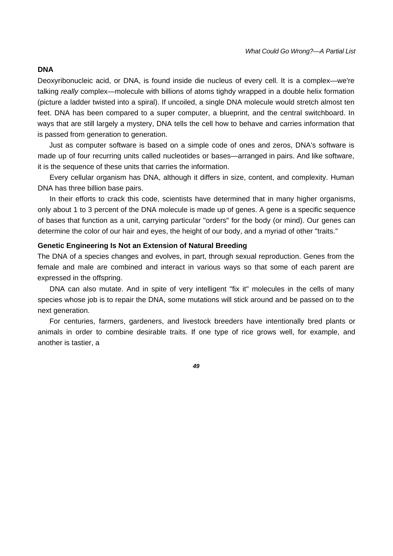# **DNA**

Deoxyribonucleic acid, or DNA, is found inside die nucleus of every cell. It is a complex—we're talking *really* complex—molecule with billions of atoms tighdy wrapped in a double helix formation (picture a ladder twisted into a spiral). If uncoiled, a single DNA molecule would stretch almost ten feet. DNA has been compared to a super computer, a blueprint, and the central switchboard. In ways that are still largely a mystery, DNA tells the cell how to behave and carries information that is passed from generation to generation.

Just as computer software is based on a simple code of ones and zeros, DNA's software is made up of four recurring units called nucleotides or bases—arranged in pairs. And like software, it is the sequence of these units that carries the information.

Every cellular organism has DNA, although it differs in size, content, and complexity. Human DNA has three billion base pairs.

In their efforts to crack this code, scientists have determined that in many higher organisms, only about 1 to 3 percent of the DNA molecule is made up of genes. A gene is a specific sequence of bases that function as a unit, carrying particular "orders" for the body (or mind). Our genes can determine the color of our hair and eyes, the height of our body, and a myriad of other "traits."

## **Genetic Engineering Is Not an Extension of Natural Breeding**

The DNA of a species changes and evolves, in part, through sexual reproduction. Genes from the female and male are combined and interact in various ways so that some of each parent are expressed in the offspring.

DNA can also mutate. And in spite of very intelligent "fix it" molecules in the cells of many species whose job is to repair the DNA, some mutations will stick around and be passed on to the next generation.

For centuries, farmers, gardeners, and livestock breeders have intentionally bred plants or animals in order to combine desirable traits. If one type of rice grows well, for example, and another is tastier, a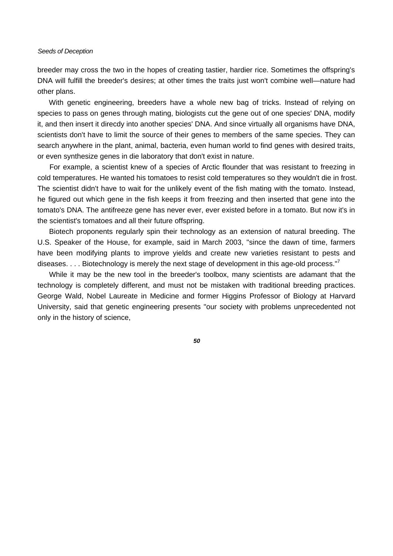breeder may cross the two in the hopes of creating tastier, hardier rice. Sometimes the offspring's DNA will fulfill the breeder's desires; at other times the traits just won't combine well—nature had other plans.

With genetic engineering, breeders have a whole new bag of tricks. Instead of relying on species to pass on genes through mating, biologists cut the gene out of one species' DNA, modify it, and then insert it direcdy into another species' DNA. And since virtually all organisms have DNA, scientists don't have to limit the source of their genes to members of the same species. They can search anywhere in the plant, animal, bacteria, even human world to find genes with desired traits, or even synthesize genes in die laboratory that don't exist in nature.

For example, a scientist knew of a species of Arctic flounder that was resistant to freezing in cold temperatures. He wanted his tomatoes to resist cold temperatures so they wouldn't die in frost. The scientist didn't have to wait for the unlikely event of the fish mating with the tomato. Instead, he figured out which gene in the fish keeps it from freezing and then inserted that gene into the tomato's DNA. The antifreeze gene has never ever, ever existed before in a tomato. But now it's in the scientist's tomatoes and all their future offspring.

Biotech proponents regularly spin their technology as an extension of natural breeding. The U.S. Speaker of the House, for example, said in March 2003, "since the dawn of time, farmers have been modifying plants to improve yields and create new varieties resistant to pests and diseases.  $\dots$  Biotechnology is merely the next stage of development in this age-old process."<sup>7</sup>

While it may be the new tool in the breeder's toolbox, many scientists are adamant that the technology is completely different, and must not be mistaken with traditional breeding practices. George Wald, Nobel Laureate in Medicine and former Higgins Professor of Biology at Harvard University, said that genetic engineering presents "our society with problems unprecedented not only in the history of science,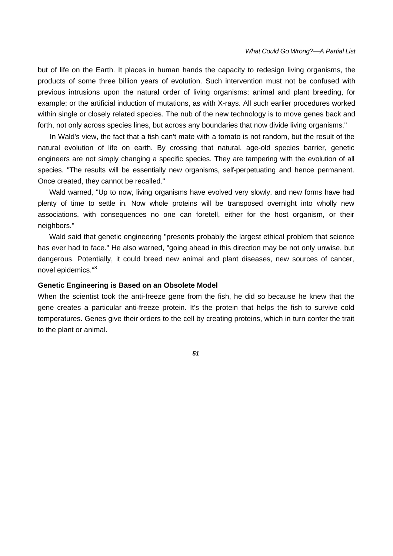but of life on the Earth. It places in human hands the capacity to redesign living organisms, the products of some three billion years of evolution. Such intervention must not be confused with previous intrusions upon the natural order of living organisms; animal and plant breeding, for example; or the artificial induction of mutations, as with X-rays. All such earlier procedures worked within single or closely related species. The nub of the new technology is to move genes back and forth, not only across species lines, but across any boundaries that now divide living organisms."

In Wald's view, the fact that a fish can't mate with a tomato is not random, but the result of the natural evolution of life on earth. By crossing that natural, age-old species barrier, genetic engineers are not simply changing a specific species. They are tampering with the evolution of all species. "The results will be essentially new organisms, self-perpetuating and hence permanent. Once created, they cannot be recalled."

Wald warned, "Up to now, living organisms have evolved very slowly, and new forms have had plenty of time to settle in. Now whole proteins will be transposed overnight into wholly new associations, with consequences no one can foretell, either for the host organism, or their neighbors."

Wald said that genetic engineering "presents probably the largest ethical problem that science has ever had to face." He also warned, "going ahead in this direction may be not only unwise, but dangerous. Potentially, it could breed new animal and plant diseases, new sources of cancer, novel epidemics."<sup>8</sup>

### **Genetic Engineering is Based on an Obsolete Model**

When the scientist took the anti-freeze gene from the fish, he did so because he knew that the gene creates a particular anti-freeze protein. It's the protein that helps the fish to survive cold temperatures. Genes give their orders to the cell by creating proteins, which in turn confer the trait to the plant or animal.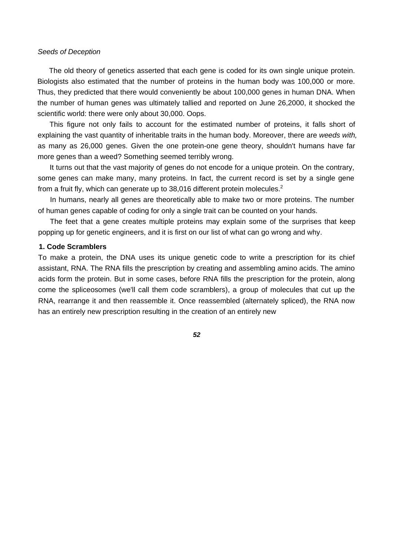The old theory of genetics asserted that each gene is coded for its own single unique protein. Biologists also estimated that the number of proteins in the human body was 100,000 or more. Thus, they predicted that there would conveniently be about 100,000 genes in human DNA. When the number of human genes was ultimately tallied and reported on June 26,2000, it shocked the scientific world: there were only about 30,000. Oops.

This figure not only fails to account for the estimated number of proteins, it falls short of explaining the vast quantity of inheritable traits in the human body. Moreover, there are *weeds with,*  as many as 26,000 genes. Given the one protein-one gene theory, shouldn't humans have far more genes than a weed? Something seemed terribly wrong.

It turns out that the vast majority of genes do not encode for a unique protein. On the contrary, some genes can make many, many proteins. In fact, the current record is set by a single gene from a fruit fly, which can generate up to 38,016 different protein molecules.<sup>2</sup>

In humans, nearly all genes are theoretically able to make two or more proteins. The number of human genes capable of coding for only a single trait can be counted on your hands.

The feet that a gene creates multiple proteins may explain some of the surprises that keep popping up for genetic engineers, and it is first on our list of what can go wrong and why.

## **1. Code Scramblers**

To make a protein, the DNA uses its unique genetic code to write a prescription for its chief assistant, RNA. The RNA fills the prescription by creating and assembling amino acids. The amino acids form the protein. But in some cases, before RNA fills the prescription for the protein, along come the spliceosomes (we'll call them code scramblers), a group of molecules that cut up the RNA, rearrange it and then reassemble it. Once reassembled (alternately spliced), the RNA now has an entirely new prescription resulting in the creation of an entirely new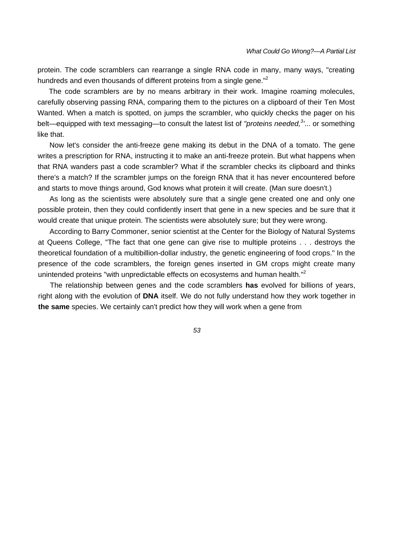protein. The code scramblers can rearrange a single RNA code in many, many ways, "creating hundreds and even thousands of different proteins from a single gene.<sup>"2</sup>

The code scramblers are by no means arbitrary in their work. Imagine roaming molecules, carefully observing passing RNA, comparing them to the pictures on a clipboard of their Ten Most Wanted. When a match is spotted, on jumps the scrambler, who quickly checks the pager on his belt—equipped with text messaging—to consult the latest list of *"proteins needed,3 '*... or something like that.

Now let's consider the anti-freeze gene making its debut in the DNA of a tomato. The gene writes a prescription for RNA, instructing it to make an anti-freeze protein. But what happens when that RNA wanders past a code scrambler? What if the scrambler checks its clipboard and thinks there's a match? If the scrambler jumps on the foreign RNA that it has never encountered before and starts to move things around, God knows what protein it will create. (Man sure doesn't.)

As long as the scientists were absolutely sure that a single gene created one and only one possible protein, then they could confidently insert that gene in a new species and be sure that it would create that unique protein. The scientists were absolutely sure; but they were wrong.

According to Barry Commoner, senior scientist at the Center for the Biology of Natural Systems at Queens College, "The fact that one gene can give rise to multiple proteins . . . destroys the theoretical foundation of a multibillion-dollar industry, the genetic engineering of food crops." In the presence of the code scramblers, the foreign genes inserted in GM crops might create many unintended proteins "with unpredictable effects on ecosystems and human health."<sup>2</sup>

The relationship between genes and the code scramblers **has** evolved for billions of years, right along with the evolution of **DNA** itself. We do not fully understand how they work together in **the same** species. We certainly can't predict how they will work when a gene from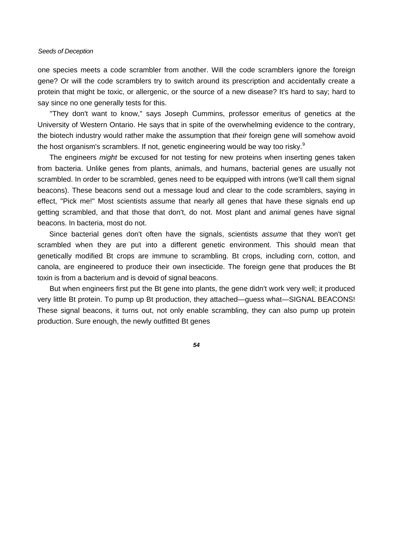one species meets a code scrambler from another. Will the code scramblers ignore the foreign gene? Or will the code scramblers try to switch around its prescription and accidentally create a protein that might be toxic, or allergenic, or the source of a new disease? It's hard to say; hard to say since no one generally tests for this.

"They don't want to know," says Joseph Cummins, professor emeritus of genetics at the University of Western Ontario. He says that in spite of the overwhelming evidence to the contrary, the biotech industry would rather make the assumption that *their* foreign gene will somehow avoid the host organism's scramblers. If not, genetic engineering would be way too risky.<sup>9</sup>

The engineers *might* be excused for not testing for new proteins when inserting genes taken from bacteria. Unlike genes from plants, animals, and humans, bacterial genes are usually not scrambled. In order to be scrambled, genes need to be equipped with introns (we'll call them signal beacons). These beacons send out a message loud and clear to the code scramblers, saying in effect, "Pick me!" Most scientists assume that nearly all genes that have these signals end up getting scrambled, and that those that don't, do not. Most plant and animal genes have signal beacons. In bacteria, most do not.

Since bacterial genes don't often have the signals, scientists *assume* that they won't get scrambled when they are put into a different genetic environment. This should mean that genetically modified Bt crops are immune to scrambling. Bt crops, including corn, cotton, and canola, are engineered to produce their own insecticide. The foreign gene that produces the Bt toxin is from a bacterium and is devoid of signal beacons.

But when engineers first put the Bt gene into plants, the gene didn't work very well; it produced very little Bt protein. To pump up Bt production, they attached—guess what—SIGNAL BEACONS! These signal beacons, it turns out, not only enable scrambling, they can also pump up protein production. Sure enough, the newly outfitted Bt genes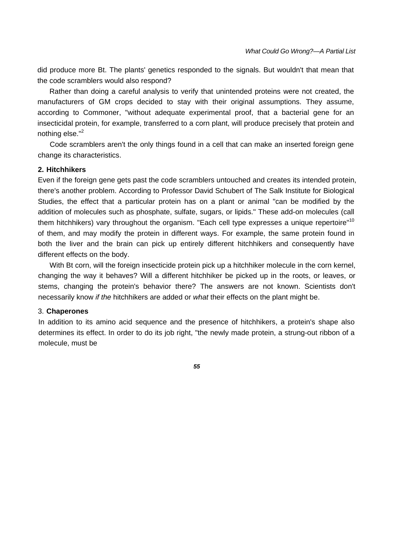did produce more Bt. The plants' genetics responded to the signals. But wouldn't that mean that the code scramblers would also respond?

Rather than doing a careful analysis to verify that unintended proteins were not created, the manufacturers of GM crops decided to stay with their original assumptions. They assume, according to Commoner, "without adequate experimental proof, that a bacterial gene for an insecticidal protein, for example, transferred to a corn plant, will produce precisely that protein and nothing else."<sup>2</sup>

Code scramblers aren't the only things found in a cell that can make an inserted foreign gene change its characteristics.

## **2. Hitchhikers**

Even if the foreign gene gets past the code scramblers untouched and creates its intended protein, there's another problem. According to Professor David Schubert of The Salk Institute for Biological Studies, the effect that a particular protein has on a plant or animal "can be modified by the addition of molecules such as phosphate, sulfate, sugars, or lipids." These add-on molecules (call them hitchhikers) vary throughout the organism. "Each cell type expresses a unique repertoire"<sup>10</sup> of them, and may modify the protein in different ways. For example, the same protein found in both the liver and the brain can pick up entirely different hitchhikers and consequently have different effects on the body.

With Bt corn, will the foreign insecticide protein pick up a hitchhiker molecule in the corn kernel, changing the way it behaves? Will a different hitchhiker be picked up in the roots, or leaves, or stems, changing the protein's behavior there? The answers are not known. Scientists don't necessarily know *if the* hitchhikers are added or *what* their effects on the plant might be.

#### 3. **Chaperones**

In addition to its amino acid sequence and the presence of hitchhikers, a protein's shape also determines its effect. In order to do its job right, "the newly made protein, a strung-out ribbon of a molecule, must be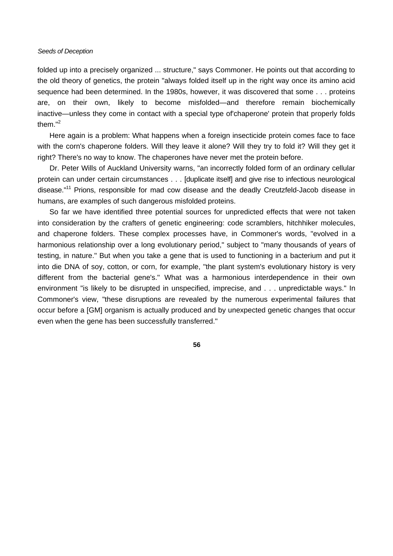folded up into a precisely organized ... structure," says Commoner. He points out that according to the old theory of genetics, the protein "always folded itself up in the right way once its amino acid sequence had been determined. In the 1980s, however, it was discovered that some . . . proteins are, on their own, likely to become misfolded—and therefore remain biochemically inactive—unless they come in contact with a special type of'chaperone' protein that properly folds them."2

Here again is a problem: What happens when a foreign insecticide protein comes face to face with the corn's chaperone folders. Will they leave it alone? Will they try to fold it? Will they get it right? There's no way to know. The chaperones have never met the protein before.

Dr. Peter Wills of Auckland University warns, "an incorrectly folded form of an ordinary cellular protein can under certain circumstances . . . [duplicate itself] and give rise to infectious neurological disease."<sup>11</sup> Prions, responsible for mad cow disease and the deadly Creutzfeld-Jacob disease in humans, are examples of such dangerous misfolded proteins.

So far we have identified three potential sources for unpredicted effects that were not taken into consideration by the crafters of genetic engineering: code scramblers, hitchhiker molecules, and chaperone folders. These complex processes have, in Commoner's words, "evolved in a harmonious relationship over a long evolutionary period," subject to "many thousands of years of testing, in nature." But when you take a gene that is used to functioning in a bacterium and put it into die DNA of soy, cotton, or corn, for example, "the plant system's evolutionary history is very different from the bacterial gene's." What was a harmonious interdependence in their own environment "is likely to be disrupted in unspecified, imprecise, and . . . unpredictable ways." In Commoner's view, "these disruptions are revealed by the numerous experimental failures that occur before a [GM] organism is actually produced and by unexpected genetic changes that occur even when the gene has been successfully transferred."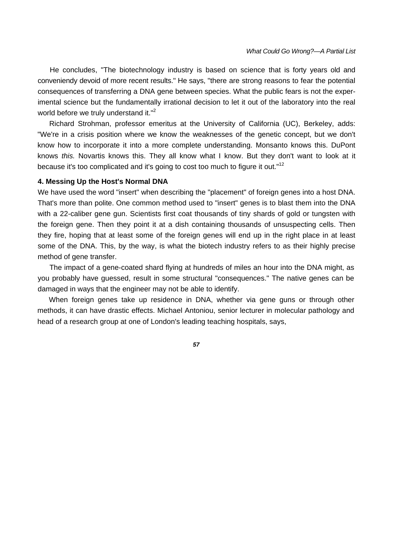He concludes, "The biotechnology industry is based on science that is forty years old and conveniendy devoid of more recent results." He says, "there are strong reasons to fear the potential consequences of transferring a DNA gene between species. What the public fears is not the experimental science but the fundamentally irrational decision to let it out of the laboratory into the real world before we truly understand it."<sup>2</sup>

Richard Strohman, professor emeritus at the University of California (UC), Berkeley, adds: "We're in a crisis position where we know the weaknesses of the genetic concept, but we don't know how to incorporate it into a more complete understanding. Monsanto knows this. DuPont knows *this.* Novartis knows this. They all know what I know. But they don't want to look at it because it's too complicated and it's going to cost too much to figure it out."<sup>12</sup>

## **4. Messing Up the Host's Normal DNA**

We have used the word "insert" when describing the "placement" of foreign genes into a host DNA. That's more than polite. One common method used to "insert" genes is to blast them into the DNA with a 22-caliber gene gun. Scientists first coat thousands of tiny shards of gold or tungsten with the foreign gene. Then they point it at a dish containing thousands of unsuspecting cells. Then they fire, hoping that at least some of the foreign genes will end up in the right place in at least some of the DNA. This, by the way, is what the biotech industry refers to as their highly precise method of gene transfer.

The impact of a gene-coated shard flying at hundreds of miles an hour into the DNA might, as you probably have guessed, result in some structural "consequences." The native genes can be damaged in ways that the engineer may not be able to identify.

When foreign genes take up residence in DNA, whether via gene guns or through other methods, it can have drastic effects. Michael Antoniou, senior lecturer in molecular pathology and head of a research group at one of London's leading teaching hospitals, says,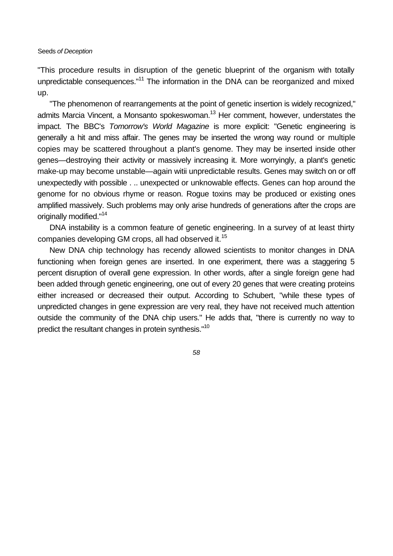"This procedure results in disruption of the genetic blueprint of the organism with totally unpredictable consequences."<sup>11</sup> The information in the DNA can be reorganized and mixed up.

"The phenomenon of rearrangements at the point of genetic insertion is widely recognized," admits Marcia Vincent, a Monsanto spokeswoman.<sup>13</sup> Her comment, however, understates the impact. The BBC's *Tomorrow's World Magazine* is more explicit: "Genetic engineering is generally a hit and miss affair. The genes may be inserted the wrong way round or multiple copies may be scattered throughout a plant's genome. They may be inserted inside other genes—destroying their activity or massively increasing it. More worryingly, a plant's genetic make-up may become unstable—again witii unpredictable results. Genes may switch on or off unexpectedly with possible . .. unexpected or unknowable effects. Genes can hop around the genome for no obvious rhyme or reason. Rogue toxins may be produced or existing ones amplified massively. Such problems may only arise hundreds of generations after the crops are originally modified."<sup>14</sup>

DNA instability is a common feature of genetic engineering. In a survey of at least thirty companies developing GM crops, all had observed it.<sup>15</sup>

New DNA chip technology has recendy allowed scientists to monitor changes in DNA functioning when foreign genes are inserted. In one experiment, there was a staggering 5 percent disruption of overall gene expression. In other words, after a single foreign gene had been added through genetic engineering, one out of every 20 genes that were creating proteins either increased or decreased their output. According to Schubert, "while these types of unpredicted changes in gene expression are very real, they have not received much attention outside the community of the DNA chip users." He adds that, "there is currently no way to predict the resultant changes in protein synthesis."10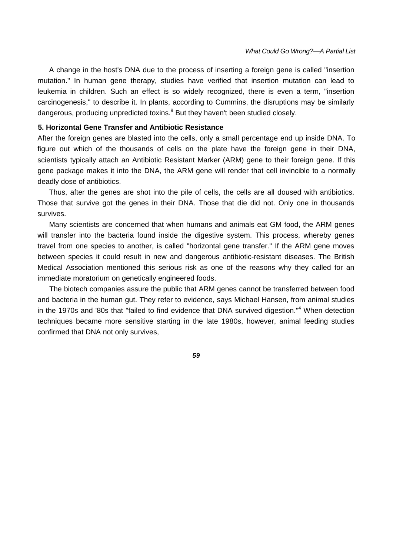A change in the host's DNA due to the process of inserting a foreign gene is called "insertion mutation." In human gene therapy, studies have verified that insertion mutation can lead to leukemia in children. Such an effect is so widely recognized, there is even a term, "insertion carcinogenesis," to describe it. In plants, according to Cummins, the disruptions may be similarly dangerous, producing unpredicted toxins.<sup>9</sup> But they haven't been studied closely.

## **5. Horizontal Gene Transfer and Antibiotic Resistance**

After the foreign genes are blasted into the cells, only a small percentage end up inside DNA. To figure out which of the thousands of cells on the plate have the foreign gene in their DNA, scientists typically attach an Antibiotic Resistant Marker (ARM) gene to their foreign gene. If this gene package makes it into the DNA, the ARM gene will render that cell invincible to a normally deadly dose of antibiotics.

Thus, after the genes are shot into the pile of cells, the cells are all doused with antibiotics. Those that survive got the genes in their DNA. Those that die did not. Only one in thousands survives.

Many scientists are concerned that when humans and animals eat GM food, the ARM genes will transfer into the bacteria found inside the digestive system. This process, whereby genes travel from one species to another, is called "horizontal gene transfer." If the ARM gene moves between species it could result in new and dangerous antibiotic-resistant diseases. The British Medical Association mentioned this serious risk as one of the reasons why they called for an immediate moratorium on genetically engineered foods.

The biotech companies assure the public that ARM genes cannot be transferred between food and bacteria in the human gut. They refer to evidence, says Michael Hansen, from animal studies in the 1970s and '80s that "failed to find evidence that DNA survived digestion."<sup>4</sup> When detection techniques became more sensitive starting in the late 1980s, however, animal feeding studies confirmed that DNA not only survives,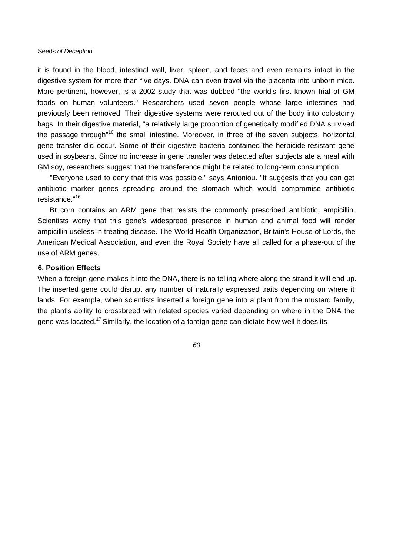it is found in the blood, intestinal wall, liver, spleen, and feces and even remains intact in the digestive system for more than five days. DNA can even travel via the placenta into unborn mice. More pertinent, however, is a 2002 study that was dubbed "the world's first known trial of GM foods on human volunteers." Researchers used seven people whose large intestines had previously been removed. Their digestive systems were rerouted out of the body into colostomy bags. In their digestive material, "a relatively large proportion of genetically modified DNA survived the passage through<sup>"16</sup> the small intestine. Moreover, in three of the seven subjects, horizontal gene transfer did occur. Some of their digestive bacteria contained the herbicide-resistant gene used in soybeans. Since no increase in gene transfer was detected after subjects ate a meal with GM soy, researchers suggest that the transference might be related to long-term consumption.

"Everyone used to deny that this was possible," says Antoniou. "It suggests that you can get antibiotic marker genes spreading around the stomach which would compromise antibiotic resistance."<sup>16</sup>

Bt corn contains an ARM gene that resists the commonly prescribed antibiotic, ampicillin. Scientists worry that this gene's widespread presence in human and animal food will render ampicillin useless in treating disease. The World Health Organization, Britain's House of Lords, the American Medical Association, and even the Royal Society have all called for a phase-out of the use of ARM genes.

## **6. Position Effects**

When a foreign gene makes it into the DNA, there is no telling where along the strand it will end up. The inserted gene could disrupt any number of naturally expressed traits depending on where it lands. For example, when scientists inserted a foreign gene into a plant from the mustard family, the plant's ability to crossbreed with related species varied depending on where in the DNA the gene was located.<sup>17</sup> Similarly, the location of a foreign gene can dictate how well it does its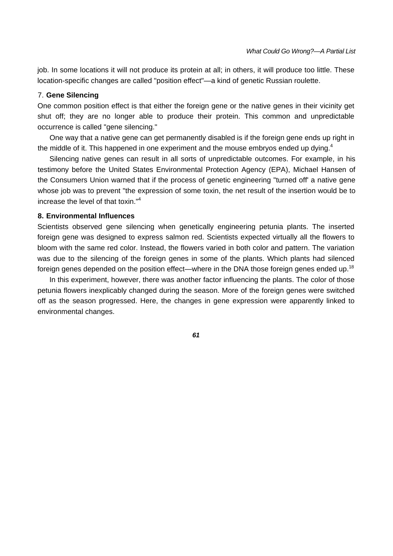job. In some locations it will not produce its protein at all; in others, it will produce too little. These location-specific changes are called "position effect"—a kind of genetic Russian roulette.

## 7. **Gene Silencing**

One common position effect is that either the foreign gene or the native genes in their vicinity get shut off; they are no longer able to produce their protein. This common and unpredictable occurrence is called "gene silencing."

One way that a native gene can get permanently disabled is if the foreign gene ends up right in the middle of it. This happened in one experiment and the mouse embryos ended up dying.<sup>4</sup>

Silencing native genes can result in all sorts of unpredictable outcomes. For example, in his testimony before the United States Environmental Protection Agency (EPA), Michael Hansen of the Consumers Union warned that if the process of genetic engineering "turned off' a native gene whose job was to prevent "the expression of some toxin, the net result of the insertion would be to increase the level of that toxin."4

# **8. Environmental Influences**

Scientists observed gene silencing when genetically engineering petunia plants. The inserted foreign gene was designed to express salmon red. Scientists expected virtually all the flowers to bloom with the same red color. Instead, the flowers varied in both color and pattern. The variation was due to the silencing of the foreign genes in some of the plants. Which plants had silenced foreign genes depended on the position effect—where in the DNA those foreign genes ended up.<sup>18</sup>

In this experiment, however, there was another factor influencing the plants. The color of those petunia flowers inexplicably changed during the season. More of the foreign genes were switched off as the season progressed. Here, the changes in gene expression were apparently linked to environmental changes.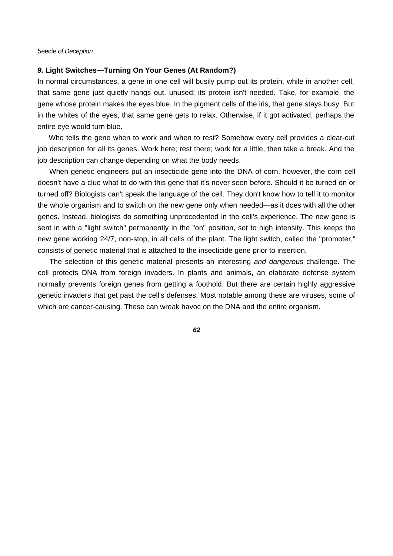5eecfe *of Deception*

## *9.* **Light Switches—Turning On Your Genes (At Random?)**

In normal circumstances, a gene in one cell will busily pump out its protein, while in another cell, that same gene just quietly hangs out, unused; its protein isn't needed. Take, for example, the gene whose protein makes the eyes blue. In the pigment cells of the iris, that gene stays busy. But in the whites of the eyes, that same gene gets to relax. Otherwise, if it got activated, perhaps the entire eye would turn blue.

Who tells the gene when to work and when to rest? Somehow every cell provides a clear-cut job description for all its genes. Work here; rest there; work for a little, then take a break. And the job description can change depending on what the body needs.

When genetic engineers put an insecticide gene into the DNA of corn, however, the corn cell doesn't have a clue what to do with this gene that it's never seen before. Should it be turned on or turned off? Biologists can't speak the language of the cell. They don't know how to tell it to monitor the whole organism and to switch on the new gene only when needed—as it does with all the other genes. Instead, biologists do something unprecedented in the cell's experience. The new gene is sent in with a "light switch" permanently in the "on" position, set to high intensity. This keeps the new gene working 24/7, non-stop, in all cells of the plant. The light switch, called the "promoter," consists of genetic material that is attached to the insecticide gene prior to insertion.

The selection of this genetic material presents an interesting *and dangerous* challenge. The cell protects DNA from foreign invaders. In plants and animals, an elaborate defense system normally prevents foreign genes from getting a foothold. But there are certain highly aggressive genetic invaders that get past the cell's defenses. Most notable among these are viruses, some of which are cancer-causing. These can wreak havoc on the DNA and the entire organism.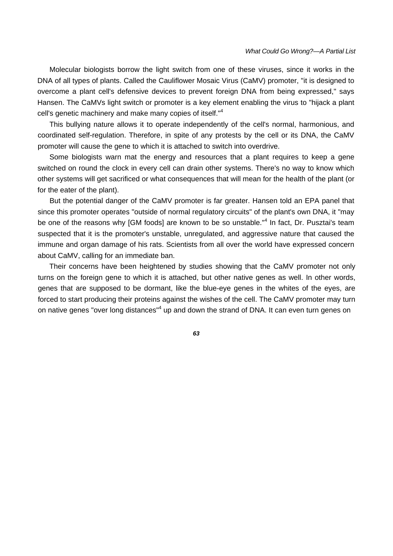Molecular biologists borrow the light switch from one of these viruses, since it works in the DNA of all types of plants. Called the Cauliflower Mosaic Virus (CaMV) promoter, "it is designed to overcome a plant cell's defensive devices to prevent foreign DNA from being expressed," says Hansen. The CaMVs light switch or promoter is a key element enabling the virus to "hijack a plant cell's genetic machinery and make many copies of itself."4

This bullying nature allows it to operate independently of the cell's normal, harmonious, and coordinated self-regulation. Therefore, in spite of any protests by the cell or its DNA, the CaMV promoter will cause the gene to which it is attached to switch into overdrive.

Some biologists warn mat the energy and resources that a plant requires to keep a gene switched on round the clock in every cell can drain other systems. There's no way to know which other systems will get sacrificed or what consequences that will mean for the health of the plant (or for the eater of the plant).

But the potential danger of the CaMV promoter is far greater. Hansen told an EPA panel that since this promoter operates "outside of normal regulatory circuits" of the plant's own DNA, it "may be one of the reasons why [GM foods] are known to be so unstable."<sup>4</sup> In fact, Dr. Pusztai's team suspected that it is the promoter's unstable, unregulated, and aggressive nature that caused the immune and organ damage of his rats. Scientists from all over the world have expressed concern about CaMV, calling for an immediate ban.

Their concerns have been heightened by studies showing that the CaMV promoter not only turns on the foreign gene to which it is attached, but other native genes as well. In other words, genes that are supposed to be dormant, like the blue-eye genes in the whites of the eyes, are forced to start producing their proteins against the wishes of the cell. The CaMV promoter may turn on native genes "over long distances"<sup>4</sup> up and down the strand of DNA. It can even turn genes on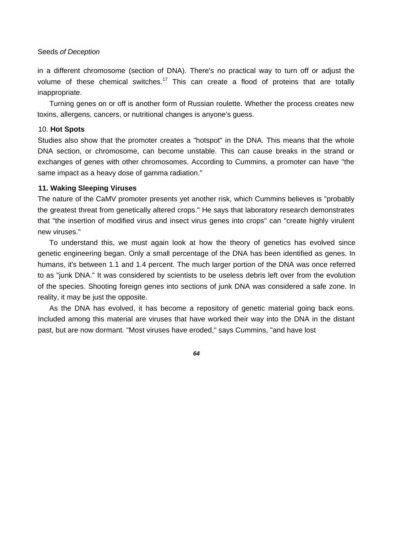in a different chromosome (section of DNA). There's no practical way to turn off or adjust the volume of these chemical switches.<sup>17</sup> This can create a flood of proteins that are totally inappropriate.

Turning genes on or off is another form of Russian roulette. Whether the process creates new toxins, allergens, cancers, or nutritional changes is anyone's guess.

## 10. **Hot Spots**

Studies also show that the promoter creates a "hotspot" in the DNA. This means that the whole DNA section, or chromosome, can become unstable. This can cause breaks in the strand or exchanges of genes with other chromosomes. According to Cummins, a promoter can have "the same impact as a heavy dose of gamma radiation."

## **11. Waking Sleeping Viruses**

The nature of the CaMV promoter presents yet another risk, which Cummins believes is "probably the greatest threat from genetically altered crops." He says that laboratory research demonstrates that "the insertion of modified virus and insect virus genes into crops" can "create highly virulent new viruses."

To understand this, we must again look at how the theory of genetics has evolved since genetic engineering began. Only a small percentage of the DNA has been identified as genes. In humans, it's between 1.1 and 1.4 percent. The much larger portion of the DNA was once referred to as "junk DNA." It was considered by scientists to be useless debris left over from the evolution of the species. Shooting foreign genes into sections of junk DNA was considered a safe zone. In reality, it may be just the opposite.

As the DNA has evolved, it has become a repository of genetic material going back eons. Included among this material are viruses that have worked their way into the DNA in the distant past, but are now dormant. "Most viruses have eroded," says Cummins, "and have lost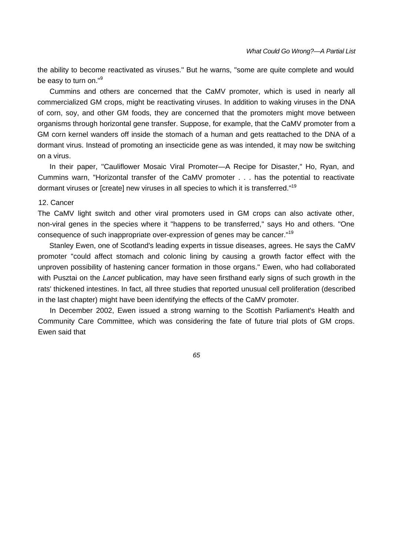the ability to become reactivated as viruses." But he warns, "some are quite complete and would be easy to turn on."<sup>9</sup>

Cummins and others are concerned that the CaMV promoter, which is used in nearly all commercialized GM crops, might be reactivating viruses. In addition to waking viruses in the DNA of corn, soy, and other GM foods, they are concerned that the promoters might move between organisms through horizontal gene transfer. Suppose, for example, that the CaMV promoter from a GM corn kernel wanders off inside the stomach of a human and gets reattached to the DNA of a dormant virus. Instead of promoting an insecticide gene as was intended, it may now be switching on a virus.

In their paper, "Cauliflower Mosaic Viral Promoter—A Recipe for Disaster," Ho, Ryan, and Cummins warn, "Horizontal transfer of the CaMV promoter . . . has the potential to reactivate dormant viruses or [create] new viruses in all species to which it is transferred."19

#### 12. Cancer

The CaMV light switch and other viral promoters used in GM crops can also activate other, non-viral genes in the species where it "happens to be transferred," says Ho and others. "One consequence of such inappropriate over-expression of genes may be cancer."<sup>19</sup>

Stanley Ewen, one of Scotland's leading experts in tissue diseases, agrees. He says the CaMV promoter "could affect stomach and colonic lining by causing a growth factor effect with the unproven possibility of hastening cancer formation in those organs." Ewen, who had collaborated with Pusztai on the *Lancet* publication, may have seen firsthand early signs of such growth in the rats' thickened intestines. In fact, all three studies that reported unusual cell proliferation (described in the last chapter) might have been identifying the effects of the CaMV promoter.

In December 2002, Ewen issued a strong warning to the Scottish Parliament's Health and Community Care Committee, which was considering the fate of future trial plots of GM crops. Ewen said that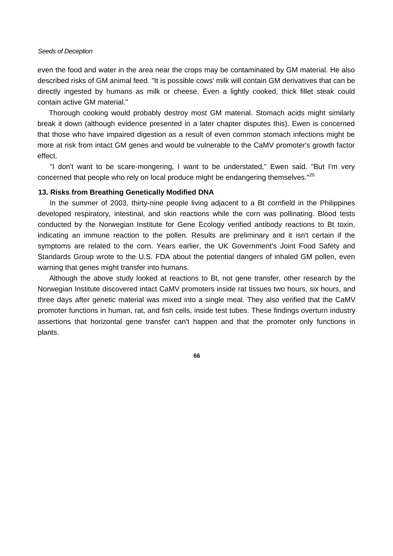even the food and water in the area near the crops may be contaminated by GM material. He also described risks of GM animal feed. "It is possible cows' milk will contain GM derivatives that can be directly ingested by humans as milk or cheese. Even a lightly cooked, thick fillet steak could contain active GM material."

Thorough cooking would probably destroy most GM material. Stomach acids might similarly break it down (although evidence presented in a later chapter disputes this). Ewen is concerned that those who have impaired digestion as a result of even common stomach infections might be more at risk from intact GM genes and would be vulnerable to the CaMV promoter's growth factor effect.

"I don't want to be scare-mongering, I want to be understated," Ewen said. "But I'm very concerned that people who rely on local produce might be endangering themselves."<sup>20</sup>

## **13. Risks from Breathing Genetically Modified DNA**

In the summer of 2003, thirty-nine people living adjacent to a Bt cornfield in the Philippines developed respiratory, intestinal, and skin reactions while the corn was pollinating. Blood tests conducted by the Norwegian Institute for Gene Ecology verified antibody reactions to Bt toxin, indicating an immune reaction to the pollen. Results are preliminary and it isn't certain if the symptoms are related to the corn. Years earlier, the UK Government's Joint Food Safety and Standards Group wrote to the U.S. FDA about the potential dangers of inhaled GM pollen, even warning that genes might transfer into humans.

Although the above study looked at reactions to Bt, not gene transfer, other research by the Norwegian Institute discovered intact CaMV promoters inside rat tissues two hours, six hours, and three days after genetic material was mixed into a single meal. They also verified that the CaMV promoter functions in human, rat, and fish cells, inside test tubes. These findings overturn industry assertions that horizontal gene transfer can't happen and that the promoter only functions in plants.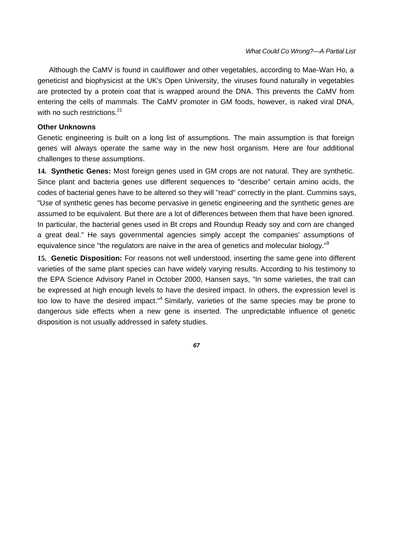Although the CaMV is found in cauliflower and other vegetables, according to Mae-Wan Ho, a geneticist and biophysicist at the UK's Open University, the viruses found naturally in vegetables are protected by a protein coat that is wrapped around the DNA. This prevents the CaMV from entering the cells of mammals. The CaMV promoter in GM foods, however, is naked viral DNA, with no such restrictions. $21$ 

# **Other Unknowns**

Genetic engineering is built on a long list of assumptions. The main assumption is that foreign genes will always operate the same way in the new host organism. Here are four additional challenges to these assumptions.

**14. Synthetic Genes:** Most foreign genes used in GM crops are not natural. They are synthetic. Since plant and bacteria genes use different sequences to "describe" certain amino acids, the codes of bacterial genes have to be altered so they will "read" correctly in the plant. Cummins says, "Use of synthetic genes has become pervasive in genetic engineering and the synthetic genes are assumed to be equivalent. But there are a lot of differences between them that have been ignored. In particular, the bacterial genes used in Bt crops and Roundup Ready soy and corn are changed a great deal." He says governmental agencies simply accept the companies' assumptions of equivalence since "the regulators are naive in the area of genetics and molecular biology."<sup>9</sup>

**15. Genetic Disposition:** For reasons not well understood, inserting the same gene into different varieties of the same plant species can have widely varying results. According to his testimony to the EPA Science Advisory Panel in October 2000, Hansen says, "In some varieties, the trait can be expressed at high enough levels to have the desired impact. In others, the expression level is too low to have the desired impact."4 Similarly, varieties of the same species may be prone to dangerous side effects when a new gene is inserted. The unpredictable influence of genetic disposition is not usually addressed in safety studies.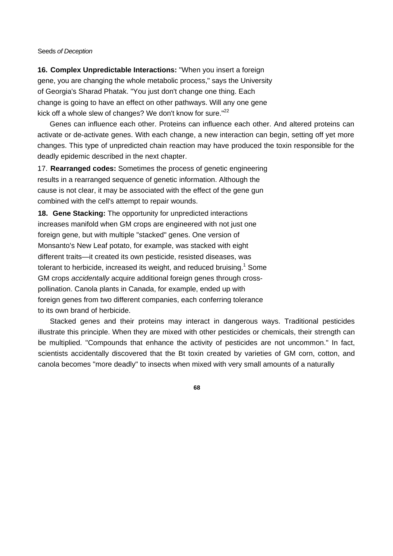**16. Complex Unpredictable Interactions:** "When you insert a foreign gene, you are changing the whole metabolic process," says the University of Georgia's Sharad Phatak. "You just don't change one thing. Each change is going to have an effect on other pathways. Will any one gene kick off a whole slew of changes? We don't know for sure."<sup>22</sup>

Genes can influence each other. Proteins can influence each other. And altered proteins can activate or de-activate genes. With each change, a new interaction can begin, setting off yet more changes. This type of unpredicted chain reaction may have produced the toxin responsible for the deadly epidemic described in the next chapter.

17. **Rearranged codes:** Sometimes the process of genetic engineering results in a rearranged sequence of genetic information. Although the cause is not clear, it may be associated with the effect of the gene gun combined with the cell's attempt to repair wounds.

**18. Gene Stacking:** The opportunity for unpredicted interactions increases manifold when GM crops are engineered with not just one foreign gene, but with multiple "stacked" genes. One version of Monsanto's New Leaf potato, for example, was stacked with eight different traits—it created its own pesticide, resisted diseases, was tolerant to herbicide, increased its weight, and reduced bruising.<sup>1</sup> Some GM crops *accidentally* acquire additional foreign genes through crosspollination. Canola plants in Canada, for example, ended up with foreign genes from two different companies, each conferring tolerance to its own brand of herbicide.

Stacked genes and their proteins may interact in dangerous ways. Traditional pesticides illustrate this principle. When they are mixed with other pesticides or chemicals, their strength can be multiplied. "Compounds that enhance the activity of pesticides are not uncommon." In fact, scientists accidentally discovered that the Bt toxin created by varieties of GM corn, cotton, and canola becomes "more deadly" to insects when mixed with very small amounts of a naturally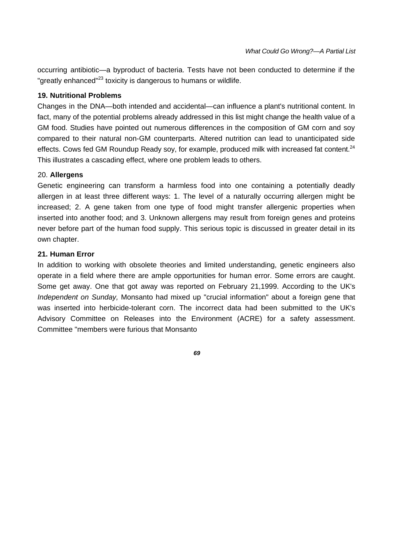occurring antibiotic—a byproduct of bacteria. Tests have not been conducted to determine if the "greatly enhanced"<sup>23</sup> toxicity is dangerous to humans or wildlife.

# **19. Nutritional Problems**

Changes in the DNA—both intended and accidental—can influence a plant's nutritional content. In fact, many of the potential problems already addressed in this list might change the health value of a GM food. Studies have pointed out numerous differences in the composition of GM corn and soy compared to their natural non-GM counterparts. Altered nutrition can lead to unanticipated side effects. Cows fed GM Roundup Ready soy, for example, produced milk with increased fat content.<sup>24</sup> This illustrates a cascading effect, where one problem leads to others.

# 20. **Allergens**

Genetic engineering can transform a harmless food into one containing a potentially deadly allergen in at least three different ways: 1. The level of a naturally occurring allergen might be increased; 2. A gene taken from one type of food might transfer allergenic properties when inserted into another food; and 3. Unknown allergens may result from foreign genes and proteins never before part of the human food supply. This serious topic is discussed in greater detail in its own chapter.

# **21. Human Error**

In addition to working with obsolete theories and limited understanding, genetic engineers also operate in a field where there are ample opportunities for human error. Some errors are caught. Some get away. One that got away was reported on February 21,1999. According to the UK's *Independent on Sunday,* Monsanto had mixed up "crucial information" about a foreign gene that was inserted into herbicide-tolerant corn. The incorrect data had been submitted to the UK's Advisory Committee on Releases into the Environment (ACRE) for a safety assessment. Committee "members were furious that Monsanto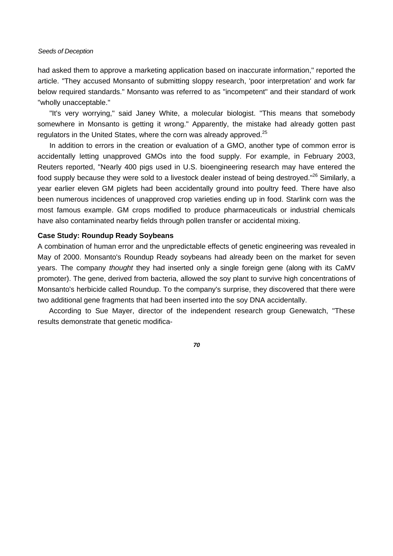had asked them to approve a marketing application based on inaccurate information," reported the article. "They accused Monsanto of submitting sloppy research, 'poor interpretation' and work far below required standards." Monsanto was referred to as "incompetent" and their standard of work "wholly unacceptable."

"It's very worrying," said Janey White, a molecular biologist. "This means that somebody somewhere in Monsanto is getting it wrong." Apparently, the mistake had already gotten past regulators in the United States, where the corn was already approved.<sup>25</sup>

In addition to errors in the creation or evaluation of a GMO, another type of common error is accidentally letting unapproved GMOs into the food supply. For example, in February 2003, Reuters reported, "Nearly 400 pigs used in U.S. bioengineering research may have entered the food supply because they were sold to a livestock dealer instead of being destroyed."26 Similarly, a year earlier eleven GM piglets had been accidentally ground into poultry feed. There have also been numerous incidences of unapproved crop varieties ending up in food. Starlink corn was the most famous example. GM crops modified to produce pharmaceuticals or industrial chemicals have also contaminated nearby fields through pollen transfer or accidental mixing.

# **Case Study: Roundup Ready Soybeans**

A combination of human error and the unpredictable effects of genetic engineering was revealed in May of 2000. Monsanto's Roundup Ready soybeans had already been on the market for seven years. The company *thought* they had inserted only a single foreign gene (along with its CaMV promoter). The gene, derived from bacteria, allowed the soy plant to survive high concentrations of Monsanto's herbicide called Roundup. To the company's surprise, they discovered that there were two additional gene fragments that had been inserted into the soy DNA accidentally.

According to Sue Mayer, director of the independent research group Genewatch, "These results demonstrate that genetic modifica-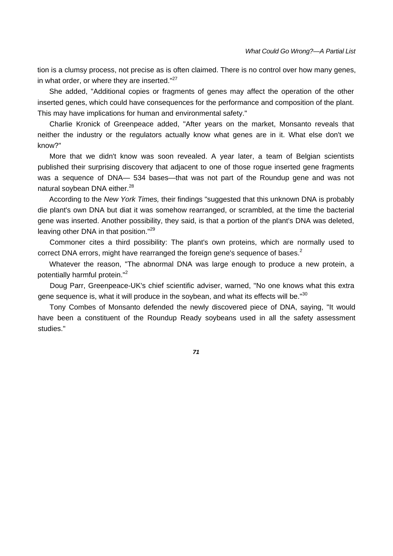tion is a clumsy process, not precise as is often claimed. There is no control over how many genes, in what order, or where they are inserted."<sup>27</sup>

She added, "Additional copies or fragments of genes may affect the operation of the other inserted genes, which could have consequences for the performance and composition of the plant. This may have implications for human and environmental safety."

Charlie Kronick of Greenpeace added, "After years on the market, Monsanto reveals that neither the industry or the regulators actually know what genes are in it. What else don't we know?"

More that we didn't know was soon revealed. A year later, a team of Belgian scientists published their surprising discovery that adjacent to one of those rogue inserted gene fragments was a sequence of DNA— 534 bases—that was not part of the Roundup gene and was not natural soybean DNA either.<sup>28</sup>

According to the *New York Times,* their findings "suggested that this unknown DNA is probably die plant's own DNA but diat it was somehow rearranged, or scrambled, at the time the bacterial gene was inserted. Another possibility, they said, is that a portion of the plant's DNA was deleted, leaving other DNA in that position."<sup>29</sup>

Commoner cites a third possibility: The plant's own proteins, which are normally used to correct DNA errors, might have rearranged the foreign gene's sequence of bases.<sup>2</sup>

Whatever the reason, "The abnormal DNA was large enough to produce a new protein, a potentially harmful protein."<sup>2</sup>

Doug Parr, Greenpeace-UK's chief scientific adviser, warned, "No one knows what this extra gene sequence is, what it will produce in the soybean, and what its effects will be."<sup>30</sup>

Tony Combes of Monsanto defended the newly discovered piece of DNA, saying, "It would have been a constituent of the Roundup Ready soybeans used in all the safety assessment studies."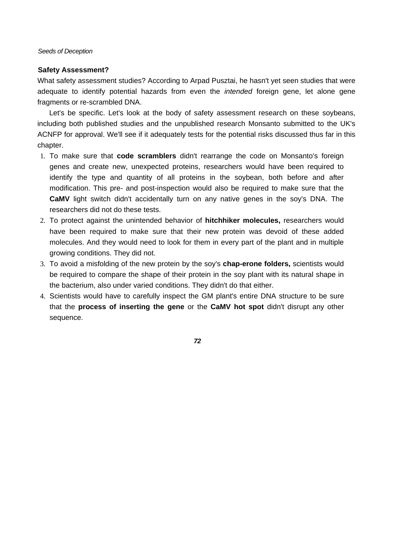# **Safety Assessment?**

What safety assessment studies? According to Arpad Pusztai, he hasn't yet seen studies that were adequate to identify potential hazards from even the *intended* foreign gene, let alone gene fragments or re-scrambled DNA.

Let's be specific. Let's look at the body of safety assessment research on these soybeans, including both published studies and the unpublished research Monsanto submitted to the UK's ACNFP for approval. We'll see if it adequately tests for the potential risks discussed thus far in this chapter.

- 1. To make sure that **code scramblers** didn't rearrange the code on Monsanto's foreign genes and create new, unexpected proteins, researchers would have been required to identify the type and quantity of all proteins in the soybean, both before and after modification. This pre- and post-inspection would also be required to make sure that the **CaMV** light switch didn't accidentally turn on any native genes in the soy's DNA. The researchers did not do these tests.
- 2. To protect against the unintended behavior of **hitchhiker molecules,** researchers would have been required to make sure that their new protein was devoid of these added molecules. And they would need to look for them in every part of the plant and in multiple growing conditions. They did not.
- 3. To avoid a misfolding of the new protein by the soy's **chap-erone folders,** scientists would be required to compare the shape of their protein in the soy plant with its natural shape in the bacterium, also under varied conditions. They didn't do that either.
- 4. Scientists would have to carefully inspect the GM plant's entire DNA structure to be sure that the **process of inserting the gene** or the **CaMV hot spot** didn't disrupt any other sequence.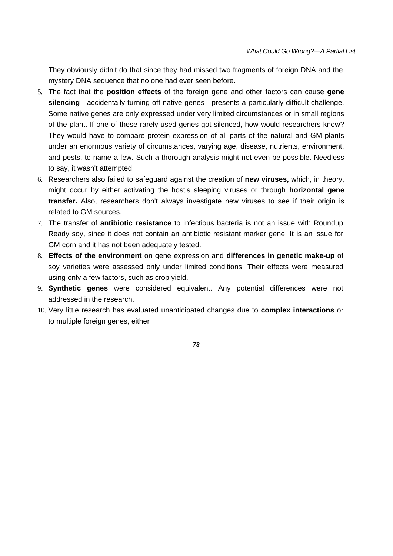They obviously didn't do that since they had missed two fragments of foreign DNA and the mystery DNA sequence that no one had ever seen before.

- 5. The fact that the **position effects** of the foreign gene and other factors can cause **gene silencing**—accidentally turning off native genes—presents a particularly difficult challenge. Some native genes are only expressed under very limited circumstances or in small regions of the plant. If one of these rarely used genes got silenced, how would researchers know? They would have to compare protein expression of all parts of the natural and GM plants under an enormous variety of circumstances, varying age, disease, nutrients, environment, and pests, to name a few. Such a thorough analysis might not even be possible. Needless to say, it wasn't attempted.
- 6. Researchers also failed to safeguard against the creation of **new viruses,** which, in theory, might occur by either activating the host's sleeping viruses or through **horizontal gene transfer.** Also, researchers don't always investigate new viruses to see if their origin is related to GM sources.
- 7. The transfer of **antibiotic resistance** to infectious bacteria is not an issue with Roundup Ready soy, since it does not contain an antibiotic resistant marker gene. It is an issue for GM corn and it has not been adequately tested.
- 8. **Effects of the environment** on gene expression and **differences in genetic make-up** of soy varieties were assessed only under limited conditions. Their effects were measured using only a few factors, such as crop yield.
- 9. **Synthetic genes** were considered equivalent. Any potential differences were not addressed in the research.
- 10. Very little research has evaluated unanticipated changes due to **complex interactions** or to multiple foreign genes, either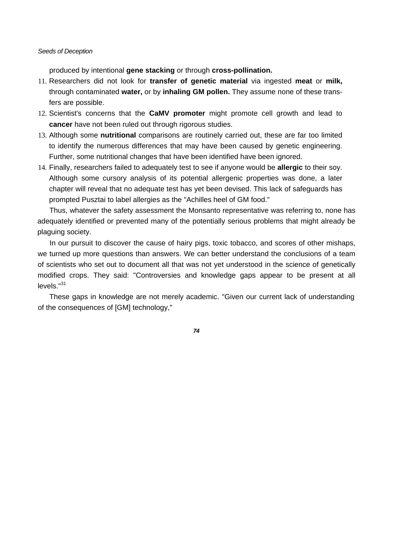produced by intentional **gene stacking** or through **cross-pollination.**

- 11. Researchers did not look for **transfer of genetic material** via ingested **meat** or **milk,**  through contaminated **water,** or by **inhaling GM pollen.** They assume none of these transfers are possible.
- 12. Scientist's concerns that the **CaMV promoter** might promote cell growth and lead to **cancer** have not been ruled out through rigorous studies.
- 13. Although some **nutritional** comparisons are routinely carried out, these are far too limited to identify the numerous differences that may have been caused by genetic engineering. Further, some nutritional changes that have been identified have been ignored.
- 14. Finally, researchers failed to adequately test to see if anyone would be **allergic** to their soy. Although some cursory analysis of its potential allergenic properties was done, a later chapter will reveal that no adequate test has yet been devised. This lack of safeguards has prompted Pusztai to label allergies as the "Achilles heel of GM food."

Thus, whatever the safety assessment the Monsanto representative was referring to, none has adequately identified or prevented many of the potentially serious problems that might already be plaguing society.

In our pursuit to discover the cause of hairy pigs, toxic tobacco, and scores of other mishaps, we turned up more questions than answers. We can better understand the conclusions of a team of scientists who set out to document all that was not yet understood in the science of genetically modified crops. They said: "Controversies and knowledge gaps appear to be present at all levels."<sup>31</sup>

These gaps in knowledge are not merely academic. "Given our current lack of understanding of the consequences of [GM] technology,"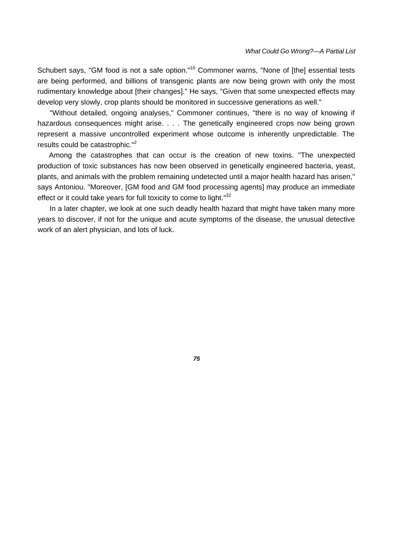Schubert says, "GM food is not a safe option."<sup>10</sup> Commoner warns, "None of [the] essential tests are being performed, and billions of transgenic plants are now being grown with only the most rudimentary knowledge about [their changes]." He says, "Given that some unexpected effects may develop very slowly, crop plants should be monitored in successive generations as well."

"Without detailed, ongoing analyses," Commoner continues, "there is no way of knowing if hazardous consequences might arise. . . . The genetically engineered crops now being grown represent a massive uncontrolled experiment whose outcome is inherently unpredictable. The results could be catastrophic."2

Among the catastrophes that can occur is the creation of new toxins. "The unexpected production of toxic substances has now been observed in genetically engineered bacteria, yeast, plants, and animals with the problem remaining undetected until a major health hazard has arisen," says Antoniou. "Moreover, [GM food and GM food processing agents] may produce an immediate effect or it could take years for full toxicity to come to light. $"32"$ 

In a later chapter, we look at one such deadly health hazard that might have taken many more years to discover, if not for the unique and acute symptoms of the disease, the unusual detective work of an alert physician, and lots of luck.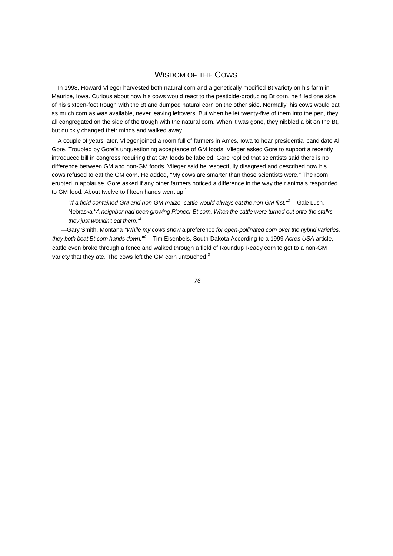# WISDOM OF THE COWS

In 1998, Howard Vlieger harvested both natural corn and a genetically modified Bt variety on his farm in Maurice, Iowa. Curious about how his cows would react to the pesticide-producing Bt corn, he filled one side of his sixteen-foot trough with the Bt and dumped natural corn on the other side. Normally, his cows would eat as much corn as was available, never leaving leftovers. But when he let twenty-five of them into the pen, they all congregated on the side of the trough with the natural corn. When it was gone, they nibbled a bit on the Bt, but quickly changed their minds and walked away.

A couple of years later, Vlieger joined a room full of farmers in Ames, Iowa to hear presidential candidate Al Gore. Troubled by Gore's unquestioning acceptance of GM foods, Vlieger asked Gore to support a recently introduced bill in congress requiring that GM foods be labeled. Gore replied that scientists said there is no difference between GM and non-GM foods. Vlieger said he respectfully disagreed and described how his cows refused to eat the GM corn. He added, "My cows are smarter than those scientists were." The room erupted in applause. Gore asked if any other farmers noticed a difference in the way their animals responded to GM food. About twelve to fifteen hands went up.<sup>1</sup>

*"If a field contained GM and non-GM maize, cattle would always eat the non-GM first."2* —Gale Lush, Nebraska *"A neighbor had been growing Pioneer Bt corn. When the cattle were turned out onto the stalks they just wouldn't eat them."2*

—Gary Smith, Montana *"While my cows show* a preference *for open-pollinated corn over the hybrid varieties, they both beat Bt-corn hands down."2* —Tim Eisenbeis, South Dakota According to a 1999 *Acres USA* article, cattle even broke through a fence and walked through a field of Roundup Ready corn to get to a non-GM variety that they ate. The cows left the GM corn untouched. $3$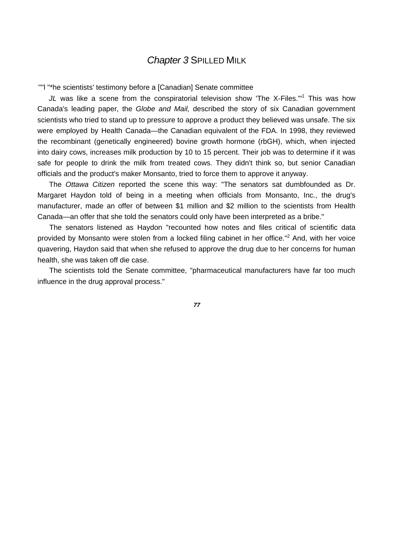# *Chapter 3* SPILLED MILK

"''l "\*he scientists' testimony before a [Canadian] Senate committee

JL was like a scene from the conspiratorial television show 'The X-Files."<sup>1</sup> This was how Canada's leading paper, the *Globe and Mail,* described the story of six Canadian government scientists who tried to stand up to pressure to approve a product they believed was unsafe. The six were employed by Health Canada—the Canadian equivalent of the FDA. In 1998, they reviewed the recombinant (genetically engineered) bovine growth hormone (rbGH), which, when injected into dairy cows, increases milk production by 10 to 15 percent. Their job was to determine if it was safe for people to drink the milk from treated cows. They didn't think so, but senior Canadian officials and the product's maker Monsanto, tried to force them to approve it anyway.

The *Ottawa Citizen* reported the scene this way: "The senators sat dumbfounded as Dr. Margaret Haydon told of being in a meeting when officials from Monsanto, Inc., the drug's manufacturer, made an offer of between \$1 million and \$2 million to the scientists from Health Canada—an offer that she told the senators could only have been interpreted as a bribe."

The senators listened as Haydon "recounted how notes and files critical of scientific data provided by Monsanto were stolen from a locked filing cabinet in her office."<sup>2</sup> And, with her voice quavering, Haydon said that when she refused to approve the drug due to her concerns for human health, she was taken off die case.

The scientists told the Senate committee, "pharmaceutical manufacturers have far too much influence in the drug approval process."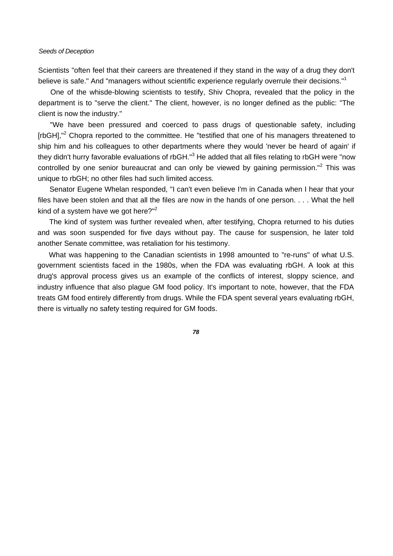Scientists "often feel that their careers are threatened if they stand in the way of a drug they don't believe is safe." And "managers without scientific experience regularly overrule their decisions."<sup>1</sup>

One of the whisde-blowing scientists to testify, Shiv Chopra, revealed that the policy in the department is to "serve the client." The client, however, is no longer defined as the public: "The client is now the industry."

"We have been pressured and coerced to pass drugs of questionable safety, including [rbGH],"<sup>2</sup> Chopra reported to the committee. He "testified that one of his managers threatened to ship him and his colleagues to other departments where they would 'never be heard of again' if they didn't hurry favorable evaluations of rbGH."<sup>3</sup> He added that all files relating to rbGH were "now controlled by one senior bureaucrat and can only be viewed by gaining permission."<sup>2</sup> This was unique to rbGH; no other files had such limited access.

Senator Eugene Whelan responded, "I can't even believe I'm in Canada when I hear that your files have been stolen and that all the files are now in the hands of one person. . . . What the hell kind of a system have we got here?"<sup>2</sup>

The kind of system was further revealed when, after testifying, Chopra returned to his duties and was soon suspended for five days without pay. The cause for suspension, he later told another Senate committee, was retaliation for his testimony.

What was happening to the Canadian scientists in 1998 amounted to "re-runs" of what U.S. government scientists faced in the 1980s, when the FDA was evaluating rbGH. A look at this drug's approval process gives us an example of the conflicts of interest, sloppy science, and industry influence that also plague GM food policy. It's important to note, however, that the FDA treats GM food entirely differently from drugs. While the FDA spent several years evaluating rbGH, there is virtually no safety testing required for GM foods.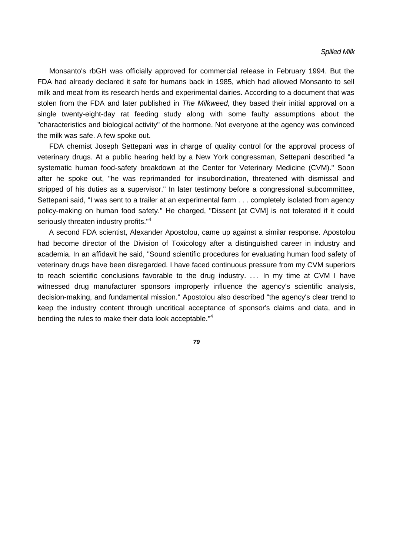Monsanto's rbGH was officially approved for commercial release in February 1994. But the FDA had already declared it safe for humans back in 1985, which had allowed Monsanto to sell milk and meat from its research herds and experimental dairies. According to a document that was stolen from the FDA and later published in *The Milkweed,* they based their initial approval on a single twenty-eight-day rat feeding study along with some faulty assumptions about the "characteristics and biological activity" of the hormone. Not everyone at the agency was convinced the milk was safe. A few spoke out.

FDA chemist Joseph Settepani was in charge of quality control for the approval process of veterinary drugs. At a public hearing held by a New York congressman, Settepani described "a systematic human food-safety breakdown at the Center for Veterinary Medicine (CVM)." Soon after he spoke out, "he was reprimanded for insubordination, threatened with dismissal and stripped of his duties as a supervisor." In later testimony before a congressional subcommittee, Settepani said. "I was sent to a trailer at an experimental farm . . . completely isolated from agency policy-making on human food safety." He charged, "Dissent [at CVM] is not tolerated if it could seriously threaten industry profits."<sup>4</sup>

A second FDA scientist, Alexander Apostolou, came up against a similar response. Apostolou had become director of the Division of Toxicology after a distinguished career in industry and academia. In an affidavit he said, "Sound scientific procedures for evaluating human food safety of veterinary drugs have been disregarded. I have faced continuous pressure from my CVM superiors to reach scientific conclusions favorable to the drug industry. . . . In my time at CVM I have witnessed drug manufacturer sponsors improperly influence the agency's scientific analysis, decision-making, and fundamental mission." Apostolou also described "the agency's clear trend to keep the industry content through uncritical acceptance of sponsor's claims and data, and in bending the rules to make their data look acceptable."<sup>4</sup>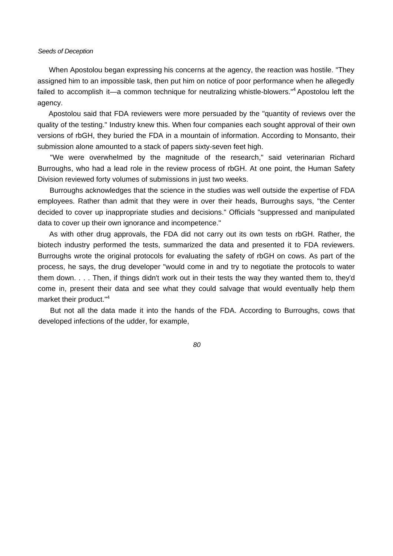When Apostolou began expressing his concerns at the agency, the reaction was hostile. "They assigned him to an impossible task, then put him on notice of poor performance when he allegedly failed to accomplish it—a common technique for neutralizing whistle-blowers.<sup>"4</sup> Apostolou left the agency.

Apostolou said that FDA reviewers were more persuaded by the "quantity of reviews over the quality of the testing." Industry knew this. When four companies each sought approval of their own versions of rbGH, they buried the FDA in a mountain of information. According to Monsanto, their submission alone amounted to a stack of papers sixty-seven feet high.

"We were overwhelmed by the magnitude of the research," said veterinarian Richard Burroughs, who had a lead role in the review process of rbGH. At one point, the Human Safety Division reviewed forty volumes of submissions in just two weeks.

Burroughs acknowledges that the science in the studies was well outside the expertise of FDA employees. Rather than admit that they were in over their heads, Burroughs says, "the Center decided to cover up inappropriate studies and decisions." Officials "suppressed and manipulated data to cover up their own ignorance and incompetence."

As with other drug approvals, the FDA did not carry out its own tests on rbGH. Rather, the biotech industry performed the tests, summarized the data and presented it to FDA reviewers. Burroughs wrote the original protocols for evaluating the safety of rbGH on cows. As part of the process, he says, the drug developer "would come in and try to negotiate the protocols to water them down. . . . Then, if things didn't work out in their tests the way they wanted them to, they'd come in, present their data and see what they could salvage that would eventually help them market their product."<sup>4</sup>

But not all the data made it into the hands of the FDA. According to Burroughs, cows that developed infections of the udder, for example,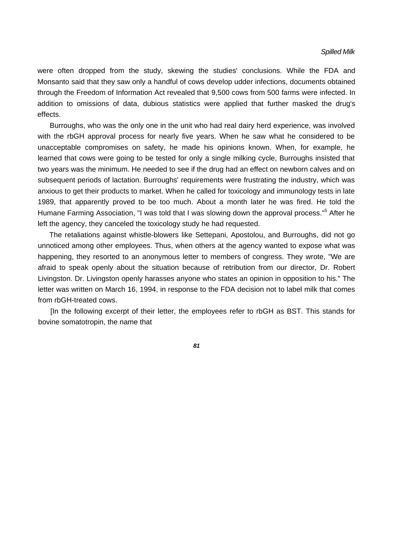were often dropped from the study, skewing the studies' conclusions. While the FDA and Monsanto said that they saw only a handful of cows develop udder infections, documents obtained through the Freedom of Information Act revealed that 9,500 cows from 500 farms were infected. In addition to omissions of data, dubious statistics were applied that further masked the drug's effects.

Burroughs, who was the only one in the unit who had real dairy herd experience, was involved with the rbGH approval process for nearly five years. When he saw what he considered to be unacceptable compromises on safety, he made his opinions known. When, for example, he learned that cows were going to be tested for only a single milking cycle, Burroughs insisted that two years was the minimum. He needed to see if the drug had an effect on newborn calves and on subsequent periods of lactation. Burroughs' requirements were frustrating the industry, which was anxious to get their products to market. When he called for toxicology and immunology tests in late 1989, that apparently proved to be too much. About a month later he was fired. He told the Humane Farming Association, "I was told that I was slowing down the approval process."<sup>5</sup> After he left the agency, they canceled the toxicology study he had requested.

The retaliations against whistle-blowers like Settepani, Apostolou, and Burroughs, did not go unnoticed among other employees. Thus, when others at the agency wanted to expose what was happening, they resorted to an anonymous letter to members of congress. They wrote, "We are afraid to speak openly about the situation because of retribution from our director, Dr. Robert Livingston. Dr. Livingston openly harasses anyone who states an opinion in opposition to his." The letter was written on March 16, 1994, in response to the FDA decision not to label milk that comes from rbGH-treated cows.

[In the following excerpt of their letter, the employees refer to rbGH as BST. This stands for bovine somatotropin, the name that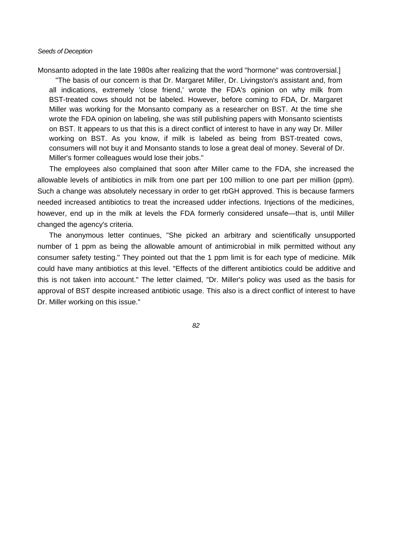Monsanto adopted in the late 1980s after realizing that the word "hormone" was controversial.]

"The basis of our concern is that Dr. Margaret Miller, Dr. Livingston's assistant and, from all indications, extremely 'close friend,' wrote the FDA's opinion on why milk from BST-treated cows should not be labeled. However, before coming to FDA, Dr. Margaret Miller was working for the Monsanto company as a researcher on BST. At the time she wrote the FDA opinion on labeling, she was still publishing papers with Monsanto scientists on BST. It appears to us that this is a direct conflict of interest to have in any way Dr. Miller working on BST. As you know, if milk is labeled as being from BST-treated cows, consumers will not buy it and Monsanto stands to lose a great deal of money. Several of Dr. Miller's former colleagues would lose their jobs."

The employees also complained that soon after Miller came to the FDA, she increased the allowable levels of antibiotics in milk from one part per 100 million to one part per million (ppm). Such a change was absolutely necessary in order to get rbGH approved. This is because farmers needed increased antibiotics to treat the increased udder infections. Injections of the medicines, however, end up in the milk at levels the FDA formerly considered unsafe—that is, until Miller changed the agency's criteria.

The anonymous letter continues, "She picked an arbitrary and scientifically unsupported number of 1 ppm as being the allowable amount of antimicrobial in milk permitted without any consumer safety testing." They pointed out that the 1 ppm limit is for each type of medicine. Milk could have many antibiotics at this level. "Effects of the different antibiotics could be additive and this is not taken into account." The letter claimed, "Dr. Miller's policy was used as the basis for approval of BST despite increased antibiotic usage. This also is a direct conflict of interest to have Dr. Miller working on this issue."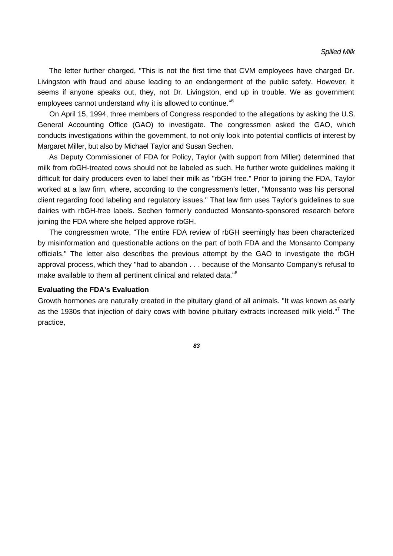The letter further charged, "This is not the first time that CVM employees have charged Dr. Livingston with fraud and abuse leading to an endangerment of the public safety. However, it seems if anyone speaks out, they, not Dr. Livingston, end up in trouble. We as government employees cannot understand why it is allowed to continue."<sup>6</sup>

On April 15, 1994, three members of Congress responded to the allegations by asking the U.S. General Accounting Office (GAO) to investigate. The congressmen asked the GAO, which conducts investigations within the government, to not only look into potential conflicts of interest by Margaret Miller, but also by Michael Taylor and Susan Sechen.

As Deputy Commissioner of FDA for Policy, Taylor (with support from Miller) determined that milk from rbGH-treated cows should not be labeled as such. He further wrote guidelines making it difficult for dairy producers even to label their milk as "rbGH free." Prior to joining the FDA, Taylor worked at a law firm, where, according to the congressmen's letter, "Monsanto was his personal client regarding food labeling and regulatory issues." That law firm uses Taylor's guidelines to sue dairies with rbGH-free labels. Sechen formerly conducted Monsanto-sponsored research before joining the FDA where she helped approve rbGH.

The congressmen wrote, "The entire FDA review of rbGH seemingly has been characterized by misinformation and questionable actions on the part of both FDA and the Monsanto Company officials." The letter also describes the previous attempt by the GAO to investigate the rbGH approval process, which they "had to abandon . . . because of the Monsanto Company's refusal to make available to them all pertinent clinical and related data."<sup>6</sup>

# **Evaluating the FDA's Evaluation**

Growth hormones are naturally created in the pituitary gland of all animals. "It was known as early as the 1930s that injection of dairy cows with bovine pituitary extracts increased milk yield."<sup>7</sup> The practice,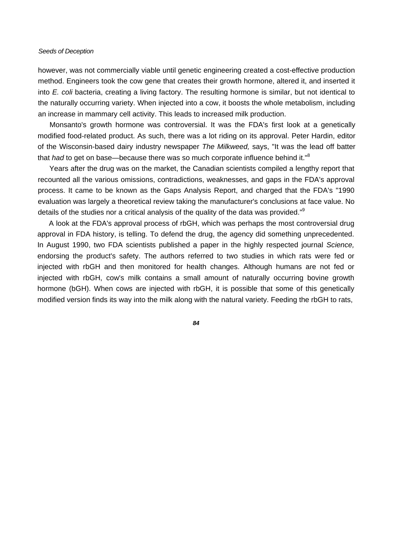however, was not commercially viable until genetic engineering created a cost-effective production method. Engineers took the cow gene that creates their growth hormone, altered it, and inserted it into *E. coli* bacteria, creating a living factory. The resulting hormone is similar, but not identical to the naturally occurring variety. When injected into a cow, it boosts the whole metabolism, including an increase in mammary cell activity. This leads to increased milk production.

Monsanto's growth hormone was controversial. It was the FDA's first look at a genetically modified food-related product. As such, there was a lot riding on its approval. Peter Hardin, editor of the Wisconsin-based dairy industry newspaper *The Milkweed,* says, "It was the lead off batter that *had* to get on base—because there was so much corporate influence behind it."8

Years after the drug was on the market, the Canadian scientists compiled a lengthy report that recounted all the various omissions, contradictions, weaknesses, and gaps in the FDA's approval process. It came to be known as the Gaps Analysis Report, and charged that the FDA's "1990 evaluation was largely a theoretical review taking the manufacturer's conclusions at face value. No details of the studies nor a critical analysis of the quality of the data was provided."<sup>9</sup>

A look at the FDA's approval process of rbGH, which was perhaps the most controversial drug approval in FDA history, is telling. To defend the drug, the agency did something unprecedented. In August 1990, two FDA scientists published a paper in the highly respected journal *Science,*  endorsing the product's safety. The authors referred to two studies in which rats were fed or injected with rbGH and then monitored for health changes. Although humans are not fed or injected with rbGH, cow's milk contains a small amount of naturally occurring bovine growth hormone (bGH). When cows are injected with rbGH, it is possible that some of this genetically modified version finds its way into the milk along with the natural variety. Feeding the rbGH to rats,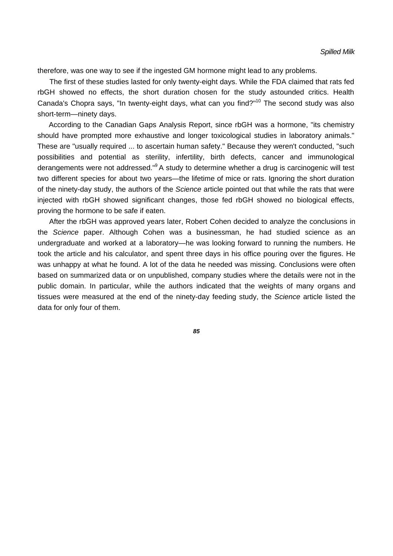therefore, was one way to see if the ingested GM hormone might lead to any problems.

The first of these studies lasted for only twenty-eight days. While the FDA claimed that rats fed rbGH showed no effects, the short duration chosen for the study astounded critics. Health Canada's Chopra says, "In twenty-eight days, what can you find?"10 The second study was also short-term—ninety days.

According to the Canadian Gaps Analysis Report, since rbGH was a hormone, "its chemistry should have prompted more exhaustive and longer toxicological studies in laboratory animals." These are "usually required ... to ascertain human safety." Because they weren't conducted, "such possibilities and potential as sterility, infertility, birth defects, cancer and immunological derangements were not addressed."<sup>9</sup> A study to determine whether a drug is carcinogenic will test two different species for about two years—the lifetime of mice or rats. Ignoring the short duration of the ninety-day study, the authors of the *Science* article pointed out that while the rats that were injected with rbGH showed significant changes, those fed rbGH showed no biological effects, proving the hormone to be safe if eaten.

After the rbGH was approved years later, Robert Cohen decided to analyze the conclusions in the *Science* paper. Although Cohen was a businessman, he had studied science as an undergraduate and worked at a laboratory—he was looking forward to running the numbers. He took the article and his calculator, and spent three days in his office pouring over the figures. He was unhappy at what he found. A lot of the data he needed was missing. Conclusions were often based on summarized data or on unpublished, company studies where the details were not in the public domain. In particular, while the authors indicated that the weights of many organs and tissues were measured at the end of the ninety-day feeding study, the *Science* article listed the data for only four of them.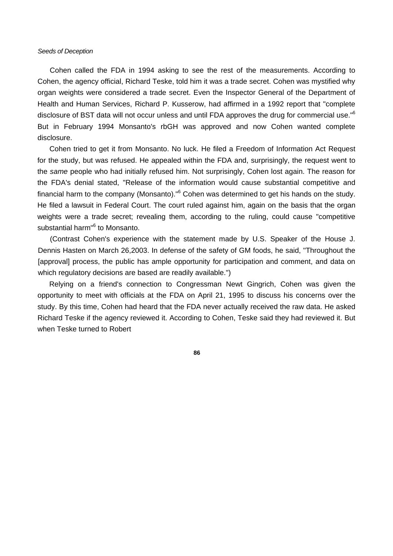Cohen called the FDA in 1994 asking to see the rest of the measurements. According to Cohen, the agency official, Richard Teske, told him it was a trade secret. Cohen was mystified why organ weights were considered a trade secret. Even the Inspector General of the Department of Health and Human Services, Richard P. Kusserow, had affirmed in a 1992 report that "complete disclosure of BST data will not occur unless and until FDA approves the drug for commercial use."<sup>6</sup> But in February 1994 Monsanto's rbGH was approved and now Cohen wanted complete disclosure.

Cohen tried to get it from Monsanto. No luck. He filed a Freedom of Information Act Request for the study, but was refused. He appealed within the FDA and, surprisingly, the request went to the *same* people who had initially refused him. Not surprisingly, Cohen lost again. The reason for the FDA's denial stated, "Release of the information would cause substantial competitive and financial harm to the company (Monsanto)."<sup>6</sup> Cohen was determined to get his hands on the study. He filed a lawsuit in Federal Court. The court ruled against him, again on the basis that the organ weights were a trade secret; revealing them, according to the ruling, could cause "competitive substantial harm"<sup>6</sup> to Monsanto.

(Contrast Cohen's experience with the statement made by U.S. Speaker of the House J. Dennis Hasten on March 26,2003. In defense of the safety of GM foods, he said, "Throughout the [approval] process, the public has ample opportunity for participation and comment, and data on which regulatory decisions are based are readily available.")

Relying on a friend's connection to Congressman Newt Gingrich, Cohen was given the opportunity to meet with officials at the FDA on April 21, 1995 to discuss his concerns over the study. By this time, Cohen had heard that the FDA never actually received the raw data. He asked Richard Teske if the agency reviewed it. According to Cohen, Teske said they had reviewed it. But when Teske turned to Robert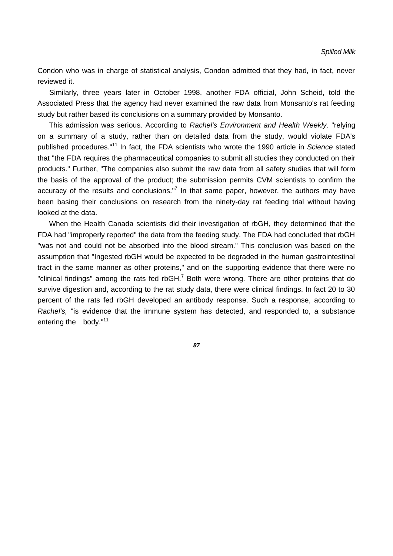Condon who was in charge of statistical analysis, Condon admitted that they had, in fact, never reviewed it.

Similarly, three years later in October 1998, another FDA official, John Scheid, told the Associated Press that the agency had never examined the raw data from Monsanto's rat feeding study but rather based its conclusions on a summary provided by Monsanto.

This admission was serious. According to *Rachel's Environment and Health Weekly,* "relying on a summary of a study, rather than on detailed data from the study, would violate FDA's published procedures."11 In fact, the FDA scientists who wrote the 1990 article in *Science* stated that "the FDA requires the pharmaceutical companies to submit all studies they conducted on their products." Further, "The companies also submit the raw data from all safety studies that will form the basis of the approval of the product; the submission permits CVM scientists to confirm the accuracy of the results and conclusions."<sup>7</sup> In that same paper, however, the authors may have been basing their conclusions on research from the ninety-day rat feeding trial without having looked at the data.

When the Health Canada scientists did their investigation of rbGH, they determined that the FDA had "improperly reported" the data from the feeding study. The FDA had concluded that rbGH "was not and could not be absorbed into the blood stream." This conclusion was based on the assumption that "Ingested rbGH would be expected to be degraded in the human gastrointestinal tract in the same manner as other proteins," and on the supporting evidence that there were no "clinical findings" among the rats fed rbGH. $<sup>7</sup>$  Both were wrong. There are other proteins that do</sup> survive digestion and, according to the rat study data, there were clinical findings. In fact 20 to 30 percent of the rats fed rbGH developed an antibody response. Such a response, according to *Rachel's,* "is evidence that the immune system has detected, and responded to, a substance entering the body."<sup>11</sup>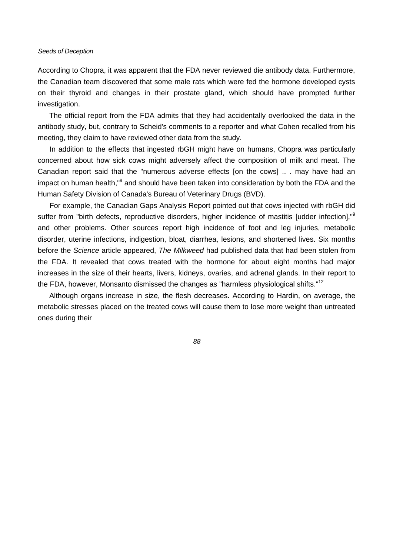According to Chopra, it was apparent that the FDA never reviewed die antibody data. Furthermore, the Canadian team discovered that some male rats which were fed the hormone developed cysts on their thyroid and changes in their prostate gland, which should have prompted further investigation.

The official report from the FDA admits that they had accidentally overlooked the data in the antibody study, but, contrary to Scheid's comments to a reporter and what Cohen recalled from his meeting, they claim to have reviewed other data from the study.

In addition to the effects that ingested rbGH might have on humans, Chopra was particularly concerned about how sick cows might adversely affect the composition of milk and meat. The Canadian report said that the "numerous adverse effects [on the cows] .. . may have had an impact on human health,"<sup>9</sup> and should have been taken into consideration by both the FDA and the Human Safety Division of Canada's Bureau of Veterinary Drugs (BVD).

For example, the Canadian Gaps Analysis Report pointed out that cows injected with rbGH did suffer from "birth defects, reproductive disorders, higher incidence of mastitis [udder infection],"<sup>9</sup> and other problems. Other sources report high incidence of foot and leg injuries, metabolic disorder, uterine infections, indigestion, bloat, diarrhea, lesions, and shortened lives. Six months before the *Science* article appeared, *The Milkweed* had published data that had been stolen from the FDA. It revealed that cows treated with the hormone for about eight months had major increases in the size of their hearts, livers, kidneys, ovaries, and adrenal glands. In their report to the FDA, however, Monsanto dismissed the changes as "harmless physiological shifts."<sup>12</sup>

Although organs increase in size, the flesh decreases. According to Hardin, on average, the metabolic stresses placed on the treated cows will cause them to lose more weight than untreated ones during their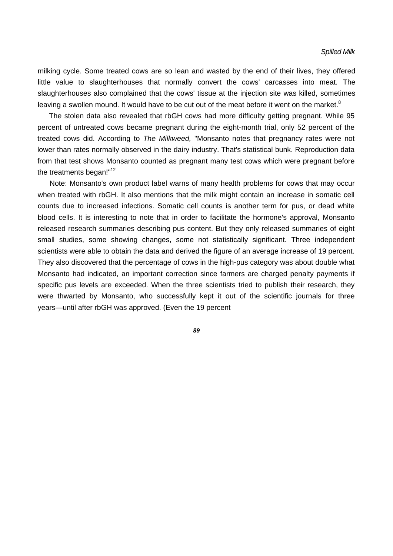milking cycle. Some treated cows are so lean and wasted by the end of their lives, they offered little value to slaughterhouses that normally convert the cows' carcasses into meat. The slaughterhouses also complained that the cows' tissue at the injection site was killed, sometimes leaving a swollen mound. It would have to be cut out of the meat before it went on the market.<sup>8</sup>

The stolen data also revealed that rbGH cows had more difficulty getting pregnant. While 95 percent of untreated cows became pregnant during the eight-month trial, only 52 percent of the treated cows did. According to *The Milkweed,* "Monsanto notes that pregnancy rates were not lower than rates normally observed in the dairy industry. That's statistical bunk. Reproduction data from that test shows Monsanto counted as pregnant many test cows which were pregnant before the treatments began!"<sup>12</sup>

Note: Monsanto's own product label warns of many health problems for cows that may occur when treated with rbGH. It also mentions that the milk might contain an increase in somatic cell counts due to increased infections. Somatic cell counts is another term for pus, or dead white blood cells. It is interesting to note that in order to facilitate the hormone's approval, Monsanto released research summaries describing pus content. But they only released summaries of eight small studies, some showing changes, some not statistically significant. Three independent scientists were able to obtain the data and derived the figure of an average increase of 19 percent. They also discovered that the percentage of cows in the high-pus category was about double what Monsanto had indicated, an important correction since farmers are charged penalty payments if specific pus levels are exceeded. When the three scientists tried to publish their research, they were thwarted by Monsanto, who successfully kept it out of the scientific journals for three years—until after rbGH was approved. (Even the 19 percent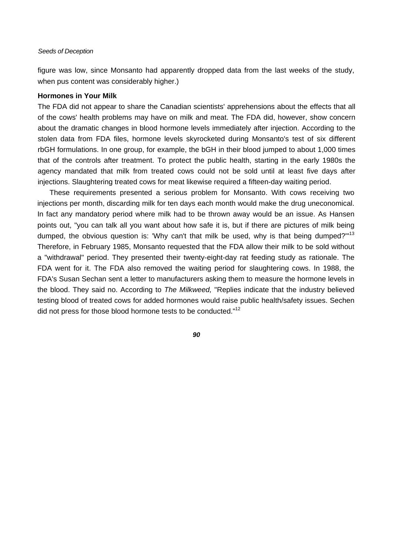figure was low, since Monsanto had apparently dropped data from the last weeks of the study, when pus content was considerably higher.)

# **Hormones in Your Milk**

The FDA did not appear to share the Canadian scientists' apprehensions about the effects that all of the cows' health problems may have on milk and meat. The FDA did, however, show concern about the dramatic changes in blood hormone levels immediately after injection. According to the stolen data from FDA files, hormone levels skyrocketed during Monsanto's test of six different rbGH formulations. In one group, for example, the bGH in their blood jumped to about 1,000 times that of the controls after treatment. To protect the public health, starting in the early 1980s the agency mandated that milk from treated cows could not be sold until at least five days after injections. Slaughtering treated cows for meat likewise required a fifteen-day waiting period.

These requirements presented a serious problem for Monsanto. With cows receiving two injections per month, discarding milk for ten days each month would make the drug uneconomical. In fact any mandatory period where milk had to be thrown away would be an issue. As Hansen points out, "you can talk all you want about how safe it is, but if there are pictures of milk being dumped, the obvious question is: 'Why can't that milk be used, why is that being dumped?"<sup>13</sup> Therefore, in February 1985, Monsanto requested that the FDA allow their milk to be sold without a "withdrawal" period. They presented their twenty-eight-day rat feeding study as rationale. The FDA went for it. The FDA also removed the waiting period for slaughtering cows. In 1988, the FDA's Susan Sechan sent a letter to manufacturers asking them to measure the hormone levels in the blood. They said no. According to *The Milkweed,* "Replies indicate that the industry believed testing blood of treated cows for added hormones would raise public health/safety issues. Sechen did not press for those blood hormone tests to be conducted."<sup>12</sup>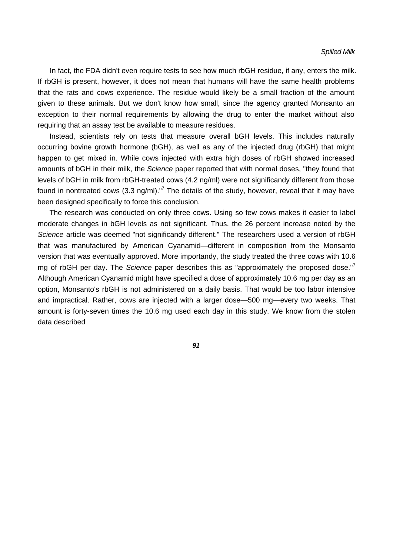In fact, the FDA didn't even require tests to see how much rbGH residue, if any, enters the milk. If rbGH is present, however, it does not mean that humans will have the same health problems that the rats and cows experience. The residue would likely be a small fraction of the amount given to these animals. But we don't know how small, since the agency granted Monsanto an exception to their normal requirements by allowing the drug to enter the market without also requiring that an assay test be available to measure residues.

Instead, scientists rely on tests that measure overall bGH levels. This includes naturally occurring bovine growth hormone (bGH), as well as any of the injected drug (rbGH) that might happen to get mixed in. While cows injected with extra high doses of rbGH showed increased amounts of bGH in their milk, the *Science* paper reported that with normal doses, "they found that levels of bGH in milk from rbGH-treated cows (4.2 ng/ml) were not significandy different from those found in nontreated cows (3.3 ng/ml)."<sup>7</sup> The details of the study, however, reveal that it may have been designed specifically to force this conclusion.

The research was conducted on only three cows. Using so few cows makes it easier to label moderate changes in bGH levels as not significant. Thus, the 26 percent increase noted by the *Science* article was deemed "not significandy different." The researchers used a version of rbGH that was manufactured by American Cyanamid—different in composition from the Monsanto version that was eventually approved. More importandy, the study treated the three cows with 10.6 mg of rbGH per day. The *Science* paper describes this as "approximately the proposed dose."<sup>7</sup> Although American Cyanamid might have specified a dose of approximately 10.6 mg per day as an option, Monsanto's rbGH is not administered on a daily basis. That would be too labor intensive and impractical. Rather, cows are injected with a larger dose—500 mg—every two weeks. That amount is forty-seven times the 10.6 mg used each day in this study. We know from the stolen data described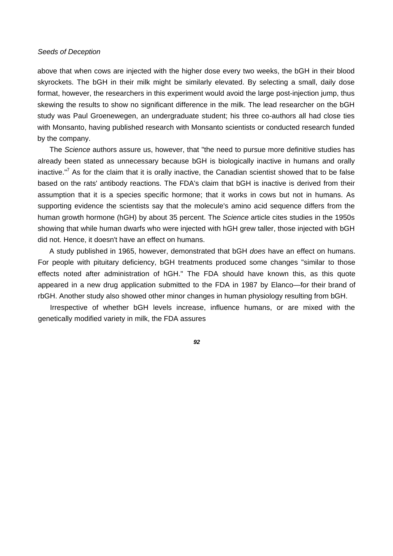above that when cows are injected with the higher dose every two weeks, the bGH in their blood skyrockets. The bGH in their milk might be similarly elevated. By selecting a small, daily dose format, however, the researchers in this experiment would avoid the large post-injection jump, thus skewing the results to show no significant difference in the milk. The lead researcher on the bGH study was Paul Groenewegen, an undergraduate student; his three co-authors all had close ties with Monsanto, having published research with Monsanto scientists or conducted research funded by the company.

The *Science* authors assure us, however, that "the need to pursue more definitive studies has already been stated as unnecessary because bGH is biologically inactive in humans and orally inactive."<sup>7</sup> As for the claim that it is orally inactive, the Canadian scientist showed that to be false based on the rats' antibody reactions. The FDA's claim that bGH is inactive is derived from their assumption that it is a species specific hormone; that it works in cows but not in humans. As supporting evidence the scientists say that the molecule's amino acid sequence differs from the human growth hormone (hGH) by about 35 percent. The *Science* article cites studies in the 1950s showing that while human dwarfs who were injected with hGH grew taller, those injected with bGH did not. Hence, it doesn't have an effect on humans.

A study published in 1965, however, demonstrated that bGH *does* have an effect on humans. For people with pituitary deficiency, bGH treatments produced some changes "similar to those effects noted after administration of hGH." The FDA should have known this, as this quote appeared in a new drug application submitted to the FDA in 1987 by Elanco—for their brand of rbGH. Another study also showed other minor changes in human physiology resulting from bGH.

Irrespective of whether bGH levels increase, influence humans, or are mixed with the genetically modified variety in milk, the FDA assures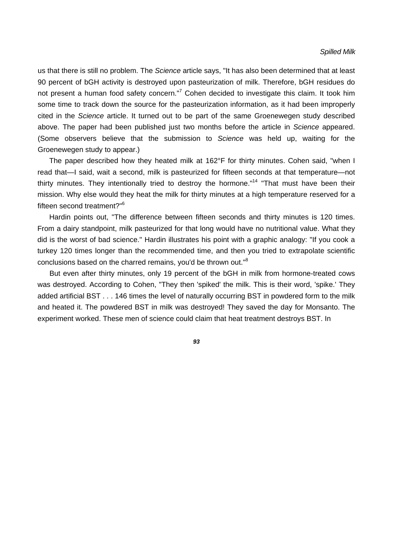us that there is still no problem. The *Science* article says, "It has also been determined that at least 90 percent of bGH activity is destroyed upon pasteurization of milk. Therefore, bGH residues do not present a human food safety concern."<sup>7</sup> Cohen decided to investigate this claim. It took him some time to track down the source for the pasteurization information, as it had been improperly cited in the *Science* article. It turned out to be part of the same Groenewegen study described above. The paper had been published just two months before the article in *Science* appeared. (Some observers believe that the submission to *Science* was held up, waiting for the Groenewegen study to appear.)

The paper described how they heated milk at 162°F for thirty minutes. Cohen said, "when I read that—I said, wait a second, milk is pasteurized for fifteen seconds at that temperature—not thirty minutes. They intentionally tried to destroy the hormone."<sup>14</sup> "That must have been their mission. Why else would they heat the milk for thirty minutes at a high temperature reserved for a fifteen second treatment?"6

Hardin points out, "The difference between fifteen seconds and thirty minutes is 120 times. From a dairy standpoint, milk pasteurized for that long would have no nutritional value. What they did is the worst of bad science." Hardin illustrates his point with a graphic analogy: "If you cook a turkey 120 times longer than the recommended time, and then you tried to extrapolate scientific conclusions based on the charred remains, you'd be thrown out."<sup>8</sup>

But even after thirty minutes, only 19 percent of the bGH in milk from hormone-treated cows was destroyed. According to Cohen, "They then 'spiked' the milk. This is their word, 'spike.' They added artificial BST . . . 146 times the level of naturally occurring BST in powdered form to the milk and heated it. The powdered BST in milk was destroyed! They saved the day for Monsanto. The experiment worked. These men of science could claim that heat treatment destroys BST. In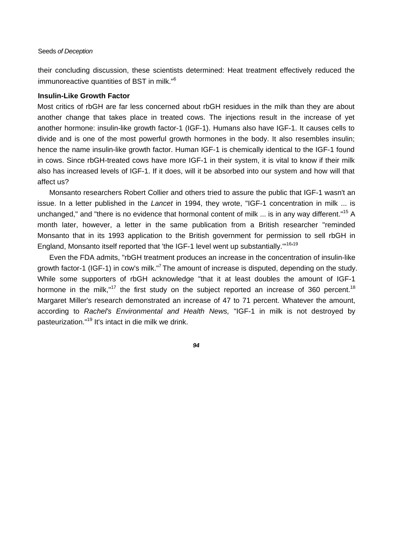their concluding discussion, these scientists determined: Heat treatment effectively reduced the immunoreactive quantities of BST in milk."6

# **Insulin-Like Growth Factor**

Most critics of rbGH are far less concerned about rbGH residues in the milk than they are about another change that takes place in treated cows. The injections result in the increase of yet another hormone: insulin-like growth factor-1 (IGF-1). Humans also have IGF-1. It causes cells to divide and is one of the most powerful growth hormones in the body. It also resembles insulin; hence the name insulin-like growth factor. Human IGF-1 is chemically identical to the IGF-1 found in cows. Since rbGH-treated cows have more IGF-1 in their system, it is vital to know if their milk also has increased levels of IGF-1. If it does, will it be absorbed into our system and how will that affect us?

Monsanto researchers Robert Collier and others tried to assure the public that IGF-1 wasn't an issue. In a letter published in the *Lancet* in 1994, they wrote, "IGF-1 concentration in milk ... is unchanged," and "there is no evidence that hormonal content of milk ... is in any way different."<sup>15</sup> A month later, however, a letter in the same publication from a British researcher "reminded Monsanto that in its 1993 application to the British government for permission to sell rbGH in England, Monsanto itself reported that 'the IGF-1 level went up substantially."<sup>16</sup><sup>19</sup>

Even the FDA admits, "rbGH treatment produces an increase in the concentration of insulin-like growth factor-1 (IGF-1) in cow's milk."<sup>7</sup> The amount of increase is disputed, depending on the study. While some supporters of rbGH acknowledge "that it at least doubles the amount of IGF-1 hormone in the milk,"<sup>17</sup> the first study on the subject reported an increase of 360 percent.<sup>18</sup> Margaret Miller's research demonstrated an increase of 47 to 71 percent. Whatever the amount, according to *Rachel's Environmental and Health News,* "IGF-1 in milk is not destroyed by pasteurization."19 It's intact in die milk we drink.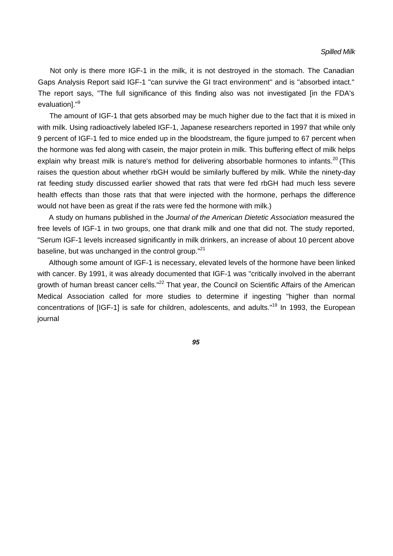Not only is there more IGF-1 in the milk, it is not destroyed in the stomach. The Canadian Gaps Analysis Report said IGF-1 "can survive the GI tract environment'' and is "absorbed intact." The report says, "The full significance of this finding also was not investigated [in the FDA's evaluation]."<sup>9</sup>

The amount of IGF-1 that gets absorbed may be much higher due to the fact that it is mixed in with milk. Using radioactively labeled IGF-1, Japanese researchers reported in 1997 that while only 9 percent of IGF-1 fed to mice ended up in the bloodstream, the figure jumped to 67 percent when the hormone was fed along with casein, the major protein in milk. This buffering effect of milk helps explain why breast milk is nature's method for delivering absorbable hormones to infants.<sup>20</sup> (This raises the question about whether rbGH would be similarly buffered by milk. While the ninety-day rat feeding study discussed earlier showed that rats that were fed rbGH had much less severe health effects than those rats that that were injected with the hormone, perhaps the difference would not have been as great if the rats were fed the hormone with milk.)

A study on humans published in the *Journal of the American Dietetic Association* measured the free levels of IGF-1 in two groups, one that drank milk and one that did not. The study reported, "Serum IGF-1 levels increased significantly in milk drinkers, an increase of about 10 percent above baseline, but was unchanged in the control group."<sup>21</sup>

Although some amount of IGF-1 is necessary, elevated levels of the hormone have been linked with cancer. By 1991, it was already documented that IGF-1 was "critically involved in the aberrant growth of human breast cancer cells."<sup>22</sup> That year, the Council on Scientific Affairs of the American Medical Association called for more studies to determine if ingesting "higher than normal concentrations of IIGF-11 is safe for children, adolescents, and adults."<sup>19</sup> In 1993, the European journal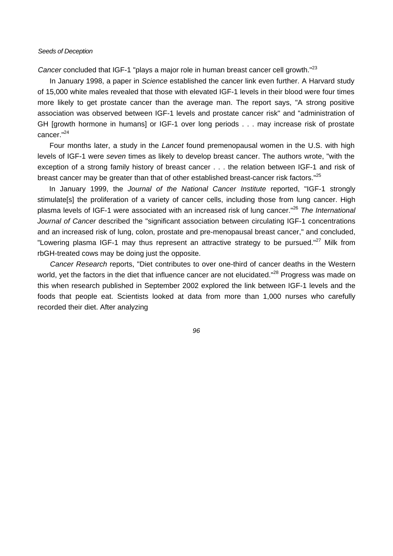*Cancer* concluded that IGF-1 "plays a major role in human breast cancer cell growth."<sup>23</sup>

In January 1998, a paper in *Science* established the cancer link even further. A Harvard study of 15,000 white males revealed that those with elevated IGF-1 levels in their blood were four times more likely to get prostate cancer than the average man. The report says, "A strong positive association was observed between IGF-1 levels and prostate cancer risk" and "administration of GH [growth hormone in humans] or IGF-1 over long periods . . . may increase risk of prostate cancer."<sup>24</sup>

Four months later, a study in the *Lancet* found premenopausal women in the U.S. with high levels of IGF-1 were *seven* times as likely to develop breast cancer. The authors wrote, "with the exception of a strong family history of breast cancer . . . the relation between IGF-1 and risk of breast cancer may be greater than that of other established breast-cancer risk factors."<sup>25</sup>

In January 1999, the *Journal of the National Cancer Institute* reported, "IGF-1 strongly stimulate[s] the proliferation of a variety of cancer cells, including those from lung cancer. High plasma levels of IGF-1 were associated with an increased risk of lung cancer."<sup>26</sup> *The International Journal of Cancer* described the "significant association between circulating IGF-1 concentrations and an increased risk of lung, colon, prostate and pre-menopausal breast cancer," and concluded, "Lowering plasma IGF-1 may thus represent an attractive strategy to be pursued."<sup>27</sup> Milk from rbGH-treated cows may be doing just the opposite.

*Cancer Research* reports, "Diet contributes to over one-third of cancer deaths in the Western world, yet the factors in the diet that influence cancer are not elucidated."<sup>28</sup> Progress was made on this when research published in September 2002 explored the link between IGF-1 levels and the foods that people eat. Scientists looked at data from more than 1,000 nurses who carefully recorded their diet. After analyzing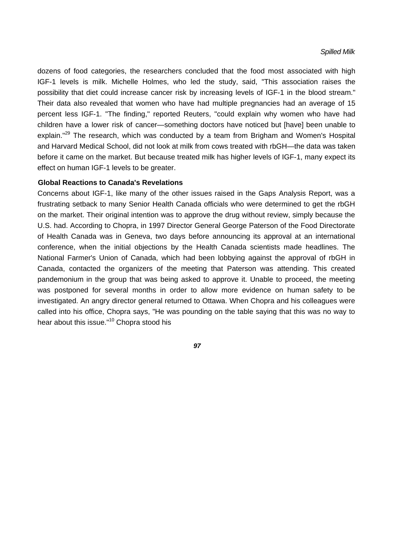dozens of food categories, the researchers concluded that the food most associated with high IGF-1 levels is milk. Michelle Holmes, who led the study, said, "This association raises the possibility that diet could increase cancer risk by increasing levels of IGF-1 in the blood stream." Their data also revealed that women who have had multiple pregnancies had an average of 15 percent less IGF-1. "The finding," reported Reuters, "could explain why women who have had children have a lower risk of cancer—something doctors have noticed but [have] been unable to explain."<sup>29</sup> The research, which was conducted by a team from Brigham and Women's Hospital and Harvard Medical School, did not look at milk from cows treated with rbGH—the data was taken before it came on the market. But because treated milk has higher levels of IGF-1, many expect its effect on human IGF-1 levels to be greater.

# **Global Reactions to Canada's Revelations**

Concerns about IGF-1, like many of the other issues raised in the Gaps Analysis Report, was a frustrating setback to many Senior Health Canada officials who were determined to get the rbGH on the market. Their original intention was to approve the drug without review, simply because the U.S. had. According to Chopra, in 1997 Director General George Paterson of the Food Directorate of Health Canada was in Geneva, two days before announcing its approval at an international conference, when the initial objections by the Health Canada scientists made headlines. The National Farmer's Union of Canada, which had been lobbying against the approval of rbGH in Canada, contacted the organizers of the meeting that Paterson was attending. This created pandemonium in the group that was being asked to approve it. Unable to proceed, the meeting was postponed for several months in order to allow more evidence on human safety to be investigated. An angry director general returned to Ottawa. When Chopra and his colleagues were called into his office, Chopra says, "He was pounding on the table saying that this was no way to hear about this issue."10 Chopra stood his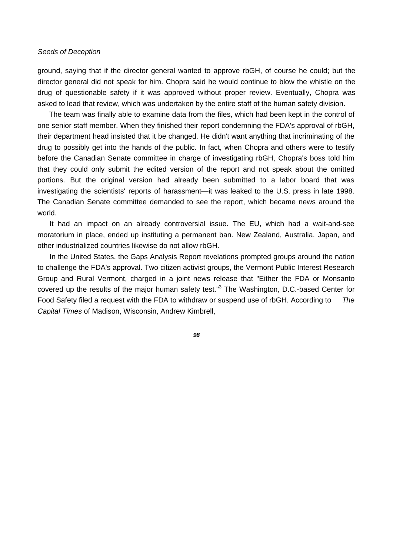ground, saying that if the director general wanted to approve rbGH, of course he could; but the director general did not speak for him. Chopra said he would continue to blow the whistle on the drug of questionable safety if it was approved without proper review. Eventually, Chopra was asked to lead that review, which was undertaken by the entire staff of the human safety division.

The team was finally able to examine data from the files, which had been kept in the control of one senior staff member. When they finished their report condemning the FDA's approval of rbGH, their department head insisted that it be changed. He didn't want anything that incriminating of the drug to possibly get into the hands of the public. In fact, when Chopra and others were to testify before the Canadian Senate committee in charge of investigating rbGH, Chopra's boss told him that they could only submit the edited version of the report and not speak about the omitted portions. But the original version had already been submitted to a labor board that was investigating the scientists' reports of harassment—it was leaked to the U.S. press in late 1998. The Canadian Senate committee demanded to see the report, which became news around the world.

It had an impact on an already controversial issue. The EU, which had a wait-and-see moratorium in place, ended up instituting a permanent ban. New Zealand, Australia, Japan, and other industrialized countries likewise do not allow rbGH.

In the United States, the Gaps Analysis Report revelations prompted groups around the nation to challenge the FDA's approval. Two citizen activist groups, the Vermont Public Interest Research Group and Rural Vermont, charged in a joint news release that "Either the FDA or Monsanto covered up the results of the major human safety test."<sup>3</sup> The Washington, D.C.-based Center for Food Safety filed a request with the FDA to withdraw or suspend use of rbGH. According to *The Capital Times* of Madison, Wisconsin, Andrew Kimbrell,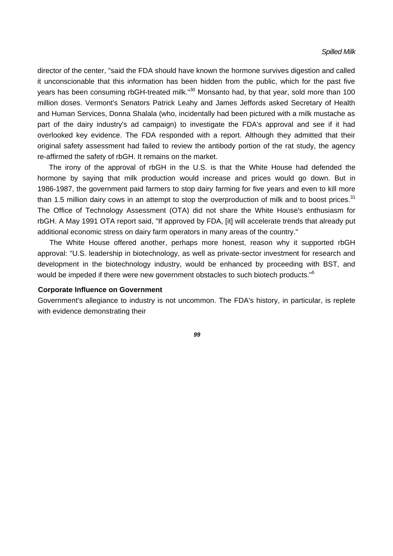director of the center, "said the FDA should have known the hormone survives digestion and called it unconscionable that this information has been hidden from the public, which for the past five years has been consuming rbGH-treated milk."<sup>30</sup> Monsanto had, by that year, sold more than 100 million doses. Vermont's Senators Patrick Leahy and James Jeffords asked Secretary of Health and Human Services, Donna Shalala (who, incidentally had been pictured with a milk mustache as part of the dairy industry's ad campaign) to investigate the FDA's approval and see if it had overlooked key evidence. The FDA responded with a report. Although they admitted that their original safety assessment had failed to review the antibody portion of the rat study, the agency re-affirmed the safety of rbGH. It remains on the market.

The irony of the approval of rbGH in the U.S. is that the White House had defended the hormone by saying that milk production would increase and prices would go down. But in 1986-1987, the government paid farmers to stop dairy farming for five years and even to kill more than 1.5 million dairy cows in an attempt to stop the overproduction of milk and to boost prices. $31$ The Office of Technology Assessment (OTA) did not share the White House's enthusiasm for rbGH. A May 1991 OTA report said, "If approved by FDA, [it] will accelerate trends that already put additional economic stress on dairy farm operators in many areas of the country."

The White House offered another, perhaps more honest, reason why it supported rbGH approval: "U.S. leadership in biotechnology, as well as private-sector investment for research and development in the biotechnology industry, would be enhanced by proceeding with BST, and would be impeded if there were new government obstacles to such biotech products."<sup>6</sup>

# **Corporate Influence on Government**

Government's allegiance to industry is not uncommon. The FDA's history, in particular, is replete with evidence demonstrating their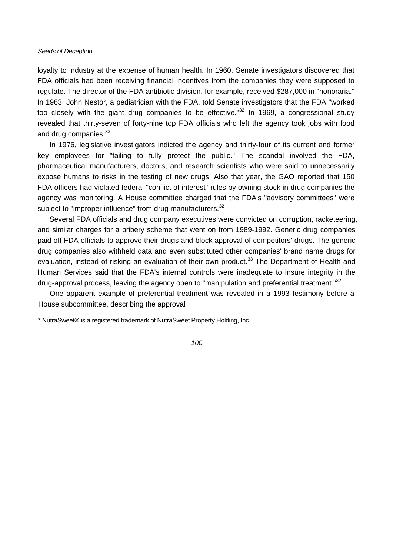loyalty to industry at the expense of human health. In 1960, Senate investigators discovered that FDA officials had been receiving financial incentives from the companies they were supposed to regulate. The director of the FDA antibiotic division, for example, received \$287,000 in "honoraria." In 1963, John Nestor, a pediatrician with the FDA, told Senate investigators that the FDA "worked too closely with the giant drug companies to be effective."<sup>32</sup> In 1969, a congressional study revealed that thirty-seven of forty-nine top FDA officials who left the agency took jobs with food and drug companies.<sup>33</sup>

In 1976, legislative investigators indicted the agency and thirty-four of its current and former key employees for "failing to fully protect the public." The scandal involved the FDA, pharmaceutical manufacturers, doctors, and research scientists who were said to unnecessarily expose humans to risks in the testing of new drugs. Also that year, the GAO reported that 150 FDA officers had violated federal "conflict of interest" rules by owning stock in drug companies the agency was monitoring. A House committee charged that the FDA's "advisory committees" were subject to "improper influence" from drug manufacturers.<sup>32</sup>

Several FDA officials and drug company executives were convicted on corruption, racketeering, and similar charges for a bribery scheme that went on from 1989-1992. Generic drug companies paid off FDA officials to approve their drugs and block approval of competitors' drugs. The generic drug companies also withheld data and even substituted other companies' brand name drugs for evaluation, instead of risking an evaluation of their own product.<sup>33</sup> The Department of Health and Human Services said that the FDA's internal controls were inadequate to insure integrity in the drug-approval process, leaving the agency open to "manipulation and preferential treatment."<sup>32</sup>

One apparent example of preferential treatment was revealed in a 1993 testimony before a House subcommittee, describing the approval

\* NutraSweet® is a registered trademark of NutraSweet Property Holding, Inc.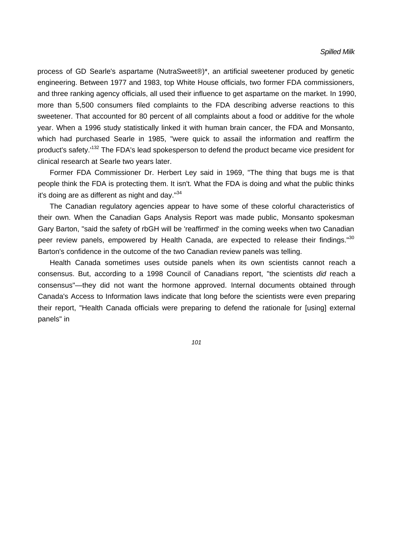process of GD Searle's aspartame (NutraSweet®)\*, an artificial sweetener produced by genetic engineering. Between 1977 and 1983, top White House officials, two former FDA commissioners, and three ranking agency officials, all used their influence to get aspartame on the market. In 1990, more than 5,500 consumers filed complaints to the FDA describing adverse reactions to this sweetener. That accounted for 80 percent of all complaints about a food or additive for the whole year. When a 1996 study statistically linked it with human brain cancer, the FDA and Monsanto, which had purchased Searle in 1985, "were quick to assail the information and reaffirm the product's safety.'132 The FDA's lead spokesperson to defend the product became vice president for clinical research at Searle two years later.

Former FDA Commissioner Dr. Herbert Ley said in 1969, "The thing that bugs me is that people think the FDA is protecting them. It isn't. What the FDA is doing and what the public thinks it's doing are as different as night and day."<sup>34</sup>

The Canadian regulatory agencies appear to have some of these colorful characteristics of their own. When the Canadian Gaps Analysis Report was made public, Monsanto spokesman Gary Barton, "said the safety of rbGH will be 'reaffirmed' in the coming weeks when two Canadian peer review panels, empowered by Health Canada, are expected to release their findings."<sup>30</sup> Barton's confidence in the outcome of the two Canadian review panels was telling.

Health Canada sometimes uses outside panels when its own scientists cannot reach a consensus. But, according to a 1998 Council of Canadians report, "the scientists *did* reach a consensus"—they did not want the hormone approved. Internal documents obtained through Canada's Access to Information laws indicate that long before the scientists were even preparing their report, "Health Canada officials were preparing to defend the rationale for [using] external panels" in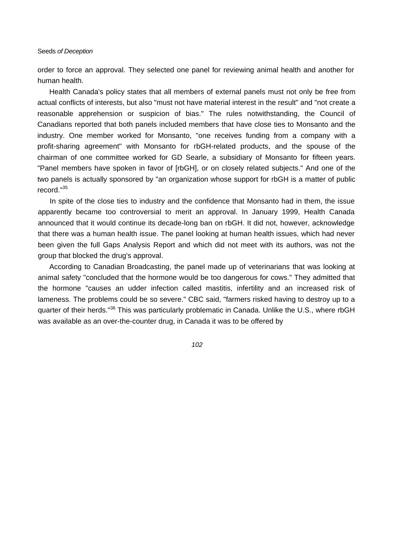order to force an approval. They selected one panel for reviewing animal health and another for human health.

Health Canada's policy states that all members of external panels must not only be free from actual conflicts of interests, but also "must not have material interest in the result" and "not create a reasonable apprehension or suspicion of bias." The rules notwithstanding, the Council of Canadians reported that both panels included members that have close ties to Monsanto and the industry. One member worked for Monsanto, "one receives funding from a company with a profit-sharing agreement" with Monsanto for rbGH-related products, and the spouse of the chairman of one committee worked for GD Searle, a subsidiary of Monsanto for fifteen years. "Panel members have spoken in favor of [rbGH], or on closely related subjects." And one of the two panels is actually sponsored by "an organization whose support for rbGH is a matter of public record."<sup>35</sup>

In spite of the close ties to industry and the confidence that Monsanto had in them, the issue apparently became too controversial to merit an approval. In January 1999, Health Canada announced that it would continue its decade-long ban on rbGH. It did not, however, acknowledge that there was a human health issue. The panel looking at human health issues, which had never been given the full Gaps Analysis Report and which did not meet with its authors, was not the group that blocked the drug's approval.

According to Canadian Broadcasting, the panel made up of veterinarians that was looking at animal safety "concluded that the hormone would be too dangerous for cows." They admitted that the hormone "causes an udder infection called mastitis, infertility and an increased risk of lameness. The problems could be so severe." CBC said, "farmers risked having to destroy up to a quarter of their herds."<sup>36</sup> This was particularly problematic in Canada. Unlike the U.S., where rbGH was available as an over-the-counter drug, in Canada it was to be offered by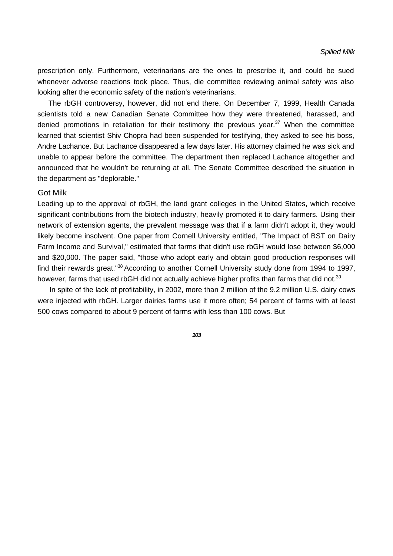prescription only. Furthermore, veterinarians are the ones to prescribe it, and could be sued whenever adverse reactions took place. Thus, die committee reviewing animal safety was also looking after the economic safety of the nation's veterinarians.

The rbGH controversy, however, did not end there. On December 7, 1999, Health Canada scientists told a new Canadian Senate Committee how they were threatened, harassed, and denied promotions in retaliation for their testimony the previous year. $37$  When the committee learned that scientist Shiv Chopra had been suspended for testifying, they asked to see his boss, Andre Lachance. But Lachance disappeared a few days later. His attorney claimed he was sick and unable to appear before the committee. The department then replaced Lachance altogether and announced that he wouldn't be returning at all. The Senate Committee described the situation in the department as "deplorable."

## Got Milk

Leading up to the approval of rbGH, the land grant colleges in the United States, which receive significant contributions from the biotech industry, heavily promoted it to dairy farmers. Using their network of extension agents, the prevalent message was that if a farm didn't adopt it, they would likely become insolvent. One paper from Cornell University entitled, "The Impact of BST on Dairy Farm Income and Survival," estimated that farms that didn't use rbGH would lose between \$6,000 and \$20,000. The paper said, "those who adopt early and obtain good production responses will find their rewards great."38 According to another Cornell University study done from 1994 to 1997, however, farms that used rbGH did not actually achieve higher profits than farms that did not.<sup>39</sup>

In spite of the lack of profitability, in 2002, more than 2 million of the 9.2 million U.S. dairy cows were injected with rbGH. Larger dairies farms use it more often; 54 percent of farms with at least 500 cows compared to about 9 percent of farms with less than 100 cows. But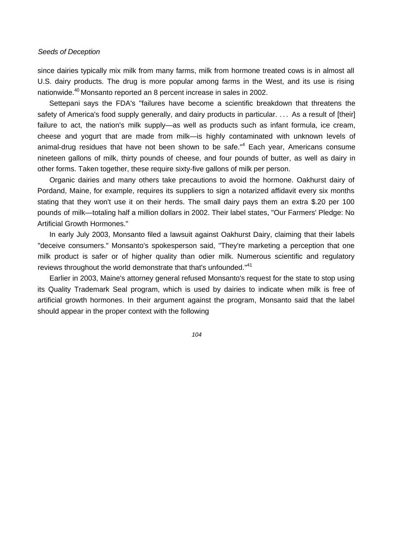since dairies typically mix milk from many farms, milk from hormone treated cows is in almost all U.S. dairy products. The drug is more popular among farms in the West, and its use is rising nationwide.40 Monsanto reported an 8 percent increase in sales in 2002.

Settepani says the FDA's "failures have become a scientific breakdown that threatens the safety of America's food supply generally, and dairy products in particular. . . . As a result of [their] failure to act, the nation's milk supply—as well as products such as infant formula, ice cream, cheese and yogurt that are made from milk—is highly contaminated with unknown levels of animal-drug residues that have not been shown to be safe."<sup>4</sup> Each year, Americans consume nineteen gallons of milk, thirty pounds of cheese, and four pounds of butter, as well as dairy in other forms. Taken together, these require sixty-five gallons of milk per person.

Organic dairies and many others take precautions to avoid the hormone. Oakhurst dairy of Pordand, Maine, for example, requires its suppliers to sign a notarized affidavit every six months stating that they won't use it on their herds. The small dairy pays them an extra \$.20 per 100 pounds of milk—totaling half a million dollars in 2002. Their label states, "Our Farmers' Pledge: No Artificial Growth Hormones."

In early July 2003, Monsanto filed a lawsuit against Oakhurst Dairy, claiming that their labels "deceive consumers." Monsanto's spokesperson said, "They're marketing a perception that one milk product is safer or of higher quality than odier milk. Numerous scientific and regulatory reviews throughout the world demonstrate that that's unfounded."<sup>41</sup>

Earlier in 2003, Maine's attorney general refused Monsanto's request for the state to stop using its Quality Trademark Seal program, which is used by dairies to indicate when milk is free of artificial growth hormones. In their argument against the program, Monsanto said that the label should appear in the proper context with the following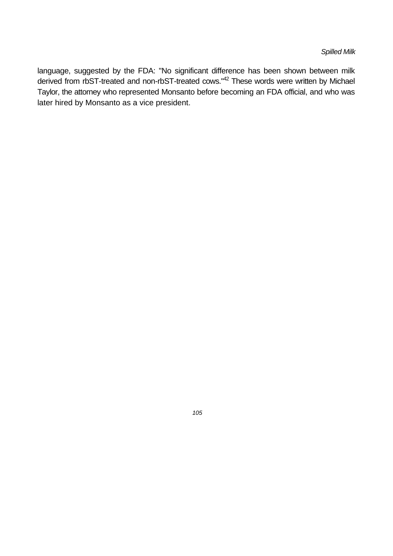language, suggested by the FDA: "No significant difference has been shown between milk derived from rbST-treated and non-rbST-treated cows."42 These words were written by Michael Taylor, the attorney who represented Monsanto before becoming an FDA official, and who was later hired by Monsanto as a vice president.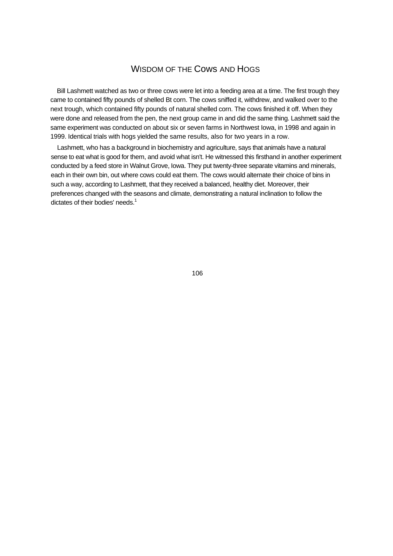# WISDOM OF THE Cows AND HOGS

Bill Lashmett watched as two or three cows were let into a feeding area at a time. The first trough they came to contained fifty pounds of shelled Bt corn. The cows sniffed it, withdrew, and walked over to the next trough, which contained fifty pounds of natural shelled corn. The cows finished it off. When they were done and released from the pen, the next group came in and did the same thing. Lashmett said the same experiment was conducted on about six or seven farms in Northwest Iowa, in 1998 and again in 1999. Identical trials with hogs yielded the same results, also for two years in a row.

Lashmett, who has a background in biochemistry and agriculture, says that animals have a natural sense to eat what is good for them, and avoid what isn't. He witnessed this firsthand in another experiment conducted by a feed store in Walnut Grove, Iowa. They put twenty-three separate vitamins and minerals, each in their own bin, out where cows could eat them. The cows would alternate their choice of bins in such a way, according to Lashmett, that they received a balanced, healthy diet. Moreover, their preferences changed with the seasons and climate, demonstrating a natural inclination to follow the dictates of their bodies' needs. $1$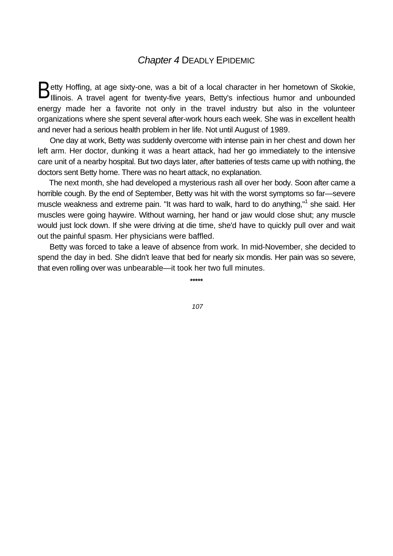# *Chapter 4* DEADLY EPIDEMIC

Betty Hoffing, at age sixty-one, was a bit of a local character in her hometown of Skokie,<br>Illinois. A travel agent for twenty-five years, Betty's infectious humor and unbounded Illinois. A travel agent for twenty-five years, Betty's infectious humor and unbounded energy made her a favorite not only in the travel industry but also in the volunteer organizations where she spent several after-work hours each week. She was in excellent health and never had a serious health problem in her life. Not until August of 1989.

One day at work, Betty was suddenly overcome with intense pain in her chest and down her left arm. Her doctor, dunking it was a heart attack, had her go immediately to the intensive care unit of a nearby hospital. But two days later, after batteries of tests came up with nothing, the doctors sent Betty home. There was no heart attack, no explanation.

The next month, she had developed a mysterious rash all over her body. Soon after came a horrible cough. By the end of September, Betty was hit with the worst symptoms so far—severe muscle weakness and extreme pain. "It was hard to walk, hard to do anything,"<sup>1</sup> she said. Her muscles were going haywire. Without warning, her hand or jaw would close shut; any muscle would just lock down. If she were driving at die time, she'd have to quickly pull over and wait out the painful spasm. Her physicians were baffled.

Betty was forced to take a leave of absence from work. In mid-November, she decided to spend the day in bed. She didn't leave that bed for nearly six mondis. Her pain was so severe, that even rolling over was unbearable—it took her two full minutes.

**\*\*\*\*\***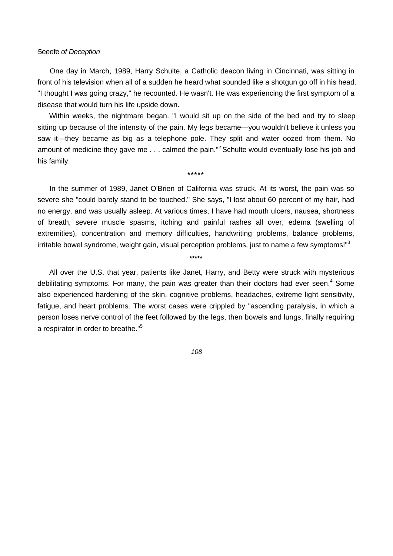#### 5eeefe *of Deception*

One day in March, 1989, Harry Schulte, a Catholic deacon living in Cincinnati, was sitting in front of his television when all of a sudden he heard what sounded like a shotgun go off in his head. "I thought I was going crazy," he recounted. He wasn't. He was experiencing the first symptom of a disease that would turn his life upside down.

Within weeks, the nightmare began. "I would sit up on the side of the bed and try to sleep sitting up because of the intensity of the pain. My legs became—you wouldn't believe it unless you saw it—they became as big as a telephone pole. They split and water oozed from them. No amount of medicine they gave me . . . calmed the pain."<sup>2</sup> Schulte would eventually lose his job and his family.

**\*\*\*\*\***

In the summer of 1989, Janet O'Brien of California was struck. At its worst, the pain was so severe she "could barely stand to be touched." She says, "I lost about 60 percent of my hair, had no energy, and was usually asleep. At various times, I have had mouth ulcers, nausea, shortness of breath, severe muscle spasms, itching and painful rashes all over, edema (swelling of extremities), concentration and memory difficulties, handwriting problems, balance problems, irritable bowel syndrome, weight gain, visual perception problems, just to name a few symptoms!"<sup>3</sup>

**\*\*\*\*\***

All over the U.S. that year, patients like Janet, Harry, and Betty were struck with mysterious debilitating symptoms. For many, the pain was greater than their doctors had ever seen.<sup>4</sup> Some also experienced hardening of the skin, cognitive problems, headaches, extreme light sensitivity, fatigue, and heart problems. The worst cases were crippled by "ascending paralysis, in which a person loses nerve control of the feet followed by the legs, then bowels and lungs, finally requiring a respirator in order to breathe."<sup>5</sup>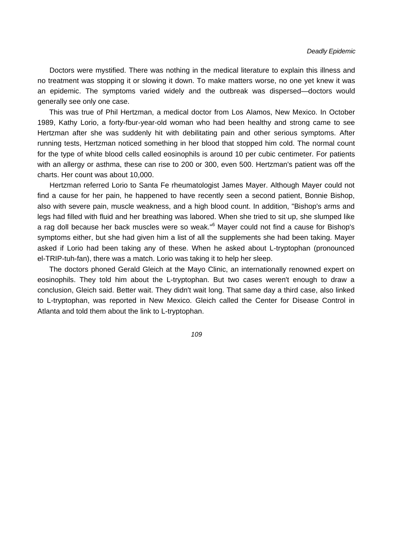Doctors were mystified. There was nothing in the medical literature to explain this illness and no treatment was stopping it or slowing it down. To make matters worse, no one yet knew it was an epidemic. The symptoms varied widely and the outbreak was dispersed—doctors would generally see only one case.

This was true of Phil Hertzman, a medical doctor from Los Alamos, New Mexico. In October 1989, Kathy Lorio, a forty-fbur-year-old woman who had been healthy and strong came to see Hertzman after she was suddenly hit with debilitating pain and other serious symptoms. After running tests, Hertzman noticed something in her blood that stopped him cold. The normal count for the type of white blood cells called eosinophils is around 10 per cubic centimeter. For patients with an allergy or asthma, these can rise to 200 or 300, even 500. Hertzman's patient was off the charts. Her count was about 10,000.

Hertzman referred Lorio to Santa Fe rheumatologist James Mayer. Although Mayer could not find a cause for her pain, he happened to have recently seen a second patient, Bonnie Bishop, also with severe pain, muscle weakness, and a high blood count. In addition, "Bishop's arms and legs had filled with fluid and her breathing was labored. When she tried to sit up, she slumped like a rag doll because her back muscles were so weak."<sup>6</sup> Mayer could not find a cause for Bishop's symptoms either, but she had given him a list of all the supplements she had been taking. Mayer asked if Lorio had been taking any of these. When he asked about L-tryptophan (pronounced el-TRIP-tuh-fan), there was a match. Lorio was taking it to help her sleep.

The doctors phoned Gerald Gleich at the Mayo Clinic, an internationally renowned expert on eosinophils. They told him about the L-tryptophan. But two cases weren't enough to draw a conclusion, Gleich said. Better wait. They didn't wait long. That same day a third case, also linked to L-tryptophan, was reported in New Mexico. Gleich called the Center for Disease Control in Atlanta and told them about the link to L-tryptophan.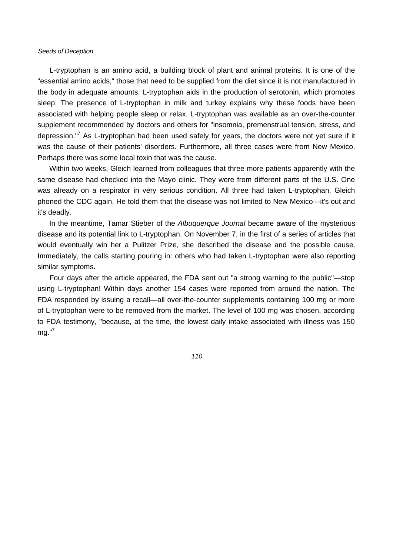L-tryptophan is an amino acid, a building block of plant and animal proteins. It is one of the "essential amino acids," those that need to be supplied from the diet since it is not manufactured in the body in adequate amounts. L-tryptophan aids in the production of serotonin, which promotes sleep. The presence of L-tryptophan in milk and turkey explains why these foods have been associated with helping people sleep or relax. L-tryptophan was available as an over-the-counter supplement recommended by doctors and others for "insomnia, premenstrual tension, stress, and depression."<sup>7</sup> As L-tryptophan had been used safely for years, the doctors were not yet sure if it was the cause of their patients' disorders. Furthermore, all three cases were from New Mexico. Perhaps there was some local toxin that was the cause.

Within two weeks, Gleich learned from colleagues that three more patients apparently with the same disease had checked into the Mayo clinic. They were from different parts of the U.S. One was already on a respirator in very serious condition. All three had taken L-tryptophan. Gleich phoned the CDC again. He told them that the disease was not limited to New Mexico—it's out and it's deadly.

In the meantime, Tamar Stieber of the *Albuquerque Journal* became aware of the mysterious disease and its potential link to L-tryptophan. On November 7, in the first of a series of articles that would eventually win her a Pulitzer Prize, she described the disease and the possible cause. Immediately, the calls starting pouring in: others who had taken L-tryptophan were also reporting similar symptoms.

Four days after the article appeared, the FDA sent out "a strong warning to the public"—stop using L-tryptophan! Within days another 154 cases were reported from around the nation. The FDA responded by issuing a recall—all over-the-counter supplements containing 100 mg or more of L-tryptophan were to be removed from the market. The level of 100 mg was chosen, according to FDA testimony, "because, at the time, the lowest daily intake associated with illness was 150 mg." $<sup>7</sup>$ </sup>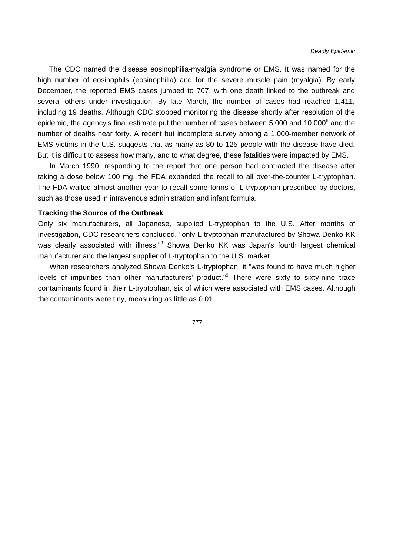The CDC named the disease eosinophilia-myalgia syndrome or EMS. It was named for the high number of eosinophils (eosinophilia) and for the severe muscle pain (myalgia). By early December, the reported EMS cases jumped to 707, with one death linked to the outbreak and several others under investigation. By late March, the number of cases had reached 1,411, including 19 deaths. Although CDC stopped monitoring the disease shortly after resolution of the epidemic, the agency's final estimate put the number of cases between 5,000 and 10,000 $^8$  and the number of deaths near forty. A recent but incomplete survey among a 1,000-member network of EMS victims in the U.S. suggests that as many as 80 to 125 people with the disease have died. But it is difficult to assess how many, and to what degree, these fatalities were impacted by EMS.

In March 1990, responding to the report that one person had contracted the disease after taking a dose below 100 mg, the FDA expanded the recall to all over-the-counter L-tryptophan. The FDA waited almost another year to recall some forms of L-tryptophan prescribed by doctors, such as those used in intravenous administration and infant formula.

## **Tracking the Source of the Outbreak**

Only six manufacturers, all Japanese, supplied L-tryptophan to the U.S. After months of investigation, CDC researchers concluded, "only L-tryptophan manufactured by Showa Denko KK was clearly associated with illness."<sup>9</sup> Showa Denko KK was Japan's fourth largest chemical manufacturer and the largest supplier of L-tryptophan to the U.S. market.

When researchers analyzed Showa Denko's L-tryptophan, it "was found to have much higher levels of impurities than other manufacturers' product."<sup>9</sup> There were sixty to sixty-nine trace contaminants found in their L-tryptophan, six of which were associated with EMS cases. Although the contaminants were tiny, measuring as little as 0.01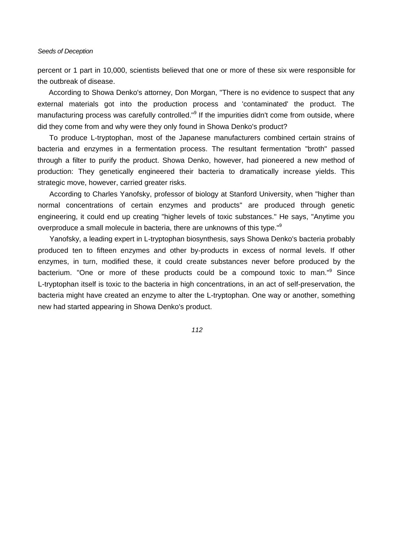percent or 1 part in 10,000, scientists believed that one or more of these six were responsible for the outbreak of disease.

According to Showa Denko's attorney, Don Morgan, "There is no evidence to suspect that any external materials got into the production process and 'contaminated' the product. The manufacturing process was carefully controlled."<sup>9</sup> If the impurities didn't come from outside, where did they come from and why were they only found in Showa Denko's product?

To produce L-tryptophan, most of the Japanese manufacturers combined certain strains of bacteria and enzymes in a fermentation process. The resultant fermentation "broth" passed through a filter to purify the product. Showa Denko, however, had pioneered a new method of production: They genetically engineered their bacteria to dramatically increase yields. This strategic move, however, carried greater risks.

According to Charles Yanofsky, professor of biology at Stanford University, when "higher than normal concentrations of certain enzymes and products" are produced through genetic engineering, it could end up creating "higher levels of toxic substances." He says, "Anytime you overproduce a small molecule in bacteria, there are unknowns of this type."<sup>9</sup>

Yanofsky, a leading expert in L-tryptophan biosynthesis, says Showa Denko's bacteria probably produced ten to fifteen enzymes and other by-products in excess of normal levels. If other enzymes, in turn, modified these, it could create substances never before produced by the bacterium. "One or more of these products could be a compound toxic to man."<sup>9</sup> Since L-tryptophan itself is toxic to the bacteria in high concentrations, in an act of self-preservation, the bacteria might have created an enzyme to alter the L-tryptophan. One way or another, something new had started appearing in Showa Denko's product.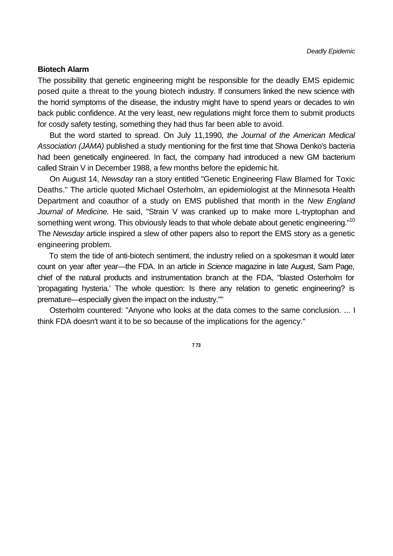# **Biotech Alarm**

The possibility that genetic engineering might be responsible for the deadly EMS epidemic posed quite a threat to the young biotech industry. If consumers linked the new science with the horrid symptoms of the disease, the industry might have to spend years or decades to win back public confidence. At the very least, new regulations might force them to submit products for cosdy safety testing, something they had thus far been able to avoid.

But the word started to spread. On July 11,1990, *the Journal of the American Medical Association (JAMA)* published a study mentioning for the first time that Showa Denko's bacteria had been genetically engineered. In fact, the company had introduced a new GM bacterium called Strain V in December 1988, a few months before the epidemic hit.

On August 14, *Newsday* ran a story entitled "Genetic Engineering Flaw Blamed for Toxic Deaths." The article quoted Michael Osterholm, an epidemiologist at the Minnesota Health Department and coauthor of a study on EMS published that month in the *New England Journal of Medicine.* He said, "Strain V was cranked up to make more L-tryptophan and something went wrong. This obviously leads to that whole debate about genetic engineering."<sup>10</sup> The *Newsday* article inspired a slew of other papers also to report the EMS story as a genetic engineering problem.

To stem the tide of anti-biotech sentiment, the industry relied on a spokesman it would later count on year after year—the FDA. In an article in *Science* magazine in late August, Sam Page, chief of the natural products and instrumentation branch at the FDA, "blasted Osterholm for 'propagating hysteria.' The whole question: Is there any relation to genetic engineering? is premature—especially given the impact on the industry.""

Osterholm countered: "Anyone who looks at the data comes to the same conclusion. ... I think FDA doesn't want it to be so because of the implications for the agency."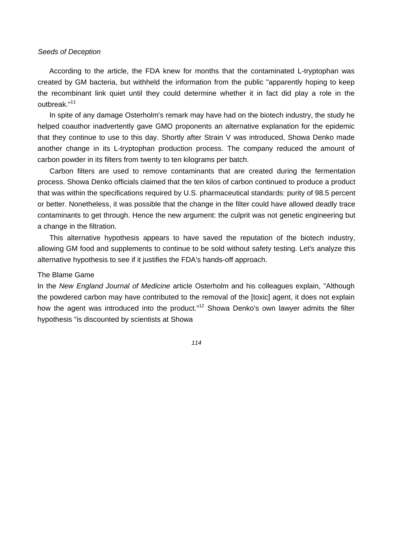According to the article, the FDA knew for months that the contaminated L-tryptophan was created by GM bacteria, but withheld the information from the public "apparently hoping to keep the recombinant link quiet until they could determine whether it in fact did play a role in the outbreak."<sup>11</sup>

In spite of any damage Osterholm's remark may have had on the biotech industry, the study he helped coauthor inadvertently gave GMO proponents an alternative explanation for the epidemic that they continue to use to this day. Shortly after Strain V was introduced, Showa Denko made another change in its L-tryptophan production process. The company reduced the amount of carbon powder in its filters from twenty to ten kilograms per batch.

Carbon filters are used to remove contaminants that are created during the fermentation process. Showa Denko officials claimed that the ten kilos of carbon continued to produce a product that was within the specifications required by U.S. pharmaceutical standards: purity of 98.5 percent or better. Nonetheless, it was possible that the change in the filter could have allowed deadly trace contaminants to get through. Hence the new argument: the culprit was not genetic engineering but a change in the filtration.

This alternative hypothesis appears to have saved the reputation of the biotech industry, allowing GM food and supplements to continue to be sold without safety testing. Let's analyze this alternative hypothesis to see if it justifies the FDA's hands-off approach.

## The Blame Game

In the *New England Journal of Medicine* article Osterholm and his colleagues explain, "Although the powdered carbon may have contributed to the removal of the [toxic] agent, it does not explain how the agent was introduced into the product."<sup>12</sup> Showa Denko's own lawyer admits the filter hypothesis "is discounted by scientists at Showa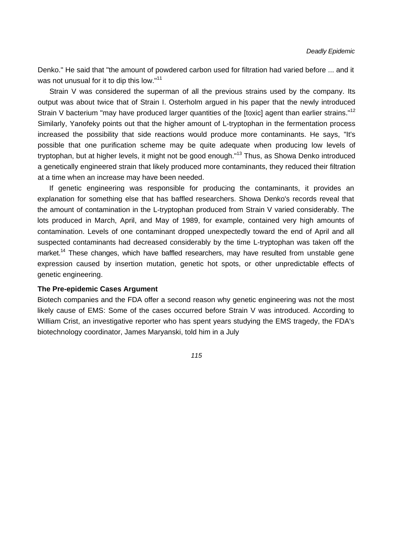Denko." He said that "the amount of powdered carbon used for filtration had varied before ... and it was not unusual for it to dip this low."<sup>11</sup>

Strain V was considered the superman of all the previous strains used by the company. Its output was about twice that of Strain I. Osterholm argued in his paper that the newly introduced Strain V bacterium "may have produced larger quantities of the Itoxicl agent than earlier strains."<sup>12</sup> Similarly, Yanofeky points out that the higher amount of L-tryptophan in the fermentation process increased the possibility that side reactions would produce more contaminants. He says, "It's possible that one purification scheme may be quite adequate when producing low levels of tryptophan, but at higher levels, it might not be good enough."<sup>13</sup> Thus, as Showa Denko introduced a genetically engineered strain that likely produced more contaminants, they reduced their filtration at a time when an increase may have been needed.

If genetic engineering was responsible for producing the contaminants, it provides an explanation for something else that has baffled researchers. Showa Denko's records reveal that the amount of contamination in the L-tryptophan produced from Strain V varied considerably. The lots produced in March, April, and May of 1989, for example, contained very high amounts of contamination. Levels of one contaminant dropped unexpectedly toward the end of April and all suspected contaminants had decreased considerably by the time L-tryptophan was taken off the market.<sup>14</sup> These changes, which have baffled researchers, may have resulted from unstable gene expression caused by insertion mutation, genetic hot spots, or other unpredictable effects of genetic engineering.

## **The Pre-epidemic Cases Argument**

Biotech companies and the FDA offer a second reason why genetic engineering was not the most likely cause of EMS: Some of the cases occurred before Strain V was introduced. According to William Crist, an investigative reporter who has spent years studying the EMS tragedy, the FDA's biotechnology coordinator, James Maryanski, told him in a July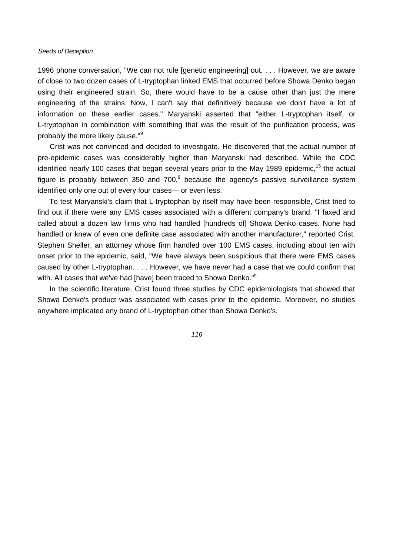1996 phone conversation, "We can not rule [genetic engineering] out. . . . However, we are aware of close to two dozen cases of L-tryptophan linked EMS that occurred before Showa Denko began using their engineered strain. So, there would have to be a cause other than just the mere engineering of the strains. Now, I can't say that definitively because we don't have a lot of information on these earlier cases." Maryanski asserted that "either L-tryptophan itself, or L-tryptophan in combination with something that was the result of the purification process, was probably the more likely cause."<sup>9</sup>

Crist was not convinced and decided to investigate. He discovered that the actual number of pre-epidemic cases was considerably higher than Maryanski had described. While the CDC identified nearly 100 cases that began several years prior to the May 1989 epidemic,<sup>15</sup> the actual figure is probably between 350 and 700, $9$  because the agency's passive surveillance system identified only one out of every four cases— or even less.

To test Maryanski's claim that L-tryptophan by itself may have been responsible, Crist tried to find out if there were any EMS cases associated with a different company's brand. "I faxed and called about a dozen law firms who had handled [hundreds of] Showa Denko cases. None had handled or knew of even one definite case associated with another manufacturer," reported Crist. Stephen Sheller, an attorney whose firm handled over 100 EMS cases, including about ten with onset prior to the epidemic, said, "We have always been suspicious that there were EMS cases caused by other L-tryptophan. . . . However, we have never had a case that we could confirm that with. All cases that we've had [have] been traced to Showa Denko."<sup>9</sup>

In the scientific literature, Crist found three studies by CDC epidemiologists that showed that Showa Denko's product was associated with cases prior to the epidemic. Moreover, no studies anywhere implicated any brand of L-tryptophan other than Showa Denko's.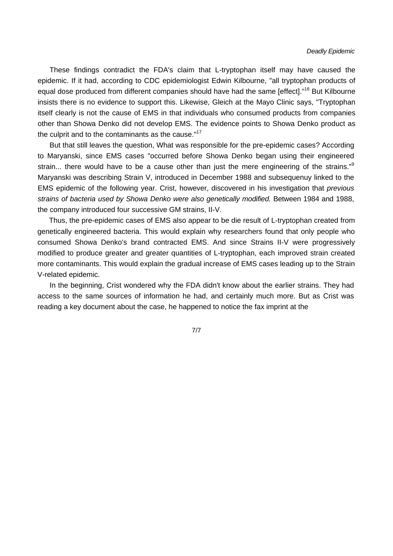These findings contradict the FDA's claim that L-tryptophan itself may have caused the epidemic. If it had, according to CDC epidemiologist Edwin Kilbourne, "all tryptophan products of equal dose produced from different companies should have had the same [effect]."<sup>16</sup> But Kilbourne insists there is no evidence to support this. Likewise, Gleich at the Mayo Clinic says, "Tryptophan itself clearly is not the cause of EMS in that individuals who consumed products from companies other than Showa Denko did not develop EMS. The evidence points to Showa Denko product as the culprit and to the contaminants as the cause."<sup>17</sup>

But that still leaves the question, What was responsible for the pre-epidemic cases? According to Maryanski, since EMS cases "occurred before Showa Denko began using their engineered strain... there would have to be a cause other than just the mere engineering of the strains."<sup>9</sup> Maryanski was describing Strain V, introduced in December 1988 and subsequenuy linked to the EMS epidemic of the following year. Crist, however, discovered in his investigation that *previous strains of bacteria used by Showa Denko were also genetically modified.* Between 1984 and 1988, the company introduced four successive GM strains, II-V.

Thus, the pre-epidemic cases of EMS also appear to be die result of L-tryptophan created from genetically engineered bacteria. This would explain why researchers found that only people who consumed Showa Denko's brand contracted EMS. And since Strains II-V were progressively modified to produce greater and greater quantities of L-tryptophan, each improved strain created more contaminants. This would explain the gradual increase of EMS cases leading up to the Strain V-related epidemic.

In the beginning, Crist wondered why the FDA didn't know about the earlier strains. They had access to the same sources of information he had, and certainly much more. But as Crist was reading a key document about the case, he happened to notice the fax imprint at the

7/7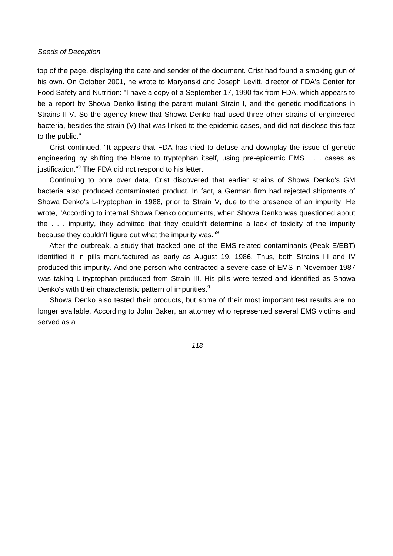top of the page, displaying the date and sender of the document. Crist had found a smoking gun of his own. On October 2001, he wrote to Maryanski and Joseph Levitt, director of FDA's Center for Food Safety and Nutrition: "I have a copy of a September 17, 1990 fax from FDA, which appears to be a report by Showa Denko listing the parent mutant Strain I, and the genetic modifications in Strains II-V. So the agency knew that Showa Denko had used three other strains of engineered bacteria, besides the strain (V) that was linked to the epidemic cases, and did not disclose this fact to the public."

Crist continued, "It appears that FDA has tried to defuse and downplay the issue of genetic engineering by shifting the blame to tryptophan itself, using pre-epidemic EMS . . . cases as justification."<sup>9</sup> The FDA did not respond to his letter.

Continuing to pore over data, Crist discovered that earlier strains of Showa Denko's GM bacteria also produced contaminated product. In fact, a German firm had rejected shipments of Showa Denko's L-tryptophan in 1988, prior to Strain V, due to the presence of an impurity. He wrote, "According to internal Showa Denko documents, when Showa Denko was questioned about the . . . impurity, they admitted that they couldn't determine a lack of toxicity of the impurity because they couldn't figure out what the impurity was."<sup>9</sup>

After the outbreak, a study that tracked one of the EMS-related contaminants (Peak E/EBT) identified it in pills manufactured as early as August 19, 1986. Thus, both Strains III and IV produced this impurity. And one person who contracted a severe case of EMS in November 1987 was taking L-tryptophan produced from Strain III. His pills were tested and identified as Showa Denko's with their characteristic pattern of impurities.<sup>9</sup>

Showa Denko also tested their products, but some of their most important test results are no longer available. According to John Baker, an attorney who represented several EMS victims and served as a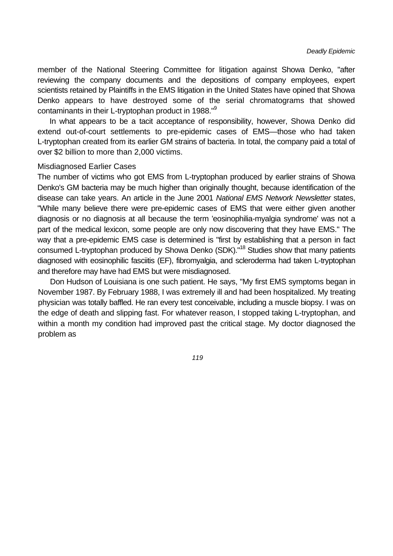member of the National Steering Committee for litigation against Showa Denko, "after reviewing the company documents and the depositions of company employees, expert scientists retained by Plaintiffs in the EMS litigation in the United States have opined that Showa Denko appears to have destroyed some of the serial chromatograms that showed contaminants in their L-tryptophan product in 1988."9

In what appears to be a tacit acceptance of responsibility, however, Showa Denko did extend out-of-court settlements to pre-epidemic cases of EMS—those who had taken L-tryptophan created from its earlier GM strains of bacteria. In total, the company paid a total of over \$2 billion to more than 2,000 victims.

# Misdiagnosed Earlier Cases

The number of victims who got EMS from L-tryptophan produced by earlier strains of Showa Denko's GM bacteria may be much higher than originally thought, because identification of the disease can take years. An article in the June 2001 *National EMS Network Newsletter* states, "While many believe there were pre-epidemic cases of EMS that were either given another diagnosis or no diagnosis at all because the term 'eosinophilia-myalgia syndrome' was not a part of the medical lexicon, some people are only now discovering that they have EMS." The way that a pre-epidemic EMS case is determined is "first by establishing that a person in fact consumed L-tryptophan produced by Showa Denko (SDK)."<sup>18</sup> Studies show that many patients diagnosed with eosinophilic fasciitis (EF), fibromyalgia, and scleroderma had taken L-tryptophan and therefore may have had EMS but were misdiagnosed.

Don Hudson of Louisiana is one such patient. He says, "My first EMS symptoms began in November 1987. By February 1988, I was extremely ill and had been hospitalized. My treating physician was totally baffled. He ran every test conceivable, including a muscle biopsy. I was on the edge of death and slipping fast. For whatever reason, I stopped taking L-tryptophan, and within a month my condition had improved past the critical stage. My doctor diagnosed the problem as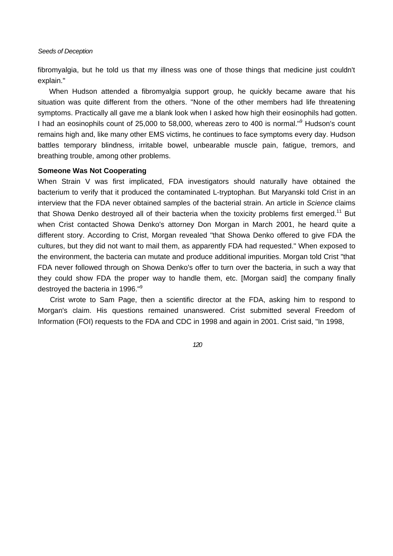fibromyalgia, but he told us that my illness was one of those things that medicine just couldn't explain."

When Hudson attended a fibromyalgia support group, he quickly became aware that his situation was quite different from the others. "None of the other members had life threatening symptoms. Practically all gave me a blank look when I asked how high their eosinophils had gotten. I had an eosinophils count of 25,000 to 58,000, whereas zero to 400 is normal."<sup>9</sup> Hudson's count remains high and, like many other EMS victims, he continues to face symptoms every day. Hudson battles temporary blindness, irritable bowel, unbearable muscle pain, fatigue, tremors, and breathing trouble, among other problems.

## **Someone Was Not Cooperating**

When Strain V was first implicated, FDA investigators should naturally have obtained the bacterium to verify that it produced the contaminated L-tryptophan. But Maryanski told Crist in an interview that the FDA never obtained samples of the bacterial strain. An article in *Science* claims that Showa Denko destroyed all of their bacteria when the toxicity problems first emerged.<sup>11</sup> But when Crist contacted Showa Denko's attorney Don Morgan in March 2001, he heard quite a different story. According to Crist, Morgan revealed "that Showa Denko offered to give FDA the cultures, but they did not want to mail them, as apparently FDA had requested." When exposed to the environment, the bacteria can mutate and produce additional impurities. Morgan told Crist "that FDA never followed through on Showa Denko's offer to turn over the bacteria, in such a way that they could show FDA the proper way to handle them, etc. [Morgan said] the company finally destroyed the bacteria in 1996."<sup>9</sup>

Crist wrote to Sam Page, then a scientific director at the FDA, asking him to respond to Morgan's claim. His questions remained unanswered. Crist submitted several Freedom of Information (FOI) requests to the FDA and CDC in 1998 and again in 2001. Crist said, "In 1998,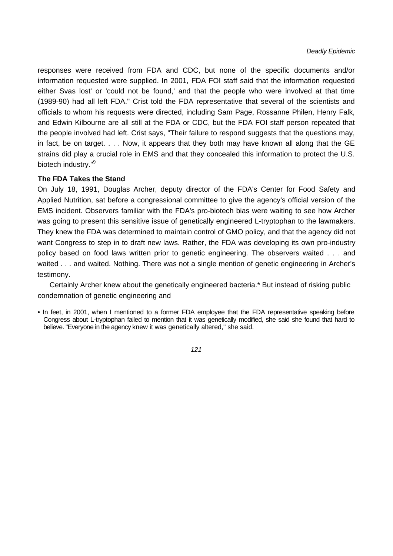responses were received from FDA and CDC, but none of the specific documents and/or information requested were supplied. In 2001, FDA FOI staff said that the information requested either Svas lost' or 'could not be found,' and that the people who were involved at that time (1989-90) had all left FDA." Crist told the FDA representative that several of the scientists and officials to whom his requests were directed, including Sam Page, Rossanne Philen, Henry Falk, and Edwin Kilbourne are all still at the FDA or CDC, but the FDA FOI staff person repeated that the people involved had left. Crist says, "Their failure to respond suggests that the questions may, in fact, be on target. . . . Now, it appears that they both may have known all along that the GE strains did play a crucial role in EMS and that they concealed this information to protect the U.S. biotech industry."<sup>9</sup>

# **The FDA Takes the Stand**

On July 18, 1991, Douglas Archer, deputy director of the FDA's Center for Food Safety and Applied Nutrition, sat before a congressional committee to give the agency's official version of the EMS incident. Observers familiar with the FDA's pro-biotech bias were waiting to see how Archer was going to present this sensitive issue of genetically engineered L-tryptophan to the lawmakers. They knew the FDA was determined to maintain control of GMO policy, and that the agency did not want Congress to step in to draft new laws. Rather, the FDA was developing its own pro-industry policy based on food laws written prior to genetic engineering. The observers waited . . . and waited . . . and waited. Nothing. There was not a single mention of genetic engineering in Archer's testimony.

Certainly Archer knew about the genetically engineered bacteria.\* But instead of risking public condemnation of genetic engineering and

<sup>•</sup> In feet, in 2001, when I mentioned to a former FDA employee that the FDA representative speaking before Congress about L-tryptophan failed to mention that it was genetically modified, she said she found that hard to believe. "Everyone in the agency knew it was genetically altered," she said.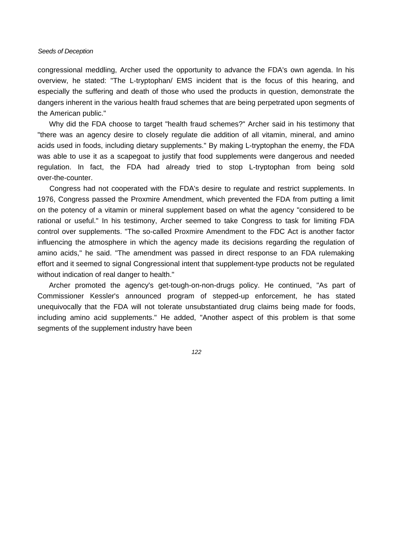congressional meddling, Archer used the opportunity to advance the FDA's own agenda. In his overview, he stated: "The L-tryptophan/ EMS incident that is the focus of this hearing, and especially the suffering and death of those who used the products in question, demonstrate the dangers inherent in the various health fraud schemes that are being perpetrated upon segments of the American public."

Why did the FDA choose to target "health fraud schemes?" Archer said in his testimony that "there was an agency desire to closely regulate die addition of all vitamin, mineral, and amino acids used in foods, including dietary supplements." By making L-tryptophan the enemy, the FDA was able to use it as a scapegoat to justify that food supplements were dangerous and needed regulation. In fact, the FDA had already tried to stop L-tryptophan from being sold over-the-counter.

Congress had not cooperated with the FDA's desire to regulate and restrict supplements. In 1976, Congress passed the Proxmire Amendment, which prevented the FDA from putting a limit on the potency of a vitamin or mineral supplement based on what the agency "considered to be rational or useful." In his testimony, Archer seemed to take Congress to task for limiting FDA control over supplements. "The so-called Proxmire Amendment to the FDC Act is another factor influencing the atmosphere in which the agency made its decisions regarding the regulation of amino acids," he said. "The amendment was passed in direct response to an FDA rulemaking effort and it seemed to signal Congressional intent that supplement-type products not be regulated without indication of real danger to health."

Archer promoted the agency's get-tough-on-non-drugs policy. He continued, "As part of Commissioner Kessler's announced program of stepped-up enforcement, he has stated unequivocally that the FDA will not tolerate unsubstantiated drug claims being made for foods, including amino acid supplements." He added, "Another aspect of this problem is that some segments of the supplement industry have been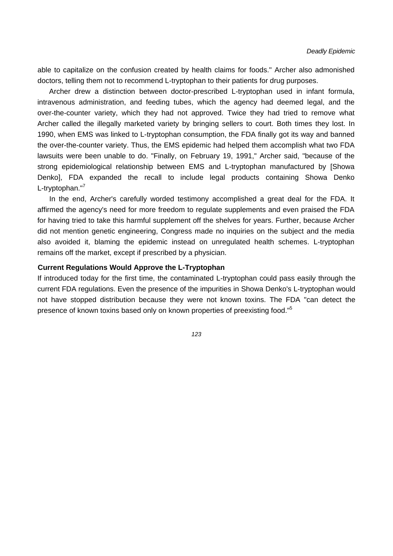able to capitalize on the confusion created by health claims for foods." Archer also admonished doctors, telling them not to recommend L-tryptophan to their patients for drug purposes.

Archer drew a distinction between doctor-prescribed L-tryptophan used in infant formula, intravenous administration, and feeding tubes, which the agency had deemed legal, and the over-the-counter variety, which they had not approved. Twice they had tried to remove what Archer called the illegally marketed variety by bringing sellers to court. Both times they lost. In 1990, when EMS was linked to L-tryptophan consumption, the FDA finally got its way and banned the over-the-counter variety. Thus, the EMS epidemic had helped them accomplish what two FDA lawsuits were been unable to do. "Finally, on February 19, 1991," Archer said, "because of the strong epidemiological relationship between EMS and L-tryptophan manufactured by [Showa Denko], FDA expanded the recall to include legal products containing Showa Denko L-tryptophan."<sup>7</sup>

In the end, Archer's carefully worded testimony accomplished a great deal for the FDA. It affirmed the agency's need for more freedom to regulate supplements and even praised the FDA for having tried to take this harmful supplement off the shelves for years. Further, because Archer did not mention genetic engineering, Congress made no inquiries on the subject and the media also avoided it, blaming the epidemic instead on unregulated health schemes. L-tryptophan remains off the market, except if prescribed by a physician.

## **Current Regulations Would Approve the L-Tryptophan**

If introduced today for the first time, the contaminated L-tryptophan could pass easily through the current FDA regulations. Even the presence of the impurities in Showa Denko's L-tryptophan would not have stopped distribution because they were not known toxins. The FDA "can detect the presence of known toxins based only on known properties of preexisting food."5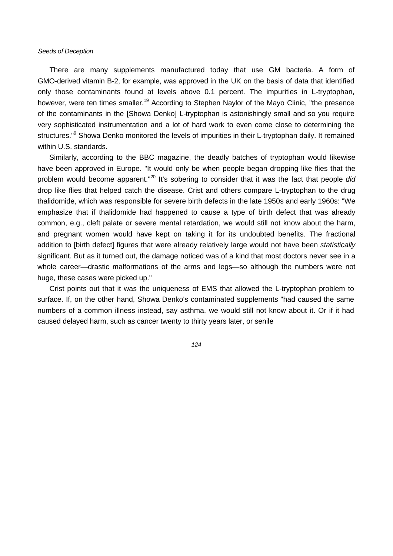There are many supplements manufactured today that use GM bacteria. A form of GMO-derived vitamin B-2, for example, was approved in the UK on the basis of data that identified only those contaminants found at levels above 0.1 percent. The impurities in L-tryptophan, however, were ten times smaller.<sup>19</sup> According to Stephen Naylor of the Mayo Clinic, "the presence of the contaminants in the [Showa Denko] L-tryptophan is astonishingly small and so you require very sophisticated instrumentation and a lot of hard work to even come close to determining the structures."<sup>9</sup> Showa Denko monitored the levels of impurities in their L-tryptophan daily. It remained within U.S. standards.

Similarly, according to the BBC magazine, the deadly batches of tryptophan would likewise have been approved in Europe. "It would only be when people began dropping like flies that the problem would become apparent."20 It's sobering to consider that it was the fact that people *did*  drop like flies that helped catch the disease. Crist and others compare L-tryptophan to the drug thalidomide, which was responsible for severe birth defects in the late 1950s and early 1960s: "We emphasize that if thalidomide had happened to cause a type of birth defect that was already common, e.g., cleft palate or severe mental retardation, we would still not know about the harm, and pregnant women would have kept on taking it for its undoubted benefits. The fractional addition to [birth defect] figures that were already relatively large would not have been *statistically*  significant. But as it turned out, the damage noticed was of a kind that most doctors never see in a whole career—drastic malformations of the arms and legs—so although the numbers were not huge, these cases were picked up."

Crist points out that it was the uniqueness of EMS that allowed the L-tryptophan problem to surface. If, on the other hand, Showa Denko's contaminated supplements "had caused the same numbers of a common illness instead, say asthma, we would still not know about it. Or if it had caused delayed harm, such as cancer twenty to thirty years later, or senile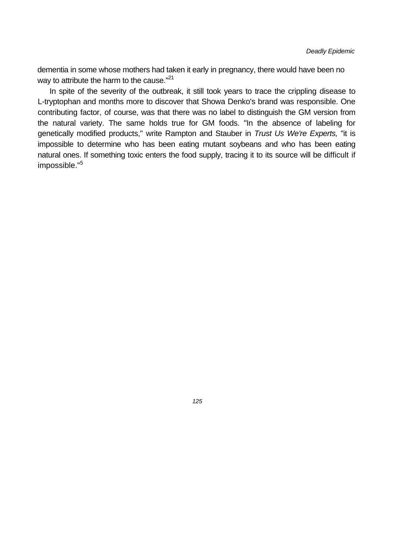dementia in some whose mothers had taken it early in pregnancy, there would have been no way to attribute the harm to the cause."<sup>21</sup>

In spite of the severity of the outbreak, it still took years to trace the crippling disease to L-tryptophan and months more to discover that Showa Denko's brand was responsible. One contributing factor, of course, was that there was no label to distinguish the GM version from the natural variety. The same holds true for GM foods. "In the absence of labeling for genetically modified products," write Rampton and Stauber in *Trust Us We're Experts,* "it is impossible to determine who has been eating mutant soybeans and who has been eating natural ones. If something toxic enters the food supply, tracing it to its source will be difficult if impossible."<sup>5</sup>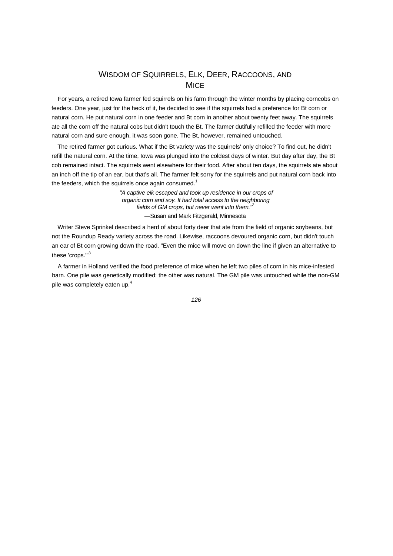# WISDOM OF SQUIRRELS, ELK, DEER, RACCOONS, AND **MICF**

For years, a retired Iowa farmer fed squirrels on his farm through the winter months by placing corncobs on feeders. One year, just for the heck of it, he decided to see if the squirrels had a preference for Bt corn or natural corn. He put natural corn in one feeder and Bt corn in another about twenty feet away. The squirrels ate all the corn off the natural cobs but didn't touch the Bt. The farmer dutifully refilled the feeder with more natural corn and sure enough, it was soon gone. The Bt, however, remained untouched.

The retired farmer got curious. What if the Bt variety was the squirrels' only choice? To find out, he didn't refill the natural corn. At the time, Iowa was plunged into the coldest days of winter. But day after day, the Bt cob remained intact. The squirrels went elsewhere for their food. After about ten days, the squirrels ate about an inch off the tip of an ear, but that's all. The farmer felt sorry for the squirrels and put natural corn back into the feeders, which the squirrels once again consumed.<sup>1</sup>

> *"A captive elk escaped and took up residence in our crops of organic corn and soy. It had total access to the neighboring fields of GM crops, but never went into them.*" —Susan and Mark Fitzgerald, Minnesota

Writer Steve Sprinkel described a herd of about forty deer that ate from the field of organic soybeans, but not the Roundup Ready variety across the road. Likewise, raccoons devoured organic corn, but didn't touch an ear of Bt corn growing down the road. "Even the mice will move on down the line if given an alternative to these 'crops.'"3

A farmer in Holland verified the food preference of mice when he left two piles of corn in his mice-infested barn. One pile was genetically modified; the other was natural. The GM pile was untouched while the non-GM pile was completely eaten up.<sup>4</sup>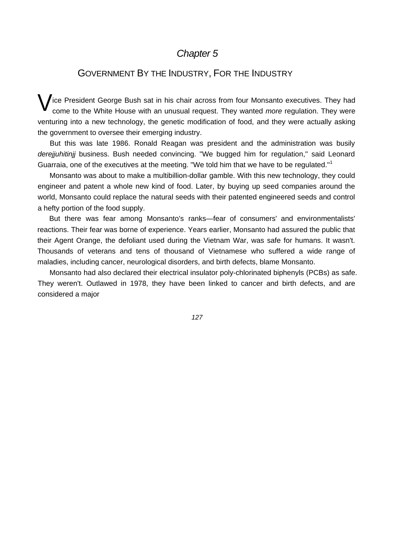# *Chapter 5*

# GOVERNMENT BY THE INDUSTRY, FOR THE INDUSTRY

Vice President George Bush sat in his chair across from four Monsanto executives. They had<br>come to the White House with an unusual request. They wanted more regulation. They were come to the White House with an unusual request. They wanted *more* regulation. They were venturing into a new technology, the genetic modification of food, and they were actually asking the government to oversee their emerging industry.

But this was late 1986. Ronald Reagan was president and the administration was busily *derejjuhitinjj* business. Bush needed convincing. "We bugged him for regulation,'' said Leonard Guarraia, one of the executives at the meeting. "We told him that we have to be regulated.''<sup>1</sup>

Monsanto was about to make a multibillion-dollar gamble. With this new technology, they could engineer and patent a whole new kind of food. Later, by buying up seed companies around the world, Monsanto could replace the natural seeds with their patented engineered seeds and control a hefty portion of the food supply.

But there was fear among Monsanto's ranks—fear of consumers' and environmentalists' reactions. Their fear was borne of experience. Years earlier, Monsanto had assured the public that their Agent Orange, the defoliant used during the Vietnam War, was safe for humans. It wasn't. Thousands of veterans and tens of thousand of Vietnamese who suffered a wide range of maladies, including cancer, neurological disorders, and birth defects, blame Monsanto.

Monsanto had also declared their electrical insulator poly-chlorinated biphenyls (PCBs) as safe. They weren't. Outlawed in 1978, they have been linked to cancer and birth defects, and are considered a major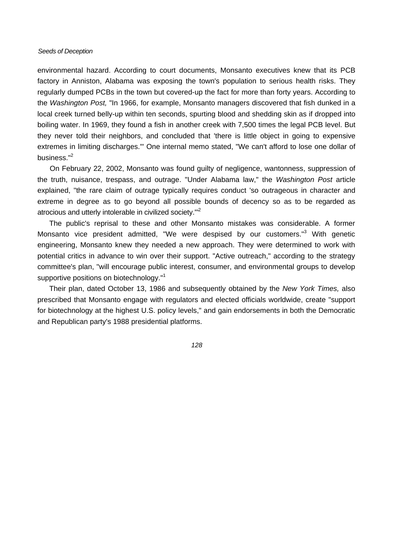environmental hazard. According to court documents, Monsanto executives knew that its PCB factory in Anniston, Alabama was exposing the town's population to serious health risks. They regularly dumped PCBs in the town but covered-up the fact for more than forty years. According to the *Washington Post,* "In 1966, for example, Monsanto managers discovered that fish dunked in a local creek turned belly-up within ten seconds, spurting blood and shedding skin as if dropped into boiling water. In 1969, they found a fish in another creek with 7,500 times the legal PCB level. But they never told their neighbors, and concluded that 'there is little object in going to expensive extremes in limiting discharges.'" One internal memo stated, "We can't afford to lose one dollar of business."<sup>2</sup>

On February 22, 2002, Monsanto was found guilty of negligence, wantonness, suppression of the truth, nuisance, trespass, and outrage. "Under Alabama law," the *Washington Post* article explained, "the rare claim of outrage typically requires conduct 'so outrageous in character and extreme in degree as to go beyond all possible bounds of decency so as to be regarded as atrocious and utterly intolerable in civilized society.'"2

The public's reprisal to these and other Monsanto mistakes was considerable. A former Monsanto vice president admitted, "We were despised by our customers."<sup>3</sup> With genetic engineering, Monsanto knew they needed a new approach. They were determined to work with potential critics in advance to win over their support. "Active outreach," according to the strategy committee's plan, "will encourage public interest, consumer, and environmental groups to develop supportive positions on biotechnology."<sup>1</sup>

Their plan, dated October 13, 1986 and subsequently obtained by the *New York Times,* also prescribed that Monsanto engage with regulators and elected officials worldwide, create "support for biotechnology at the highest U.S. policy levels," and gain endorsements in both the Democratic and Republican party's 1988 presidential platforms.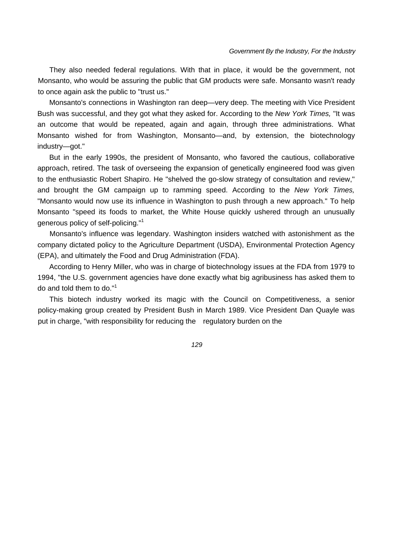They also needed federal regulations. With that in place, it would be the government, not Monsanto, who would be assuring the public that GM products were safe. Monsanto wasn't ready to once again ask the public to "trust us."

Monsanto's connections in Washington ran deep—very deep. The meeting with Vice President Bush was successful, and they got what they asked for. According to the *New York Times,* "It was an outcome that would be repeated, again and again, through three administrations. What Monsanto wished for from Washington, Monsanto—and, by extension, the biotechnology industry—got."

But in the early 1990s, the president of Monsanto, who favored the cautious, collaborative approach, retired. The task of overseeing the expansion of genetically engineered food was given to the enthusiastic Robert Shapiro. He "shelved the go-slow strategy of consultation and review," and brought the GM campaign up to ramming speed. According to the *New York Times,*  "Monsanto would now use its influence in Washington to push through a new approach." To help Monsanto "speed its foods to market, the White House quickly ushered through an unusually generous policy of self-policing."<sup>1</sup>

Monsanto's influence was legendary. Washington insiders watched with astonishment as the company dictated policy to the Agriculture Department (USDA), Environmental Protection Agency (EPA), and ultimately the Food and Drug Administration (FDA).

According to Henry Miller, who was in charge of biotechnology issues at the FDA from 1979 to 1994, "the U.S. government agencies have done exactly what big agribusiness has asked them to do and told them to do."<sup>1</sup>

This biotech industry worked its magic with the Council on Competitiveness, a senior policy-making group created by President Bush in March 1989. Vice President Dan Quayle was put in charge, "with responsibility for reducing the regulatory burden on the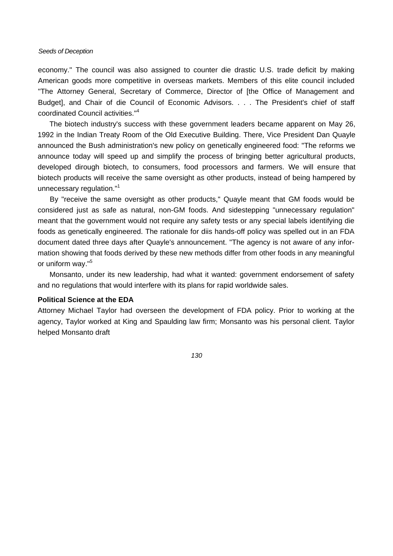economy." The council was also assigned to counter die drastic U.S. trade deficit by making American goods more competitive in overseas markets. Members of this elite council included "The Attorney General, Secretary of Commerce, Director of [the Office of Management and Budget], and Chair of die Council of Economic Advisors. . . . The President's chief of staff coordinated Council activities."<sup>4</sup>

The biotech industry's success with these government leaders became apparent on May 26, 1992 in the Indian Treaty Room of the Old Executive Building. There, Vice President Dan Quayle announced the Bush administration's new policy on genetically engineered food: "The reforms we announce today will speed up and simplify the process of bringing better agricultural products, developed dirough biotech, to consumers, food processors and farmers. We will ensure that biotech products will receive the same oversight as other products, instead of being hampered by unnecessary regulation."<sup>1</sup>

By "receive the same oversight as other products," Quayle meant that GM foods would be considered just as safe as natural, non-GM foods. And sidestepping "unnecessary regulation" meant that the government would not require any safety tests or any special labels identifying die foods as genetically engineered. The rationale for diis hands-off policy was spelled out in an FDA document dated three days after Quayle's announcement. "The agency is not aware of any information showing that foods derived by these new methods differ from other foods in any meaningful or uniform way."5

Monsanto, under its new leadership, had what it wanted: government endorsement of safety and no regulations that would interfere with its plans for rapid worldwide sales.

## **Political Science at the EDA**

Attorney Michael Taylor had overseen the development of FDA policy. Prior to working at the agency, Taylor worked at King and Spaulding law firm; Monsanto was his personal client. Taylor helped Monsanto draft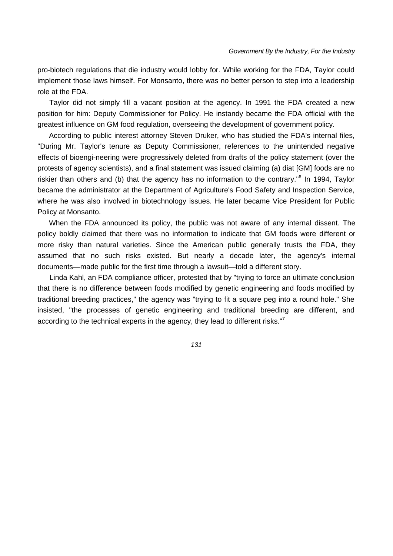pro-biotech regulations that die industry would lobby for. While working for the FDA, Taylor could implement those laws himself. For Monsanto, there was no better person to step into a leadership role at the FDA.

Taylor did not simply fill a vacant position at the agency. In 1991 the FDA created a new position for him: Deputy Commissioner for Policy. He instandy became the FDA official with the greatest influence on GM food regulation, overseeing the development of government policy.

According to public interest attorney Steven Druker, who has studied the FDA's internal files, "During Mr. Taylor's tenure as Deputy Commissioner, references to the unintended negative effects of bioengi-neering were progressively deleted from drafts of the policy statement (over the protests of agency scientists), and a final statement was issued claiming (a) diat [GM] foods are no riskier than others and (b) that the agency has no information to the contrary."<sup>6</sup> In 1994, Taylor became the administrator at the Department of Agriculture's Food Safety and Inspection Service, where he was also involved in biotechnology issues. He later became Vice President for Public Policy at Monsanto.

When the FDA announced its policy, the public was not aware of any internal dissent. The policy boldly claimed that there was no information to indicate that GM foods were different or more risky than natural varieties. Since the American public generally trusts the FDA, they assumed that no such risks existed. But nearly a decade later, the agency's internal documents—made public for the first time through a lawsuit—told a different story.

Linda Kahl, an FDA compliance officer, protested that by "trying to force an ultimate conclusion that there is no difference between foods modified by genetic engineering and foods modified by traditional breeding practices," the agency was "trying to fit a square peg into a round hole." She insisted, "the processes of genetic engineering and traditional breeding are different, and according to the technical experts in the agency, they lead to different risks."<sup>7</sup>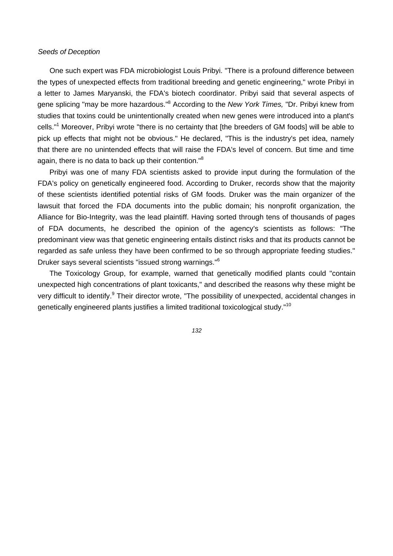One such expert was FDA microbiologist Louis Pribyi. "There is a profound difference between the types of unexpected effects from traditional breeding and genetic engineering," wrote Pribyi in a letter to James Maryanski, the FDA's biotech coordinator. Pribyi said that several aspects of gene splicing "may be more hazardous."<sup>8</sup> According to the *New York Times,* "Dr. Pribyi knew from studies that toxins could be unintentionally created when new genes were introduced into a plant's cells."<sup>1</sup> Moreover, Pribyi wrote "there is no certainty that [the breeders of GM foods] will be able to pick up effects that might not be obvious." He declared, "This is the industry's pet idea, namely that there are no unintended effects that will raise the FDA's level of concern. But time and time again, there is no data to back up their contention."<sup>8</sup>

Pribyi was one of many FDA scientists asked to provide input during the formulation of the FDA's policy on genetically engineered food. According to Druker, records show that the majority of these scientists identified potential risks of GM foods. Druker was the main organizer of the lawsuit that forced the FDA documents into the public domain; his nonprofit organization, the Alliance for Bio-Integrity, was the lead plaintiff. Having sorted through tens of thousands of pages of FDA documents, he described the opinion of the agency's scientists as follows: "The predominant view was that genetic engineering entails distinct risks and that its products cannot be regarded as safe unless they have been confirmed to be so through appropriate feeding studies." Druker says several scientists "issued strong warnings."<sup>6</sup>

The Toxicology Group, for example, warned that genetically modified plants could "contain unexpected high concentrations of plant toxicants," and described the reasons why these might be very difficult to identify.<sup>9</sup> Their director wrote, "The possibility of unexpected, accidental changes in genetically engineered plants justifies a limited traditional toxicologjcal study."<sup>10</sup>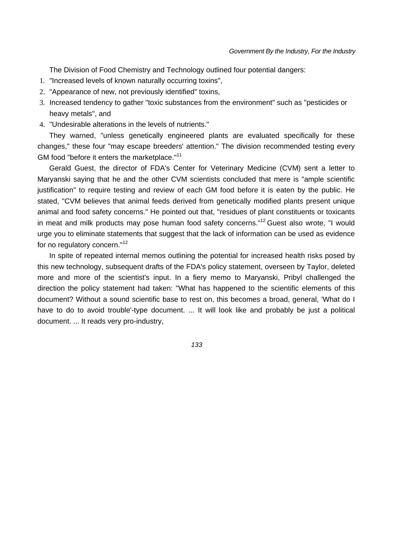The Division of Food Chemistry and Technology outlined four potential dangers:

- 1. "Increased levels of known naturally occurring toxins",
- 2. "Appearance of new, not previously identified" toxins,
- 3. Increased tendency to gather "toxic substances from the environment" such as "pesticides or heavy metals", and
- 4. "Undesirable alterations in the levels of nutrients."

They warned, "unless genetically engineered plants are evaluated specifically for these changes," these four "may escape breeders' attention." The division recommended testing every GM food "before it enters the marketplace."<sup>11</sup>

Gerald Guest, the director of FDA's Center for Veterinary Medicine (CVM) sent a letter to Maryanski saying that he and the other CVM scientists concluded that mere is "ample scientific justification" to require testing and review of each GM food before it is eaten by the public. He stated, "CVM believes that animal feeds derived from genetically modified plants present unique animal and food safety concerns." He pointed out that, "residues of plant constituents or toxicants in meat and milk products may pose human food safety concerns."<sup>12</sup> Guest also wrote. "I would urge you to eliminate statements that suggest that the lack of information can be used as evidence for no regulatory concern."<sup>12</sup>

In spite of repeated internal memos outlining the potential for increased health risks posed by this new technology, subsequent drafts of the FDA's policy statement, overseen by Taylor, deleted more and more of the scientist's input. In a fiery memo to Maryanski, Pribyl challenged the direction the policy statement had taken: "What has happened to the scientific elements of this document? Without a sound scientific base to rest on, this becomes a broad, general, 'What do I have to do to avoid trouble'-type document. ... It will look like and probably be just a political document. ... It reads very pro-industry,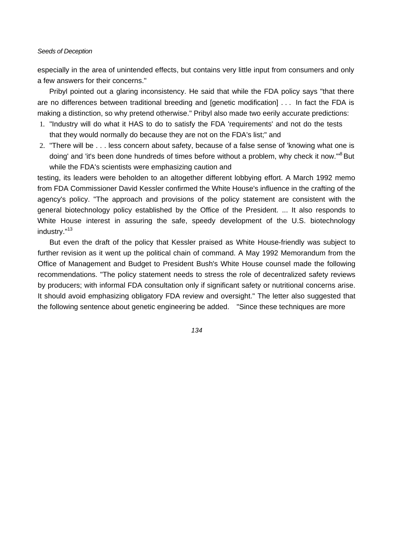especially in the area of unintended effects, but contains very little input from consumers and only a few answers for their concerns."

Pribyl pointed out a glaring inconsistency. He said that while the FDA policy says "that there are no differences between traditional breeding and [genetic modification] . . . In fact the FDA is making a distinction, so why pretend otherwise." Pribyl also made two eerily accurate predictions:

- 1. "Industry will do what it HAS to do to satisfy the FDA 'requirements' and not do the tests that they would normally do because they are not on the FDA's list;" and
- 2. "There will be . . . less concern about safety, because of a false sense of 'knowing what one is doing' and 'it's been done hundreds of times before without a problem, why check it now.'"8 But while the FDA's scientists were emphasizing caution and

testing, its leaders were beholden to an altogether different lobbying effort. A March 1992 memo from FDA Commissioner David Kessler confirmed the White House's influence in the crafting of the agency's policy. "The approach and provisions of the policy statement are consistent with the general biotechnology policy established by the Office of the President. ... It also responds to White House interest in assuring the safe, speedy development of the U.S. biotechnology industrv."<sup>13</sup>

But even the draft of the policy that Kessler praised as White House-friendly was subject to further revision as it went up the political chain of command. A May 1992 Memorandum from the Office of Management and Budget to President Bush's White House counsel made the following recommendations. "The policy statement needs to stress the role of decentralized safety reviews by producers; with informal FDA consultation only if significant safety or nutritional concerns arise. It should avoid emphasizing obligatory FDA review and oversight." The letter also suggested that the following sentence about genetic engineering be added. "Since these techniques are more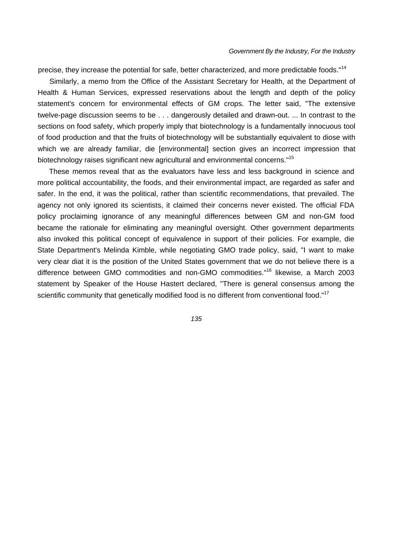precise, they increase the potential for safe, better characterized, and more predictable foods."<sup>14</sup>

Similarly, a memo from the Office of the Assistant Secretary for Health, at the Department of Health & Human Services, expressed reservations about the length and depth of the policy statement's concern for environmental effects of GM crops. The letter said, "The extensive twelve-page discussion seems to be . . . dangerously detailed and drawn-out. ... In contrast to the sections on food safety, which properly imply that biotechnology is a fundamentally innocuous tool of food production and that the fruits of biotechnology will be substantially equivalent to diose with which we are already familiar, die [environmental] section gives an incorrect impression that biotechnology raises significant new agricultural and environmental concerns."<sup>15</sup>

These memos reveal that as the evaluators have less and less background in science and more political accountability, the foods, and their environmental impact, are regarded as safer and safer. In the end, it was the political, rather than scientific recommendations, that prevailed. The agency not only ignored its scientists, it claimed their concerns never existed. The official FDA policy proclaiming ignorance of any meaningful differences between GM and non-GM food became the rationale for eliminating any meaningful oversight. Other government departments also invoked this political concept of equivalence in support of their policies. For example, die State Department's Melinda Kimble, while negotiating GMO trade policy, said, "I want to make very clear diat it is the position of the United States government that we do not believe there is a difference between GMO commodities and non-GMO commodities."16 likewise, a March 2003 statement by Speaker of the House Hastert declared, "There is general consensus among the scientific community that genetically modified food is no different from conventional food."<sup>17</sup>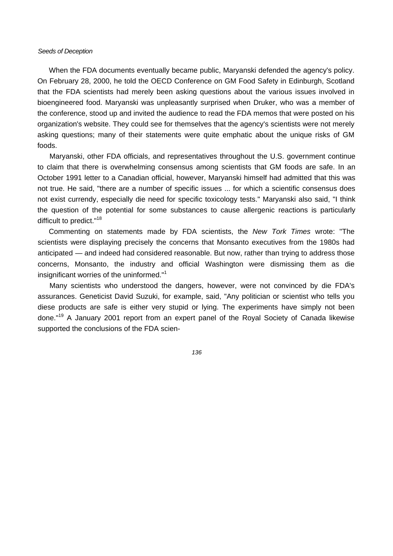When the FDA documents eventually became public, Maryanski defended the agency's policy. On February 28, 2000, he told the OECD Conference on GM Food Safety in Edinburgh, Scotland that the FDA scientists had merely been asking questions about the various issues involved in bioengineered food. Maryanski was unpleasantly surprised when Druker, who was a member of the conference, stood up and invited the audience to read the FDA memos that were posted on his organization's website. They could see for themselves that the agency's scientists were not merely asking questions; many of their statements were quite emphatic about the unique risks of GM foods.

Maryanski, other FDA officials, and representatives throughout the U.S. government continue to claim that there is overwhelming consensus among scientists that GM foods are safe. In an October 1991 letter to a Canadian official, however, Maryanski himself had admitted that this was not true. He said, "there are a number of specific issues ... for which a scientific consensus does not exist currendy, especially die need for specific toxicology tests." Maryanski also said, "I think the question of the potential for some substances to cause allergenic reactions is particularly difficult to predict."<sup>18</sup>

Commenting on statements made by FDA scientists, the *New Tork Times* wrote: "The scientists were displaying precisely the concerns that Monsanto executives from the 1980s had anticipated — and indeed had considered reasonable. But now, rather than trying to address those concerns, Monsanto, the industry and official Washington were dismissing them as die insignificant worries of the uninformed."<sup>1</sup>

Many scientists who understood the dangers, however, were not convinced by die FDA's assurances. Geneticist David Suzuki, for example, said, "Any politician or scientist who tells you diese products are safe is either very stupid or lying. The experiments have simply not been done."<sup>19</sup> A January 2001 report from an expert panel of the Royal Society of Canada likewise supported the conclusions of the FDA scien-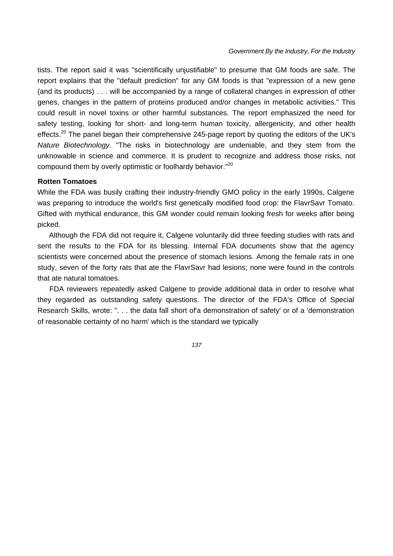tists. The report said it was "scientifically unjustifiable" to presume that GM foods are safe. The report explains that the "default prediction" for any GM foods is that "expression of a new gene (and its products) . . . will be accompanied by a range of collateral changes in expression of other genes, changes in the pattern of proteins produced and/or changes in metabolic activities." This could result in novel toxins or other harmful substances. The report emphasized the need for safety testing, looking for short- and long-term human toxicity, allergenicity, and other health effects.<sup>20</sup> The panel began their comprehensive 245-page report by quoting the editors of the UK's *Nature Biotechnology.* "The risks in biotechnology are undeniable, and they stem from the unknowable in science and commerce. It is prudent to recognize and address those risks, not compound them by overly optimistic or foolhardy behavior."<sup>20</sup>

## **Rotten Tomatoes**

While the FDA was busily crafting their industry-friendly GMO policy in the early 1990s, Calgene was preparing to introduce the world's first genetically modified food crop: the FlavrSavr Tomato. Gifted with mythical endurance, this GM wonder could remain looking fresh for weeks after being picked.

Although the FDA did not require it, Calgene voluntarily did three feeding studies with rats and sent the results to the FDA for its blessing. Internal FDA documents show that the agency scientists were concerned about the presence of stomach lesions. Among the female rats in one study, seven of the forty rats that ate the FlavrSavr had lesions; none were found in the controls that ate natural tomatoes.

FDA reviewers repeatedly asked Calgene to provide additional data in order to resolve what they regarded as outstanding safety questions. The director of the FDA's Office of Special Research Skills, wrote: ". . . the data fall short of'a demonstration of safety' or of a 'demonstration of reasonable certainty of no harm' which is the standard we typically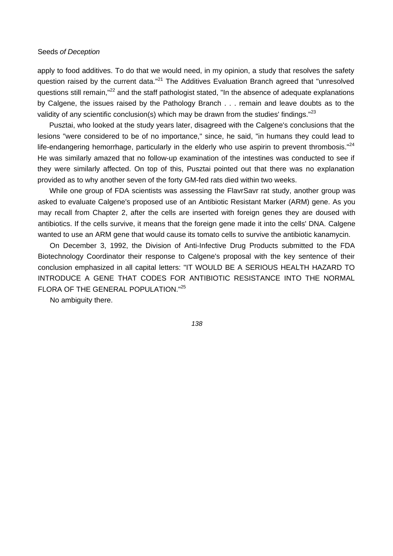apply to food additives. To do that we would need, in my opinion, a study that resolves the safety question raised by the current data."<sup>21</sup> The Additives Evaluation Branch agreed that "unresolved questions still remain,"<sup>22</sup> and the staff pathologist stated, "In the absence of adequate explanations by Calgene, the issues raised by the Pathology Branch . . . remain and leave doubts as to the validity of any scientific conclusion(s) which may be drawn from the studies' findings." $^{23}$ 

Pusztai, who looked at the study years later, disagreed with the Calgene's conclusions that the lesions "were considered to be of no importance," since, he said, "in humans they could lead to life-endangering hemorrhage, particularly in the elderly who use aspirin to prevent thrombosis.<sup>"24</sup> He was similarly amazed that no follow-up examination of the intestines was conducted to see if they were similarly affected. On top of this, Pusztai pointed out that there was no explanation provided as to why another seven of the forty GM-fed rats died within two weeks.

While one group of FDA scientists was assessing the FlavrSavr rat study, another group was asked to evaluate Calgene's proposed use of an Antibiotic Resistant Marker (ARM) gene. As you may recall from Chapter 2, after the cells are inserted with foreign genes they are doused with antibiotics. If the cells survive, it means that the foreign gene made it into the cells' DNA. Calgene wanted to use an ARM gene that would cause its tomato cells to survive the antibiotic kanamycin.

On December 3, 1992, the Division of Anti-Infective Drug Products submitted to the FDA Biotechnology Coordinator their response to Calgene's proposal with the key sentence of their conclusion emphasized in all capital letters: "IT WOULD BE A SERIOUS HEALTH HAZARD TO INTRODUCE A GENE THAT CODES FOR ANTIBIOTIC RESISTANCE INTO THE NORMAL FLORA OF THE GENERAL POPULATION."<sup>25</sup>

No ambiguity there.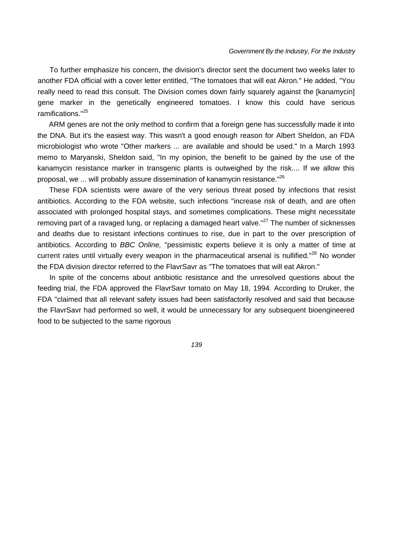## *Government By the Industry, For the Industry*

To further emphasize his concern, the division's director sent the document two weeks later to another FDA official with a cover letter entitled, "The tomatoes that will eat Akron." He added, "You really need to read this consult. The Division comes down fairly squarely against the [kanamycin] gene marker in the genetically engineered tomatoes. I know this could have serious ramifications."<sup>25</sup>

ARM genes are not the only method to confirm that a foreign gene has successfully made it into the DNA. But it's the easiest way. This wasn't a good enough reason for Albert Sheldon, an FDA microbiologist who wrote "Other markers ... are available and should be used." In a March 1993 memo to Maryanski, Sheldon said, "In my opinion, the benefit to be gained by the use of the kanamycin resistance marker in transgenic plants is outweighed by the risk.... If we allow this proposal, we ... will probably assure dissemination of kanamycin resistance."26

These FDA scientists were aware of the very serious threat posed by infections that resist antibiotics. According to the FDA website, such infections "increase risk of death, and are often associated with prolonged hospital stays, and sometimes complications. These might necessitate removing part of a ravaged lung, or replacing a damaged heart valve." $27$  The number of sicknesses and deaths due to resistant infections continues to rise, due in part to the over prescription of antibiotics. According to *BBC Online,* "pessimistic experts believe it is only a matter of time at current rates until virtually every weapon in the pharmaceutical arsenal is nullified."<sup>28</sup> No wonder the FDA division director referred to the FlavrSavr as "The tomatoes that will eat Akron."

In spite of the concerns about antibiotic resistance and the unresolved questions about the feeding trial, the FDA approved the FlavrSavr tomato on May 18, 1994. According to Druker, the FDA "claimed that all relevant safety issues had been satisfactorily resolved and said that because the FlavrSavr had performed so well, it would be unnecessary for any subsequent bioengineered food to be subjected to the same rigorous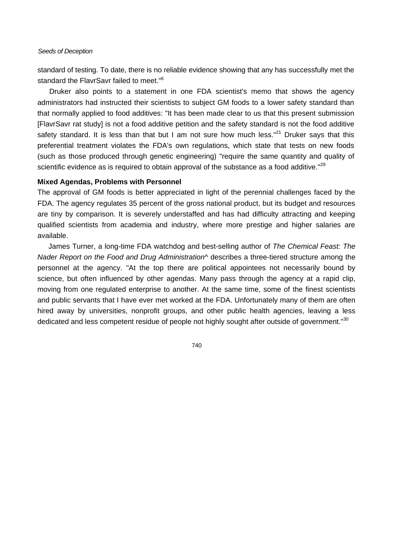standard of testing. To date, there is no reliable evidence showing that any has successfully met the standard the FlavrSavr failed to meet."<sup>6</sup>

Druker also points to a statement in one FDA scientist's memo that shows the agency administrators had instructed their scientists to subject GM foods to a lower safety standard than that normally applied to food additives: "It has been made clear to us that this present submission [FlavrSavr rat study] is not a food additive petition and the safety standard is not the food additive safety standard. It is less than that but I am not sure how much less."<sup>21</sup> Druker says that this preferential treatment violates the FDA's own regulations, which state that tests on new foods (such as those produced through genetic engineering) "require the same quantity and quality of scientific evidence as is required to obtain approval of the substance as a food additive."<sup>29</sup>

## **Mixed Agendas, Problems with Personnel**

The approval of GM foods is better appreciated in light of the perennial challenges faced by the FDA. The agency regulates 35 percent of the gross national product, but its budget and resources are tiny by comparison. It is severely understaffed and has had difficulty attracting and keeping qualified scientists from academia and industry, where more prestige and higher salaries are available.

James Turner, a long-time FDA watchdog and best-selling author of *The Chemical Feast: The Nader Report on the Food and Drug Administration^* describes a three-tiered structure among the personnel at the agency. "At the top there are political appointees not necessarily bound by science, but often influenced by other agendas. Many pass through the agency at a rapid clip, moving from one regulated enterprise to another. At the same time, some of the finest scientists and public servants that I have ever met worked at the FDA. Unfortunately many of them are often hired away by universities, nonprofit groups, and other public health agencies, leaving a less dedicated and less competent residue of people not highly sought after outside of government."<sup>30</sup>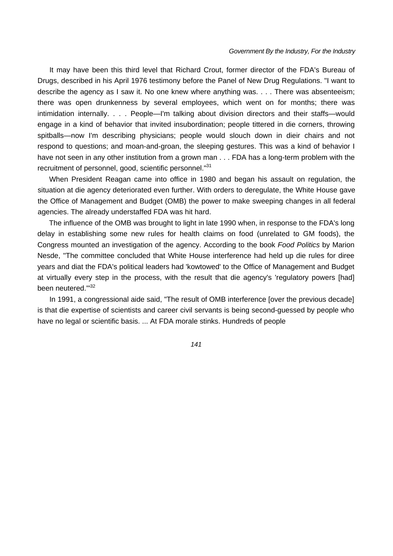It may have been this third level that Richard Crout, former director of the FDA's Bureau of Drugs, described in his April 1976 testimony before the Panel of New Drug Regulations. "I want to describe the agency as I saw it. No one knew where anything was. . . . There was absenteeism; there was open drunkenness by several employees, which went on for months; there was intimidation internally. . . . People—I'm talking about division directors and their staffs—would engage in a kind of behavior that invited insubordination; people tittered in die corners, throwing spitballs—now I'm describing physicians; people would slouch down in dieir chairs and not respond to questions; and moan-and-groan, the sleeping gestures. This was a kind of behavior I have not seen in any other institution from a grown man . . . FDA has a long-term problem with the recruitment of personnel, good, scientific personnel."<sup>31</sup>

When President Reagan came into office in 1980 and began his assault on regulation, the situation at die agency deteriorated even further. With orders to deregulate, the White House gave the Office of Management and Budget (OMB) the power to make sweeping changes in all federal agencies. The already understaffed FDA was hit hard.

The influence of the OMB was brought to light in late 1990 when, in response to the FDA's long delay in establishing some new rules for health claims on food (unrelated to GM foods), the Congress mounted an investigation of the agency. According to the book *Food Politics* by Marion Nesde, "The committee concluded that White House interference had held up die rules for diree years and diat the FDA's political leaders had 'kowtowed' to the Office of Management and Budget at virtually every step in the process, with the result that die agency's 'regulatory powers [had] been neutered."<sup>32</sup>

In 1991, a congressional aide said, "The result of OMB interference [over the previous decade] is that die expertise of scientists and career civil servants is being second-guessed by people who have no legal or scientific basis. ... At FDA morale stinks. Hundreds of people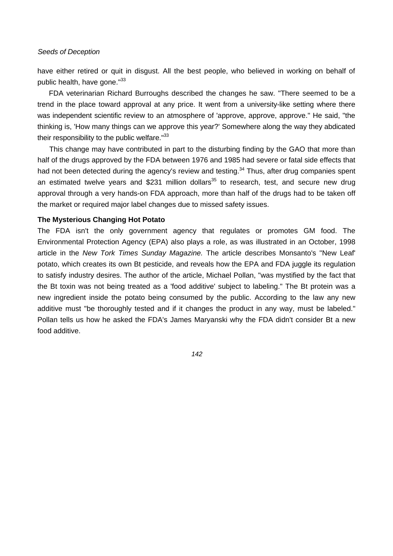have either retired or quit in disgust. All the best people, who believed in working on behalf of public health, have gone."<sup>33</sup>

FDA veterinarian Richard Burroughs described the changes he saw. "There seemed to be a trend in the place toward approval at any price. It went from a university-like setting where there was independent scientific review to an atmosphere of 'approve, approve, approve." He said, "the thinking is, 'How many things can we approve this year?' Somewhere along the way they abdicated their responsibility to the public welfare."<sup>33</sup>

This change may have contributed in part to the disturbing finding by the GAO that more than half of the drugs approved by the FDA between 1976 and 1985 had severe or fatal side effects that had not been detected during the agency's review and testing.<sup>34</sup> Thus, after drug companies spent an estimated twelve years and \$231 million dollars<sup>35</sup> to research, test, and secure new drug approval through a very hands-on FDA approach, more than half of the drugs had to be taken off the market or required major label changes due to missed safety issues.

# **The Mysterious Changing Hot Potato**

The FDA isn't the only government agency that regulates or promotes GM food. The Environmental Protection Agency (EPA) also plays a role, as was illustrated in an October, 1998 article in the *New Tork Times Sunday Magazine.* The article describes Monsanto's "New Leaf' potato, which creates its own Bt pesticide, and reveals how the EPA and FDA juggle its regulation to satisfy industry desires. The author of the article, Michael Pollan, "was mystified by the fact that the Bt toxin was not being treated as a 'food additive' subject to labeling." The Bt protein was a new ingredient inside the potato being consumed by the public. According to the law any new additive must "be thoroughly tested and if it changes the product in any way, must be labeled." Pollan tells us how he asked the FDA's James Maryanski why the FDA didn't consider Bt a new food additive.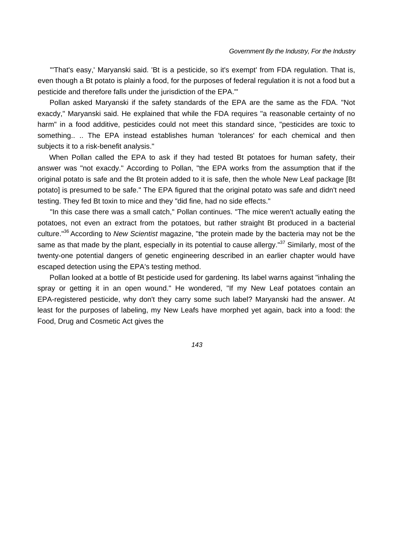"'That's easy,' Maryanski said. 'Bt is a pesticide, so it's exempt' from FDA regulation. That is, even though a Bt potato is plainly a food, for the purposes of federal regulation it is not a food but a pesticide and therefore falls under the jurisdiction of the EPA.'"

Pollan asked Maryanski if the safety standards of the EPA are the same as the FDA. "Not exacdy," Maryanski said. He explained that while the FDA requires "a reasonable certainty of no harm" in a food additive, pesticides could not meet this standard since, "pesticides are toxic to something.. .. The EPA instead establishes human 'tolerances' for each chemical and then subjects it to a risk-benefit analysis."

When Pollan called the EPA to ask if they had tested Bt potatoes for human safety, their answer was "not exacdy." According to Pollan, "the EPA works from the assumption that if the original potato is safe and the Bt protein added to it is safe, then the whole New Leaf package [Bt potato] is presumed to be safe." The EPA figured that the original potato was safe and didn't need testing. They fed Bt toxin to mice and they "did fine, had no side effects."

"In this case there was a small catch," Pollan continues. "The mice weren't actually eating the potatoes, not even an extract from the potatoes, but rather straight Bt produced in a bacterial culture."36 According to *New Scientist* magazine, "the protein made by the bacteria may not be the same as that made by the plant, especially in its potential to cause allergy."<sup>37</sup> Similarly, most of the twenty-one potential dangers of genetic engineering described in an earlier chapter would have escaped detection using the EPA's testing method.

Pollan looked at a bottle of Bt pesticide used for gardening. Its label warns against "inhaling the spray or getting it in an open wound." He wondered, "If my New Leaf potatoes contain an EPA-registered pesticide, why don't they carry some such label? Maryanski had the answer. At least for the purposes of labeling, my New Leafs have morphed yet again, back into a food: the Food, Drug and Cosmetic Act gives the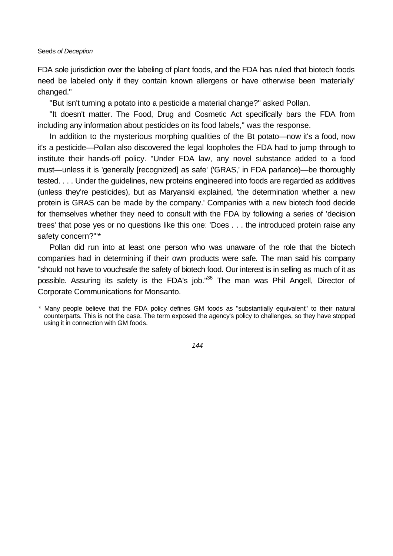FDA sole jurisdiction over the labeling of plant foods, and the FDA has ruled that biotech foods need be labeled only if they contain known allergens or have otherwise been 'materially' changed."

"But isn't turning a potato into a pesticide a material change?" asked Pollan.

"It doesn't matter. The Food, Drug and Cosmetic Act specifically bars the FDA from including any information about pesticides on its food labels," was the response.

In addition to the mysterious morphing qualities of the Bt potato—now it's a food, now it's a pesticide—Pollan also discovered the legal loopholes the FDA had to jump through to institute their hands-off policy. "Under FDA law, any novel substance added to a food must—unless it is 'generally [recognized] as safe' ('GRAS,' in FDA parlance)—be thoroughly tested. . . . Under the guidelines, new proteins engineered into foods are regarded as additives (unless they're pesticides), but as Maryanski explained, 'the determination whether a new protein is GRAS can be made by the company.' Companies with a new biotech food decide for themselves whether they need to consult with the FDA by following a series of 'decision trees' that pose yes or no questions like this one: 'Does . . . the introduced protein raise any safety concern?"\*

Pollan did run into at least one person who was unaware of the role that the biotech companies had in determining if their own products were safe. The man said his company "should not have to vouchsafe the safety of biotech food. Our interest is in selling as much of it as possible. Assuring its safety is the FDA's job."<sup>36</sup> The man was Phil Angell, Director of Corporate Communications for Monsanto.

<sup>\*</sup> Many people believe that the FDA policy defines GM foods as "substantially equivalent" to their natural counterparts. This is not the case. The term exposed the agency's policy to challenges, so they have stopped using it in connection with GM foods.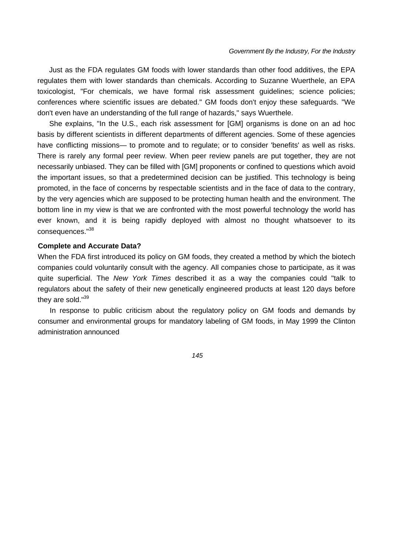Just as the FDA regulates GM foods with lower standards than other food additives, the EPA regulates them with lower standards than chemicals. According to Suzanne Wuerthele, an EPA toxicologist, "For chemicals, we have formal risk assessment guidelines; science policies; conferences where scientific issues are debated." GM foods don't enjoy these safeguards. "We don't even have an understanding of the full range of hazards," says Wuerthele.

She explains, "In the U.S., each risk assessment for [GM] organisms is done on an ad hoc basis by different scientists in different departments of different agencies. Some of these agencies have conflicting missions— to promote and to regulate; or to consider 'benefits' as well as risks. There is rarely any formal peer review. When peer review panels are put together, they are not necessarily unbiased. They can be filled with [GM] proponents or confined to questions which avoid the important issues, so that a predetermined decision can be justified. This technology is being promoted, in the face of concerns by respectable scientists and in the face of data to the contrary, by the very agencies which are supposed to be protecting human health and the environment. The bottom line in my view is that we are confronted with the most powerful technology the world has ever known, and it is being rapidly deployed with almost no thought whatsoever to its consequences."<sup>38</sup>

# **Complete and Accurate Data?**

When the FDA first introduced its policy on GM foods, they created a method by which the biotech companies could voluntarily consult with the agency. All companies chose to participate, as it was quite superficial. The *New York Times* described it as a way the companies could "talk to regulators about the safety of their new genetically engineered products at least 120 days before they are sold."<sup>39</sup>

In response to public criticism about the regulatory policy on GM foods and demands by consumer and environmental groups for mandatory labeling of GM foods, in May 1999 the Clinton administration announced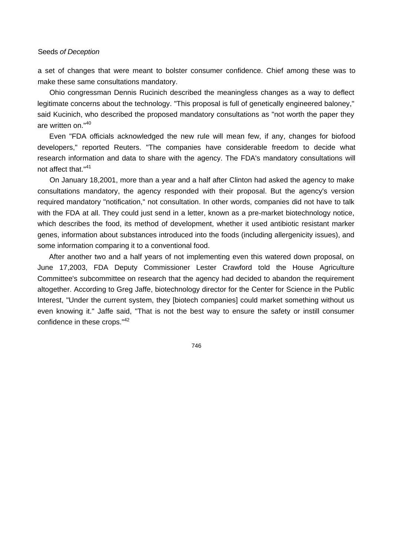a set of changes that were meant to bolster consumer confidence. Chief among these was to make these same consultations mandatory.

Ohio congressman Dennis Rucinich described the meaningless changes as a way to deflect legitimate concerns about the technology. "This proposal is full of genetically engineered baloney," said Kucinich, who described the proposed mandatory consultations as "not worth the paper they are written on "40

Even "FDA officials acknowledged the new rule will mean few, if any, changes for biofood developers," reported Reuters. "The companies have considerable freedom to decide what research information and data to share with the agency. The FDA's mandatory consultations will not affect that."<sup>41</sup>

On January 18,2001, more than a year and a half after Clinton had asked the agency to make consultations mandatory, the agency responded with their proposal. But the agency's version required mandatory "notification," not consultation. In other words, companies did not have to talk with the FDA at all. They could just send in a letter, known as a pre-market biotechnology notice, which describes the food, its method of development, whether it used antibiotic resistant marker genes, information about substances introduced into the foods (including allergenicity issues), and some information comparing it to a conventional food.

After another two and a half years of not implementing even this watered down proposal, on June 17,2003, FDA Deputy Commissioner Lester Crawford told the House Agriculture Committee's subcommittee on research that the agency had decided to abandon the requirement altogether. According to Greg Jaffe, biotechnology director for the Center for Science in the Public Interest, "Under the current system, they [biotech companies] could market something without us even knowing it." Jaffe said, "That is not the best way to ensure the safety or instill consumer confidence in these crops."<sup>42</sup>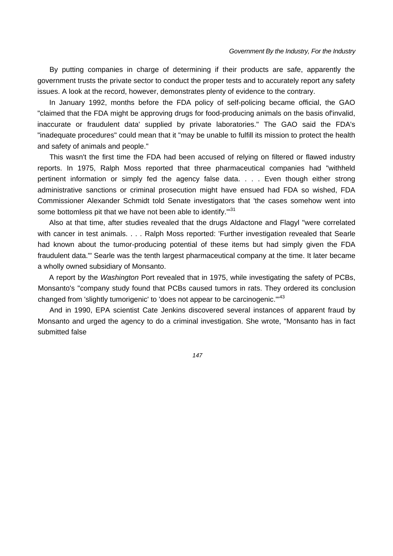By putting companies in charge of determining if their products are safe, apparently the government trusts the private sector to conduct the proper tests and to accurately report any safety issues. A look at the record, however, demonstrates plenty of evidence to the contrary.

In January 1992, months before the FDA policy of self-policing became official, the GAO "claimed that the FDA might be approving drugs for food-producing animals on the basis of'invalid, inaccurate or fraudulent data' supplied by private laboratories." The GAO said the FDA's "inadequate procedures" could mean that it "may be unable to fulfill its mission to protect the health and safety of animals and people."

This wasn't the first time the FDA had been accused of relying on filtered or flawed industry reports. In 1975, Ralph Moss reported that three pharmaceutical companies had "withheld pertinent information or simply fed the agency false data. . . . Even though either strong administrative sanctions or criminal prosecution might have ensued had FDA so wished, FDA Commissioner Alexander Schmidt told Senate investigators that 'the cases somehow went into some bottomless pit that we have not been able to identify."<sup>31</sup>

Also at that time, after studies revealed that the drugs Aldactone and Flagyl "were correlated with cancer in test animals. . . . Ralph Moss reported: 'Further investigation revealed that Searle had known about the tumor-producing potential of these items but had simply given the FDA fraudulent data.'" Searle was the tenth largest pharmaceutical company at the time. It later became a wholly owned subsidiary of Monsanto.

A report by the *Washington* Port revealed that in 1975, while investigating the safety of PCBs, Monsanto's "company study found that PCBs caused tumors in rats. They ordered its conclusion changed from 'slightly tumorigenic' to 'does not appear to be carcinogenic.'"<sup>43</sup>

And in 1990, EPA scientist Cate Jenkins discovered several instances of apparent fraud by Monsanto and urged the agency to do a criminal investigation. She wrote, "Monsanto has in fact submitted false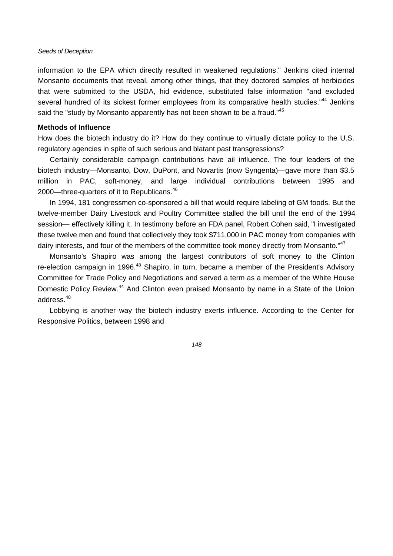information to the EPA which directly resulted in weakened regulations." Jenkins cited internal Monsanto documents that reveal, among other things, that they doctored samples of herbicides that were submitted to the USDA, hid evidence, substituted false information "and excluded several hundred of its sickest former emplovees from its comparative health studies."<sup>44</sup> Jenkins said the "study by Monsanto apparently has not been shown to be a fraud."<sup>45</sup>

# **Methods of Influence**

How does the biotech industry do it? How do they continue to virtually dictate policy to the U.S. regulatory agencies in spite of such serious and blatant past transgressions?

Certainly considerable campaign contributions have ail influence. The four leaders of the biotech industry—Monsanto, Dow, DuPont, and Novartis (now Syngenta)—gave more than \$3.5 million in PAC, soft-money, and large individual contributions between 1995 and 2000—three-quarters of it to Republicans.<sup>46</sup>

In 1994, 181 congressmen co-sponsored a bill that would require labeling of GM foods. But the twelve-member Dairy Livestock and Poultry Committee stalled the bill until the end of the 1994 session— effectively killing it. In testimony before an FDA panel, Robert Cohen said, "I investigated these twelve men and found that collectively they took \$711,000 in PAC money from companies with dairy interests, and four of the members of the committee took money directly from Monsanto."<sup>47</sup>

Monsanto's Shapiro was among the largest contributors of soft money to the Clinton re-election campaign in 1996.<sup>48</sup> Shapiro, in turn, became a member of the President's Advisory Committee for Trade Policy and Negotiations and served a term as a member of the White House Domestic Policy Review.<sup>44</sup> And Clinton even praised Monsanto by name in a State of the Union address.<sup>48</sup>

Lobbying is another way the biotech industry exerts influence. According to the Center for Responsive Politics, between 1998 and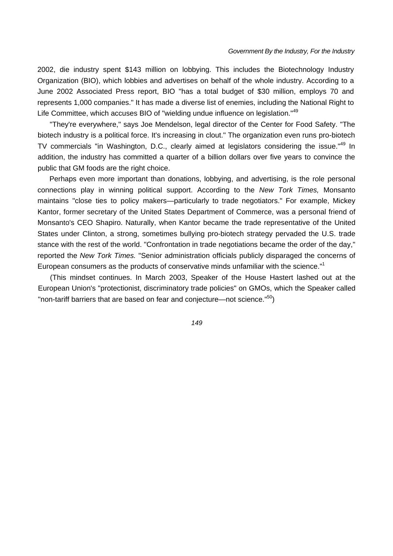2002, die industry spent \$143 million on lobbying. This includes the Biotechnology Industry Organization (BIO), which lobbies and advertises on behalf of the whole industry. According to a June 2002 Associated Press report, BIO "has a total budget of \$30 million, employs 70 and represents 1,000 companies." It has made a diverse list of enemies, including the National Right to Life Committee, which accuses BIO of "wielding undue influence on legislation."<sup>49</sup>

"They're everywhere," says Joe Mendelson, legal director of the Center for Food Safety. "The biotech industry is a political force. It's increasing in clout." The organization even runs pro-biotech TV commercials "in Washington, D.C., clearly aimed at legislators considering the issue."<sup>49</sup> In addition, the industry has committed a quarter of a billion dollars over five years to convince the public that GM foods are the right choice.

Perhaps even more important than donations, lobbying, and advertising, is the role personal connections play in winning political support. According to the *New Tork Times,* Monsanto maintains "close ties to policy makers—particularly to trade negotiators." For example, Mickey Kantor, former secretary of the United States Department of Commerce, was a personal friend of Monsanto's CEO Shapiro. Naturally, when Kantor became the trade representative of the United States under Clinton, a strong, sometimes bullying pro-biotech strategy pervaded the U.S. trade stance with the rest of the world. "Confrontation in trade negotiations became the order of the day," reported the *New Tork Times.* "Senior administration officials publicly disparaged the concerns of European consumers as the products of conservative minds unfamiliar with the science."<sup>1</sup>

(This mindset continues. In March 2003, Speaker of the House Hastert lashed out at the European Union's "protectionist, discriminatory trade policies" on GMOs, which the Speaker called "non-tariff barriers that are based on fear and conjecture—not science."<sup>50</sup>)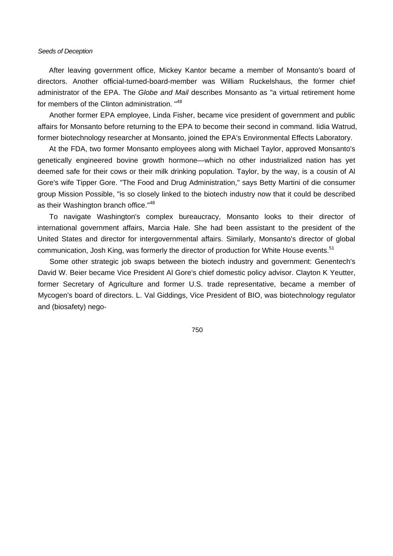After leaving government office, Mickey Kantor became a member of Monsanto's board of directors. Another official-turned-board-member was William Ruckelshaus, the former chief administrator of the EPA. The *Globe and Mail* describes Monsanto as "a virtual retirement home for members of the Clinton administration. "<sup>48</sup>

Another former EPA employee, Linda Fisher, became vice president of government and public affairs for Monsanto before returning to the EPA to become their second in command. Iidia Watrud, former biotechnology researcher at Monsanto, joined the EPA's Environmental Effects Laboratory.

At the FDA, two former Monsanto employees along with Michael Taylor, approved Monsanto's genetically engineered bovine growth hormone—which no other industrialized nation has yet deemed safe for their cows or their milk drinking population. Taylor, by the way, is a cousin of Al Gore's wife Tipper Gore. "The Food and Drug Administration," says Betty Martini of die consumer group Mission Possible, "is so closely linked to the biotech industry now that it could be described as their Washington branch office."<sup>48</sup>

To navigate Washington's complex bureaucracy, Monsanto looks to their director of international government affairs, Marcia Hale. She had been assistant to the president of the United States and director for intergovernmental affairs. Similarly, Monsanto's director of global communication, Josh King, was formerly the director of production for White House events.<sup>51</sup>

Some other strategic job swaps between the biotech industry and government: Genentech's David W. Beier became Vice President Al Gore's chief domestic policy advisor. Clayton K Yeutter, former Secretary of Agriculture and former U.S. trade representative, became a member of Mycogen's board of directors. L. Val Giddings, Vice President of BIO, was biotechnology regulator and (biosafety) nego-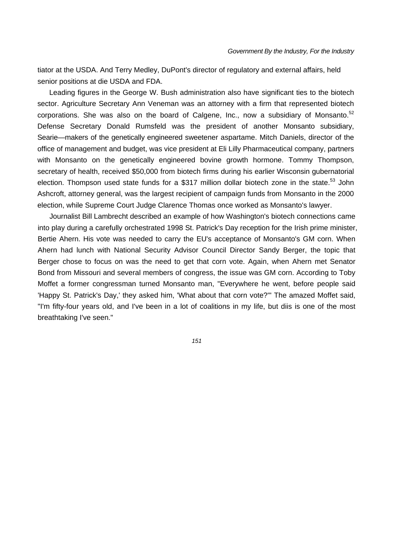tiator at the USDA. And Terry Medley, DuPont's director of regulatory and external affairs, held senior positions at die USDA and FDA.

Leading figures in the George W. Bush administration also have significant ties to the biotech sector. Agriculture Secretary Ann Veneman was an attorney with a firm that represented biotech corporations. She was also on the board of Calgene, Inc., now a subsidiary of Monsanto. $52$ Defense Secretary Donald Rumsfeld was the president of another Monsanto subsidiary, Searie—makers of the genetically engineered sweetener aspartame. Mitch Daniels, director of the office of management and budget, was vice president at Eli Lilly Pharmaceutical company, partners with Monsanto on the genetically engineered bovine growth hormone. Tommy Thompson, secretary of health, received \$50,000 from biotech firms during his earlier Wisconsin gubernatorial election. Thompson used state funds for a \$317 million dollar biotech zone in the state.<sup>53</sup> John Ashcroft, attorney general, was the largest recipient of campaign funds from Monsanto in the 2000 election, while Supreme Court Judge Clarence Thomas once worked as Monsanto's lawyer.

Journalist Bill Lambrecht described an example of how Washington's biotech connections came into play during a carefully orchestrated 1998 St. Patrick's Day reception for the Irish prime minister, Bertie Ahern. His vote was needed to carry the EU's acceptance of Monsanto's GM corn. When Ahern had lunch with National Security Advisor Council Director Sandy Berger, the topic that Berger chose to focus on was the need to get that corn vote. Again, when Ahern met Senator Bond from Missouri and several members of congress, the issue was GM corn. According to Toby Moffet a former congressman turned Monsanto man, "Everywhere he went, before people said 'Happy St. Patrick's Day,' they asked him, 'What about that corn vote?'" The amazed Moffet said, "I'm fifty-four years old, and I've been in a lot of coalitions in my life, but diis is one of the most breathtaking I've seen."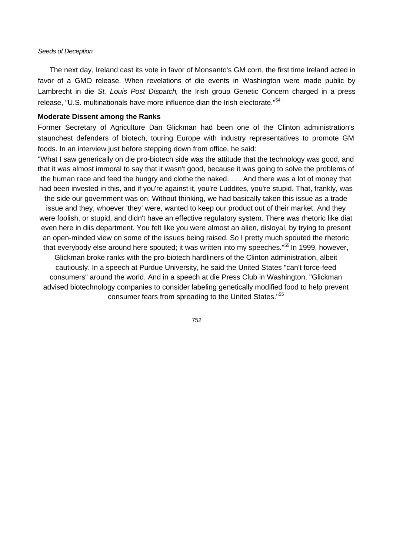The next day, Ireland cast its vote in favor of Monsanto's GM corn, the first time Ireland acted in favor of a GMO release. When revelations of die events in Washington were made public by Lambrecht in die *St. Louis Post Dispatch,* the Irish group Genetic Concern charged in a press release, "U.S. multinationals have more influence dian the Irish electorate."<sup>54</sup>

# **Moderate Dissent among the Ranks**

Former Secretary of Agriculture Dan Glickman had been one of the Clinton administration's staunchest defenders of biotech, touring Europe with industry representatives to promote GM foods. In an interview just before stepping down from office, he said:

"What I saw generically on die pro-biotech side was the attitude that the technology was good, and that it was almost immoral to say that it wasn't good, because it was going to solve the problems of the human race and feed the hungry and clothe the naked. . . . And there was a lot of money that had been invested in this, and if you're against it, you're Luddites, you're stupid. That, frankly, was the side our government was on. Without thinking, we had basically taken this issue as a trade issue and they, whoever 'they' were, wanted to keep our product out of their market. And they were foolish, or stupid, and didn't have an effective regulatory system. There was rhetoric like diat even here in diis department. You felt like you were almost an alien, disloyal, by trying to present an open-minded view on some of the issues being raised. So I pretty much spouted the rhetoric that everybody else around here spouted; it was written into my speeches."<sup>55</sup> In 1999, however, Glickman broke ranks with the pro-biotech hardliners of the Clinton administration, albeit cautiously. In a speech at Purdue University, he said the United States "can't force-feed consumers" around the world. And in a speech at die Press Club in Washington, "Glickman advised biotechnology companies to consider labeling genetically modified food to help prevent consumer fears from spreading to the United States."<sup>55</sup>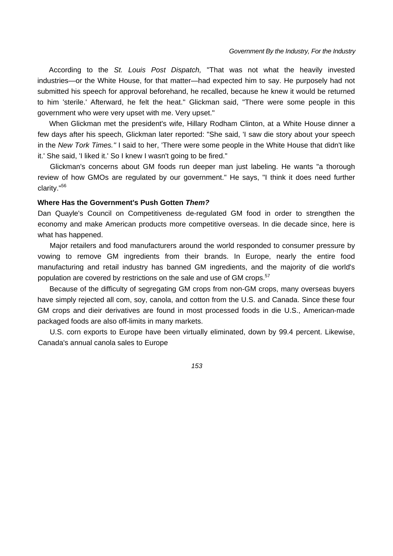According to the *St. Louis Post Dispatch,* "That was not what the heavily invested industries—or the White House, for that matter—had expected him to say. He purposely had not submitted his speech for approval beforehand, he recalled, because he knew it would be returned to him 'sterile.' Afterward, he felt the heat." Glickman said, "There were some people in this government who were very upset with me. Very upset."

When Glickman met the president's wife, Hillary Rodham Clinton, at a White House dinner a few days after his speech, Glickman later reported: "She said, 'I saw die story about your speech in the *New Tork Times.''* I said to her, 'There were some people in the White House that didn't like it.' She said, 'I liked it.' So I knew I wasn't going to be fired."

Glickman's concerns about GM foods run deeper man just labeling. He wants "a thorough review of how GMOs are regulated by our government." He says, "I think it does need further clarity."<sup>56</sup>

# **Where Has the Government's Push Gotten** *Them?*

Dan Quayle's Council on Competitiveness de-regulated GM food in order to strengthen the economy and make American products more competitive overseas. In die decade since, here is what has happened.

Major retailers and food manufacturers around the world responded to consumer pressure by vowing to remove GM ingredients from their brands. In Europe, nearly the entire food manufacturing and retail industry has banned GM ingredients, and the majority of die world's population are covered by restrictions on the sale and use of GM crops.<sup>57</sup>

Because of the difficulty of segregating GM crops from non-GM crops, many overseas buyers have simply rejected all com, soy, canola, and cotton from the U.S. and Canada. Since these four GM crops and dieir derivatives are found in most processed foods in die U.S., American-made packaged foods are also off-limits in many markets.

U.S. corn exports to Europe have been virtually eliminated, down by 99.4 percent. Likewise, Canada's annual canola sales to Europe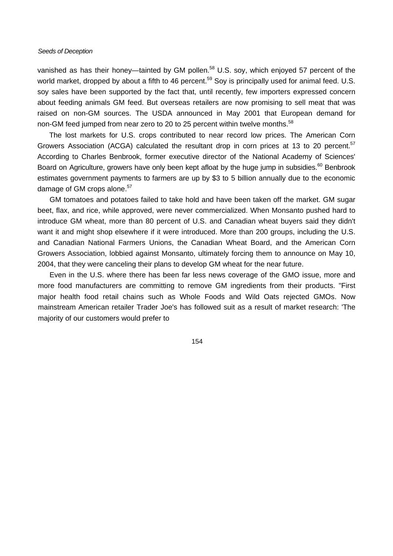vanished as has their honey—tainted by GM pollen.<sup>58</sup> U.S. soy, which enjoyed 57 percent of the world market, dropped by about a fifth to 46 percent.<sup>59</sup> Soy is principally used for animal feed. U.S. soy sales have been supported by the fact that, until recently, few importers expressed concern about feeding animals GM feed. But overseas retailers are now promising to sell meat that was raised on non-GM sources. The USDA announced in May 2001 that European demand for non-GM feed jumped from near zero to 20 to 25 percent within twelve months.<sup>58</sup>

The lost markets for U.S. crops contributed to near record low prices. The American Corn Growers Association (ACGA) calculated the resultant drop in corn prices at 13 to 20 percent.<sup>57</sup> According to Charles Benbrook, former executive director of the National Academy of Sciences' Board on Agriculture, growers have only been kept afloat by the huge jump in subsidies.<sup>60</sup> Benbrook estimates government payments to farmers are up by \$3 to 5 billion annually due to the economic damage of GM crops alone.<sup>57</sup>

GM tomatoes and potatoes failed to take hold and have been taken off the market. GM sugar beet, flax, and rice, while approved, were never commercialized. When Monsanto pushed hard to introduce GM wheat, more than 80 percent of U.S. and Canadian wheat buyers said they didn't want it and might shop elsewhere if it were introduced. More than 200 groups, including the U.S. and Canadian National Farmers Unions, the Canadian Wheat Board, and the American Corn Growers Association, lobbied against Monsanto, ultimately forcing them to announce on May 10, 2004, that they were canceling their plans to develop GM wheat for the near future.

Even in the U.S. where there has been far less news coverage of the GMO issue, more and more food manufacturers are committing to remove GM ingredients from their products. "First major health food retail chains such as Whole Foods and Wild Oats rejected GMOs. Now mainstream American retailer Trader Joe's has followed suit as a result of market research: 'The majority of our customers would prefer to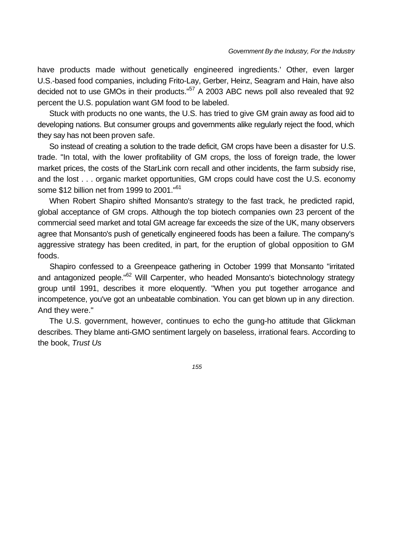have products made without genetically engineered ingredients.' Other, even larger U.S.-based food companies, including Frito-Lay, Gerber, Heinz, Seagram and Hain, have also decided not to use GMOs in their products."<sup>57</sup> A 2003 ABC news poll also revealed that 92 percent the U.S. population want GM food to be labeled.

Stuck with products no one wants, the U.S. has tried to give GM grain away as food aid to developing nations. But consumer groups and governments alike regularly reject the food, which they say has not been proven safe.

So instead of creating a solution to the trade deficit, GM crops have been a disaster for U.S. trade. "In total, with the lower profitability of GM crops, the loss of foreign trade, the lower market prices, the costs of the StarLink corn recall and other incidents, the farm subsidy rise, and the lost . . . organic market opportunities, GM crops could have cost the U.S. economy some \$12 billion net from 1999 to 2001."<sup>61</sup>

When Robert Shapiro shifted Monsanto's strategy to the fast track, he predicted rapid, global acceptance of GM crops. Although the top biotech companies own 23 percent of the commercial seed market and total GM acreage far exceeds the size of the UK, many observers agree that Monsanto's push of genetically engineered foods has been a failure. The company's aggressive strategy has been credited, in part, for the eruption of global opposition to GM foods.

Shapiro confessed to a Greenpeace gathering in October 1999 that Monsanto "irritated and antagonized people."<sup>62</sup> Will Carpenter, who headed Monsanto's biotechnology strategy group until 1991, describes it more eloquently. "When you put together arrogance and incompetence, you've got an unbeatable combination. You can get blown up in any direction. And they were."

The U.S. government, however, continues to echo the gung-ho attitude that Glickman describes. They blame anti-GMO sentiment largely on baseless, irrational fears. According to the book, *Trust Us*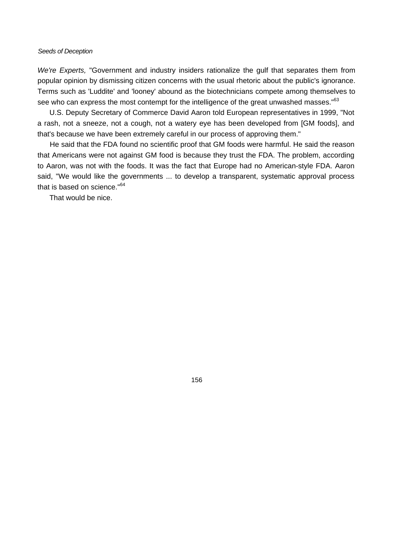*We're Experts,* "Government and industry insiders rationalize the gulf that separates them from popular opinion by dismissing citizen concerns with the usual rhetoric about the public's ignorance. Terms such as 'Luddite' and 'looney' abound as the biotechnicians compete among themselves to see who can express the most contempt for the intelligence of the great unwashed masses."<sup>63</sup>

U.S. Deputy Secretary of Commerce David Aaron told European representatives in 1999, "Not a rash, not a sneeze, not a cough, not a watery eye has been developed from [GM foods], and that's because we have been extremely careful in our process of approving them."

He said that the FDA found no scientific proof that GM foods were harmful. He said the reason that Americans were not against GM food is because they trust the FDA. The problem, according to Aaron, was not with the foods. It was the fact that Europe had no American-style FDA. Aaron said, "We would like the governments ... to develop a transparent, systematic approval process that is based on science."<sup>64</sup>

That would be nice.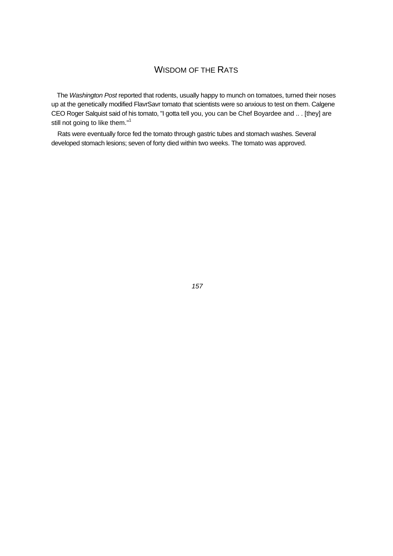# WISDOM OF THE RATS

The *Washington Post* reported that rodents, usually happy to munch on tomatoes, turned their noses up at the genetically modified FlavrSavr tomato that scientists were so anxious to test on them. Calgene CEO Roger Salquist said of his tomato, "I gotta tell you, you can be Chef Boyardee and .. . [they] are still not going to like them."<sup>1</sup>

Rats were eventually force fed the tomato through gastric tubes and stomach washes. Several developed stomach lesions; seven of forty died within two weeks. The tomato was approved.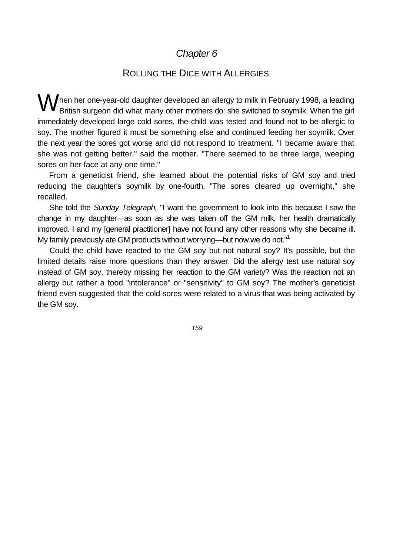# *Chapter 6*

# ROLLING THE DICE WITH ALLERGIES

**W** hen her one-year-old daughter developed an allergy to milk in February 1998, a leading<br>British surgeon did what many other mothers do: she switched to soymilk. When the girl British surgeon did what many other mothers do: she switched to soymilk. When the girl immediately developed large cold sores, the child was tested and found not to be allergic to soy. The mother figured it must be something else and continued feeding her soymilk. Over the next year the sores got worse and did not respond to treatment. "I became aware that she was not getting better," said the mother. "There seemed to be three large, weeping sores on her face at any one time.''

From a geneticist friend, she learned about the potential risks of GM soy and tried reducing the daughter's soymilk by one-fourth. "The sores cleared up overnight," she recalled.

She told the *Sunday Telegraph,* "I want the government to look into this because I saw the change in my daughter—as soon as she was taken off the GM milk, her health dramatically improved. I and my [general practitioner] have not found any other reasons why she became ill. My family previously ate GM products without worrying—but now we do not."<sup>1</sup>

Could the child have reacted to the GM soy but not natural soy? It's possible, but the limited details raise more questions than they answer. Did the allergy test use natural soy instead of GM soy, thereby missing her reaction to the GM variety? Was the reaction not an allergy but rather a food "intolerance" or "sensitivity" to GM soy? The mother's geneticist friend even suggested that the cold sores were related to a virus that was being activated by the GM soy.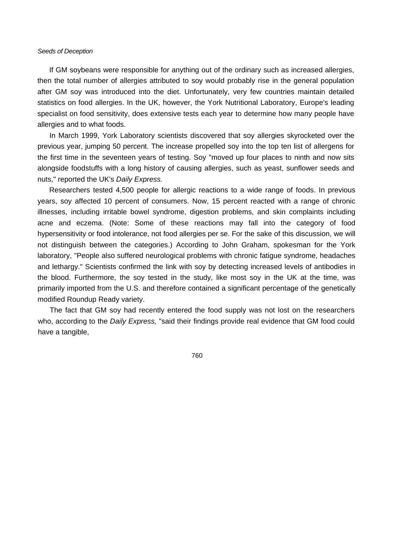If GM soybeans were responsible for anything out of the ordinary such as increased allergies, then the total number of allergies attributed to soy would probably rise in the general population after GM soy was introduced into the diet. Unfortunately, very few countries maintain detailed statistics on food allergies. In the UK, however, the York Nutritional Laboratory, Europe's leading specialist on food sensitivity, does extensive tests each year to determine how many people have allergies and to what foods.

In March 1999, York Laboratory scientists discovered that soy allergies skyrocketed over the previous year, jumping 50 percent. The increase propelled soy into the top ten list of allergens for the first time in the seventeen years of testing. Soy "moved up four places to ninth and now sits alongside foodstuffs with a long history of causing allergies, such as yeast, sunflower seeds and nuts," reported the UK's *Daily Express.*

Researchers tested 4,500 people for allergic reactions to a wide range of foods. In previous years, soy affected 10 percent of consumers. Now, 15 percent reacted with a range of chronic illnesses, including irritable bowel syndrome, digestion problems, and skin complaints including acne and eczema. (Note: Some of these reactions may fall into the category of food hypersensitivity or food intolerance, not food allergies per se. For the sake of this discussion, we will not distinguish between the categories.) According to John Graham, spokesman for the York laboratory, "People also suffered neurological problems with chronic fatigue syndrome, headaches and lethargy." Scientists confirmed the link with soy by detecting increased levels of antibodies in the blood. Furthermore, the soy tested in the study, like most soy in the UK at the time, was primarily imported from the U.S. and therefore contained a significant percentage of the genetically modified Roundup Ready variety.

The fact that GM soy had recently entered the food supply was not lost on the researchers who, according to the *Daily Express,* "said their findings provide real evidence that GM food could have a tangible,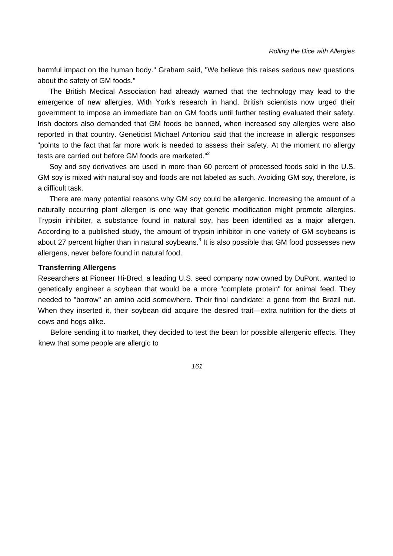harmful impact on the human body." Graham said, "We believe this raises serious new questions about the safety of GM foods."

The British Medical Association had already warned that the technology may lead to the emergence of new allergies. With York's research in hand, British scientists now urged their government to impose an immediate ban on GM foods until further testing evaluated their safety. Irish doctors also demanded that GM foods be banned, when increased soy allergies were also reported in that country. Geneticist Michael Antoniou said that the increase in allergic responses "points to the fact that far more work is needed to assess their safety. At the moment no allergy tests are carried out before GM foods are marketed."<sup>2</sup>

Soy and soy derivatives are used in more than 60 percent of processed foods sold in the U.S. GM soy is mixed with natural soy and foods are not labeled as such. Avoiding GM soy, therefore, is a difficult task.

There are many potential reasons why GM soy could be allergenic. Increasing the amount of a naturally occurring plant allergen is one way that genetic modification might promote allergies. Trypsin inhibiter, a substance found in natural soy, has been identified as a major allergen. According to a published study, the amount of trypsin inhibitor in one variety of GM soybeans is about 27 percent higher than in natural soybeans. $3$  It is also possible that GM food possesses new allergens, never before found in natural food.

# **Transferring Allergens**

Researchers at Pioneer Hi-Bred, a leading U.S. seed company now owned by DuPont, wanted to genetically engineer a soybean that would be a more "complete protein" for animal feed. They needed to "borrow" an amino acid somewhere. Their final candidate: a gene from the Brazil nut. When they inserted it, their soybean did acquire the desired trait—extra nutrition for the diets of cows and hogs alike.

Before sending it to market, they decided to test the bean for possible allergenic effects. They knew that some people are allergic to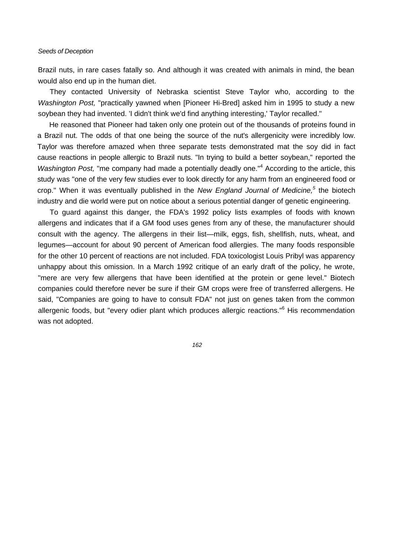Brazil nuts, in rare cases fatally so. And although it was created with animals in mind, the bean would also end up in the human diet.

They contacted University of Nebraska scientist Steve Taylor who, according to the *Washington Post,* "practically yawned when [Pioneer Hi-Bred] asked him in 1995 to study a new soybean they had invented. 'I didn't think we'd find anything interesting,' Taylor recalled."

He reasoned that Pioneer had taken only one protein out of the thousands of proteins found in a Brazil nut. The odds of that one being the source of the nut's allergenicity were incredibly low. Taylor was therefore amazed when three separate tests demonstrated mat the soy did in fact cause reactions in people allergic to Brazil nuts. "In trying to build a better soybean," reported the Washington Post, "me company had made a potentially deadly one."<sup>4</sup> According to the article, this study was "one of the very few studies ever to look directly for any harm from an engineered food or crop." When it was eventually published in the *New England Journal of Medicine,<sup>5</sup>* the biotech industry and die world were put on notice about a serious potential danger of genetic engineering.

To guard against this danger, the FDA's 1992 policy lists examples of foods with known allergens and indicates that if a GM food uses genes from any of these, the manufacturer should consult with the agency. The allergens in their list—milk, eggs, fish, shellfish, nuts, wheat, and legumes—account for about 90 percent of American food allergies. The many foods responsible for the other 10 percent of reactions are not included. FDA toxicologist Louis Pribyl was apparency unhappy about this omission. In a March 1992 critique of an early draft of the policy, he wrote, "mere are very few allergens that have been identified at the protein or gene level." Biotech companies could therefore never be sure if their GM crops were free of transferred allergens. He said, "Companies are going to have to consult FDA" not just on genes taken from the common allergenic foods, but "every odier plant which produces allergic reactions."<sup>6</sup> His recommendation was not adopted.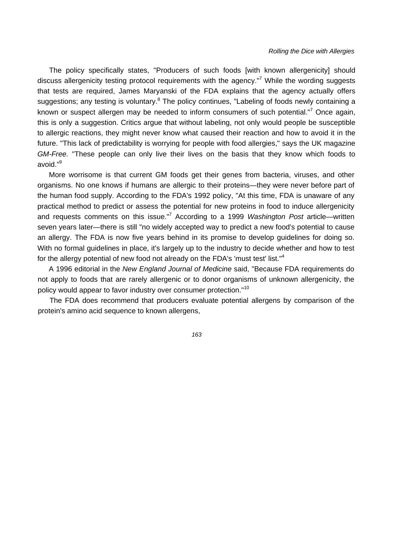The policy specifically states, "Producers of such foods [with known allergenicity] should discuss allergenicity testing protocol requirements with the agency."<sup>7</sup> While the wording suggests that tests are required, James Maryanski of the FDA explains that the agency actually offers suggestions; any testing is voluntary.<sup>8</sup> The policy continues, "Labeling of foods newly containing a known or suspect allergen may be needed to inform consumers of such potential."<sup>7</sup> Once again, this is only a suggestion. Critics argue that without labeling, not only would people be susceptible to allergic reactions, they might never know what caused their reaction and how to avoid it in the future. "This lack of predictability is worrying for people with food allergies," says the UK magazine *GM-Free.* "These people can only live their lives on the basis that they know which foods to avoid."<sup>9</sup>

More worrisome is that current GM foods get their genes from bacteria, viruses, and other organisms. No one knows if humans are allergic to their proteins—they were never before part of the human food supply. According to the FDA's 1992 policy, "At this time, FDA is unaware of any practical method to predict or assess the potential for new proteins in food to induce allergenicity and requests comments on this issue."7 According to a 1999 *Washington Post* article—written seven years later—there is still "no widely accepted way to predict a new food's potential to cause an allergy. The FDA is now five years behind in its promise to develop guidelines for doing so. With no formal guidelines in place, it's largely up to the industry to decide whether and how to test for the allergy potential of new food not already on the FDA's 'must test' list."<sup>4</sup>

A 1996 editorial in the *New England Journal of Medicine* said, "Because FDA requirements do not apply to foods that are rarely allergenic or to donor organisms of unknown allergenicity, the policy would appear to favor industry over consumer protection."<sup>10</sup>

The FDA does recommend that producers evaluate potential allergens by comparison of the protein's amino acid sequence to known allergens,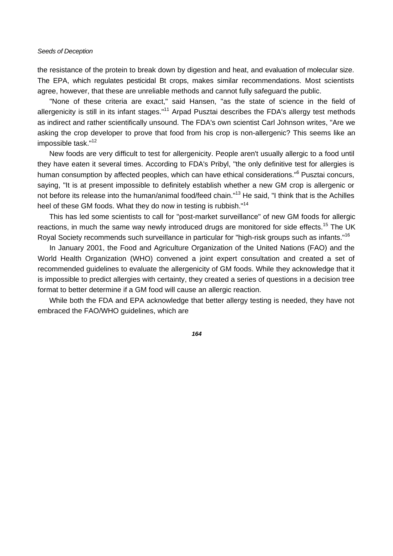the resistance of the protein to break down by digestion and heat, and evaluation of molecular size. The EPA, which regulates pesticidal Bt crops, makes similar recommendations. Most scientists agree, however, that these are unreliable methods and cannot fully safeguard the public.

"None of these criteria are exact," said Hansen, "as the state of science in the field of allergenicity is still in its infant stages."<sup>11</sup> Arpad Pusztai describes the FDA's allergy test methods as indirect and rather scientifically unsound. The FDA's own scientist Carl Johnson writes, "Are we asking the crop developer to prove that food from his crop is non-allergenic? This seems like an impossible task."<sup>12</sup>

New foods are very difficult to test for allergenicity. People aren't usually allergic to a food until they have eaten it several times. According to FDA's Pribyl, "the only definitive test for allergies is human consumption by affected peoples, which can have ethical considerations."<sup>6</sup> Pusztai concurs, saying, "It is at present impossible to definitely establish whether a new GM crop is allergenic or not before its release into the human/animal food/feed chain."<sup>13</sup> He said. "I think that is the Achilles heel of these GM foods. What they do now in testing is rubbish."<sup>14</sup>

This has led some scientists to call for "post-market surveillance" of new GM foods for allergic reactions, in much the same way newly introduced drugs are monitored for side effects.<sup>15</sup> The UK Royal Society recommends such surveillance in particular for "high-risk groups such as infants."<sup>16</sup>

In January 2001, the Food and Agriculture Organization of the United Nations (FAO) and the World Health Organization (WHO) convened a joint expert consultation and created a set of recommended guidelines to evaluate the allergenicity of GM foods. While they acknowledge that it is impossible to predict allergies with certainty, they created a series of questions in a decision tree format to better determine if a GM food will cause an allergic reaction.

While both the FDA and EPA acknowledge that better allergy testing is needed, they have not embraced the FAO/WHO guidelines, which are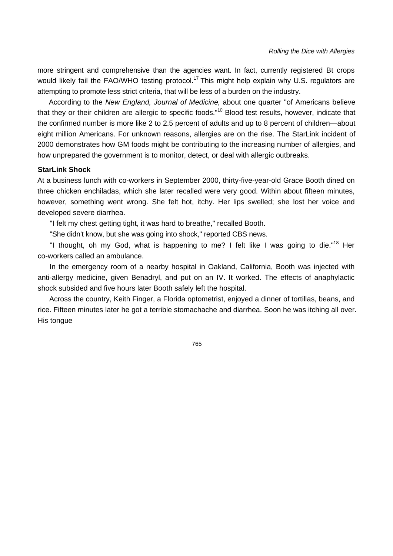more stringent and comprehensive than the agencies want. In fact, currently registered Bt crops would likely fail the FAO/WHO testing protocol.<sup>17</sup> This might help explain why U.S. regulators are attempting to promote less strict criteria, that will be less of a burden on the industry.

According to the *New England, Journal of Medicine,* about one quarter "of Americans believe that they or their children are allergic to specific foods."<sup>10</sup> Blood test results, however, indicate that the confirmed number is more like 2 to 2.5 percent of adults and up to 8 percent of children—about eight million Americans. For unknown reasons, allergies are on the rise. The StarLink incident of 2000 demonstrates how GM foods might be contributing to the increasing number of allergies, and how unprepared the government is to monitor, detect, or deal with allergic outbreaks.

# **StarLink Shock**

At a business lunch with co-workers in September 2000, thirty-five-year-old Grace Booth dined on three chicken enchiladas, which she later recalled were very good. Within about fifteen minutes, however, something went wrong. She felt hot, itchy. Her lips swelled; she lost her voice and developed severe diarrhea.

"I felt my chest getting tight, it was hard to breathe," recalled Booth.

"She didn't know, but she was going into shock," reported CBS news.

"I thought, oh my God, what is happening to me? I felt like I was going to die."<sup>18</sup> Her co-workers called an ambulance.

In the emergency room of a nearby hospital in Oakland, California, Booth was injected with anti-allergy medicine, given Benadryl, and put on an IV. It worked. The effects of anaphylactic shock subsided and five hours later Booth safely left the hospital.

Across the country, Keith Finger, a Florida optometrist, enjoyed a dinner of tortillas, beans, and rice. Fifteen minutes later he got a terrible stomachache and diarrhea. Soon he was itching all over. His tongue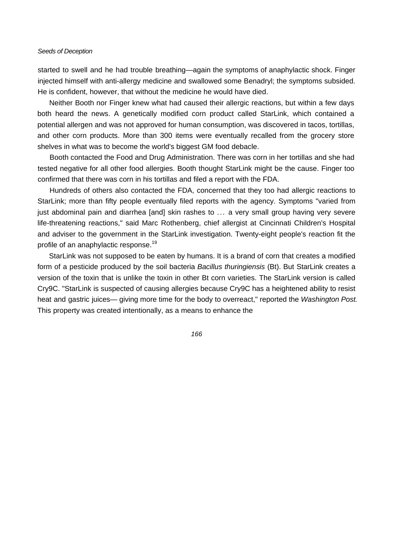started to swell and he had trouble breathing—again the symptoms of anaphylactic shock. Finger injected himself with anti-allergy medicine and swallowed some Benadryl; the symptoms subsided. He is confident, however, that without the medicine he would have died.

Neither Booth nor Finger knew what had caused their allergic reactions, but within a few days both heard the news. A genetically modified corn product called StarLink, which contained a potential allergen and was not approved for human consumption, was discovered in tacos, tortillas, and other corn products. More than 300 items were eventually recalled from the grocery store shelves in what was to become the world's biggest GM food debacle.

Booth contacted the Food and Drug Administration. There was corn in her tortillas and she had tested negative for all other food allergies. Booth thought StarLink might be the cause. Finger too confirmed that there was corn in his tortillas and filed a report with the FDA.

Hundreds of others also contacted the FDA, concerned that they too had allergic reactions to StarLink; more than fifty people eventually filed reports with the agency. Symptoms "varied from just abdominal pain and diarrhea [and] skin rashes to ... a very small group having very severe life-threatening reactions," said Marc Rothenberg, chief allergist at Cincinnati Children's Hospital and adviser to the government in the StarLink investigation. Twenty-eight people's reaction fit the profile of an anaphylactic response.<sup>19</sup>

StarLink was not supposed to be eaten by humans. It is a brand of corn that creates a modified form of a pesticide produced by the soil bacteria *Bacillus thuringiensis* (Bt). But StarLink creates a version of the toxin that is unlike the toxin in other Bt corn varieties. The StarLink version is called Cry9C. "StarLink is suspected of causing allergies because Cry9C has a heightened ability to resist heat and gastric juices— giving more time for the body to overreact," reported the *Washington Post.*  This property was created intentionally, as a means to enhance the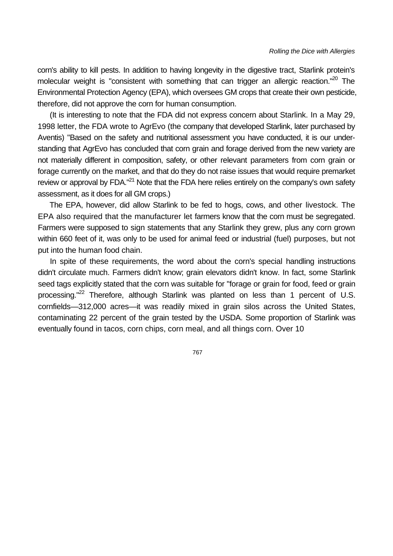corn's ability to kill pests. In addition to having longevity in the digestive tract, Starlink protein's molecular weight is "consistent with something that can trigger an allergic reaction."<sup>20</sup> The Environmental Protection Agency (EPA), which oversees GM crops that create their own pesticide, therefore, did not approve the corn for human consumption.

(It is interesting to note that the FDA did not express concern about Starlink. In a May 29, 1998 letter, the FDA wrote to AgrEvo (the company that developed Starlink, later purchased by Aventis) "Based on the safety and nutritional assessment you have conducted, it is our understanding that AgrEvo has concluded that corn grain and forage derived from the new variety are not materially different in composition, safety, or other relevant parameters from corn grain or forage currently on the market, and that do they do not raise issues that would require premarket review or approval by FDA."<sup>21</sup> Note that the FDA here relies entirely on the company's own safety assessment, as it does for all GM crops.)

The EPA, however, did allow Starlink to be fed to hogs, cows, and other livestock. The EPA also required that the manufacturer let farmers know that the corn must be segregated. Farmers were supposed to sign statements that any Starlink they grew, plus any corn grown within 660 feet of it, was only to be used for animal feed or industrial (fuel) purposes, but not put into the human food chain.

In spite of these requirements, the word about the corn's special handling instructions didn't circulate much. Farmers didn't know; grain elevators didn't know. In fact, some Starlink seed tags explicitly stated that the corn was suitable for "forage or grain for food, feed or grain processing."<sup>22</sup> Therefore, although Starlink was planted on less than 1 percent of U.S. cornfields—312,000 acres—it was readily mixed in grain silos across the United States, contaminating 22 percent of the grain tested by the USDA. Some proportion of Starlink was eventually found in tacos, corn chips, corn meal, and all things corn. Over 10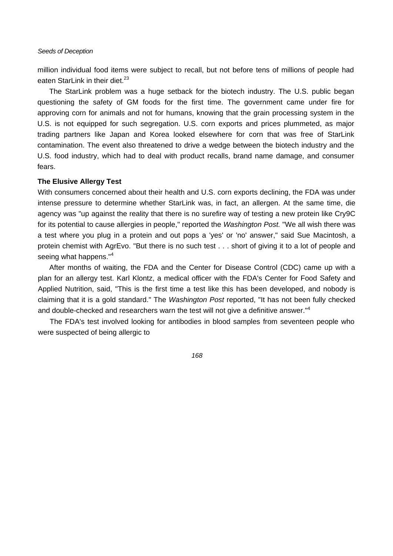million individual food items were subject to recall, but not before tens of millions of people had eaten StarLink in their diet.<sup>23</sup>

The StarLink problem was a huge setback for the biotech industry. The U.S. public began questioning the safety of GM foods for the first time. The government came under fire for approving corn for animals and not for humans, knowing that the grain processing system in the U.S. is not equipped for such segregation. U.S. corn exports and prices plummeted, as major trading partners like Japan and Korea looked elsewhere for corn that was free of StarLink contamination. The event also threatened to drive a wedge between the biotech industry and the U.S. food industry, which had to deal with product recalls, brand name damage, and consumer fears.

## **The Elusive Allergy Test**

With consumers concerned about their health and U.S. corn exports declining, the FDA was under intense pressure to determine whether StarLink was, in fact, an allergen. At the same time, die agency was "up against the reality that there is no surefire way of testing a new protein like Cry9C for its potential to cause allergies in people," reported the *Washington Post.* "We all wish there was a test where you plug in a protein and out pops a 'yes' or 'no' answer," said Sue Macintosh, a protein chemist with AgrEvo. "But there is no such test . . . short of giving it to a lot of people and seeing what happens."<sup>4</sup>

After months of waiting, the FDA and the Center for Disease Control (CDC) came up with a plan for an allergy test. Karl Klontz, a medical officer with the FDA's Center for Food Safety and Applied Nutrition, said, "This is the first time a test like this has been developed, and nobody is claiming that it is a gold standard." The *Washington Post* reported, "It has not been fully checked and double-checked and researchers warn the test will not give a definitive answer."<sup>4</sup>

The FDA's test involved looking for antibodies in blood samples from seventeen people who were suspected of being allergic to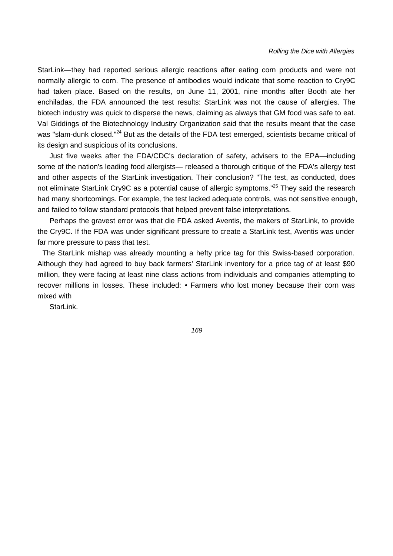StarLink—they had reported serious allergic reactions after eating corn products and were not normally allergic to corn. The presence of antibodies would indicate that some reaction to Cry9C had taken place. Based on the results, on June 11, 2001, nine months after Booth ate her enchiladas, the FDA announced the test results: StarLink was not the cause of allergies. The biotech industry was quick to disperse the news, claiming as always that GM food was safe to eat. Val Giddings of the Biotechnology Industry Organization said that the results meant that the case was "slam-dunk closed."<sup>24</sup> But as the details of the FDA test emerged, scientists became critical of its design and suspicious of its conclusions.

Just five weeks after the FDA/CDC's declaration of safety, advisers to the EPA—including some of the nation's leading food allergists— released a thorough critique of the FDA's allergy test and other aspects of the StarLink investigation. Their conclusion? "The test, as conducted, does not eliminate StarLink Cry9C as a potential cause of allergic symptoms.<sup>"25</sup> They said the research had many shortcomings. For example, the test lacked adequate controls, was not sensitive enough, and failed to follow standard protocols that helped prevent false interpretations.

Perhaps the gravest error was that die FDA asked Aventis, the makers of StarLink, to provide the Cry9C. If the FDA was under significant pressure to create a StarLink test, Aventis was under far more pressure to pass that test.

The StarLink mishap was already mounting a hefty price tag for this Swiss-based corporation. Although they had agreed to buy back farmers' StarLink inventory for a price tag of at least \$90 million, they were facing at least nine class actions from individuals and companies attempting to recover millions in losses. These included: • Farmers who lost money because their corn was mixed with

StarLink.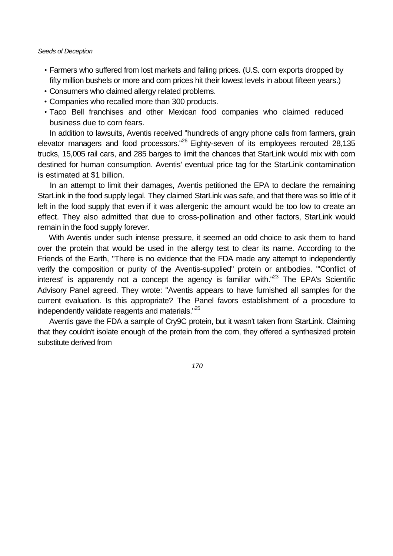- Farmers who suffered from lost markets and falling prices. (U.S. corn exports dropped by fifty million bushels or more and corn prices hit their lowest levels in about fifteen years.)
- Consumers who claimed allergy related problems.
- Companies who recalled more than 300 products.
- Taco Bell franchises and other Mexican food companies who claimed reduced business due to corn fears.

In addition to lawsuits, Aventis received "hundreds of angry phone calls from farmers, grain elevator managers and food processors."<sup>26</sup> Eighty-seven of its employees rerouted 28,135 trucks, 15,005 rail cars, and 285 barges to limit the chances that StarLink would mix with corn destined for human consumption. Aventis' eventual price tag for the StarLink contamination is estimated at \$1 billion.

In an attempt to limit their damages, Aventis petitioned the EPA to declare the remaining StarLink in the food supply legal. They claimed StarLink was safe, and that there was so little of it left in the food supply that even if it was allergenic the amount would be too low to create an effect. They also admitted that due to cross-pollination and other factors, StarLink would remain in the food supply forever.

With Aventis under such intense pressure, it seemed an odd choice to ask them to hand over the protein that would be used in the allergy test to clear its name. According to the Friends of the Earth, "There is no evidence that the FDA made any attempt to independently verify the composition or purity of the Aventis-supplied" protein or antibodies. "'Conflict of interest' is apparendy not a concept the agency is familiar with. $123$  The EPA's Scientific Advisory Panel agreed. They wrote: "Aventis appears to have furnished all samples for the current evaluation. Is this appropriate? The Panel favors establishment of a procedure to independently validate reagents and materials."<sup>25</sup>

Aventis gave the FDA a sample of Cry9C protein, but it wasn't taken from StarLink. Claiming that they couldn't isolate enough of the protein from the corn, they offered a synthesized protein substitute derived from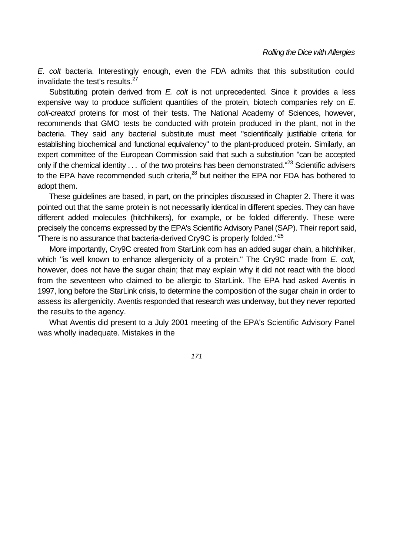*E. colt* bacteria. Interestingly enough, even the FDA admits that this substitution could invalidate the test's results.<sup>27</sup>

Substituting protein derived from *E. colt* is not unprecedented. Since it provides a less expensive way to produce sufficient quantities of the protein, biotech companies rely on *E. coli-creatcd* proteins for most of their tests. The National Academy of Sciences, however, recommends that GMO tests be conducted with protein produced in the plant, not in the bacteria. They said any bacterial substitute must meet "scientifically justifiable criteria for establishing biochemical and functional equivalency" to the plant-produced protein. Similarly, an expert committee of the European Commission said that such a substitution "can be accepted only if the chemical identity . . . of the two proteins has been demonstrated."<sup>23</sup> Scientific advisers to the EPA have recommended such criteria,<sup>28</sup> but neither the EPA nor FDA has bothered to adopt them.

These guidelines are based, in part, on the principles discussed in Chapter 2. There it was pointed out that the same protein is not necessarily identical in different species. They can have different added molecules (hitchhikers), for example, or be folded differently. These were precisely the concerns expressed by the EPA's Scientific Advisory Panel (SAP). Their report said, "There is no assurance that bacteria-derived Cry9C is properly folded."<sup>25</sup>

More importantly, Cry9C created from StarLink corn has an added sugar chain, a hitchhiker, which "is well known to enhance allergenicity of a protein." The Cry9C made from *E. colt,*  however, does not have the sugar chain; that may explain why it did not react with the blood from the seventeen who claimed to be allergic to StarLink. The EPA had asked Aventis in 1997, long before the StarLink crisis, to determine the composition of the sugar chain in order to assess its allergenicity. Aventis responded that research was underway, but they never reported the results to the agency.

What Aventis did present to a July 2001 meeting of the EPA's Scientific Advisory Panel was wholly inadequate. Mistakes in the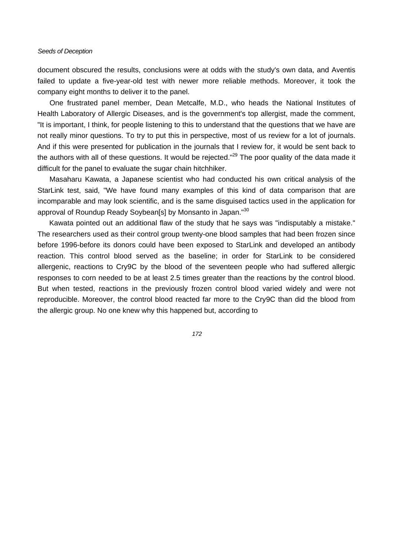document obscured the results, conclusions were at odds with the study's own data, and Aventis failed to update a five-year-old test with newer more reliable methods. Moreover, it took the company eight months to deliver it to the panel.

One frustrated panel member, Dean Metcalfe, M.D., who heads the National Institutes of Health Laboratory of Allergic Diseases, and is the government's top allergist, made the comment, "It is important, I think, for people listening to this to understand that the questions that we have are not really minor questions. To try to put this in perspective, most of us review for a lot of journals. And if this were presented for publication in the journals that I review for, it would be sent back to the authors with all of these questions. It would be rejected."<sup>29</sup> The poor quality of the data made it difficult for the panel to evaluate the sugar chain hitchhiker.

Masaharu Kawata, a Japanese scientist who had conducted his own critical analysis of the StarLink test, said, "We have found many examples of this kind of data comparison that are incomparable and may look scientific, and is the same disguised tactics used in the application for approval of Roundup Ready Soybean[s] by Monsanto in Japan."<sup>30</sup>

Kawata pointed out an additional flaw of the study that he says was "indisputably a mistake." The researchers used as their control group twenty-one blood samples that had been frozen since before 1996-before its donors could have been exposed to StarLink and developed an antibody reaction. This control blood served as the baseline; in order for StarLink to be considered allergenic, reactions to Cry9C by the blood of the seventeen people who had suffered allergic responses to corn needed to be at least 2.5 times greater than the reactions by the control blood. But when tested, reactions in the previously frozen control blood varied widely and were not reproducible. Moreover, the control blood reacted far more to the Cry9C than did the blood from the allergic group. No one knew why this happened but, according to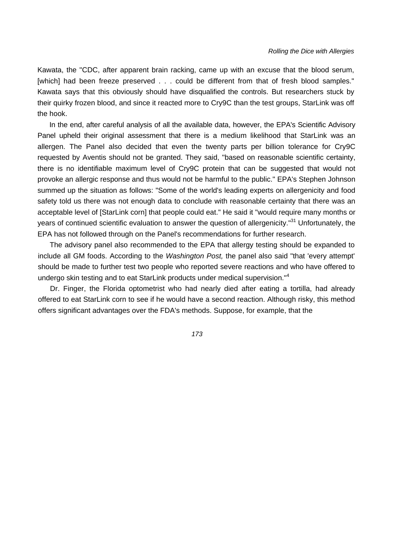Kawata, the "CDC, after apparent brain racking, came up with an excuse that the blood serum, [which] had been freeze preserved . . . could be different from that of fresh blood samples." Kawata says that this obviously should have disqualified the controls. But researchers stuck by their quirky frozen blood, and since it reacted more to Cry9C than the test groups, StarLink was off the hook.

In the end, after careful analysis of all the available data, however, the EPA's Scientific Advisory Panel upheld their original assessment that there is a medium likelihood that StarLink was an allergen. The Panel also decided that even the twenty parts per billion tolerance for Cry9C requested by Aventis should not be granted. They said, "based on reasonable scientific certainty, there is no identifiable maximum level of Cry9C protein that can be suggested that would not provoke an allergic response and thus would not be harmful to the public." EPA's Stephen Johnson summed up the situation as follows: "Some of the world's leading experts on allergenicity and food safety told us there was not enough data to conclude with reasonable certainty that there was an acceptable level of [StarLink corn] that people could eat." He said it "would require many months or years of continued scientific evaluation to answer the question of allergenicity."<sup>31</sup> Unfortunately, the EPA has not followed through on the Panel's recommendations for further research.

The advisory panel also recommended to the EPA that allergy testing should be expanded to include all GM foods. According to the *Washington Post,* the panel also said "that 'every attempt' should be made to further test two people who reported severe reactions and who have offered to undergo skin testing and to eat StarLink products under medical supervision."<sup>4</sup>

Dr. Finger, the Florida optometrist who had nearly died after eating a tortilla, had already offered to eat StarLink corn to see if he would have a second reaction. Although risky, this method offers significant advantages over the FDA's methods. Suppose, for example, that the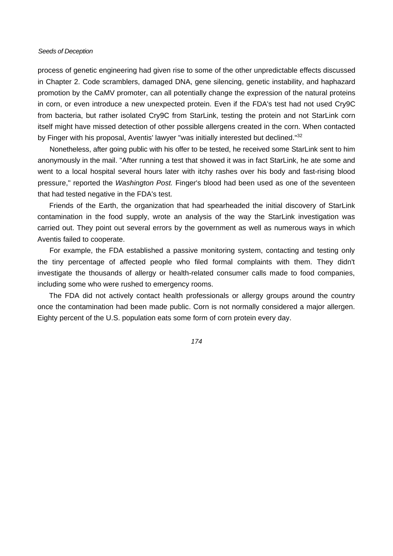process of genetic engineering had given rise to some of the other unpredictable effects discussed in Chapter 2. Code scramblers, damaged DNA, gene silencing, genetic instability, and haphazard promotion by the CaMV promoter, can all potentially change the expression of the natural proteins in corn, or even introduce a new unexpected protein. Even if the FDA's test had not used Cry9C from bacteria, but rather isolated Cry9C from StarLink, testing the protein and not StarLink corn itself might have missed detection of other possible allergens created in the corn. When contacted by Finger with his proposal, Aventis' lawyer "was initially interested but declined."<sup>32</sup>

Nonetheless, after going public with his offer to be tested, he received some StarLink sent to him anonymously in the mail. "After running a test that showed it was in fact StarLink, he ate some and went to a local hospital several hours later with itchy rashes over his body and fast-rising blood pressure," reported the *Washington Post.* Finger's blood had been used as one of the seventeen that had tested negative in the FDA's test.

Friends of the Earth, the organization that had spearheaded the initial discovery of StarLink contamination in the food supply, wrote an analysis of the way the StarLink investigation was carried out. They point out several errors by the government as well as numerous ways in which Aventis failed to cooperate.

For example, the FDA established a passive monitoring system, contacting and testing only the tiny percentage of affected people who filed formal complaints with them. They didn't investigate the thousands of allergy or health-related consumer calls made to food companies, including some who were rushed to emergency rooms.

The FDA did not actively contact health professionals or allergy groups around the country once the contamination had been made public. Corn is not normally considered a major allergen. Eighty percent of the U.S. population eats some form of corn protein every day.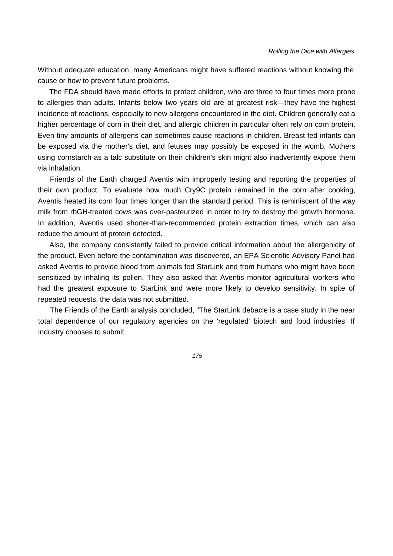Without adequate education, many Americans might have suffered reactions without knowing the cause or how to prevent future problems.

The FDA should have made efforts to protect children, who are three to four times more prone to allergies than adults. Infants below two years old are at greatest risk—they have the highest incidence of reactions, especially to new allergens encountered in the diet. Children generally eat a higher percentage of corn in their diet, and allergic children in particular often rely on corn protein. Even tiny amounts of allergens can sometimes cause reactions in children. Breast fed infants can be exposed via the mother's diet, and fetuses may possibly be exposed in the womb. Mothers using cornstarch as a talc substitute on their children's skin might also inadvertently expose them via inhalation.

Friends of the Earth charged Aventis with improperly testing and reporting the properties of their own product. To evaluate how much Cry9C protein remained in the corn after cooking, Aventis heated its corn four times longer than the standard period. This is reminiscent of the way milk from rbGH-treated cows was over-pasteurized in order to try to destroy the growth hormone. In addition, Aventis used shorter-than-recommended protein extraction times, which can also reduce the amount of protein detected.

Also, the company consistently failed to provide critical information about the allergenicity of the product. Even before the contamination was discovered, an EPA Scientific Advisory Panel had asked Aventis to provide blood from animals fed StarLink and from humans who might have been sensitized by inhaling its pollen. They also asked that Aventis monitor agricultural workers who had the greatest exposure to StarLink and were more likely to develop sensitivity. In spite of repeated requests, the data was not submitted.

The Friends of the Earth analysis concluded, "The StarLink debacle is a case study in the near total dependence of our regulatory agencies on the 'regulated' biotech and food industries. If industry chooses to submit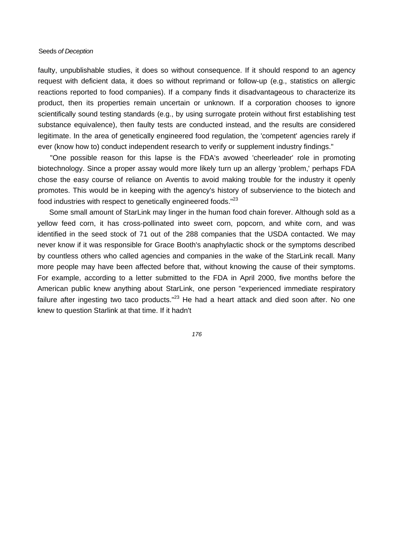faulty, unpublishable studies, it does so without consequence. If it should respond to an agency request with deficient data, it does so without reprimand or follow-up (e.g., statistics on allergic reactions reported to food companies). If a company finds it disadvantageous to characterize its product, then its properties remain uncertain or unknown. If a corporation chooses to ignore scientifically sound testing standards (e.g., by using surrogate protein without first establishing test substance equivalence), then faulty tests are conducted instead, and the results are considered legitimate. In the area of genetically engineered food regulation, the 'competent' agencies rarely if ever (know how to) conduct independent research to verify or supplement industry findings."

"One possible reason for this lapse is the FDA's avowed 'cheerleader' role in promoting biotechnology. Since a proper assay would more likely turn up an allergy 'problem,' perhaps FDA chose the easy course of reliance on Aventis to avoid making trouble for the industry it openly promotes. This would be in keeping with the agency's history of subservience to the biotech and food industries with respect to genetically engineered foods."<sup>23</sup>

Some small amount of StarLink may linger in the human food chain forever. Although sold as a yellow feed corn, it has cross-pollinated into sweet corn, popcorn, and white corn, and was identified in the seed stock of 71 out of the 288 companies that the USDA contacted. We may never know if it was responsible for Grace Booth's anaphylactic shock or the symptoms described by countless others who called agencies and companies in the wake of the StarLink recall. Many more people may have been affected before that, without knowing the cause of their symptoms. For example, according to a letter submitted to the FDA in April 2000, five months before the American public knew anything about StarLink, one person "experienced immediate respiratory failure after ingesting two taco products."<sup>23</sup> He had a heart attack and died soon after. No one knew to question Starlink at that time. If it hadn't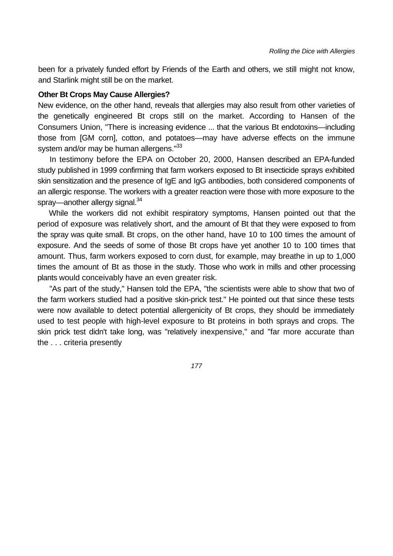been for a privately funded effort by Friends of the Earth and others, we still might not know, and Starlink might still be on the market.

# **Other Bt Crops May Cause Allergies?**

New evidence, on the other hand, reveals that allergies may also result from other varieties of the genetically engineered Bt crops still on the market. According to Hansen of the Consumers Union, "There is increasing evidence ... that the various Bt endotoxins—including those from [GM corn], cotton, and potatoes—may have adverse effects on the immune system and/or may be human allergens."<sup>33</sup>

In testimony before the EPA on October 20, 2000, Hansen described an EPA-funded study published in 1999 confirming that farm workers exposed to Bt insecticide sprays exhibited skin sensitization and the presence of IgE and IgG antibodies, both considered components of an allergic response. The workers with a greater reaction were those with more exposure to the spray—another allergy signal.<sup>34</sup>

While the workers did not exhibit respiratory symptoms, Hansen pointed out that the period of exposure was relatively short, and the amount of Bt that they were exposed to from the spray was quite small. Bt crops, on the other hand, have 10 to 100 times the amount of exposure. And the seeds of some of those Bt crops have yet another 10 to 100 times that amount. Thus, farm workers exposed to corn dust, for example, may breathe in up to 1,000 times the amount of Bt as those in the study. Those who work in mills and other processing plants would conceivably have an even greater risk.

"As part of the study," Hansen told the EPA, "the scientists were able to show that two of the farm workers studied had a positive skin-prick test." He pointed out that since these tests were now available to detect potential allergenicity of Bt crops, they should be immediately used to test people with high-level exposure to Bt proteins in both sprays and crops. The skin prick test didn't take long, was "relatively inexpensive," and "far more accurate than the . . . criteria presently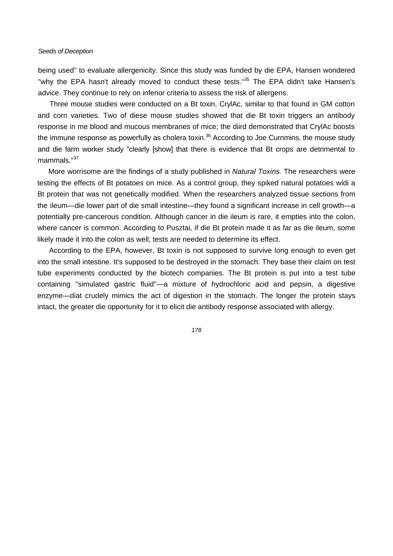being used" to evaluate allergenicity. Since this study was funded by die EPA, Hansen wondered "why the EPA hasn't already moved to conduct these tests."<sup>35</sup> The EPA didn't take Hansen's advice. They continue to rely on inferior criteria to assess the risk of allergens.

Three mouse studies were conducted on a Bt toxin, CrylAc, similar to that found in GM cotton and corn varieties. Two of diese mouse studies showed that die Bt toxin triggers an antibody response in me blood and mucous membranes of mice; the diird demonstrated that CrylAc boosts the immune response as powerfully as cholera toxin.<sup>36</sup> According to Joe Curnmins, the mouse study and die farm worker study "clearly [show] that there is evidence that Bt crops are detrimental to mammals.<sup>"37</sup>

More worrisome are the findings of a study published in *Natural Toxins.* The researchers were testing the effects of Bt potatoes on mice. As a control group, they spiked natural potatoes widi a Bt protein that was not genetically modified. When the researchers analyzed tissue sections from the ileum—die lower part of die small intestine—they found a significant increase in cell growth—a potentially pre-cancerous condition. Although cancer in die ileum is rare, it empties into the colon, where cancer is common. According to Pusztai, if die Bt protein made it as far as die ileum, some likely made it into the colon as well; tests are needed to determine its effect.

According to the EPA, however, Bt toxin is not supposed to survive long enough to even get into the small intestine. It's supposed to be destroyed in the stomach. They base their claim on test tube experiments conducted by the biotech companies. The Bt protein is put into a test tube containing "simulated gastric fluid"—a mixture of hydrochloric acid and pepsin, a digestive enzyme—diat crudely mimics the act of digestion in the stomach. The longer the protein stays intact, the greater die opportunity for it to elicit die antibody response associated with allergy.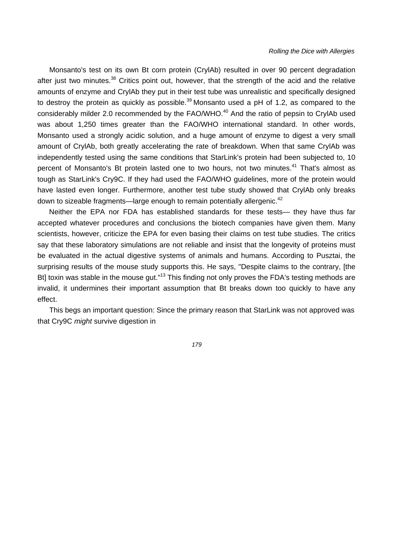Monsanto's test on its own Bt corn protein (CrylAb) resulted in over 90 percent degradation after just two minutes.<sup>38</sup> Critics point out, however, that the strength of the acid and the relative amounts of enzyme and CrylAb they put in their test tube was unrealistic and specifically designed to destroy the protein as quickly as possible.<sup>39</sup> Monsanto used a pH of 1.2, as compared to the considerably milder 2.0 recommended by the FAO/WHO.<sup>40</sup> And the ratio of pepsin to CrylAb used was about 1,250 times greater than the FAO/WHO international standard. In other words, Monsanto used a strongly acidic solution, and a huge amount of enzyme to digest a very small amount of CrylAb, both greatly accelerating the rate of breakdown. When that same CrylAb was independently tested using the same conditions that StarLink's protein had been subjected to, 10 percent of Monsanto's Bt protein lasted one to two hours, not two minutes.<sup>41</sup> That's almost as tough as StarLink's Cry9C. If they had used the FAO/WHO guidelines, more of the protein would have lasted even longer. Furthermore, another test tube study showed that CrylAb only breaks down to sizeable fragments—large enough to remain potentially allergenic. $42$ 

Neither the EPA nor FDA has established standards for these tests— they have thus far accepted whatever procedures and conclusions the biotech companies have given them. Many scientists, however, criticize the EPA for even basing their claims on test tube studies. The critics say that these laboratory simulations are not reliable and insist that the longevity of proteins must be evaluated in the actual digestive systems of animals and humans. According to Pusztai, the surprising results of the mouse study supports this. He says, "Despite claims to the contrary, [the Bt] toxin was stable in the mouse gut."<sup>13</sup> This finding not only proves the FDA's testing methods are invalid, it undermines their important assumption that Bt breaks down too quickly to have any effect.

This begs an important question: Since the primary reason that StarLink was not approved was that Cry9C *might* survive digestion in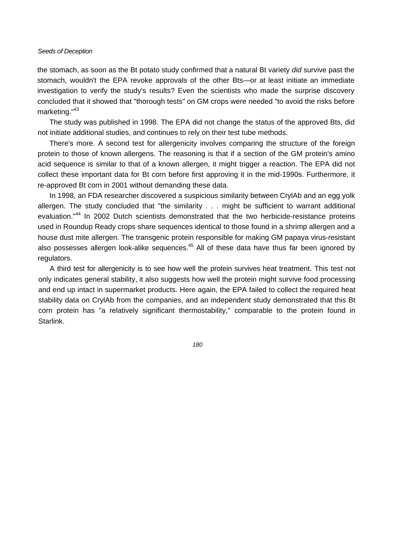the stomach, as soon as the Bt potato study confirmed that a natural Bt variety *did* survive past the stomach, wouldn't the EPA revoke approvals of the other Bts—or at least initiate an immediate investigation to verify the study's results? Even the scientists who made the surprise discovery concluded that it showed that "thorough tests" on GM crops were needed "to avoid the risks before marketing."<sup>43</sup>

The study was published in 1998. The EPA did not change the status of the approved Bts, did not initiate additional studies, and continues to rely on their test tube methods.

There's more. A second test for allergenicity involves comparing the structure of the foreign protein to those of known allergens. The reasoning is that if a section of the GM protein's amino acid sequence is similar to that of a known allergen, it might trigger a reaction. The EPA did not collect these important data for Bt corn before first approving it in the mid-1990s. Furthermore, it re-approved Bt corn in 2001 without demanding these data.

In 1998, an FDA researcher discovered a suspicious similarity between CrylAb and an egg yolk allergen. The study concluded that "the similarity . . . might be sufficient to warrant additional evaluation."<sup>44</sup> In 2002 Dutch scientists demonstrated that the two herbicide-resistance proteins used in Roundup Ready crops share sequences identical to those found in a shrimp allergen and a house dust mite allergen. The transgenic protein responsible for making GM papaya virus-resistant also possesses allergen look-alike sequences. $45$  All of these data have thus far been ignored by regulators.

A third test for allergenicity is to see how well the protein survives heat treatment. This test not only indicates general stability, it also suggests how well the protein might survive food processing and end up intact in supermarket products. Here again, the EPA failed to collect the required heat stability data on CrylAb from the companies, and an independent study demonstrated that this Bt corn protein has "a relatively significant thermostability," comparable to the protein found in Starlink.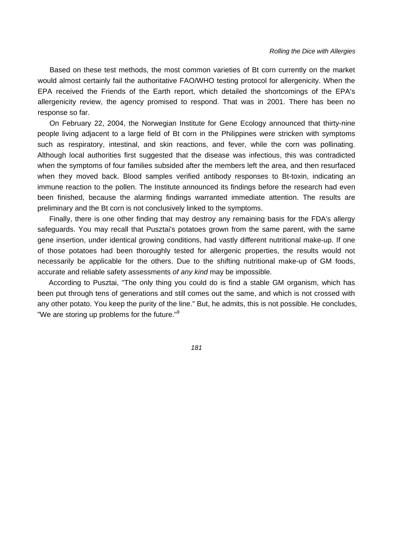Based on these test methods, the most common varieties of Bt corn currently on the market would almost certainly fail the authoritative FAO/WHO testing protocol for allergenicity. When the EPA received the Friends of the Earth report, which detailed the shortcomings of the EPA's allergenicity review, the agency promised to respond. That was in 2001. There has been no response so far.

On February 22, 2004, the Norwegian Institute for Gene Ecology announced that thirty-nine people living adjacent to a large field of Bt corn in the Philippines were stricken with symptoms such as respiratory, intestinal, and skin reactions, and fever, while the corn was pollinating. Although local authorities first suggested that the disease was infectious, this was contradicted when the symptoms of four families subsided after the members left the area, and then resurfaced when they moved back. Blood samples verified antibody responses to Bt-toxin, indicating an immune reaction to the pollen. The Institute announced its findings before the research had even been finished, because the alarming findings warranted immediate attention. The results are preliminary and the Bt corn is not conclusively linked to the symptoms.

Finally, there is one other finding that may destroy any remaining basis for the FDA's allergy safeguards. You may recall that Pusztai's potatoes grown from the same parent, with the same gene insertion, under identical growing conditions, had vastly different nutritional make-up. If one of those potatoes had been thoroughly tested for allergenic properties, the results would not necessarily be applicable for the others. Due to the shifting nutritional make-up of GM foods, accurate and reliable safety assessments *of any kind* may be impossible.

According to Pusztai, "The only thing you could do is find a stable GM organism, which has been put through tens of generations and still comes out the same, and which is not crossed with any other potato. You keep the purity of the line." But, he admits, this is not possible. He concludes, "We are storing up problems for the future."9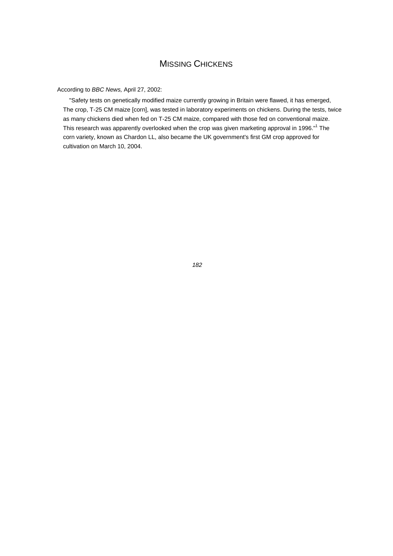# **MISSING CHICKENS**

According to *BBC News,* April 27, 2002:

"Safety tests on genetically modified maize currently growing in Britain were flawed, it has emerged, The crop, T-25 CM maize [corn], was tested in laboratory experiments on chickens. During the tests, twice as many chickens died when fed on T-25 CM maize, compared with those fed on conventional maize. This research was apparently overlooked when the crop was given marketing approval in 1996."<sup>1</sup> The corn variety, known as Chardon LL, also became the UK government's first GM crop approved for cultivation on March 10, 2004.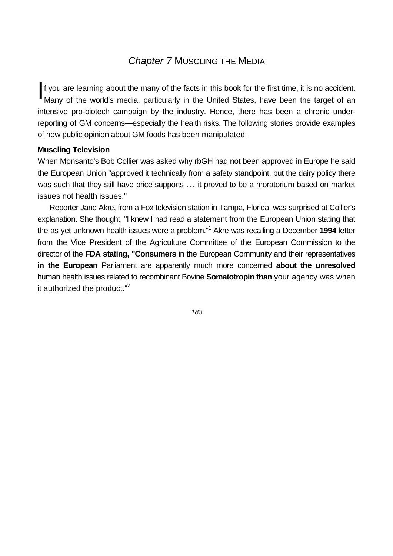# *Chapter 7* MUSCLING THE MEDIA

If you are learning about the many of the facts in this book for the first time, it is no accident.<br>Many of the world's media, particularly in the United States, have been the target of an Many of the world's media, particularly in the United States, have been the target of an intensive pro-biotech campaign by the industry. Hence, there has been a chronic underreporting of GM concerns—especially the health risks. The following stories provide examples of how public opinion about GM foods has been manipulated.

# **Muscling Television**

When Monsanto's Bob Collier was asked why rbGH had not been approved in Europe he said the European Union "approved it technically from a safety standpoint, but the dairy policy there was such that they still have price supports ... it proved to be a moratorium based on market issues not health issues."

Reporter Jane Akre, from a Fox television station in Tampa, Florida, was surprised at Collier's explanation. She thought, "I knew I had read a statement from the European Union stating that the as yet unknown health issues were a problem."1 Akre was recalling a December **1994** letter from the Vice President of the Agriculture Committee of the European Commission to the director of the **FDA stating, "Consumers** in the European Community and their representatives **in the European** Parliament are apparently much more concerned **about the unresolved**  human health issues related to recombinant Bovine **Somatotropin than** your agency was when it authorized the product."2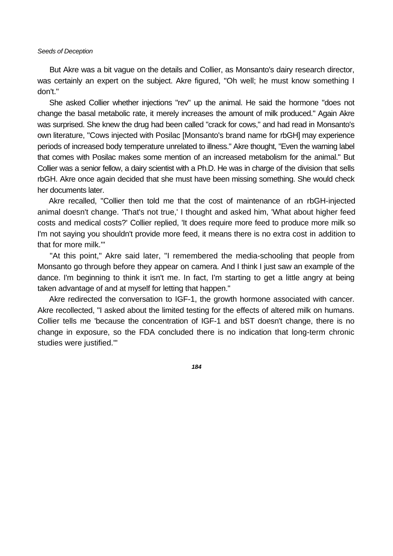But Akre was a bit vague on the details and Collier, as Monsanto's dairy research director, was certainly an expert on the subject. Akre figured, "Oh well; he must know something I don't."

She asked Collier whether injections "rev" up the animal. He said the hormone "does not change the basal metabolic rate, it merely increases the amount of milk produced." Again Akre was surprised. She knew the drug had been called "crack for cows," and had read in Monsanto's own literature, "Cows injected with Posilac [Monsanto's brand name for rbGH] may experience periods of increased body temperature unrelated to illness." Akre thought, "Even the warning label that comes with Posilac makes some mention of an increased metabolism for the animal." But Collier was a senior fellow, a dairy scientist with a Ph.D. He was in charge of the division that sells rbGH. Akre once again decided that she must have been missing something. She would check her documents later.

Akre recalled, "Collier then told me that the cost of maintenance of an rbGH-injected animal doesn't change. 'That's not true,' I thought and asked him, 'What about higher feed costs and medical costs?' Collier replied, 'It does require more feed to produce more milk so I'm not saying you shouldn't provide more feed, it means there is no extra cost in addition to that for more milk.'"

"At this point," Akre said later, "I remembered the media-schooling that people from Monsanto go through before they appear on camera. And I think I just saw an example of the dance. I'm beginning to think it isn't me. In fact, I'm starting to get a little angry at being taken advantage of and at myself for letting that happen."

Akre redirected the conversation to IGF-1, the growth hormone associated with cancer. Akre recollected, "I asked about the limited testing for the effects of altered milk on humans. Collier tells me 'because the concentration of IGF-1 and bST doesn't change, there is no change in exposure, so the FDA concluded there is no indication that long-term chronic studies were justified.'"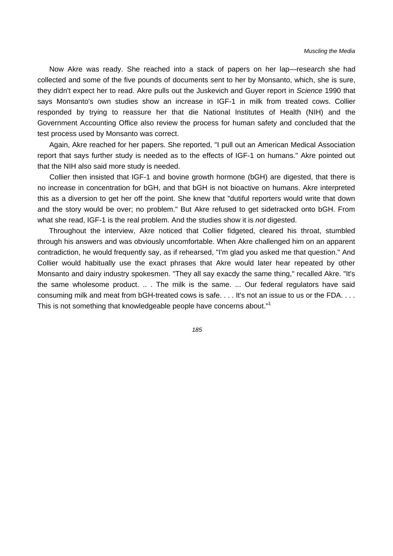Now Akre was ready. She reached into a stack of papers on her lap—research she had collected and some of the five pounds of documents sent to her by Monsanto, which, she is sure, they didn't expect her to read. Akre pulls out the Juskevich and Guyer report in *Science* 1990 that says Monsanto's own studies show an increase in IGF-1 in milk from treated cows. Collier responded by trying to reassure her that die National Institutes of Health (NIH) and the Government Accounting Office also review the process for human safety and concluded that the test process used by Monsanto was correct.

Again, Akre reached for her papers. She reported, "I pull out an American Medical Association report that says further study is needed as to the effects of IGF-1 on humans." Akre pointed out that the NIH also said more study is needed.

Collier then insisted that IGF-1 and bovine growth hormone (bGH) are digested, that there is no increase in concentration for bGH, and that bGH is not bioactive on humans. Akre interpreted this as a diversion to get her off the point. She knew that "dutiful reporters would write that down and the story would be over; no problem." But Akre refused to get sidetracked onto bGH. From what she read, IGF-1 is the real problem. And the studies show it is *not* digested.

Throughout the interview, Akre noticed that Collier fidgeted, cleared his throat, stumbled through his answers and was obviously uncomfortable. When Akre challenged him on an apparent contradiction, he would frequently say, as if rehearsed, "I'm glad you asked me that question." And Collier would habitually use the exact phrases that Akre would later hear repeated by other Monsanto and dairy industry spokesmen. "They all say exacdy the same thing," recalled Akre. "It's the same wholesome product. .. . The milk is the same. ... Our federal regulators have said consuming milk and meat from bGH-treated cows is safe. . . . It's not an issue to us or the FDA. . . . This is not something that knowledgeable people have concerns about."<sup>1</sup>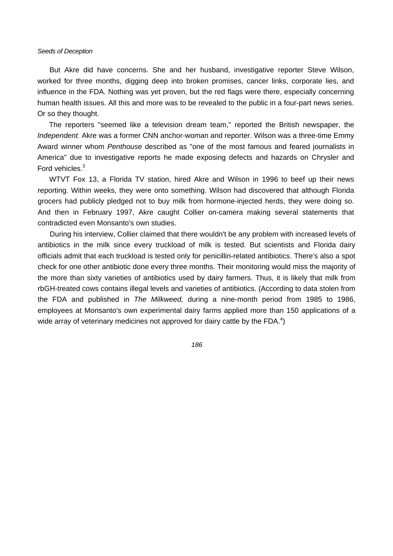But Akre did have concerns. She and her husband, investigative reporter Steve Wilson, worked for three months, digging deep into broken promises, cancer links, corporate lies, and influence in the FDA. Nothing was yet proven, but the red flags were there, especially concerning human health issues. All this and more was to be revealed to the public in a four-part news series. Or so they thought.

The reporters "seemed like a television dream team," reported the British newspaper, the *Independent.* Akre was a former CNN anchor-woman and reporter. Wilson was a three-time Emmy Award winner whom *Penthouse* described as "one of the most famous and feared journalists in America" due to investigative reports he made exposing defects and hazards on Chrysler and Ford vehicles.<sup>3</sup>

WTVT Fox 13, a Florida TV station, hired Akre and Wilson in 1996 to beef up their news reporting. Within weeks, they were onto something. Wilson had discovered that although Florida grocers had publicly pledged not to buy milk from hormone-injected herds, they were doing so. And then in February 1997, Akre caught Collier on-camera making several statements that contradicted even Monsanto's own studies.

During his interview, Collier claimed that there wouldn't be any problem with increased levels of antibiotics in the milk since every truckload of milk is tested. But scientists and Florida dairy officials admit that each truckload is tested only for penicillin-related antibiotics. There's also a spot check for one other antibiotic done every three months. Their monitoring would miss the majority of the more than sixty varieties of antibiotics used by dairy farmers. Thus, it is likely that milk from rbGH-treated cows contains illegal levels and varieties of antibiotics. (According to data stolen from the FDA and published in *The Milkweed,* during a nine-month period from 1985 to 1986, employees at Monsanto's own experimental dairy farms applied more than 150 applications of a wide array of veterinary medicines not approved for dairy cattle by the FDA. $4$ )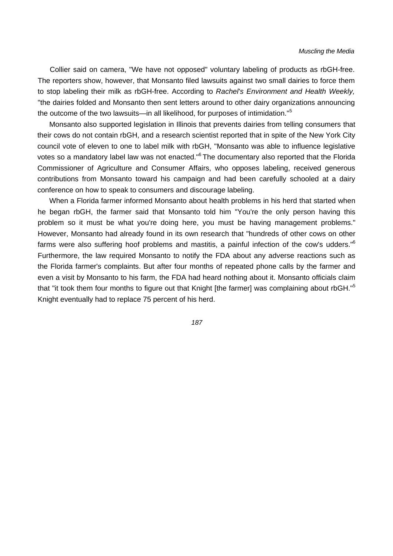Collier said on camera, "We have not opposed" voluntary labeling of products as rbGH-free. The reporters show, however, that Monsanto filed lawsuits against two small dairies to force them to stop labeling their milk as rbGH-free. According to *Rachel's Environment and Health Weekly,*  "the dairies folded and Monsanto then sent letters around to other dairy organizations announcing the outcome of the two lawsuits—in all likelihood, for purposes of intimidation."<sup>5</sup>

Monsanto also supported legislation in Illinois that prevents dairies from telling consumers that their cows do not contain rbGH, and a research scientist reported that in spite of the New York City council vote of eleven to one to label milk with rbGH, "Monsanto was able to influence legislative votes so a mandatory label law was not enacted."6 The documentary also reported that the Florida Commissioner of Agriculture and Consumer Affairs, who opposes labeling, received generous contributions from Monsanto toward his campaign and had been carefully schooled at a dairy conference on how to speak to consumers and discourage labeling.

When a Florida farmer informed Monsanto about health problems in his herd that started when he began rbGH, the farmer said that Monsanto told him "You're the only person having this problem so it must be what you're doing here, you must be having management problems." However, Monsanto had already found in its own research that "hundreds of other cows on other farms were also suffering hoof problems and mastitis, a painful infection of the cow's udders."<sup>6</sup> Furthermore, the law required Monsanto to notify the FDA about any adverse reactions such as the Florida farmer's complaints. But after four months of repeated phone calls by the farmer and even a visit by Monsanto to his farm, the FDA had heard nothing about it. Monsanto officials claim that "it took them four months to figure out that Knight [the farmer] was complaining about rbGH."5 Knight eventually had to replace 75 percent of his herd.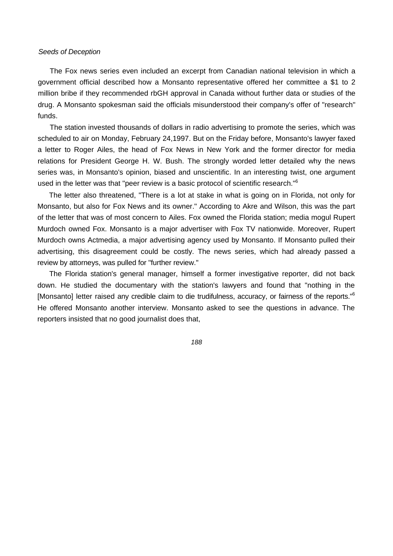The Fox news series even included an excerpt from Canadian national television in which a government official described how a Monsanto representative offered her committee a \$1 to 2 million bribe if they recommended rbGH approval in Canada without further data or studies of the drug. A Monsanto spokesman said the officials misunderstood their company's offer of "research" funds.

The station invested thousands of dollars in radio advertising to promote the series, which was scheduled to air on Monday, February 24,1997. But on the Friday before, Monsanto's lawyer faxed a letter to Roger Ailes, the head of Fox News in New York and the former director for media relations for President George H. W. Bush. The strongly worded letter detailed why the news series was, in Monsanto's opinion, biased and unscientific. In an interesting twist, one argument used in the letter was that "peer review is a basic protocol of scientific research."<sup>6</sup>

The letter also threatened, "There is a lot at stake in what is going on in Florida, not only for Monsanto, but also for Fox News and its owner." According to Akre and Wilson, this was the part of the letter that was of most concern to Ailes. Fox owned the Florida station; media mogul Rupert Murdoch owned Fox. Monsanto is a major advertiser with Fox TV nationwide. Moreover, Rupert Murdoch owns Actmedia, a major advertising agency used by Monsanto. If Monsanto pulled their advertising, this disagreement could be costly. The news series, which had already passed a review by attorneys, was pulled for "further review."

The Florida station's general manager, himself a former investigative reporter, did not back down. He studied the documentary with the station's lawyers and found that "nothing in the [Monsanto] letter raised any credible claim to die trudifulness, accuracy, or fairness of the reports."<sup>6</sup> He offered Monsanto another interview. Monsanto asked to see the questions in advance. The reporters insisted that no good journalist does that,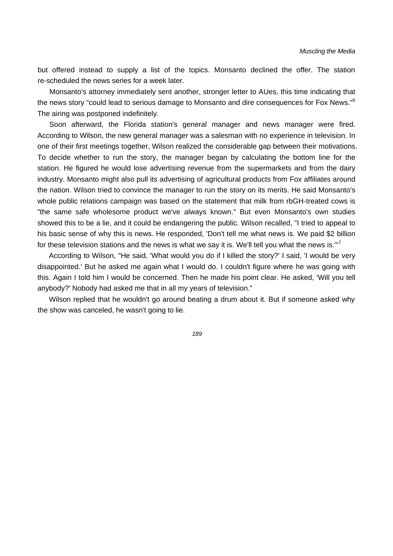but offered instead to supply a list of the topics. Monsanto declined the offer. The station re-scheduled the news series for a week later.

Monsanto's attorney immediately sent another, stronger letter to AUes, this time indicating that the news story "could lead to serious damage to Monsanto and dire consequences for Fox News."<sup>6</sup> The airing was postponed indefinitely.

Soon afterward, the Florida station's general manager and news manager were fired. According to Wilson, the new general manager was a salesman with no experience in television. In one of their first meetings together, Wilson realized the considerable gap between their motivations. To decide whether to run the story, the manager began by calculating the bottom line for the station. He figured he would lose advertising revenue from the supermarkets and from the dairy industry. Monsanto might also pull its advertising of agricultural products from Fox affiliates around the nation. Wilson tried to convince the manager to run the story on its merits. He said Monsanto's whole public relations campaign was based on the statement that milk from rbGH-treated cows is "the same safe wholesome product we've always known." But even Monsanto's own studies showed this to be a lie, and it could be endangering the public. Wilson recalled, "I tried to appeal to his basic sense of why this is news. He responded, 'Don't tell me what news is. We paid \$2 billion for these television stations and the news is what we say it is. We'll tell you what the news is."<sup>7</sup>

According to Wilson, "He said, 'What would you do if I killed the story?' I said, 'I would be very disappointed.' But he asked me again what I would do. I couldn't figure where he was going with this. Again I told him I would be concerned. Then he made his point clear. He asked, 'Will you tell anybody?' Nobody had asked me that in all my years of television."

Wilson replied that he wouldn't go around beating a drum about it. But if someone asked why the show was canceled, he wasn't going to lie.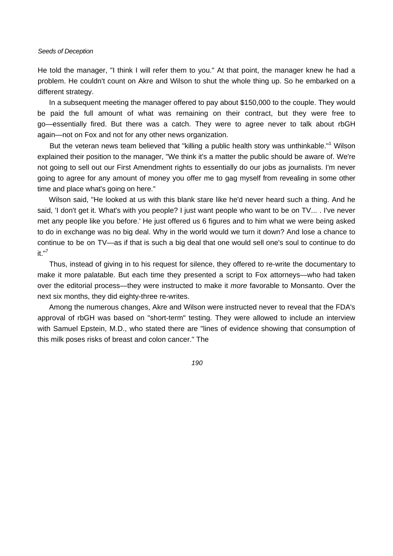He told the manager, "I think I will refer them to you." At that point, the manager knew he had a problem. He couldn't count on Akre and Wilson to shut the whole thing up. So he embarked on a different strategy.

In a subsequent meeting the manager offered to pay about \$150,000 to the couple. They would be paid the full amount of what was remaining on their contract, but they were free to go—essentially fired. But there was a catch. They were to agree never to talk about rbGH again—not on Fox and not for any other news organization.

But the veteran news team believed that "killing a public health story was unthinkable."<sup>1</sup> Wilson explained their position to the manager, "We think it's a matter the public should be aware of. We're not going to sell out our First Amendment rights to essentially do our jobs as journalists. I'm never going to agree for any amount of money you offer me to gag myself from revealing in some other time and place what's going on here."

Wilson said, "He looked at us with this blank stare like he'd never heard such a thing. And he said, 'I don't get it. What's with you people? I just want people who want to be on TV... . I've never met any people like you before.' He just offered us 6 figures and to him what we were being asked to do in exchange was no big deal. Why in the world would we turn it down? And lose a chance to continue to be on TV—as if that is such a big deal that one would sell one's soul to continue to do it."<sup>7</sup>

Thus, instead of giving in to his request for silence, they offered to re-write the documentary to make it more palatable. But each time they presented a script to Fox attorneys—who had taken over the editorial process—they were instructed to make it *more* favorable to Monsanto. Over the next six months, they did eighty-three re-writes.

Among the numerous changes, Akre and Wilson were instructed never to reveal that the FDA's approval of rbGH was based on "short-term" testing. They were allowed to include an interview with Samuel Epstein, M.D., who stated there are "lines of evidence showing that consumption of this milk poses risks of breast and colon cancer." The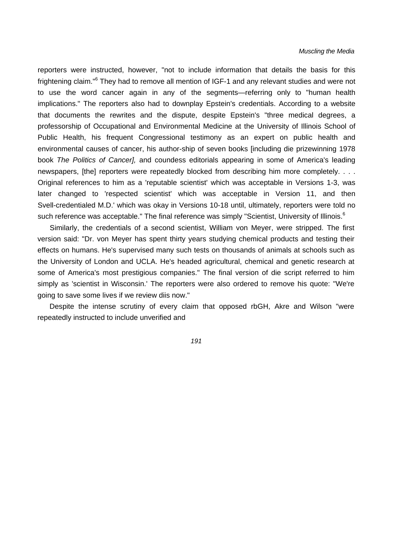reporters were instructed, however, "not to include information that details the basis for this frightening claim."<sup>6</sup> They had to remove all mention of IGF-1 and any relevant studies and were not to use the word cancer again in any of the segments—referring only to "human health implications." The reporters also had to downplay Epstein's credentials. According to a website that documents the rewrites and the dispute, despite Epstein's "three medical degrees, a professorship of Occupational and Environmental Medicine at the University of Illinois School of Public Health, his frequent Congressional testimony as an expert on public health and environmental causes of cancer, his author-ship of seven books [including die prizewinning 1978 book *The Politics of Cancer],* and coundess editorials appearing in some of America's leading newspapers, [the] reporters were repeatedly blocked from describing him more completely. . . . Original references to him as a 'reputable scientist' which was acceptable in Versions 1-3, was later changed to 'respected scientist' which was acceptable in Version 11, and then Svell-credentialed M.D.' which was okay in Versions 10-18 until, ultimately, reporters were told no such reference was acceptable." The final reference was simply "Scientist, University of Illinois.<sup>6</sup>

Similarly, the credentials of a second scientist, William von Meyer, were stripped. The first version said: "Dr. von Meyer has spent thirty years studying chemical products and testing their effects on humans. He's supervised many such tests on thousands of animals at schools such as the University of London and UCLA. He's headed agricultural, chemical and genetic research at some of America's most prestigious companies." The final version of die script referred to him simply as 'scientist in Wisconsin.' The reporters were also ordered to remove his quote: "We're going to save some lives if we review diis now."

Despite the intense scrutiny of every claim that opposed rbGH, Akre and Wilson "were repeatedly instructed to include unverified and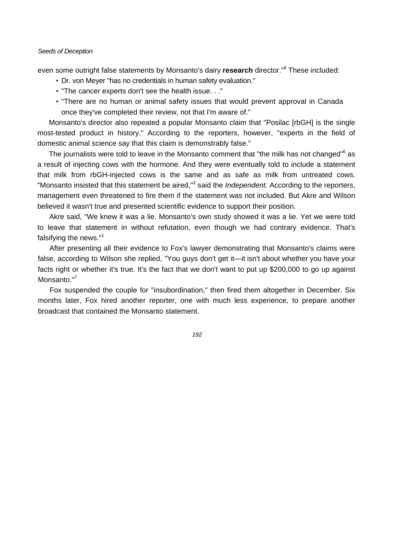even some outright false statements by Monsanto's dairy **research** director."<sup>6</sup> These included:

- Dr. von Meyer "has no credentials in human safety evaluation."
- "The cancer experts don't see the health issue. . ."
- "There are no human or animal safety issues that would prevent approval in Canada once they've completed their review, not that I'm aware of."

Monsanto's director also repeated a popular Monsanto claim that "Posilac [rbGH] is the single most-tested product in history." According to the reporters, however, "experts in the field of domestic animal science say that this claim is demonstrably false."

The journalists were told to leave in the Monsanto comment that "the milk has not changed"<sup>6</sup> as a result of injecting cows with the hormone. And they were eventually told to include a statement that milk from rbGH-injected cows is the same and as safe as milk from untreated cows. "Monsanto insisted that this statement be aired,"<sup>3</sup> said the *Independent.* According to the reporters, management even threatened to fire them if the statement was not included. But Akre and Wilson believed it wasn't true and presented scientific evidence to support their position.

Akre said, "We knew it was a lie. Monsanto's own study showed it was a lie. Yet we were told to leave that statement in without refutation, even though we had contrary evidence. That's falsifying the news."<sup>1</sup>

After presenting all their evidence to Fox's lawyer demonstrating that Monsanto's claims were false, according to Wilson she replied, "You guys don't get it—it isn't about whether you have your facts right or whether it's true. It's the fact that we don't want to put up \$200,000 to go up against Monsanto."<sup>7</sup>

Fox suspended the couple for "insubordination," then fired them altogether in December. Six months later, Fox hired another reporter, one with much less experience, to prepare another broadcast that contained the Monsanto statement.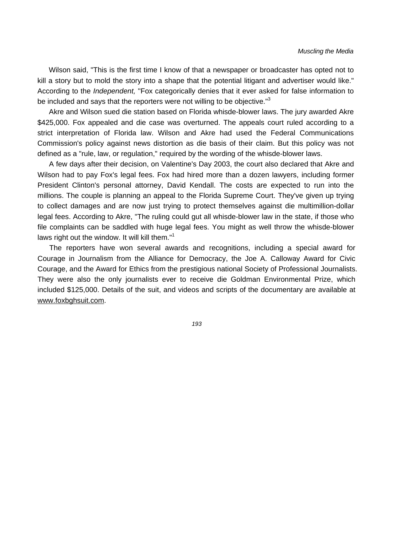Wilson said, "This is the first time I know of that a newspaper or broadcaster has opted not to kill a story but to mold the story into a shape that the potential litigant and advertiser would like." According to the *Independent,* "Fox categorically denies that it ever asked for false information to be included and says that the reporters were not willing to be objective."<sup>3</sup>

Akre and Wilson sued die station based on Florida whisde-blower laws. The jury awarded Akre \$425,000. Fox appealed and die case was overturned. The appeals court ruled according to a strict interpretation of Florida law. Wilson and Akre had used the Federal Communications Commission's policy against news distortion as die basis of their claim. But this policy was not defined as a "rule, law, or regulation," required by the wording of the whisde-blower laws.

A few days after their decision, on Valentine's Day 2003, the court also declared that Akre and Wilson had to pay Fox's legal fees. Fox had hired more than a dozen lawyers, including former President Clinton's personal attorney, David Kendall. The costs are expected to run into the millions. The couple is planning an appeal to the Florida Supreme Court. They've given up trying to collect damages and are now just trying to protect themselves against die multimillion-dollar legal fees. According to Akre, "The ruling could gut all whisde-blower law in the state, if those who file complaints can be saddled with huge legal fees. You might as well throw the whisde-blower laws right out the window. It will kill them."<sup>1</sup>

The reporters have won several awards and recognitions, including a special award for Courage in Journalism from the Alliance for Democracy, the Joe A. Calloway Award for Civic Courage, and the Award for Ethics from the prestigious national Society of Professional Journalists. They were also the only journalists ever to receive die Goldman Environmental Prize, which included \$125,000. Details of the suit, and videos and scripts of the documentary are available at www.foxbghsuit.com.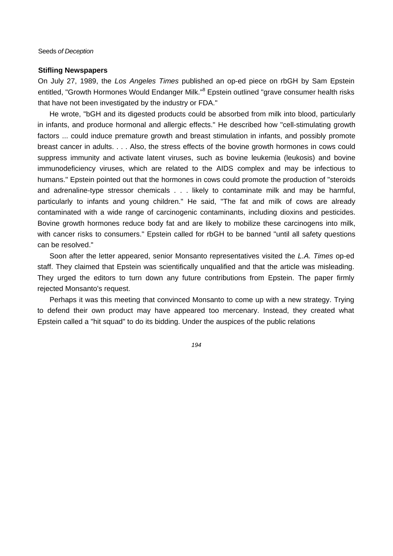# **Stifling Newspapers**

On July 27, 1989, the *Los Angeles Times* published an op-ed piece on rbGH by Sam Epstein entitled, "Growth Hormones Would Endanger Milk."<sup>8</sup> Epstein outlined "grave consumer health risks that have not been investigated by the industry or FDA."

He wrote, "bGH and its digested products could be absorbed from milk into blood, particularly in infants, and produce hormonal and allergic effects." He described how "cell-stimulating growth factors ... could induce premature growth and breast stimulation in infants, and possibly promote breast cancer in adults. . . . Also, the stress effects of the bovine growth hormones in cows could suppress immunity and activate latent viruses, such as bovine leukemia (leukosis) and bovine immunodeficiency viruses, which are related to the AIDS complex and may be infectious to humans." Epstein pointed out that the hormones in cows could promote the production of "steroids and adrenaline-type stressor chemicals . . . likely to contaminate milk and may be harmful, particularly to infants and young children." He said, "The fat and milk of cows are already contaminated with a wide range of carcinogenic contaminants, including dioxins and pesticides. Bovine growth hormones reduce body fat and are likely to mobilize these carcinogens into milk, with cancer risks to consumers." Epstein called for rbGH to be banned "until all safety questions can be resolved."

Soon after the letter appeared, senior Monsanto representatives visited the *L.A. Times* op-ed staff. They claimed that Epstein was scientifically unqualified and that the article was misleading. They urged the editors to turn down any future contributions from Epstein. The paper firmly rejected Monsanto's request.

Perhaps it was this meeting that convinced Monsanto to come up with a new strategy. Trying to defend their own product may have appeared too mercenary. Instead, they created what Epstein called a "hit squad" to do its bidding. Under the auspices of the public relations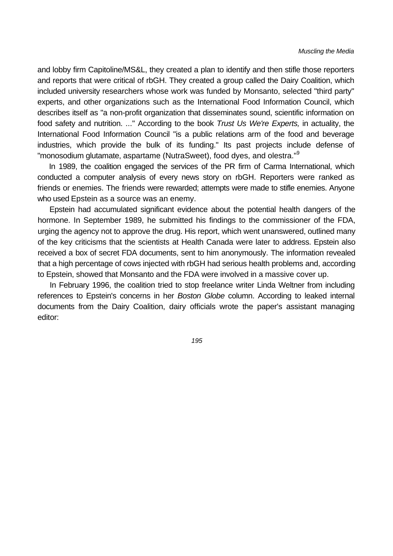and lobby firm Capitoline/MS&L, they created a plan to identify and then stifle those reporters and reports that were critical of rbGH. They created a group called the Dairy Coalition, which included university researchers whose work was funded by Monsanto, selected "third party" experts, and other organizations such as the International Food Information Council, which describes itself as "a non-profit organization that disseminates sound, scientific information on food safety and nutrition. ..." According to the book *Trust Us We're Experts,* in actuality, the International Food Information Council "is a public relations arm of the food and beverage industries, which provide the bulk of its funding." Its past projects include defense of "monosodium glutamate, aspartame (NutraSweet), food dyes, and olestra."<sup>9</sup>

In 1989, the coalition engaged the services of the PR firm of Carma International, which conducted a computer analysis of every news story on rbGH. Reporters were ranked as friends or enemies. The friends were rewarded; attempts were made to stifle enemies. Anyone who used Epstein as a source was an enemy.

Epstein had accumulated significant evidence about the potential health dangers of the hormone. In September 1989, he submitted his findings to the commissioner of the FDA, urging the agency not to approve the drug. His report, which went unanswered, outlined many of the key criticisms that the scientists at Health Canada were later to address. Epstein also received a box of secret FDA documents, sent to him anonymously. The information revealed that a high percentage of cows injected with rbGH had serious health problems and, according to Epstein, showed that Monsanto and the FDA were involved in a massive cover up.

In February 1996, the coalition tried to stop freelance writer Linda Weltner from including references to Epstein's concerns in her *Boston Globe* column. According to leaked internal documents from the Dairy Coalition, dairy officials wrote the paper's assistant managing editor: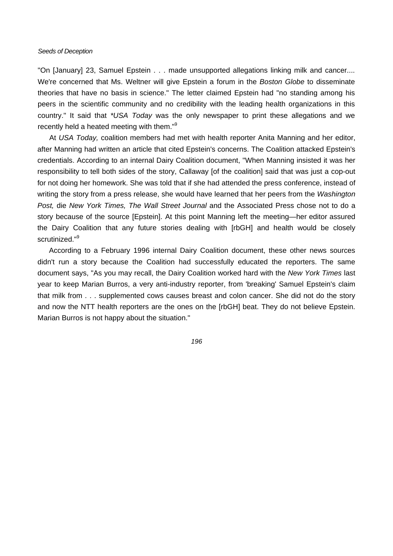"On [January] 23, Samuel Epstein . . . made unsupported allegations linking milk and cancer.... We're concerned that Ms. Weltner will give Epstein a forum in the *Boston Globe* to disseminate theories that have no basis in science." The letter claimed Epstein had "no standing among his peers in the scientific community and no credibility with the leading health organizations in this country." It said that *\*USA Today* was the only newspaper to print these allegations and we recently held a heated meeting with them."9

At *USA Today,* coalition members had met with health reporter Anita Manning and her editor, after Manning had written an article that cited Epstein's concerns. The Coalition attacked Epstein's credentials. According to an internal Dairy Coalition document, "When Manning insisted it was her responsibility to tell both sides of the story, Callaway [of the coalition] said that was just a cop-out for not doing her homework. She was told that if she had attended the press conference, instead of writing the story from a press release, she would have learned that her peers from the *Washington Post,* die *New York Times, The Wall Street Journal* and the Associated Press chose not to do a story because of the source [Epstein]. At this point Manning left the meeting—her editor assured the Dairy Coalition that any future stories dealing with [rbGH] and health would be closely scrutinized."<sup>9</sup>

According to a February 1996 internal Dairy Coalition document, these other news sources didn't run a story because the Coalition had successfully educated the reporters. The same document says, "As you may recall, the Dairy Coalition worked hard with the *New York Times* last year to keep Marian Burros, a very anti-industry reporter, from 'breaking' Samuel Epstein's claim that milk from . . . supplemented cows causes breast and colon cancer. She did not do the story and now the NTT health reporters are the ones on the [rbGH] beat. They do not believe Epstein. Marian Burros is not happy about the situation."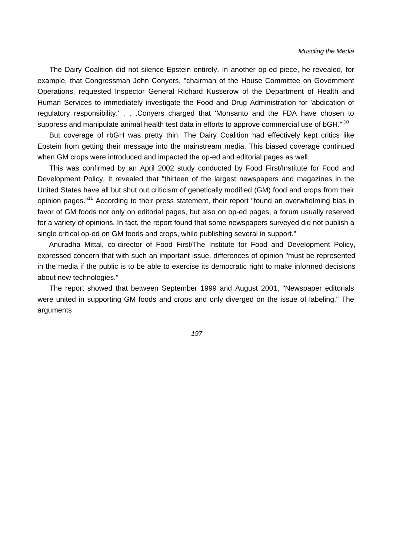The Dairy Coalition did not silence Epstein entirely. In another op-ed piece, he revealed, for example, that Congressman John Conyers, "chairman of the House Committee on Government Operations, requested Inspector General Richard Kusserow of the Department of Health and Human Services to immediately investigate the Food and Drug Administration for 'abdication of regulatory responsibility.' . . .Conyers charged that 'Monsanto and the FDA have chosen to suppress and manipulate animal health test data in efforts to approve commercial use of bGH."<sup>10</sup>

But coverage of rbGH was pretty thin. The Dairy Coalition had effectively kept critics like Epstein from getting their message into the mainstream media. This biased coverage continued when GM crops were introduced and impacted the op-ed and editorial pages as well.

This was confirmed by an April 2002 study conducted by Food First/Institute for Food and Development Policy. It revealed that "thirteen of the largest newspapers and magazines in the United States have all but shut out criticism of genetically modified (GM) food and crops from their opinion pages."11 According to their press statement, their report "found an overwhelming bias in favor of GM foods not only on editorial pages, but also on op-ed pages, a forum usually reserved for a variety of opinions. In fact, the report found that some newspapers surveyed did not publish a single critical op-ed on GM foods and crops, while publishing several in support."

Anuradha Mittal, co-director of Food First/The Institute for Food and Development Policy, expressed concern that with such an important issue, differences of opinion "must be represented in the media if the public is to be able to exercise its democratic right to make informed decisions about new technologies."

The report showed that between September 1999 and August 2001, "Newspaper editorials were united in supporting GM foods and crops and only diverged on the issue of labeling." The arguments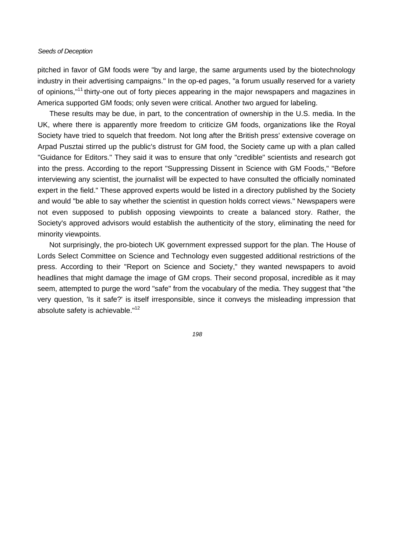pitched in favor of GM foods were "by and large, the same arguments used by the biotechnology industry in their advertising campaigns." In the op-ed pages, "a forum usually reserved for a variety of opinions,"11 thirty-one out of forty pieces appearing in the major newspapers and magazines in America supported GM foods; only seven were critical. Another two argued for labeling.

These results may be due, in part, to the concentration of ownership in the U.S. media. In the UK, where there is apparently more freedom to criticize GM foods, organizations like the Royal Society have tried to squelch that freedom. Not long after the British press' extensive coverage on Arpad Pusztai stirred up the public's distrust for GM food, the Society came up with a plan called "Guidance for Editors." They said it was to ensure that only "credible" scientists and research got into the press. According to the report "Suppressing Dissent in Science with GM Foods," "Before interviewing any scientist, the journalist will be expected to have consulted the officially nominated expert in the field." These approved experts would be listed in a directory published by the Society and would "be able to say whether the scientist in question holds correct views." Newspapers were not even supposed to publish opposing viewpoints to create a balanced story. Rather, the Society's approved advisors would establish the authenticity of the story, eliminating the need for minority viewpoints.

Not surprisingly, the pro-biotech UK government expressed support for the plan. The House of Lords Select Committee on Science and Technology even suggested additional restrictions of the press. According to their "Report on Science and Society," they wanted newspapers to avoid headlines that might damage the image of GM crops. Their second proposal, incredible as it may seem, attempted to purge the word "safe" from the vocabulary of the media. They suggest that "the very question, 'Is it safe?' is itself irresponsible, since it conveys the misleading impression that absolute safety is achievable."<sup>12</sup>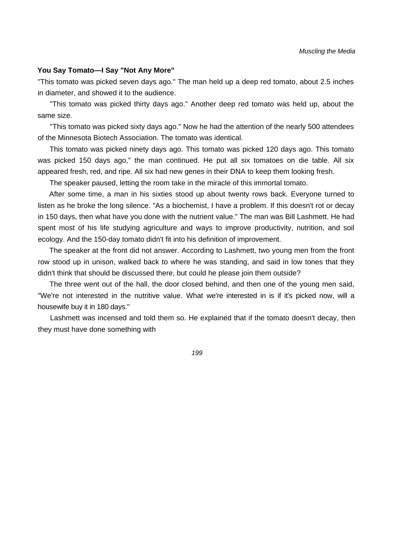## **You Say Tomato—I Say "Not Any More"**

"This tomato was picked seven days ago." The man held up a deep red tomato, about 2.5 inches in diameter, and showed it to the audience.

"This tomato was picked thirty days ago." Another deep red tomato was held up, about the same size.

"This tomato was picked sixty days ago." Now he had the attention of the nearly 500 attendees of the Minnesota Biotech Association. The tomato was identical.

This tomato was picked ninety days ago. This tomato was picked 120 days ago. This tomato was picked 150 days ago," the man continued. He put all six tomatoes on die table. All six appeared fresh, red, and ripe. All six had new genes in their DNA to keep them looking fresh.

The speaker paused, letting the room take in the miracle of this immortal tomato.

After some time, a man in his sixties stood up about twenty rows back. Everyone turned to listen as he broke the long silence. "As a biochemist, I have a problem. If this doesn't rot or decay in 150 days, then what have you done with the nutrient value." The man was Bill Lashmett. He had spent most of his life studying agriculture and ways to improve productivity, nutrition, and soil ecology. And the 150-day tomato didn't fit into his definition of improvement.

The speaker at the front did not answer. According to Lashmett, two young men from the front row stood up in unison, walked back to where he was standing, and said in low tones that they didn't think that should be discussed there, but could he please join them outside?

The three went out of the hall, the door closed behind, and then one of the young men said, "We're not interested in the nutritive value. What we're interested in is if it's picked now, will a housewife buy it in 180 days."

Lashmett was incensed and told them so. He explained that if the tomato doesn't decay, then they must have done something with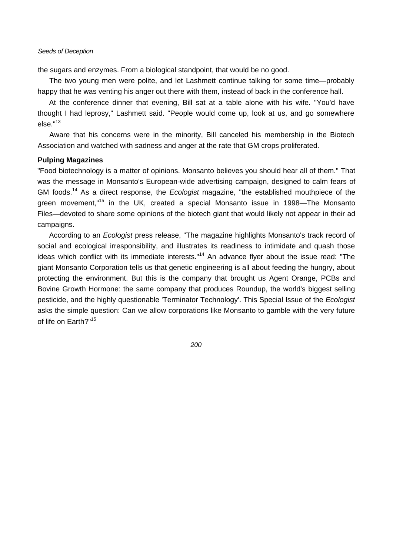the sugars and enzymes. From a biological standpoint, that would be no good.

The two young men were polite, and let Lashmett continue talking for some time—probably happy that he was venting his anger out there with them, instead of back in the conference hall.

At the conference dinner that evening, Bill sat at a table alone with his wife. "You'd have thought I had leprosy," Lashmett said. "People would come up, look at us, and go somewhere  $e$ lse." $13$ 

Aware that his concerns were in the minority, Bill canceled his membership in the Biotech Association and watched with sadness and anger at the rate that GM crops proliferated.

# **Pulping Magazines**

"Food biotechnology is a matter of opinions. Monsanto believes you should hear all of them." That was the message in Monsanto's European-wide advertising campaign, designed to calm fears of GM foods.14 As a direct response, the *Ecologist* magazine, "the established mouthpiece of the green movement,"15 in the UK, created a special Monsanto issue in 1998—The Monsanto Files—devoted to share some opinions of the biotech giant that would likely not appear in their ad campaigns.

According to an *Ecologist* press release, "The magazine highlights Monsanto's track record of social and ecological irresponsibility, and illustrates its readiness to intimidate and quash those ideas which conflict with its immediate interests."<sup>14</sup> An advance flyer about the issue read: "The giant Monsanto Corporation tells us that genetic engineering is all about feeding the hungry, about protecting the environment. But this is the company that brought us Agent Orange, PCBs and Bovine Growth Hormone: the same company that produces Roundup, the world's biggest selling pesticide, and the highly questionable 'Terminator Technology'. This Special Issue of the *Ecologist*  asks the simple question: Can we allow corporations like Monsanto to gamble with the very future of life on Earth?"<sup>15</sup>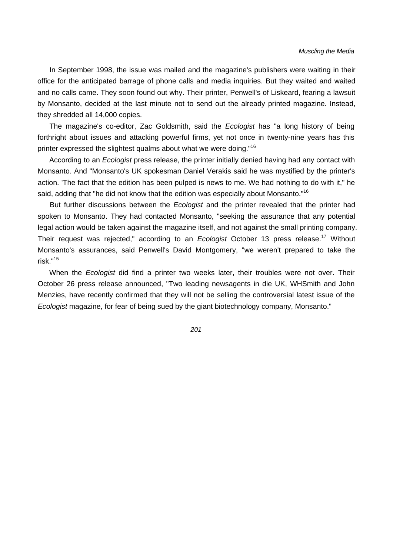In September 1998, the issue was mailed and the magazine's publishers were waiting in their office for the anticipated barrage of phone calls and media inquiries. But they waited and waited and no calls came. They soon found out why. Their printer, Penwell's of Liskeard, fearing a lawsuit by Monsanto, decided at the last minute not to send out the already printed magazine. Instead, they shredded all 14,000 copies.

The magazine's co-editor, Zac Goldsmith, said the *Ecologist* has "a long history of being forthright about issues and attacking powerful firms, yet not once in twenty-nine years has this printer expressed the slightest qualms about what we were doing."<sup>16</sup>

According to an *Ecologist* press release, the printer initially denied having had any contact with Monsanto. And "Monsanto's UK spokesman Daniel Verakis said he was mystified by the printer's action. 'The fact that the edition has been pulped is news to me. We had nothing to do with it," he said, adding that "he did not know that the edition was especially about Monsanto."<sup>16</sup>

But further discussions between the *Ecologist* and the printer revealed that the printer had spoken to Monsanto. They had contacted Monsanto, "seeking the assurance that any potential legal action would be taken against the magazine itself, and not against the small printing company. Their request was rejected," according to an *Ecologist* October 13 press release.17 Without Monsanto's assurances, said Penwell's David Montgomery, "we weren't prepared to take the risk."<sup>15</sup>

When the *Ecologist* did find a printer two weeks later, their troubles were not over. Their October 26 press release announced, "Two leading newsagents in die UK, WHSmith and John Menzies, have recently confirmed that they will not be selling the controversial latest issue of the *Ecologist* magazine, for fear of being sued by the giant biotechnology company, Monsanto."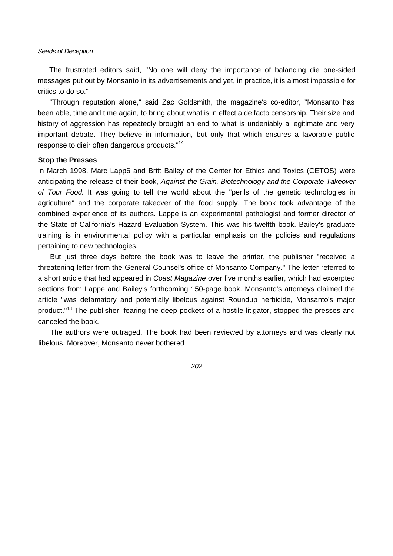The frustrated editors said, "No one will deny the importance of balancing die one-sided messages put out by Monsanto in its advertisements and yet, in practice, it is almost impossible for critics to do so."

"Through reputation alone," said Zac Goldsmith, the magazine's co-editor, "Monsanto has been able, time and time again, to bring about what is in effect a de facto censorship. Their size and history of aggression has repeatedly brought an end to what is undeniably a legitimate and very important debate. They believe in information, but only that which ensures a favorable public response to dieir often dangerous products."14

## **Stop the Presses**

In March 1998, Marc Lapp6 and Britt Bailey of the Center for Ethics and Toxics (CETOS) were anticipating the release of their book, *Against the Grain, Biotechnology and the Corporate Takeover of Tour Food.* It was going to tell the world about the "perils of the genetic technologies in agriculture" and the corporate takeover of the food supply. The book took advantage of the combined experience of its authors. Lappe is an experimental pathologist and former director of the State of California's Hazard Evaluation System. This was his twelfth book. Bailey's graduate training is in environmental policy with a particular emphasis on the policies and regulations pertaining to new technologies.

But just three days before the book was to leave the printer, the publisher "received a threatening letter from the General Counsel's office of Monsanto Company." The letter referred to a short article that had appeared in *Coast Magazine* over five months earlier, which had excerpted sections from Lappe and Bailey's forthcoming 150-page book. Monsanto's attorneys claimed the article "was defamatory and potentially libelous against Roundup herbicide, Monsanto's major product."<sup>18</sup> The publisher, fearing the deep pockets of a hostile litigator, stopped the presses and canceled the book.

The authors were outraged. The book had been reviewed by attorneys and was clearly not libelous. Moreover, Monsanto never bothered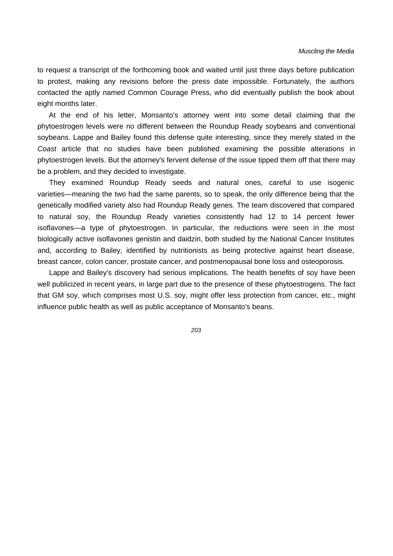to request a transcript of the forthcoming book and waited until just three days before publication to protest, making any revisions before the press date impossible. Fortunately, the authors contacted the aptly named Common Courage Press, who did eventually publish the book about eight months later.

At the end of his letter, Monsanto's attorney went into some detail claiming that the phytoestrogen levels were no different between the Roundup Ready soybeans and conventional soybeans. Lappe and Bailey found this defense quite interesting, since they merely stated in the *Coast* article that no studies have been published examining the possible alterations in phytoestrogen levels. But the attorney's fervent defense of the issue tipped them off that there may be a problem, and they decided to investigate.

They examined Roundup Ready seeds and natural ones, careful to use isogenic varieties—meaning the two had the same parents, so to speak, the only difference being that the genetically modified variety also had Roundup Ready genes. The team discovered that compared to natural soy, the Roundup Ready varieties consistently had 12 to 14 percent fewer isoflavones—a type of phytoestrogen. In particular, the reductions were seen in the most biologically active isoflavones genistin and daidzin, both studied by the National Cancer Institutes and, according to Bailey, identified by nutritionists as being protective against heart disease, breast cancer, colon cancer, prostate cancer, and postmenopausal bone loss and osteoporosis.

Lappe and Bailey's discovery had serious implications. The health benefits of soy have been well publicized in recent years, in large part due to the presence of these phytoestrogens. The fact that GM soy, which comprises most U.S. soy, might offer less protection from cancer, etc., might influence public health as well as public acceptance of Monsanto's beans.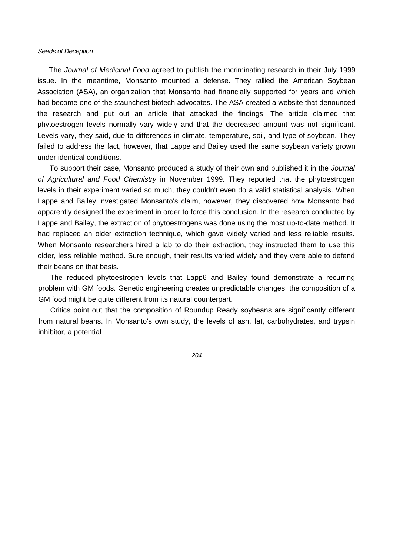The *Journal of Medicinal Food* agreed to publish the mcriminating research in their July 1999 issue. In the meantime, Monsanto mounted a defense. They rallied the American Soybean Association (ASA), an organization that Monsanto had financially supported for years and which had become one of the staunchest biotech advocates. The ASA created a website that denounced the research and put out an article that attacked the findings. The article claimed that phytoestrogen levels normally vary widely and that the decreased amount was not significant. Levels vary, they said, due to differences in climate, temperature, soil, and type of soybean. They failed to address the fact, however, that Lappe and Bailey used the same soybean variety grown under identical conditions.

To support their case, Monsanto produced a study of their own and published it in the *Journal of Agricultural and Food Chemistry* in November 1999. They reported that the phytoestrogen levels in their experiment varied so much, they couldn't even do a valid statistical analysis. When Lappe and Bailey investigated Monsanto's claim, however, they discovered how Monsanto had apparently designed the experiment in order to force this conclusion. In the research conducted by Lappe and Bailey, the extraction of phytoestrogens was done using the most up-to-date method. It had replaced an older extraction technique, which gave widely varied and less reliable results. When Monsanto researchers hired a lab to do their extraction, they instructed them to use this older, less reliable method. Sure enough, their results varied widely and they were able to defend their beans on that basis.

The reduced phytoestrogen levels that Lapp6 and Bailey found demonstrate a recurring problem with GM foods. Genetic engineering creates unpredictable changes; the composition of a GM food might be quite different from its natural counterpart.

Critics point out that the composition of Roundup Ready soybeans are significantly different from natural beans. In Monsanto's own study, the levels of ash, fat, carbohydrates, and trypsin inhibitor, a potential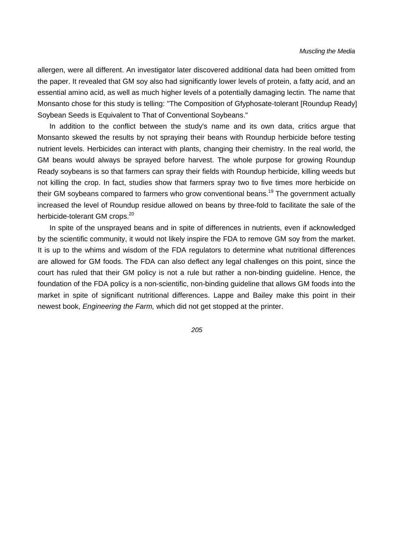allergen, were all different. An investigator later discovered additional data had been omitted from the paper. It revealed that GM soy also had significantly lower levels of protein, a fatty acid, and an essential amino acid, as well as much higher levels of a potentially damaging lectin. The name that Monsanto chose for this study is telling: "The Composition of Gfyphosate-tolerant [Roundup Ready] Soybean Seeds is Equivalent to That of Conventional Soybeans."

In addition to the conflict between the study's name and its own data, critics argue that Monsanto skewed the results by not spraying their beans with Roundup herbicide before testing nutrient levels. Herbicides can interact with plants, changing their chemistry. In the real world, the GM beans would always be sprayed before harvest. The whole purpose for growing Roundup Ready soybeans is so that farmers can spray their fields with Roundup herbicide, killing weeds but not killing the crop. In fact, studies show that farmers spray two to five times more herbicide on their GM soybeans compared to farmers who grow conventional beans.<sup>19</sup> The government actually increased the level of Roundup residue allowed on beans by three-fold to facilitate the sale of the herbicide-tolerant GM crops.<sup>20</sup>

In spite of the unsprayed beans and in spite of differences in nutrients, even if acknowledged by the scientific community, it would not likely inspire the FDA to remove GM soy from the market. It is up to the whims and wisdom of the FDA regulators to determine what nutritional differences are allowed for GM foods. The FDA can also deflect any legal challenges on this point, since the court has ruled that their GM policy is not a rule but rather a non-binding guideline. Hence, the foundation of the FDA policy is a non-scientific, non-binding guideline that allows GM foods into the market in spite of significant nutritional differences. Lappe and Bailey make this point in their newest book, *Engineering the Farm,* which did not get stopped at the printer.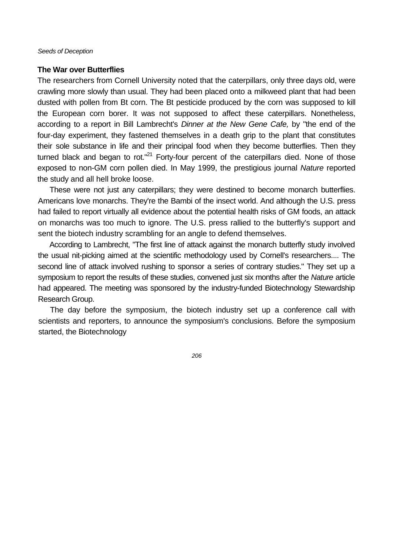# **The War over Butterflies**

The researchers from Cornell University noted that the caterpillars, only three days old, were crawling more slowly than usual. They had been placed onto a milkweed plant that had been dusted with pollen from Bt corn. The Bt pesticide produced by the corn was supposed to kill the European corn borer. It was not supposed to affect these caterpillars. Nonetheless, according to a report in Bill Lambrecht's *Dinner at the New Gene Cafe,* by "the end of the four-day experiment, they fastened themselves in a death grip to the plant that constitutes their sole substance in life and their principal food when they become butterflies. Then they turned black and began to rot."<sup>21</sup> Forty-four percent of the caterpillars died. None of those exposed to non-GM corn pollen died. In May 1999, the prestigious journal *Nature* reported the study and all hell broke loose.

These were not just any caterpillars; they were destined to become monarch butterflies. Americans love monarchs. They're the Bambi of the insect world. And although the U.S. press had failed to report virtually all evidence about the potential health risks of GM foods, an attack on monarchs was too much to ignore. The U.S. press rallied to the butterfly's support and sent the biotech industry scrambling for an angle to defend themselves.

According to Lambrecht, "The first line of attack against the monarch butterfly study involved the usual nit-picking aimed at the scientific methodology used by Cornell's researchers.... The second line of attack involved rushing to sponsor a series of contrary studies." They set up a symposium to report the results of these studies, convened just six months after the *Nature* article had appeared. The meeting was sponsored by the industry-funded Biotechnology Stewardship Research Group.

The day before the symposium, the biotech industry set up a conference call with scientists and reporters, to announce the symposium's conclusions. Before the symposium started, the Biotechnology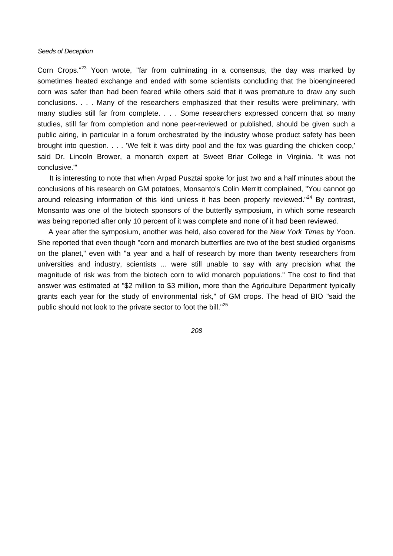Corn Crops.<sup>"23</sup> Yoon wrote, "far from culminating in a consensus, the day was marked by sometimes heated exchange and ended with some scientists concluding that the bioengineered corn was safer than had been feared while others said that it was premature to draw any such conclusions. . . . Many of the researchers emphasized that their results were preliminary, with many studies still far from complete. . . . Some researchers expressed concern that so many studies, still far from completion and none peer-reviewed or published, should be given such a public airing, in particular in a forum orchestrated by the industry whose product safety has been brought into question. . . . 'We felt it was dirty pool and the fox was guarding the chicken coop,' said Dr. Lincoln Brower, a monarch expert at Sweet Briar College in Virginia. 'It was not conclusive.'"

It is interesting to note that when Arpad Pusztai spoke for just two and a half minutes about the conclusions of his research on GM potatoes, Monsanto's Colin Merritt complained, "You cannot go around releasing information of this kind unless it has been properly reviewed."<sup>24</sup> By contrast, Monsanto was one of the biotech sponsors of the butterfly symposium, in which some research was being reported after only 10 percent of it was complete and none of it had been reviewed.

A year after the symposium, another was held, also covered for the *New York Times* by Yoon. She reported that even though "corn and monarch butterflies are two of the best studied organisms on the planet," even with "a year and a half of research by more than twenty researchers from universities and industry, scientists ... were still unable to say with any precision what the magnitude of risk was from the biotech corn to wild monarch populations." The cost to find that answer was estimated at "\$2 million to \$3 million, more than the Agriculture Department typically grants each year for the study of environmental risk," of GM crops. The head of BIO "said the public should not look to the private sector to foot the bill."<sup>25</sup>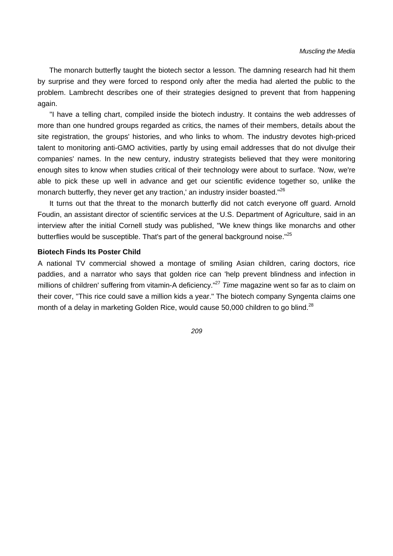The monarch butterfly taught the biotech sector a lesson. The damning research had hit them by surprise and they were forced to respond only after the media had alerted the public to the problem. Lambrecht describes one of their strategies designed to prevent that from happening again.

"I have a telling chart, compiled inside the biotech industry. It contains the web addresses of more than one hundred groups regarded as critics, the names of their members, details about the site registration, the groups' histories, and who links to whom. The industry devotes high-priced talent to monitoring anti-GMO activities, partly by using email addresses that do not divulge their companies' names. In the new century, industry strategists believed that they were monitoring enough sites to know when studies critical of their technology were about to surface. 'Now, we're able to pick these up well in advance and get our scientific evidence together so, unlike the monarch butterfly, they never get any traction,' an industry insider boasted."<sup>26</sup>

It turns out that the threat to the monarch butterfly did not catch everyone off guard. Arnold Foudin, an assistant director of scientific services at the U.S. Department of Agriculture, said in an interview after the initial Cornell study was published, "We knew things like monarchs and other butterflies would be susceptible. That's part of the general background noise."<sup>25</sup>

# **Biotech Finds Its Poster Child**

A national TV commercial showed a montage of smiling Asian children, caring doctors, rice paddies, and a narrator who says that golden rice can 'help prevent blindness and infection in millions of children' suffering from vitamin-A deficiency."27 *Time* magazine went so far as to claim on their cover, "This rice could save a million kids a year." The biotech company Syngenta claims one month of a delay in marketing Golden Rice, would cause 50,000 children to go blind.<sup>28</sup>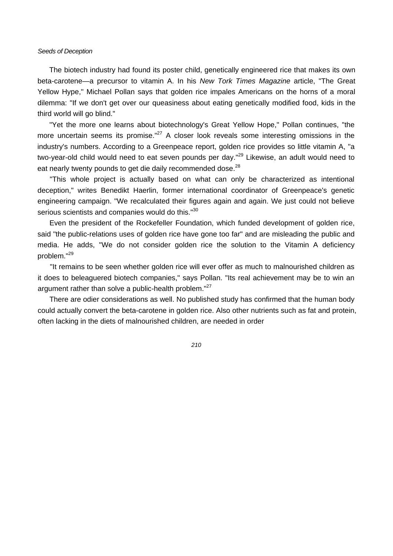The biotech industry had found its poster child, genetically engineered rice that makes its own beta-carotene—a precursor to vitamin A. In his *New Tork Times Magazine* article, "The Great Yellow Hype," Michael Pollan says that golden rice impales Americans on the horns of a moral dilemma: "If we don't get over our queasiness about eating genetically modified food, kids in the third world will go blind."

"Yet the more one learns about biotechnology's Great Yellow Hope," Pollan continues, "the more uncertain seems its promise."<sup>27</sup> A closer look reveals some interesting omissions in the industry's numbers. According to a Greenpeace report, golden rice provides so little vitamin A, "a two-year-old child would need to eat seven pounds per day."<sup>29</sup> Likewise, an adult would need to eat nearly twenty pounds to get die daily recommended dose.<sup>28</sup>

"This whole project is actually based on what can only be characterized as intentional deception," writes Benedikt Haerlin, former international coordinator of Greenpeace's genetic engineering campaign. "We recalculated their figures again and again. We just could not believe serious scientists and companies would do this."<sup>30</sup>

Even the president of the Rockefeller Foundation, which funded development of golden rice, said "the public-relations uses of golden rice have gone too far" and are misleading the public and media. He adds, "We do not consider golden rice the solution to the Vitamin A deficiency problem."<sup>29</sup>

"It remains to be seen whether golden rice will ever offer as much to malnourished children as it does to beleaguered biotech companies," says Pollan. "Its real achievement may be to win an argument rather than solve a public-health problem."<sup>27</sup>

There are odier considerations as well. No published study has confirmed that the human body could actually convert the beta-carotene in golden rice. Also other nutrients such as fat and protein, often lacking in the diets of malnourished children, are needed in order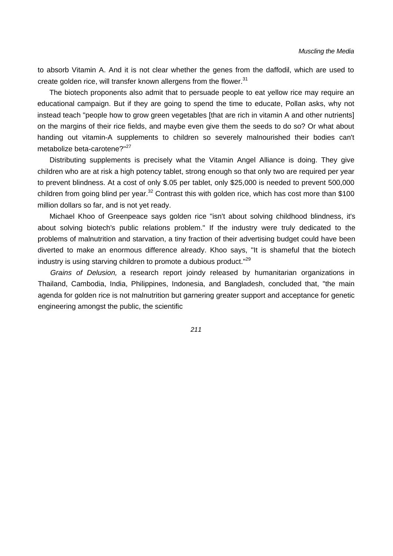to absorb Vitamin A. And it is not clear whether the genes from the daffodil, which are used to create golden rice, will transfer known allergens from the flower.<sup>31</sup>

The biotech proponents also admit that to persuade people to eat yellow rice may require an educational campaign. But if they are going to spend the time to educate, Pollan asks, why not instead teach "people how to grow green vegetables [that are rich in vitamin A and other nutrients] on the margins of their rice fields, and maybe even give them the seeds to do so? Or what about handing out vitamin-A supplements to children so severely malnourished their bodies can't metabolize beta-carotene?"<sup>27</sup>

Distributing supplements is precisely what the Vitamin Angel Alliance is doing. They give children who are at risk a high potency tablet, strong enough so that only two are required per year to prevent blindness. At a cost of only \$.05 per tablet, only \$25,000 is needed to prevent 500,000 children from going blind per year. $32$  Contrast this with golden rice, which has cost more than \$100 million dollars so far, and is not yet ready.

Michael Khoo of Greenpeace says golden rice "isn't about solving childhood blindness, it's about solving biotech's public relations problem." If the industry were truly dedicated to the problems of malnutrition and starvation, a tiny fraction of their advertising budget could have been diverted to make an enormous difference already. Khoo says, "It is shameful that the biotech industry is using starving children to promote a dubious product."<sup>29</sup>

*Grains of Delusion,* a research report joindy released by humanitarian organizations in Thailand, Cambodia, India, Philippines, Indonesia, and Bangladesh, concluded that, "the main agenda for golden rice is not malnutrition but garnering greater support and acceptance for genetic engineering amongst the public, the scientific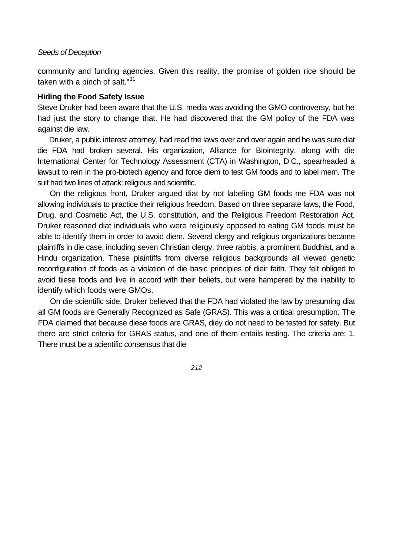community and funding agencies. Given this reality, the promise of golden rice should be taken with a pinch of salt."<sup>31</sup>

# **Hiding the Food Safety Issue**

Steve Druker had been aware that the U.S. media was avoiding the GMO controversy, but he had just the story to change that. He had discovered that the GM policy of the FDA was against die law.

Druker, a public interest attorney, had read the laws over and over again and he was sure diat die FDA had broken several. His organization, Alliance for Biointegrity, along with die International Center for Technology Assessment (CTA) in Washington, D.C., spearheaded a lawsuit to rein in the pro-biotech agency and force diem to test GM foods and to label mem. The suit had two lines of attack: religious and scientific.

On the religious front, Druker argued diat by not labeling GM foods me FDA was not allowing individuals to practice their religious freedom. Based on three separate laws, the Food, Drug, and Cosmetic Act, the U.S. constitution, and the Religious Freedom Restoration Act, Druker reasoned diat individuals who were religiously opposed to eating GM foods must be able to identify them in order to avoid diem. Several clergy and religious organizations became plaintiffs in die case, including seven Christian clergy, three rabbis, a prominent Buddhist, and a Hindu organization. These plaintiffs from diverse religious backgrounds all viewed genetic reconfiguration of foods as a violation of die basic principles of dieir faith. They felt obliged to avoid tiiese foods and live in accord with their beliefs, but were hampered by the inability to identify which foods were GMOs.

On die scientific side, Druker believed that the FDA had violated the law by presuming diat all GM foods are Generally Recognized as Safe (GRAS). This was a critical presumption. The FDA claimed that because diese foods are GRAS, diey do not need to be tested for safety. But there are strict criteria for GRAS status, and one of them entails testing. The criteria are: 1. There must be a scientific consensus that die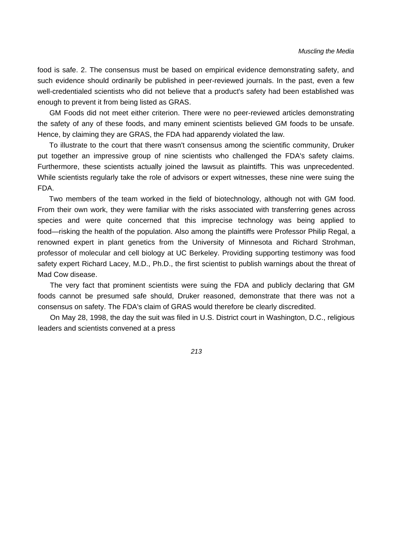food is safe. 2. The consensus must be based on empirical evidence demonstrating safety, and such evidence should ordinarily be published in peer-reviewed journals. In the past, even a few well-credentialed scientists who did not believe that a product's safety had been established was enough to prevent it from being listed as GRAS.

GM Foods did not meet either criterion. There were no peer-reviewed articles demonstrating the safety of any of these foods, and many eminent scientists believed GM foods to be unsafe. Hence, by claiming they are GRAS, the FDA had apparendy violated the law.

To illustrate to the court that there wasn't consensus among the scientific community, Druker put together an impressive group of nine scientists who challenged the FDA's safety claims. Furthermore, these scientists actually joined the lawsuit as plaintiffs. This was unprecedented. While scientists regularly take the role of advisors or expert witnesses, these nine were suing the FDA.

Two members of the team worked in the field of biotechnology, although not with GM food. From their own work, they were familiar with the risks associated with transferring genes across species and were quite concerned that this imprecise technology was being applied to food—risking the health of the population. Also among the plaintiffs were Professor Philip Regal, a renowned expert in plant genetics from the University of Minnesota and Richard Strohman, professor of molecular and cell biology at UC Berkeley. Providing supporting testimony was food safety expert Richard Lacey, M.D., Ph.D., the first scientist to publish warnings about the threat of Mad Cow disease.

The very fact that prominent scientists were suing the FDA and publicly declaring that GM foods cannot be presumed safe should, Druker reasoned, demonstrate that there was not a consensus on safety. The FDA's claim of GRAS would therefore be clearly discredited.

On May 28, 1998, the day the suit was filed in U.S. District court in Washington, D.C., religious leaders and scientists convened at a press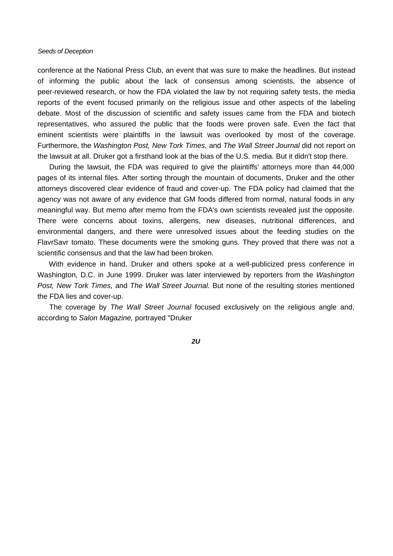conference at the National Press Club, an event that was sure to make the headlines. But instead of informing the public about the lack of consensus among scientists, the absence of peer-reviewed research, or how the FDA violated the law by not requiring safety tests, the media reports of the event focused primarily on the religious issue and other aspects of the labeling debate. Most of the discussion of scientific and safety issues came from the FDA and biotech representatives, who assured the public that the foods were proven safe. Even the fact that eminent scientists were plaintiffs in the lawsuit was overlooked by most of the coverage. Furthermore, the *Washington Post, New Tork Times,* and *The Wall Street Journal* did not report on the lawsuit at all. Druker got a firsthand look at the bias of the U.S. media. But it didn't stop there.

During the lawsuit, the FDA was required to give the plaintiffs' attorneys more than 44,000 pages of its internal files. After sorting through the mountain of documents, Druker and the other attorneys discovered clear evidence of fraud and cover-up. The FDA policy had claimed that the agency was not aware of any evidence that GM foods differed from normal, natural foods in any meaningful way. But memo after memo from the FDA's own scientists revealed just the opposite. There were concerns about toxins, allergens, new diseases, nutritional differences, and environmental dangers, and there were unresolved issues about the feeding studies on the FlavrSavr tomato. These documents were the smoking guns. They proved that there was not a scientific consensus and that the law had been broken.

With evidence in hand, Druker and others spoke at a well-publicized press conference in Washington, D.C. in June 1999. Druker was later interviewed by reporters from the *Washington Post, New Tork Times,* and *The Wall Street Journal.* But none of the resulting stories mentioned the FDA lies and cover-up.

The coverage by *The Wall Street Journal* focused exclusively on the religious angle and, according to *Salon Magazine,* portrayed "Druker

*2U*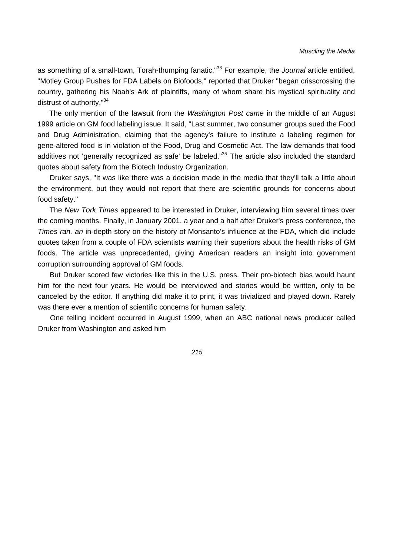as something of a small-town, Torah-thumping fanatic."<sup>33</sup> For example, the *Journal* article entitled, "Motley Group Pushes for FDA Labels on Biofoods," reported that Druker "began crisscrossing the country, gathering his Noah's Ark of plaintiffs, many of whom share his mystical spirituality and distrust of authority."34

The only mention of the lawsuit from the *Washington Post came* in the middle of an August 1999 article on GM food labeling issue. It said, "Last summer, two consumer groups sued the Food and Drug Administration, claiming that the agency's failure to institute a labeling regimen for gene-altered food is in violation of the Food, Drug and Cosmetic Act. The law demands that food additives not 'generally recognized as safe' be labeled."<sup>35</sup> The article also included the standard quotes about safety from the Biotech Industry Organization.

Druker says, "It was like there was a decision made in the media that they'll talk a little about the environment, but they would not report that there are scientific grounds for concerns about food safety."

The *New Tork Times* appeared to be interested in Druker, interviewing him several times over the coming months. Finally, in January 2001, a year and a half after Druker's press conference, the *Times ran. an* in-depth story on the history of Monsanto's influence at the FDA, which did include quotes taken from a couple of FDA scientists warning their superiors about the health risks of GM foods. The article was unprecedented, giving American readers an insight into government corruption surrounding approval of GM foods.

But Druker scored few victories like this in the U.S. press. Their pro-biotech bias would haunt him for the next four years. He would be interviewed and stories would be written, only to be canceled by the editor. If anything did make it to print, it was trivialized and played down. Rarely was there ever a mention of scientific concerns for human safety.

One telling incident occurred in August 1999, when an ABC national news producer called Druker from Washington and asked him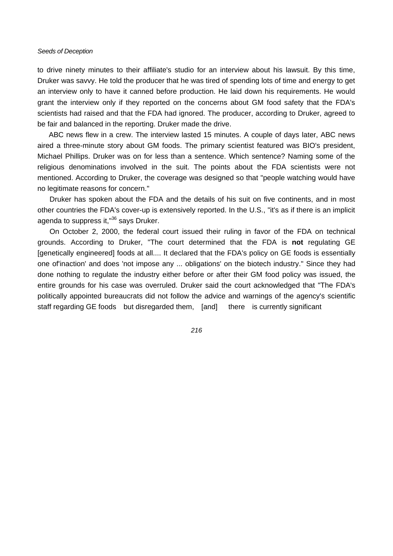to drive ninety minutes to their affiliate's studio for an interview about his lawsuit. By this time, Druker was savvy. He told the producer that he was tired of spending lots of time and energy to get an interview only to have it canned before production. He laid down his requirements. He would grant the interview only if they reported on the concerns about GM food safety that the FDA's scientists had raised and that the FDA had ignored. The producer, according to Druker, agreed to be fair and balanced in the reporting. Druker made the drive.

ABC news flew in a crew. The interview lasted 15 minutes. A couple of days later, ABC news aired a three-minute story about GM foods. The primary scientist featured was BIO's president, Michael Phillips. Druker was on for less than a sentence. Which sentence? Naming some of the religious denominations involved in the suit. The points about the FDA scientists were not mentioned. According to Druker, the coverage was designed so that "people watching would have no legitimate reasons for concern."

Druker has spoken about the FDA and the details of his suit on five continents, and in most other countries the FDA's cover-up is extensively reported. In the U.S., "it's as if there is an implicit agenda to suppress it,<sup>"36</sup> says Druker.

On October 2, 2000, the federal court issued their ruling in favor of the FDA on technical grounds. According to Druker, "The court determined that the FDA is **not** regulating GE [genetically engineered] foods at all.... It declared that the FDA's policy on GE foods is essentially one of'inaction' and does 'not impose any ... obligations' on the biotech industry." Since they had done nothing to regulate the industry either before or after their GM food policy was issued, the entire grounds for his case was overruled. Druker said the court acknowledged that "The FDA's politically appointed bureaucrats did not follow the advice and warnings of the agency's scientific staff regarding GE foods but disregarded them, [and] there is currently significant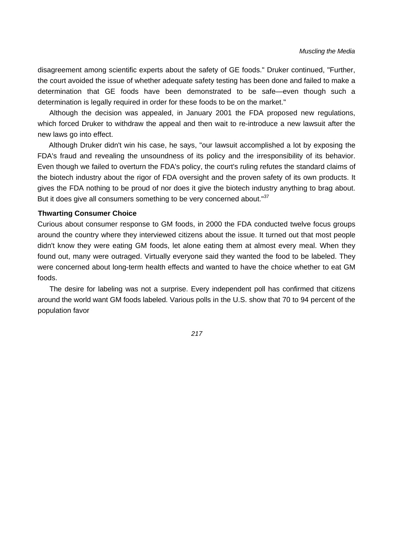disagreement among scientific experts about the safety of GE foods." Druker continued, "Further, the court avoided the issue of whether adequate safety testing has been done and failed to make a determination that GE foods have been demonstrated to be safe—even though such a determination is legally required in order for these foods to be on the market."

Although the decision was appealed, in January 2001 the FDA proposed new regulations, which forced Druker to withdraw the appeal and then wait to re-introduce a new lawsuit after the new laws go into effect.

Although Druker didn't win his case, he says, "our lawsuit accomplished a lot by exposing the FDA's fraud and revealing the unsoundness of its policy and the irresponsibility of its behavior. Even though we failed to overturn the FDA's policy, the court's ruling refutes the standard claims of the biotech industry about the rigor of FDA oversight and the proven safety of its own products. It gives the FDA nothing to be proud of nor does it give the biotech industry anything to brag about. But it does give all consumers something to be very concerned about."<sup>37</sup>

## **Thwarting Consumer Choice**

Curious about consumer response to GM foods, in 2000 the FDA conducted twelve focus groups around the country where they interviewed citizens about the issue. It turned out that most people didn't know they were eating GM foods, let alone eating them at almost every meal. When they found out, many were outraged. Virtually everyone said they wanted the food to be labeled. They were concerned about long-term health effects and wanted to have the choice whether to eat GM foods.

The desire for labeling was not a surprise. Every independent poll has confirmed that citizens around the world want GM foods labeled. Various polls in the U.S. show that 70 to 94 percent of the population favor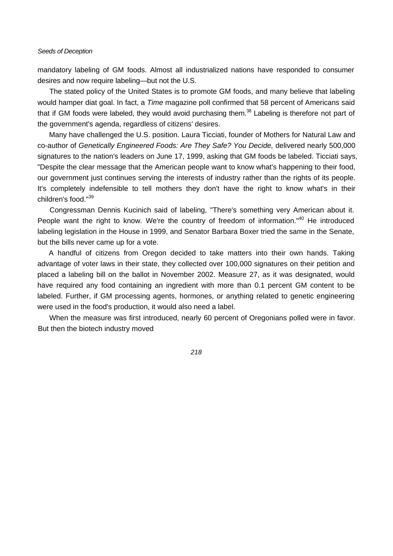mandatory labeling of GM foods. Almost all industrialized nations have responded to consumer desires and now require labeling—but not the U.S.

The stated policy of the United States is to promote GM foods, and many believe that labeling would hamper diat goal. In fact, a *Time* magazine poll confirmed that 58 percent of Americans said that if GM foods were labeled, they would avoid purchasing them.<sup>38</sup> Labeling is therefore not part of the government's agenda, regardless of citizens' desires.

Many have challenged the U.S. position. Laura Ticciati, founder of Mothers for Natural Law and co-author of *Genetically Engineered Foods: Are They Safe? You Decide,* delivered nearly 500,000 signatures to the nation's leaders on June 17, 1999, asking that GM foods be labeled. Ticciati says, "Despite the clear message that the American people want to know what's happening to their food, our government just continues serving the interests of industry rather than the rights of its people. It's completely indefensible to tell mothers they don't have the right to know what's in their children's food."<sup>39</sup>

Congressman Dennis Kucinich said of labeling, "There's something very American about it. People want the right to know. We're the country of freedom of information."<sup>40</sup> He introduced labeling legislation in the House in 1999, and Senator Barbara Boxer tried the same in the Senate, but the bills never came up for a vote.

A handful of citizens from Oregon decided to take matters into their own hands. Taking advantage of voter laws in their state, they collected over 100,000 signatures on their petition and placed a labeling bill on the ballot in November 2002. Measure 27, as it was designated, would have required any food containing an ingredient with more than 0.1 percent GM content to be labeled. Further, if GM processing agents, hormones, or anything related to genetic engineering were used in the food's production, it would also need a label.

When the measure was first introduced, nearly 60 percent of Oregonians polled were in favor. But then the biotech industry moved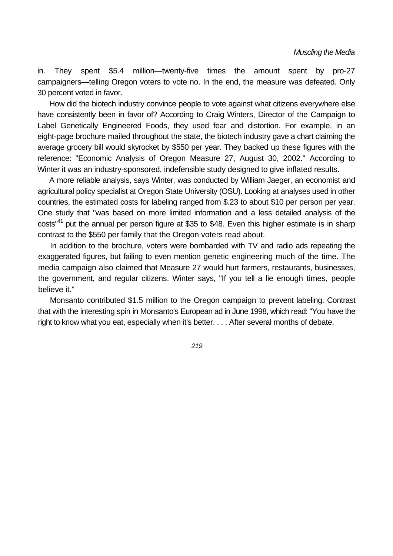in. They spent \$5.4 million—twenty-five times the amount spent by pro-27 campaigners—telling Oregon voters to vote no. In the end, the measure was defeated. Only 30 percent voted in favor.

How did the biotech industry convince people to vote against what citizens everywhere else have consistently been in favor of? According to Craig Winters, Director of the Campaign to Label Genetically Engineered Foods, they used fear and distortion. For example, in an eight-page brochure mailed throughout the state, the biotech industry gave a chart claiming the average grocery bill would skyrocket by \$550 per year. They backed up these figures with the reference: "Economic Analysis of Oregon Measure 27, August 30, 2002." According to Winter it was an industry-sponsored, indefensible study designed to give inflated results.

A more reliable analysis, says Winter, was conducted by William Jaeger, an economist and agricultural policy specialist at Oregon State University (OSU). Looking at analyses used in other countries, the estimated costs for labeling ranged from \$.23 to about \$10 per person per year. One study that "was based on more limited information and a less detailed analysis of the costs<sup>"41</sup> put the annual per person figure at \$35 to \$48. Even this higher estimate is in sharp contrast to the \$550 per family that the Oregon voters read about.

In addition to the brochure, voters were bombarded with TV and radio ads repeating the exaggerated figures, but failing to even mention genetic engineering much of the time. The media campaign also claimed that Measure 27 would hurt farmers, restaurants, businesses, the government, and regular citizens. Winter says, "If you tell a lie enough times, people believe it."

Monsanto contributed \$1.5 million to the Oregon campaign to prevent labeling. Contrast that with the interesting spin in Monsanto's European ad in June 1998, which read: "You have the right to know what you eat, especially when it's better. . . . After several months of debate,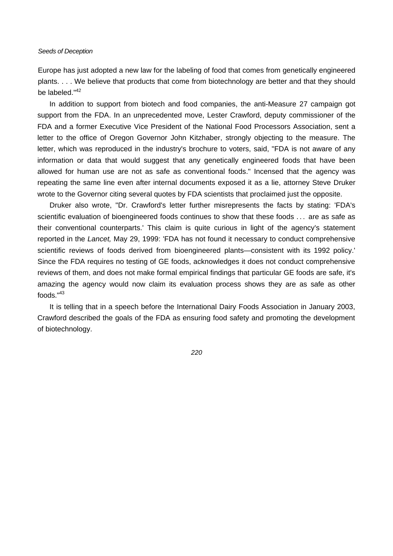Europe has just adopted a new law for the labeling of food that comes from genetically engineered plants. . . . We believe that products that come from biotechnology are better and that they should be labeled."<sup>42</sup>

In addition to support from biotech and food companies, the anti-Measure 27 campaign got support from the FDA. In an unprecedented move, Lester Crawford, deputy commissioner of the FDA and a former Executive Vice President of the National Food Processors Association, sent a letter to the office of Oregon Governor John Kitzhaber, strongly objecting to the measure. The letter, which was reproduced in the industry's brochure to voters, said, "FDA is not aware of any information or data that would suggest that any genetically engineered foods that have been allowed for human use are not as safe as conventional foods." Incensed that the agency was repeating the same line even after internal documents exposed it as a lie, attorney Steve Druker wrote to the Governor citing several quotes by FDA scientists that proclaimed just the opposite.

Druker also wrote, "Dr. Crawford's letter further misrepresents the facts by stating: 'FDA's scientific evaluation of bioengineered foods continues to show that these foods . . . are as safe as their conventional counterparts.' This claim is quite curious in light of the agency's statement reported in the *Lancet,* May 29, 1999: 'FDA has not found it necessary to conduct comprehensive scientific reviews of foods derived from bioengineered plants—consistent with its 1992 policy.' Since the FDA requires no testing of GE foods, acknowledges it does not conduct comprehensive reviews of them, and does not make formal empirical findings that particular GE foods are safe, it's amazing the agency would now claim its evaluation process shows they are as safe as other foods."43

It is telling that in a speech before the International Dairy Foods Association in January 2003, Crawford described the goals of the FDA as ensuring food safety and promoting the development of biotechnology.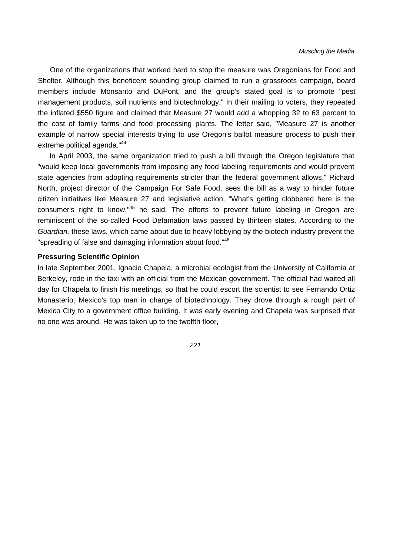One of the organizations that worked hard to stop the measure was Oregonians for Food and Shelter. Although this beneficent sounding group claimed to run a grassroots campaign, board members include Monsanto and DuPont, and the group's stated goal is to promote "pest management products, soil nutrients and biotechnology." In their mailing to voters, they repeated the inflated \$550 figure and claimed that Measure 27 would add a whopping 32 to 63 percent to the cost of family farms and food processing plants. The letter said, "Measure 27 is another example of narrow special interests trying to use Oregon's ballot measure process to push their extreme political agenda."<sup>44</sup>

In April 2003, the same organization tried to push a bill through the Oregon legislature that "would keep local governments from imposing any food labeling requirements and would prevent state agencies from adopting requirements stricter than the federal government allows." Richard North, project director of the Campaign For Safe Food, sees the bill as a way to hinder future citizen initiatives like Measure 27 and legislative action. "What's getting clobbered here is the consumer's right to know,"45 he said. The efforts to prevent future labeling in Oregon are reminiscent of the so-called Food Defamation laws passed by thirteen states. According to the *Guardian,* these laws, which came about due to heavy lobbying by the biotech industry prevent the "spreading of false and damaging information about food."<sup>46</sup>

## **Pressuring Scientific Opinion**

In late September 2001, Ignacio Chapela, a microbial ecologist from the University of California at Berkeley, rode in the taxi with an official from the Mexican government. The official had waited all day for Chapela to finish his meetings, so that he could escort the scientist to see Fernando Ortiz Monasterio, Mexico's top man in charge of biotechnology. They drove through a rough part of Mexico City to a government office building. It was early evening and Chapela was surprised that no one was around. He was taken up to the twelfth floor,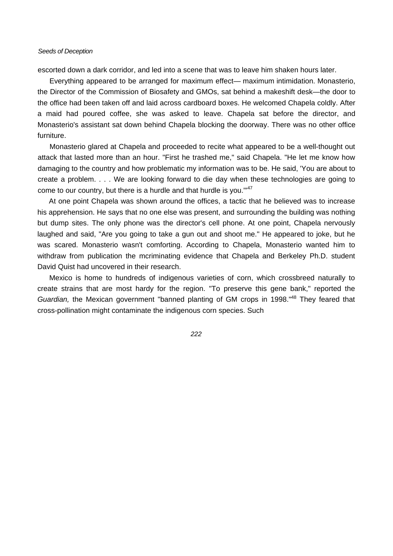escorted down a dark corridor, and led into a scene that was to leave him shaken hours later.

Everything appeared to be arranged for maximum effect— maximum intimidation. Monasterio, the Director of the Commission of Biosafety and GMOs, sat behind a makeshift desk—the door to the office had been taken off and laid across cardboard boxes. He welcomed Chapela coldly. After a maid had poured coffee, she was asked to leave. Chapela sat before the director, and Monasterio's assistant sat down behind Chapela blocking the doorway. There was no other office furniture.

Monasterio glared at Chapela and proceeded to recite what appeared to be a well-thought out attack that lasted more than an hour. "First he trashed me," said Chapela. "He let me know how damaging to the country and how problematic my information was to be. He said, 'You are about to create a problem. . . . We are looking forward to die day when these technologies are going to come to our country, but there is a hurdle and that hurdle is you."<sup>47</sup>

At one point Chapela was shown around the offices, a tactic that he believed was to increase his apprehension. He says that no one else was present, and surrounding the building was nothing but dump sites. The only phone was the director's cell phone. At one point, Chapela nervously laughed and said, "Are you going to take a gun out and shoot me." He appeared to joke, but he was scared. Monasterio wasn't comforting. According to Chapela, Monasterio wanted him to withdraw from publication the mcriminating evidence that Chapela and Berkeley Ph.D. student David Quist had uncovered in their research.

Mexico is home to hundreds of indigenous varieties of corn, which crossbreed naturally to create strains that are most hardy for the region. "To preserve this gene bank," reported the *Guardian,* the Mexican government "banned planting of GM crops in 1998."48 They feared that cross-pollination might contaminate the indigenous corn species. Such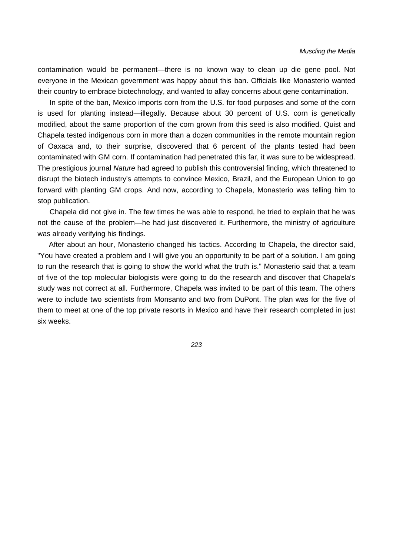contamination would be permanent—there is no known way to clean up die gene pool. Not everyone in the Mexican government was happy about this ban. Officials like Monasterio wanted their country to embrace biotechnology, and wanted to allay concerns about gene contamination.

In spite of the ban, Mexico imports corn from the U.S. for food purposes and some of the corn is used for planting instead—illegally. Because about 30 percent of U.S. corn is genetically modified, about the same proportion of the corn grown from this seed is also modified. Quist and Chapela tested indigenous corn in more than a dozen communities in the remote mountain region of Oaxaca and, to their surprise, discovered that 6 percent of the plants tested had been contaminated with GM corn. If contamination had penetrated this far, it was sure to be widespread. The prestigious journal *Nature* had agreed to publish this controversial finding, which threatened to disrupt the biotech industry's attempts to convince Mexico, Brazil, and the European Union to go forward with planting GM crops. And now, according to Chapela, Monasterio was telling him to stop publication.

Chapela did not give in. The few times he was able to respond, he tried to explain that he was not the cause of the problem—he had just discovered it. Furthermore, the ministry of agriculture was already verifying his findings.

After about an hour, Monasterio changed his tactics. According to Chapela, the director said, "You have created a problem and I will give you an opportunity to be part of a solution. I am going to run the research that is going to show the world what the truth is." Monasterio said that a team of five of the top molecular biologists were going to do the research and discover that Chapela's study was not correct at all. Furthermore, Chapela was invited to be part of this team. The others were to include two scientists from Monsanto and two from DuPont. The plan was for the five of them to meet at one of the top private resorts in Mexico and have their research completed in just six weeks.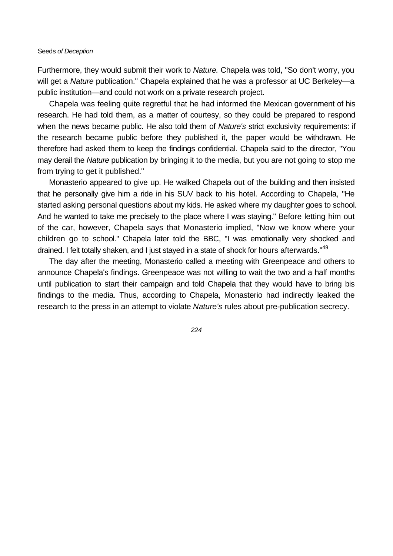Furthermore, they would submit their work to *Nature.* Chapela was told, "So don't worry, you will get a *Nature* publication." Chapela explained that he was a professor at UC Berkeley—a public institution—and could not work on a private research project.

Chapela was feeling quite regretful that he had informed the Mexican government of his research. He had told them, as a matter of courtesy, so they could be prepared to respond when the news became public. He also told them of *Nature's* strict exclusivity requirements: if the research became public before they published it, the paper would be withdrawn. He therefore had asked them to keep the findings confidential. Chapela said to the director, "You may derail the *Nature* publication by bringing it to the media, but you are not going to stop me from trying to get it published."

Monasterio appeared to give up. He walked Chapela out of the building and then insisted that he personally give him a ride in his SUV back to his hotel. According to Chapela, "He started asking personal questions about my kids. He asked where my daughter goes to school. And he wanted to take me precisely to the place where I was staying." Before letting him out of the car, however, Chapela says that Monasterio implied, "Now we know where your children go to school." Chapela later told the BBC, "I was emotionally very shocked and drained. I felt totally shaken, and I just stayed in a state of shock for hours afterwards."<sup>49</sup>

The day after the meeting, Monasterio called a meeting with Greenpeace and others to announce Chapela's findings. Greenpeace was not willing to wait the two and a half months until publication to start their campaign and told Chapela that they would have to bring bis findings to the media. Thus, according to Chapela, Monasterio had indirectly leaked the research to the press in an attempt to violate *Nature's* rules about pre-publication secrecy.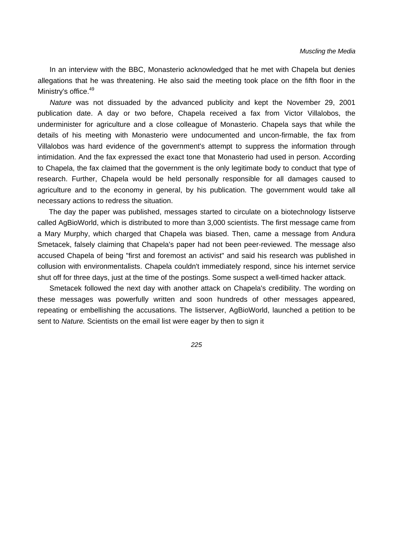In an interview with the BBC, Monasterio acknowledged that he met with Chapela but denies allegations that he was threatening. He also said the meeting took place on the fifth floor in the Ministry's office.<sup>49</sup>

*Nature* was not dissuaded by the advanced publicity and kept the November 29, 2001 publication date. A day or two before, Chapela received a fax from Victor Villalobos, the underminister for agriculture and a close colleague of Monasterio. Chapela says that while the details of his meeting with Monasterio were undocumented and uncon-firmable, the fax from Villalobos was hard evidence of the government's attempt to suppress the information through intimidation. And the fax expressed the exact tone that Monasterio had used in person. According to Chapela, the fax claimed that the government is the only legitimate body to conduct that type of research. Further, Chapela would be held personally responsible for all damages caused to agriculture and to the economy in general, by his publication. The government would take all necessary actions to redress the situation.

The day the paper was published, messages started to circulate on a biotechnology listserve called AgBioWorld, which is distributed to more than 3,000 scientists. The first message came from a Mary Murphy, which charged that Chapela was biased. Then, came a message from Andura Smetacek, falsely claiming that Chapela's paper had not been peer-reviewed. The message also accused Chapela of being "first and foremost an activist" and said his research was published in collusion with environmentalists. Chapela couldn't immediately respond, since his internet service shut off for three days, just at the time of the postings. Some suspect a well-timed hacker attack.

Smetacek followed the next day with another attack on Chapela's credibility. The wording on these messages was powerfully written and soon hundreds of other messages appeared, repeating or embellishing the accusations. The listserver, AgBioWorld, launched a petition to be sent to *Nature.* Scientists on the email list were eager by then to sign it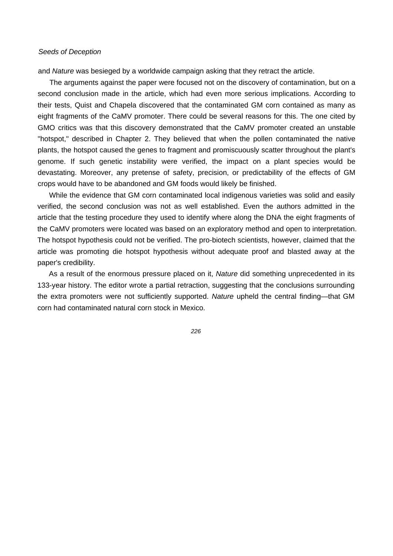and *Nature* was besieged by a worldwide campaign asking that they retract the article.

The arguments against the paper were focused not on the discovery of contamination, but on a second conclusion made in the article, which had even more serious implications. According to their tests, Quist and Chapela discovered that the contaminated GM corn contained as many as eight fragments of the CaMV promoter. There could be several reasons for this. The one cited by GMO critics was that this discovery demonstrated that the CaMV promoter created an unstable "hotspot," described in Chapter 2. They believed that when the pollen contaminated the native plants, the hotspot caused the genes to fragment and promiscuously scatter throughout the plant's genome. If such genetic instability were verified, the impact on a plant species would be devastating. Moreover, any pretense of safety, precision, or predictability of the effects of GM crops would have to be abandoned and GM foods would likely be finished.

While the evidence that GM corn contaminated local indigenous varieties was solid and easily verified, the second conclusion was not as well established. Even the authors admitted in the article that the testing procedure they used to identify where along the DNA the eight fragments of the CaMV promoters were located was based on an exploratory method and open to interpretation. The hotspot hypothesis could not be verified. The pro-biotech scientists, however, claimed that the article was promoting die hotspot hypothesis without adequate proof and blasted away at the paper's credibility.

As a result of the enormous pressure placed on it, *Nature* did something unprecedented in its 133-year history. The editor wrote a partial retraction, suggesting that the conclusions surrounding the extra promoters were not sufficiently supported. *Nature* upheld the central finding—that GM corn had contaminated natural corn stock in Mexico.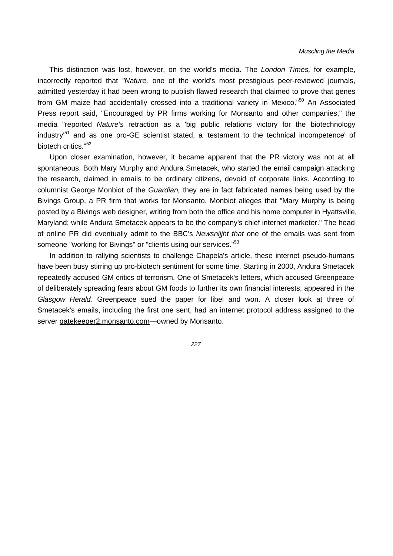This distinction was lost, however, on the world's media. The *London Times,* for example, incorrectly reported that *"Nature,* one of the world's most prestigious peer-reviewed journals, admitted yesterday it had been wrong to publish flawed research that claimed to prove that genes from GM maize had accidentally crossed into a traditional variety in Mexico."50 An Associated Press report said, "Encouraged by PR firms working for Monsanto and other companies," the media "reported *Nature's* retraction as a 'big public relations victory for the biotechnology industry<sup>151</sup> and as one pro-GE scientist stated, a 'testament to the technical incompetence' of biotech critics."52

Upon closer examination, however, it became apparent that the PR victory was not at all spontaneous. Both Mary Murphy and Andura Smetacek, who started the email campaign attacking the research, claimed in emails to be ordinary citizens, devoid of corporate links. According to columnist George Monbiot of the *Guardian,* they are in fact fabricated names being used by the Bivings Group, a PR firm that works for Monsanto. Monbiot alleges that "Mary Murphy is being posted by a Bivings web designer, writing from both the office and his home computer in Hyattsville, Maryland; while Andura Smetacek appears to be the company's chief internet marketer." The head of online PR did eventually admit to the BBC's *Newsnijjht that* one of the emails was sent from someone "working for Bivings" or "clients using our services."<sup>53</sup>

In addition to rallying scientists to challenge Chapela's article, these internet pseudo-humans have been busy stirring up pro-biotech sentiment for some time. Starting in 2000, Andura Smetacek repeatedly accused GM critics of terrorism. One of Smetacek's letters, which accused Greenpeace of deliberately spreading fears about GM foods to further its own financial interests, appeared in the *Glasgow Herald.* Greenpeace sued the paper for libel and won. A closer look at three of Smetacek's emails, including the first one sent, had an internet protocol address assigned to the server gatekeeper2.monsanto.com-owned by Monsanto.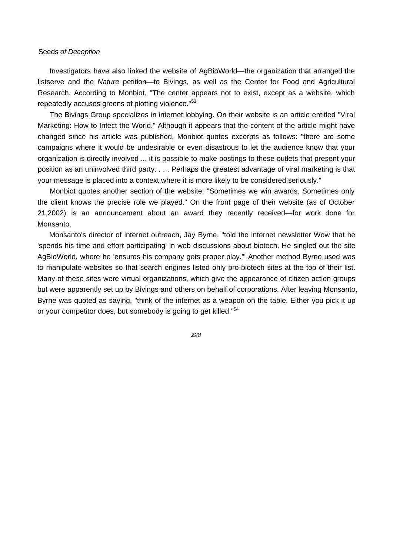Investigators have also linked the website of AgBioWorld—the organization that arranged the listserve and the *Nature* petition—to Bivings, as well as the Center for Food and Agricultural Research. According to Monbiot, "The center appears not to exist, except as a website, which repeatedly accuses greens of plotting violence."<sup>53</sup>

The Bivings Group specializes in internet lobbying. On their website is an article entitled "Viral Marketing: How to Infect the World." Although it appears that the content of the article might have changed since his article was published, Monbiot quotes excerpts as follows: "there are some campaigns where it would be undesirable or even disastrous to let the audience know that your organization is directly involved ... it is possible to make postings to these outlets that present your position as an uninvolved third party. . . . Perhaps the greatest advantage of viral marketing is that your message is placed into a context where it is more likely to be considered seriously."

Monbiot quotes another section of the website: "Sometimes we win awards. Sometimes only the client knows the precise role we played." On the front page of their website (as of October 21,2002) is an announcement about an award they recently received—for work done for Monsanto.

Monsanto's director of internet outreach, Jay Byrne, "told the internet newsletter Wow that he 'spends his time and effort participating' in web discussions about biotech. He singled out the site AgBioWorld, where he 'ensures his company gets proper play.'" Another method Byrne used was to manipulate websites so that search engines listed only pro-biotech sites at the top of their list. Many of these sites were virtual organizations, which give the appearance of citizen action groups but were apparently set up by Bivings and others on behalf of corporations. After leaving Monsanto, Byrne was quoted as saying, "think of the internet as a weapon on the table. Either you pick it up or your competitor does, but somebody is going to get killed."<sup>54</sup>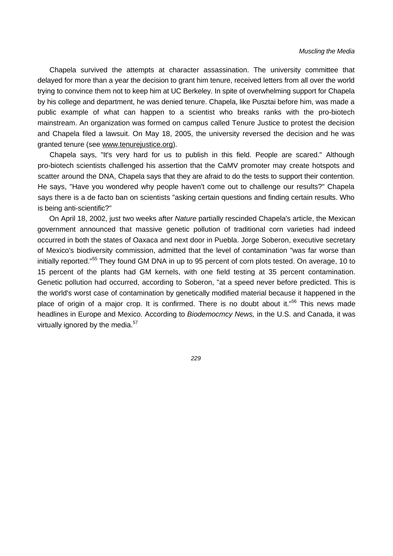Chapela survived the attempts at character assassination. The university committee that delayed for more than a year the decision to grant him tenure, received letters from all over the world trying to convince them not to keep him at UC Berkeley. In spite of overwhelming support for Chapela by his college and department, he was denied tenure. Chapela, like Pusztai before him, was made a public example of what can happen to a scientist who breaks ranks with the pro-biotech mainstream. An organization was formed on campus called Tenure Justice to protest the decision and Chapela filed a lawsuit. On May 18, 2005, the university reversed the decision and he was granted tenure (see www.tenurejustice.org).

Chapela says, "It's very hard for us to publish in this field. People are scared." Although pro-biotech scientists challenged his assertion that the CaMV promoter may create hotspots and scatter around the DNA, Chapela says that they are afraid to do the tests to support their contention. He says, "Have you wondered why people haven't come out to challenge our results?" Chapela says there is a de facto ban on scientists "asking certain questions and finding certain results. Who is being anti-scientific?"

On April 18, 2002, just two weeks after *Nature* partially rescinded Chapela's article, the Mexican government announced that massive genetic pollution of traditional corn varieties had indeed occurred in both the states of Oaxaca and next door in Puebla. Jorge Soberon, executive secretary of Mexico's biodiversity commission, admitted that the level of contamination "was far worse than initially reported."<sup>55</sup> They found GM DNA in up to 95 percent of corn plots tested. On average, 10 to 15 percent of the plants had GM kernels, with one field testing at 35 percent contamination. Genetic pollution had occurred, according to Soberon, "at a speed never before predicted. This is the world's worst case of contamination by genetically modified material because it happened in the place of origin of a major crop. It is confirmed. There is no doubt about it."<sup>56</sup> This news made headlines in Europe and Mexico. According to *Biodemocmcy News,* in the U.S. and Canada, it was virtually ignored by the media.<sup>57</sup>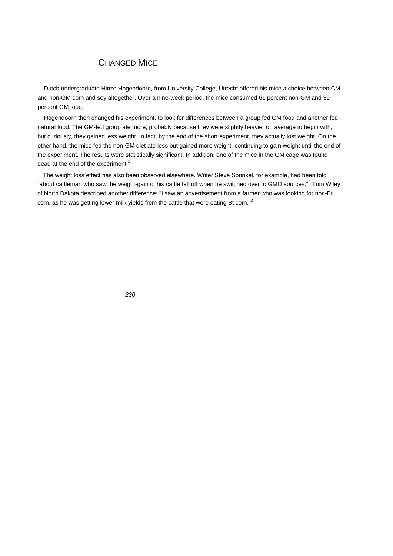## CHANGED MICE

Dutch undergraduate Hinze Hogendoorn, from University College, Utrecht offered his mice a choice between CM and non-GM corn and soy altogether. Over a nine-week period, the mice consumed 61 percent non-GM and 39 percent GM food.

Hogendoorn then changed his experiment, to look for differences between a group fed GM food and another fed natural food. The GM-fed group ate more, probably because they were slightly heavier on average to begin with, but curiously, they gained less weight. In fact, by the end of the short experiment, they actually lost weight. On the other hand, the mice fed the non-GM diet ate less but gained more weight, continuing to gain weight until the end of the experiment. The results were statistically significant. In addition, one of the mice in the GM cage was found dead at the end of the experiment.<sup>1</sup>

The weight loss effect has also been observed elsewhere. Writer Steve Sprinkel, for example, had been told "about cattleman who saw the weight-gain of his cattle fall off when he switched over to GMO sources."<sup>2</sup> Tom Wiley of North Dakota described another difference: "I saw an advertisement from a farmer who was looking for non-Bt corn, as he was getting lower milk yields from the cattle that were eating Bt corn."3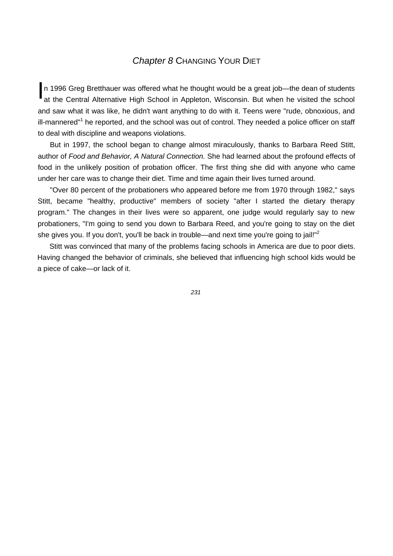## *Chapter 8* CHANGING YOUR DIET

n 1996 Greg Bretthauer was offered what he thought would be a great job—the dean of students at the Central Alternative High School in Appleton, Wisconsin. But when he visited the school and saw what it was like, he didn't want anything to do with it. Teens were "rude, obnoxious, and ill-mannered"<sup>1</sup> he reported, and the school was out of control. They needed a police officer on staff to deal with discipline and weapons violations.  $\int_{at}$ 

But in 1997, the school began to change almost miraculously, thanks to Barbara Reed Stitt, author of *Food and Behavior, A Natural Connection.* She had learned about the profound effects of food in the unlikely position of probation officer. The first thing she did with anyone who came under her care was to change their diet. Time and time again their lives turned around.

"Over 80 percent of the probationers who appeared before me from 1970 through 1982," says Stitt, became "healthy, productive" members of society "after I started the dietary therapy program." The changes in their lives were so apparent, one judge would regularly say to new probationers, "I'm going to send you down to Barbara Reed, and you're going to stay on the diet she gives you. If you don't, you'll be back in trouble—and next time you're going to jail!"<sup>2</sup>

Stitt was convinced that many of the problems facing schools in America are due to poor diets. Having changed the behavior of criminals, she believed that influencing high school kids would be a piece of cake—or lack of it.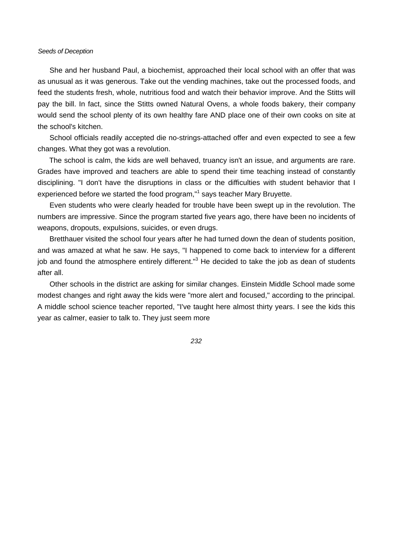She and her husband Paul, a biochemist, approached their local school with an offer that was as unusual as it was generous. Take out the vending machines, take out the processed foods, and feed the students fresh, whole, nutritious food and watch their behavior improve. And the Stitts will pay the bill. In fact, since the Stitts owned Natural Ovens, a whole foods bakery, their company would send the school plenty of its own healthy fare AND place one of their own cooks on site at the school's kitchen.

School officials readily accepted die no-strings-attached offer and even expected to see a few changes. What they got was a revolution.

The school is calm, the kids are well behaved, truancy isn't an issue, and arguments are rare. Grades have improved and teachers are able to spend their time teaching instead of constantly disciplining. "I don't have the disruptions in class or the difficulties with student behavior that I experienced before we started the food program,"<sup>1</sup> says teacher Mary Bruyette.

Even students who were clearly headed for trouble have been swept up in the revolution. The numbers are impressive. Since the program started five years ago, there have been no incidents of weapons, dropouts, expulsions, suicides, or even drugs.

Bretthauer visited the school four years after he had turned down the dean of students position, and was amazed at what he saw. He says, "I happened to come back to interview for a different job and found the atmosphere entirely different."<sup>3</sup> He decided to take the job as dean of students after all.

Other schools in the district are asking for similar changes. Einstein Middle School made some modest changes and right away the kids were "more alert and focused," according to the principal. A middle school science teacher reported, "I've taught here almost thirty years. I see the kids this year as calmer, easier to talk to. They just seem more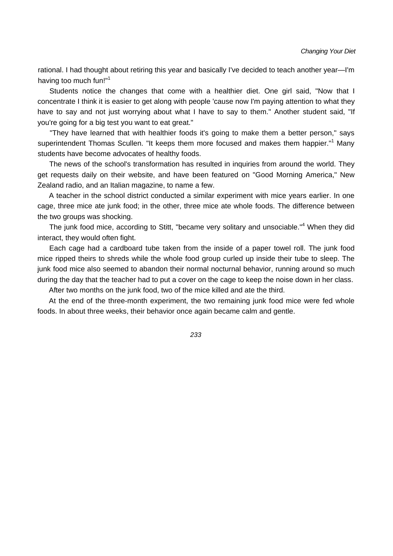rational. I had thought about retiring this year and basically I've decided to teach another year—I'm having too much fun!"<sup>1</sup>

Students notice the changes that come with a healthier diet. One girl said, "Now that I concentrate I think it is easier to get along with people 'cause now I'm paying attention to what they have to say and not just worrying about what I have to say to them." Another student said, "If you're going for a big test you want to eat great."

"They have learned that with healthier foods it's going to make them a better person," says superintendent Thomas Scullen. "It keeps them more focused and makes them happier."<sup>1</sup> Many students have become advocates of healthy foods.

The news of the school's transformation has resulted in inquiries from around the world. They get requests daily on their website, and have been featured on "Good Morning America," New Zealand radio, and an Italian magazine, to name a few.

A teacher in the school district conducted a similar experiment with mice years earlier. In one cage, three mice ate junk food; in the other, three mice ate whole foods. The difference between the two groups was shocking.

The junk food mice, according to Stitt, "became very solitary and unsociable."<sup>4</sup> When they did interact, they would often fight.

Each cage had a cardboard tube taken from the inside of a paper towel roll. The junk food mice ripped theirs to shreds while the whole food group curled up inside their tube to sleep. The junk food mice also seemed to abandon their normal nocturnal behavior, running around so much during the day that the teacher had to put a cover on the cage to keep the noise down in her class.

After two months on the junk food, two of the mice killed and ate the third.

At the end of the three-month experiment, the two remaining junk food mice were fed whole foods. In about three weeks, their behavior once again became calm and gentle.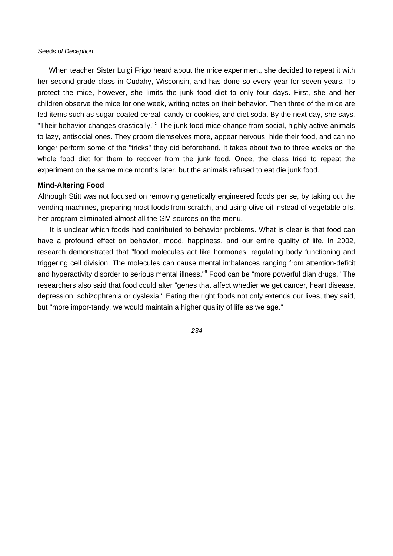When teacher Sister Luigi Frigo heard about the mice experiment, she decided to repeat it with her second grade class in Cudahy, Wisconsin, and has done so every year for seven years. To protect the mice, however, she limits the junk food diet to only four days. First, she and her children observe the mice for one week, writing notes on their behavior. Then three of the mice are fed items such as sugar-coated cereal, candy or cookies, and diet soda. By the next day, she says, "Their behavior changes drastically."<sup>5</sup> The junk food mice change from social, highly active animals to lazy, antisocial ones. They groom diemselves more, appear nervous, hide their food, and can no longer perform some of the "tricks" they did beforehand. It takes about two to three weeks on the whole food diet for them to recover from the junk food. Once, the class tried to repeat the experiment on the same mice months later, but the animals refused to eat die junk food.

### **Mind-Altering Food**

Although Stitt was not focused on removing genetically engineered foods per se, by taking out the vending machines, preparing most foods from scratch, and using olive oil instead of vegetable oils, her program eliminated almost all the GM sources on the menu.

It is unclear which foods had contributed to behavior problems. What is clear is that food can have a profound effect on behavior, mood, happiness, and our entire quality of life. In 2002, research demonstrated that "food molecules act like hormones, regulating body functioning and triggering cell division. The molecules can cause mental imbalances ranging from attention-deficit and hyperactivity disorder to serious mental illness."<sup>6</sup> Food can be "more powerful dian drugs." The researchers also said that food could alter "genes that affect whedier we get cancer, heart disease, depression, schizophrenia or dyslexia." Eating the right foods not only extends our lives, they said, but "more impor-tandy, we would maintain a higher quality of life as we age."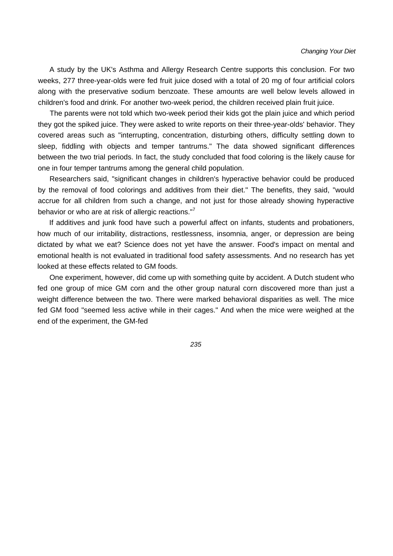A study by the UK's Asthma and Allergy Research Centre supports this conclusion. For two weeks, 277 three-year-olds were fed fruit juice dosed with a total of 20 mg of four artificial colors along with the preservative sodium benzoate. These amounts are well below levels allowed in children's food and drink. For another two-week period, the children received plain fruit juice.

The parents were not told which two-week period their kids got the plain juice and which period they got the spiked juice. They were asked to write reports on their three-year-olds' behavior. They covered areas such as "interrupting, concentration, disturbing others, difficulty settling down to sleep, fiddling with objects and temper tantrums." The data showed significant differences between the two trial periods. In fact, the study concluded that food coloring is the likely cause for one in four temper tantrums among the general child population.

Researchers said, "significant changes in children's hyperactive behavior could be produced by the removal of food colorings and additives from their diet." The benefits, they said, "would accrue for all children from such a change, and not just for those already showing hyperactive behavior or who are at risk of allergic reactions."<sup>7</sup>

If additives and junk food have such a powerful affect on infants, students and probationers, how much of our irritability, distractions, restlessness, insomnia, anger, or depression are being dictated by what we eat? Science does not yet have the answer. Food's impact on mental and emotional health is not evaluated in traditional food safety assessments. And no research has yet looked at these effects related to GM foods.

One experiment, however, did come up with something quite by accident. A Dutch student who fed one group of mice GM corn and the other group natural corn discovered more than just a weight difference between the two. There were marked behavioral disparities as well. The mice fed GM food "seemed less active while in their cages." And when the mice were weighed at the end of the experiment, the GM-fed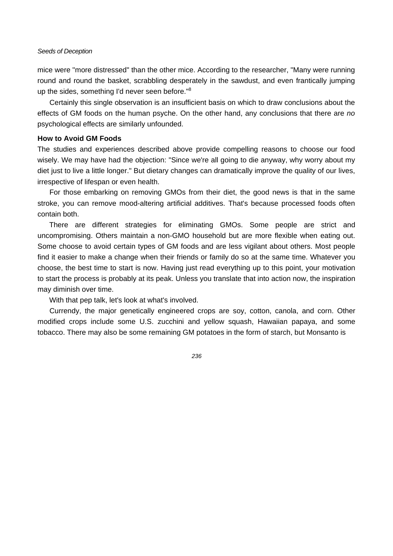mice were "more distressed" than the other mice. According to the researcher, "Many were running round and round the basket, scrabbling desperately in the sawdust, and even frantically jumping up the sides, something I'd never seen before."8

Certainly this single observation is an insufficient basis on which to draw conclusions about the effects of GM foods on the human psyche. On the other hand, any conclusions that there are *no*  psychological effects are similarly unfounded.

## **How to Avoid GM Foods**

The studies and experiences described above provide compelling reasons to choose our food wisely. We may have had the objection: "Since we're all going to die anyway, why worry about my diet just to live a little longer." But dietary changes can dramatically improve the quality of our lives, irrespective of lifespan or even health.

For those embarking on removing GMOs from their diet, the good news is that in the same stroke, you can remove mood-altering artificial additives. That's because processed foods often contain both.

There are different strategies for eliminating GMOs. Some people are strict and uncompromising. Others maintain a non-GMO household but are more flexible when eating out. Some choose to avoid certain types of GM foods and are less vigilant about others. Most people find it easier to make a change when their friends or family do so at the same time. Whatever you choose, the best time to start is now. Having just read everything up to this point, your motivation to start the process is probably at its peak. Unless you translate that into action now, the inspiration may diminish over time.

With that pep talk, let's look at what's involved.

Currendy, the major genetically engineered crops are soy, cotton, canola, and corn. Other modified crops include some U.S. zucchini and yellow squash, Hawaiian papaya, and some tobacco. There may also be some remaining GM potatoes in the form of starch, but Monsanto is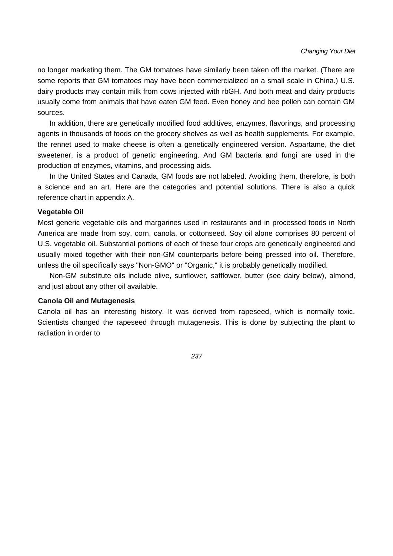no longer marketing them. The GM tomatoes have similarly been taken off the market. (There are some reports that GM tomatoes may have been commercialized on a small scale in China.) U.S. dairy products may contain milk from cows injected with rbGH. And both meat and dairy products usually come from animals that have eaten GM feed. Even honey and bee pollen can contain GM sources.

In addition, there are genetically modified food additives, enzymes, flavorings, and processing agents in thousands of foods on the grocery shelves as well as health supplements. For example, the rennet used to make cheese is often a genetically engineered version. Aspartame, the diet sweetener, is a product of genetic engineering. And GM bacteria and fungi are used in the production of enzymes, vitamins, and processing aids.

In the United States and Canada, GM foods are not labeled. Avoiding them, therefore, is both a science and an art. Here are the categories and potential solutions. There is also a quick reference chart in appendix A.

#### **Vegetable Oil**

Most generic vegetable oils and margarines used in restaurants and in processed foods in North America are made from soy, corn, canola, or cottonseed. Soy oil alone comprises 80 percent of U.S. vegetable oil. Substantial portions of each of these four crops are genetically engineered and usually mixed together with their non-GM counterparts before being pressed into oil. Therefore, unless the oil specifically says "Non-GMO" or "Organic," it is probably genetically modified.

Non-GM substitute oils include olive, sunflower, safflower, butter (see dairy below), almond, and just about any other oil available.

## **Canola Oil and Mutagenesis**

Canola oil has an interesting history. It was derived from rapeseed, which is normally toxic. Scientists changed the rapeseed through mutagenesis. This is done by subjecting the plant to radiation in order to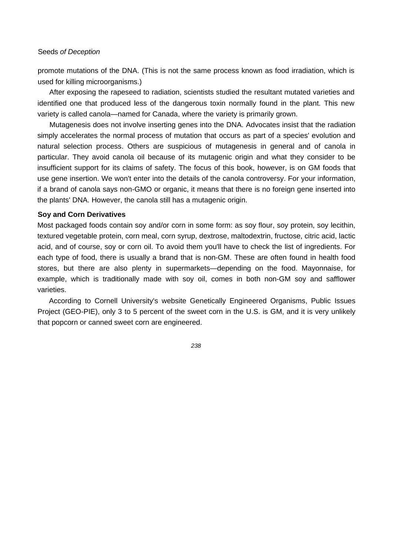promote mutations of the DNA. (This is not the same process known as food irradiation, which is used for killing microorganisms.)

After exposing the rapeseed to radiation, scientists studied the resultant mutated varieties and identified one that produced less of the dangerous toxin normally found in the plant. This new variety is called canola—named for Canada, where the variety is primarily grown.

Mutagenesis does not involve inserting genes into the DNA. Advocates insist that the radiation simply accelerates the normal process of mutation that occurs as part of a species' evolution and natural selection process. Others are suspicious of mutagenesis in general and of canola in particular. They avoid canola oil because of its mutagenic origin and what they consider to be insufficient support for its claims of safety. The focus of this book, however, is on GM foods that use gene insertion. We won't enter into the details of the canola controversy. For your information, if a brand of canola says non-GMO or organic, it means that there is no foreign gene inserted into the plants' DNA. However, the canola still has a mutagenic origin.

## **Soy and Corn Derivatives**

Most packaged foods contain soy and/or corn in some form: as soy flour, soy protein, soy lecithin, textured vegetable protein, corn meal, corn syrup, dextrose, maltodextrin, fructose, citric acid, lactic acid, and of course, soy or corn oil. To avoid them you'll have to check the list of ingredients. For each type of food, there is usually a brand that is non-GM. These are often found in health food stores, but there are also plenty in supermarkets—depending on the food. Mayonnaise, for example, which is traditionally made with soy oil, comes in both non-GM soy and safflower varieties.

According to Cornell University's website Genetically Engineered Organisms, Public Issues Project (GEO-PIE), only 3 to 5 percent of the sweet corn in the U.S. is GM, and it is very unlikely that popcorn or canned sweet corn are engineered.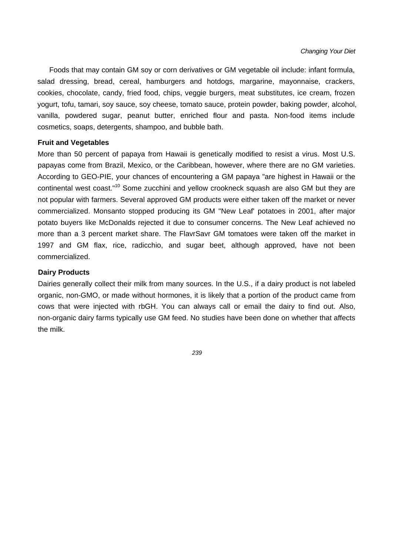Foods that may contain GM soy or corn derivatives or GM vegetable oil include: infant formula, salad dressing, bread, cereal, hamburgers and hotdogs, margarine, mayonnaise, crackers, cookies, chocolate, candy, fried food, chips, veggie burgers, meat substitutes, ice cream, frozen yogurt, tofu, tamari, soy sauce, soy cheese, tomato sauce, protein powder, baking powder, alcohol, vanilla, powdered sugar, peanut butter, enriched flour and pasta. Non-food items include cosmetics, soaps, detergents, shampoo, and bubble bath.

## **Fruit and Vegetables**

More than 50 percent of papaya from Hawaii is genetically modified to resist a virus. Most U.S. papayas come from Brazil, Mexico, or the Caribbean, however, where there are no GM varieties. According to GEO-PIE, your chances of encountering a GM papaya "are highest in Hawaii or the continental west coast."<sup>10</sup> Some zucchini and yellow crookneck squash are also GM but they are not popular with farmers. Several approved GM products were either taken off the market or never commercialized. Monsanto stopped producing its GM "New Leaf' potatoes in 2001, after major potato buyers like McDonalds rejected it due to consumer concerns. The New Leaf achieved no more than a 3 percent market share. The FlavrSavr GM tomatoes were taken off the market in 1997 and GM flax, rice, radicchio, and sugar beet, although approved, have not been commercialized.

## **Dairy Products**

Dairies generally collect their milk from many sources. In the U.S., if a dairy product is not labeled organic, non-GMO, or made without hormones, it is likely that a portion of the product came from cows that were injected with rbGH. You can always call or email the dairy to find out. Also, non-organic dairy farms typically use GM feed. No studies have been done on whether that affects the milk.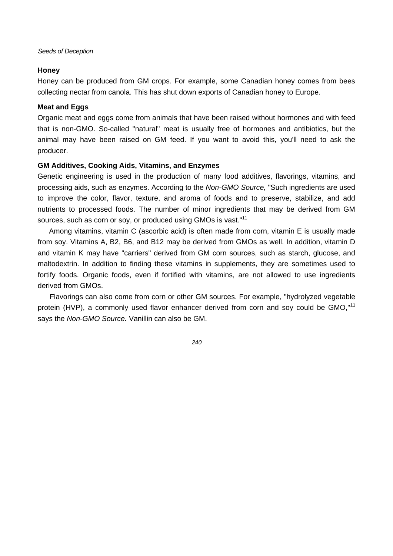## **Honey**

Honey can be produced from GM crops. For example, some Canadian honey comes from bees collecting nectar from canola. This has shut down exports of Canadian honey to Europe.

## **Meat and Eggs**

Organic meat and eggs come from animals that have been raised without hormones and with feed that is non-GMO. So-called "natural" meat is usually free of hormones and antibiotics, but the animal may have been raised on GM feed. If you want to avoid this, you'll need to ask the producer.

## **GM Additives, Cooking Aids, Vitamins, and Enzymes**

Genetic engineering is used in the production of many food additives, flavorings, vitamins, and processing aids, such as enzymes. According to the *Non-GMO Source,* "Such ingredients are used to improve the color, flavor, texture, and aroma of foods and to preserve, stabilize, and add nutrients to processed foods. The number of minor ingredients that may be derived from GM sources, such as corn or soy, or produced using GMOs is vast."<sup>11</sup>

Among vitamins, vitamin C (ascorbic acid) is often made from corn, vitamin E is usually made from soy. Vitamins A, B2, B6, and B12 may be derived from GMOs as well. In addition, vitamin D and vitamin K may have "carriers" derived from GM corn sources, such as starch, glucose, and maltodextrin. In addition to finding these vitamins in supplements, they are sometimes used to fortify foods. Organic foods, even if fortified with vitamins, are not allowed to use ingredients derived from GMOs.

Flavorings can also come from corn or other GM sources. For example, "hydrolyzed vegetable protein (HVP), a commonly used flavor enhancer derived from corn and soy could be GMO."<sup>11</sup> says the *Non-GMO Source.* Vanillin can also be GM.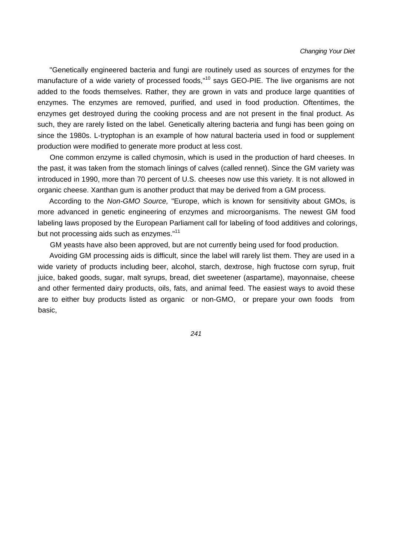"Genetically engineered bacteria and fungi are routinely used as sources of enzymes for the manufacture of a wide variety of processed foods."<sup>10</sup> says GEO-PIE. The live organisms are not added to the foods themselves. Rather, they are grown in vats and produce large quantities of enzymes. The enzymes are removed, purified, and used in food production. Oftentimes, the enzymes get destroyed during the cooking process and are not present in the final product. As such, they are rarely listed on the label. Genetically altering bacteria and fungi has been going on since the 1980s. L-tryptophan is an example of how natural bacteria used in food or supplement production were modified to generate more product at less cost.

One common enzyme is called chymosin, which is used in the production of hard cheeses. In the past, it was taken from the stomach linings of calves (called rennet). Since the GM variety was introduced in 1990, more than 70 percent of U.S. cheeses now use this variety. It is not allowed in organic cheese. Xanthan gum is another product that may be derived from a GM process.

According to the *Non-GMO Source,* "Europe, which is known for sensitivity about GMOs, is more advanced in genetic engineering of enzymes and microorganisms. The newest GM food labeling laws proposed by the European Parliament call for labeling of food additives and colorings, but not processing aids such as enzymes."<sup>11</sup>

GM yeasts have also been approved, but are not currently being used for food production.

Avoiding GM processing aids is difficult, since the label will rarely list them. They are used in a wide variety of products including beer, alcohol, starch, dextrose, high fructose corn syrup, fruit juice, baked goods, sugar, malt syrups, bread, diet sweetener (aspartame), mayonnaise, cheese and other fermented dairy products, oils, fats, and animal feed. The easiest ways to avoid these are to either buy products listed as organic or non-GMO, or prepare your own foods from basic,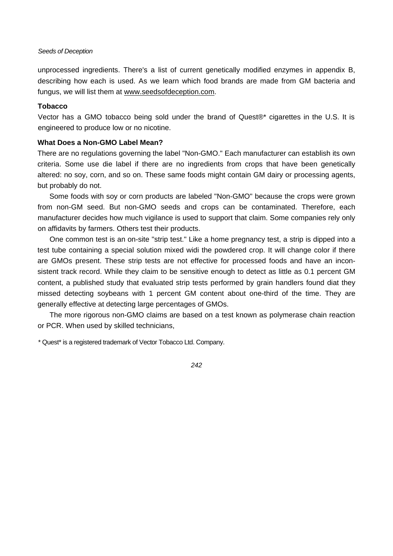unprocessed ingredients. There's a list of current genetically modified enzymes in appendix B, describing how each is used. As we learn which food brands are made from GM bacteria and fungus, we will list them at www.seedsofdeception.com.

## **Tobacco**

Vector has a GMO tobacco being sold under the brand of Quest®\* cigarettes in the U.S. It is engineered to produce low or no nicotine.

## **What Does a Non-GMO Label Mean?**

There are no regulations governing the label "Non-GMO." Each manufacturer can establish its own criteria. Some use die label if there are no ingredients from crops that have been genetically altered: no soy, corn, and so on. These same foods might contain GM dairy or processing agents, but probably do not.

Some foods with soy or corn products are labeled "Non-GMO" because the crops were grown from non-GM seed. But non-GMO seeds and crops can be contaminated. Therefore, each manufacturer decides how much vigilance is used to support that claim. Some companies rely only on affidavits by farmers. Others test their products.

One common test is an on-site "strip test." Like a home pregnancy test, a strip is dipped into a test tube containing a special solution mixed widi the powdered crop. It will change color if there are GMOs present. These strip tests are not effective for processed foods and have an inconsistent track record. While they claim to be sensitive enough to detect as little as 0.1 percent GM content, a published study that evaluated strip tests performed by grain handlers found diat they missed detecting soybeans with 1 percent GM content about one-third of the time. They are generally effective at detecting large percentages of GMOs.

The more rigorous non-GMO claims are based on a test known as polymerase chain reaction or PCR. When used by skilled technicians,

\* Quest\* is a registered trademark of Vector Tobacco Ltd. Company.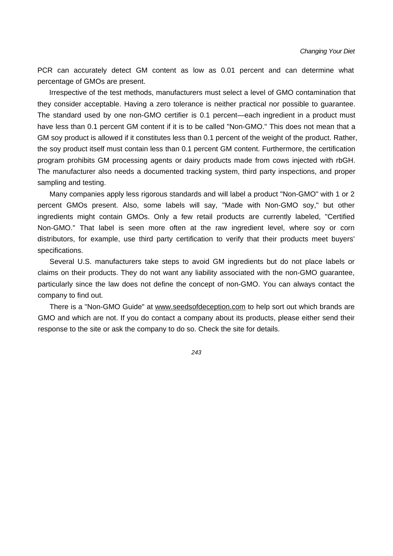PCR can accurately detect GM content as low as 0.01 percent and can determine what percentage of GMOs are present.

Irrespective of the test methods, manufacturers must select a level of GMO contamination that they consider acceptable. Having a zero tolerance is neither practical nor possible to guarantee. The standard used by one non-GMO certifier is 0.1 percent—each ingredient in a product must have less than 0.1 percent GM content if it is to be called "Non-GMO." This does not mean that a GM soy product is allowed if it constitutes less than 0.1 percent of the weight of the product. Rather, the soy product itself must contain less than 0.1 percent GM content. Furthermore, the certification program prohibits GM processing agents or dairy products made from cows injected with rbGH. The manufacturer also needs a documented tracking system, third party inspections, and proper sampling and testing.

Many companies apply less rigorous standards and will label a product "Non-GMO" with 1 or 2 percent GMOs present. Also, some labels will say, "Made with Non-GMO soy," but other ingredients might contain GMOs. Only a few retail products are currently labeled, "Certified Non-GMO." That label is seen more often at the raw ingredient level, where soy or corn distributors, for example, use third party certification to verify that their products meet buyers' specifications.

Several U.S. manufacturers take steps to avoid GM ingredients but do not place labels or claims on their products. They do not want any liability associated with the non-GMO guarantee, particularly since the law does not define the concept of non-GMO. You can always contact the company to find out.

There is a "Non-GMO Guide" at www.seedsofdeception.com to help sort out which brands are GMO and which are not. If you do contact a company about its products, please either send their response to the site or ask the company to do so. Check the site for details.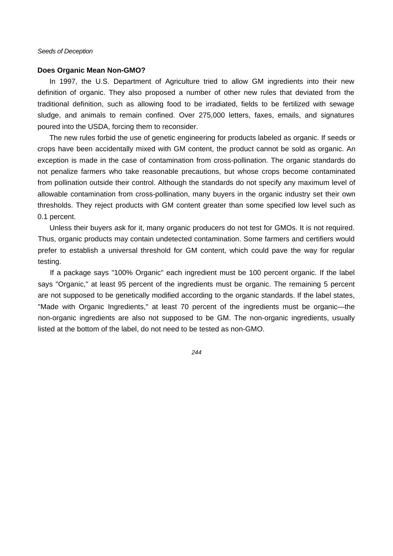#### **Does Organic Mean Non-GMO?**

In 1997, the U.S. Department of Agriculture tried to allow GM ingredients into their new definition of organic. They also proposed a number of other new rules that deviated from the traditional definition, such as allowing food to be irradiated, fields to be fertilized with sewage sludge, and animals to remain confined. Over 275,000 letters, faxes, emails, and signatures poured into the USDA, forcing them to reconsider.

The new rules forbid the use of genetic engineering for products labeled as organic. If seeds or crops have been accidentally mixed with GM content, the product cannot be sold as organic. An exception is made in the case of contamination from cross-pollination. The organic standards do not penalize farmers who take reasonable precautions, but whose crops become contaminated from pollination outside their control. Although the standards do not specify any maximum level of allowable contamination from cross-pollination, many buyers in the organic industry set their own thresholds. They reject products with GM content greater than some specified low level such as 0.1 percent.

Unless their buyers ask for it, many organic producers do not test for GMOs. It is not required. Thus, organic products may contain undetected contamination. Some farmers and certifiers would prefer to establish a universal threshold for GM content, which could pave the way for regular testing.

If a package says "100% Organic" each ingredient must be 100 percent organic. If the label says "Organic," at least 95 percent of the ingredients must be organic. The remaining 5 percent are not supposed to be genetically modified according to the organic standards. If the label states, "Made with Organic Ingredients," at least 70 percent of the ingredients must be organic—the non-organic ingredients are also not supposed to be GM. The non-organic ingredients, usually listed at the bottom of the label, do not need to be tested as non-GMO.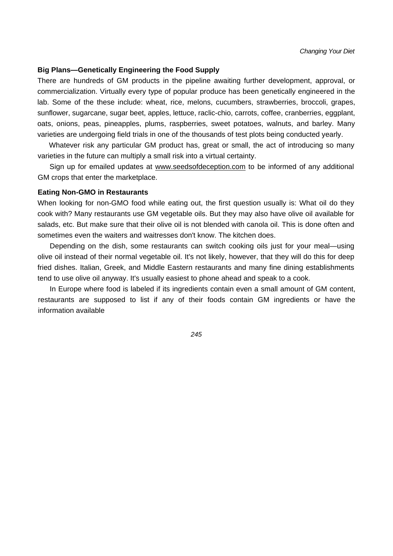### **Big Plans—Genetically Engineering the Food Supply**

There are hundreds of GM products in the pipeline awaiting further development, approval, or commercialization. Virtually every type of popular produce has been genetically engineered in the lab. Some of the these include: wheat, rice, melons, cucumbers, strawberries, broccoli, grapes, sunflower, sugarcane, sugar beet, apples, lettuce, raclic-chio, carrots, coffee, cranberries, eggplant, oats, onions, peas, pineapples, plums, raspberries, sweet potatoes, walnuts, and barley. Many varieties are undergoing field trials in one of the thousands of test plots being conducted yearly.

Whatever risk any particular GM product has, great or small, the act of introducing so many varieties in the future can multiply a small risk into a virtual certainty.

Sign up for emailed updates at www.seedsofdeception.com to be informed of any additional GM crops that enter the marketplace.

## **Eating Non-GMO in Restaurants**

When looking for non-GMO food while eating out, the first question usually is: What oil do they cook with? Many restaurants use GM vegetable oils. But they may also have olive oil available for salads, etc. But make sure that their olive oil is not blended with canola oil. This is done often and sometimes even the waiters and waitresses don't know. The kitchen does.

Depending on the dish, some restaurants can switch cooking oils just for your meal—using olive oil instead of their normal vegetable oil. It's not likely, however, that they will do this for deep fried dishes. Italian, Greek, and Middle Eastern restaurants and many fine dining establishments tend to use olive oil anyway. It's usually easiest to phone ahead and speak to a cook.

In Europe where food is labeled if its ingredients contain even a small amount of GM content, restaurants are supposed to list if any of their foods contain GM ingredients or have the information available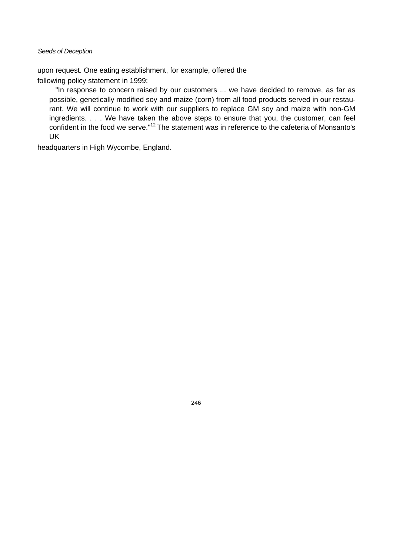upon request. One eating establishment, for example, offered the following policy statement in 1999:

"In response to concern raised by our customers ... we have decided to remove, as far as possible, genetically modified soy and maize (corn) from all food products served in our restaurant. We will continue to work with our suppliers to replace GM soy and maize with non-GM ingredients. . . . We have taken the above steps to ensure that you, the customer, can feel confident in the food we serve."12 The statement was in reference to the cafeteria of Monsanto's UK

headquarters in High Wycombe, England.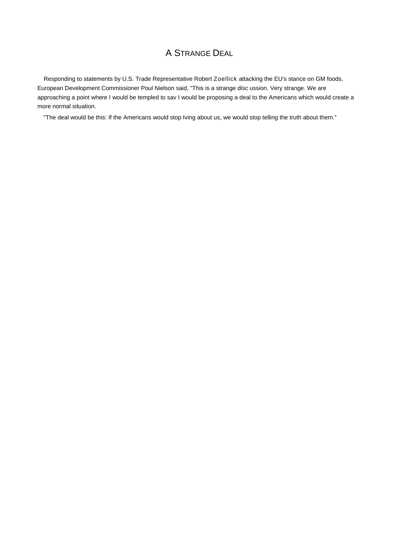## A STRANGE DEAL

Responding to statements by U.S. Trade Representative Robert Zoellick attacking the EU's stance on GM foods, European Development Commissioner Poul Nielson said, "This is a strange disc ussion. Very strange. We are approaching a point where I would be templed to sav I would be proposing a deal to the Americans which would create a more normal situation.

"The deal would be this: If the Americans would stop Iving about us, we would stop telling the truth about them."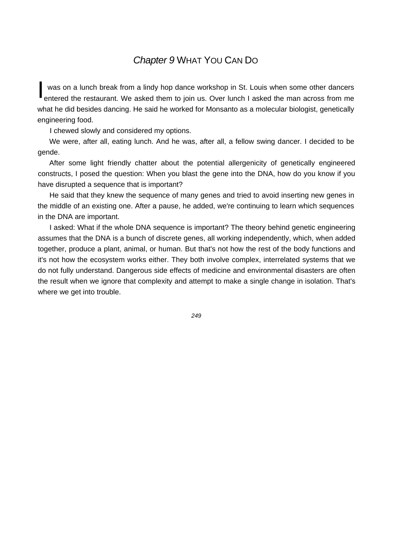# *Chapter 9* WHAT YOU CAN DO

 was on a lunch break from a lindy hop dance workshop in St. Louis when some other dancers I was on a lunch break from a lindy hop dance workshop in St. Louis when some other dancers<br>entered the restaurant. We asked them to join us. Over lunch I asked the man across from me what he did besides dancing. He said he worked for Monsanto as a molecular biologist, genetically engineering food.

I chewed slowly and considered my options.

We were, after all, eating lunch. And he was, after all, a fellow swing dancer. I decided to be gende.

After some light friendly chatter about the potential allergenicity of genetically engineered constructs, I posed the question: When you blast the gene into the DNA, how do you know if you have disrupted a sequence that is important?

He said that they knew the sequence of many genes and tried to avoid inserting new genes in the middle of an existing one. After a pause, he added, we're continuing to learn which sequences in the DNA are important.

I asked: What if the whole DNA sequence is important? The theory behind genetic engineering assumes that the DNA is a bunch of discrete genes, all working independently, which, when added together, produce a plant, animal, or human. But that's not how the rest of the body functions and it's not how the ecosystem works either. They both involve complex, interrelated systems that we do not fully understand. Dangerous side effects of medicine and environmental disasters are often the result when we ignore that complexity and attempt to make a single change in isolation. That's where we get into trouble.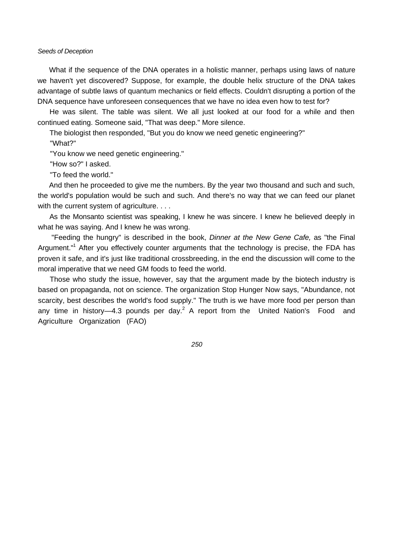What if the sequence of the DNA operates in a holistic manner, perhaps using laws of nature we haven't yet discovered? Suppose, for example, the double helix structure of the DNA takes advantage of subtle laws of quantum mechanics or field effects. Couldn't disrupting a portion of the DNA sequence have unforeseen consequences that we have no idea even how to test for?

He was silent. The table was silent. We all just looked at our food for a while and then continued eating. Someone said, "That was deep." More silence.

The biologist then responded, "But you do know we need genetic engineering?"

"What?"

"You know we need genetic engineering."

"How so?" I asked.

"To feed the world."

And then he proceeded to give me the numbers. By the year two thousand and such and such, the world's population would be such and such. And there's no way that we can feed our planet with the current system of agriculture. . . .

As the Monsanto scientist was speaking, I knew he was sincere. I knew he believed deeply in what he was saying. And I knew he was wrong.

"Feeding the hungry" is described in the book, *Dinner at the New Gene Cafe,* as "the Final Argument."<sup>1</sup> After you effectively counter arguments that the technology is precise, the FDA has proven it safe, and it's just like traditional crossbreeding, in the end the discussion will come to the moral imperative that we need GM foods to feed the world.

Those who study the issue, however, say that the argument made by the biotech industry is based on propaganda, not on science. The organization Stop Hunger Now says, "Abundance, not scarcity, best describes the world's food supply." The truth is we have more food per person than any time in history—4.3 pounds per day.<sup>2</sup> A report from the United Nation's Food and Agriculture Organization (FAO)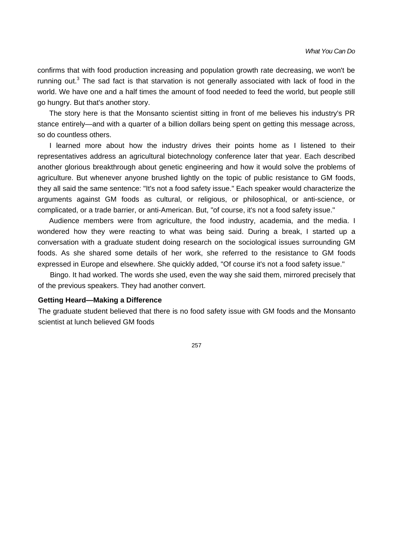confirms that with food production increasing and population growth rate decreasing, we won't be running out.<sup>3</sup> The sad fact is that starvation is not generally associated with lack of food in the world. We have one and a half times the amount of food needed to feed the world, but people still go hungry. But that's another story.

The story here is that the Monsanto scientist sitting in front of me believes his industry's PR stance entirely—and with a quarter of a billion dollars being spent on getting this message across, so do countless others.

I learned more about how the industry drives their points home as I listened to their representatives address an agricultural biotechnology conference later that year. Each described another glorious breakthrough about genetic engineering and how it would solve the problems of agriculture. But whenever anyone brushed lightly on the topic of public resistance to GM foods, they all said the same sentence: "It's not a food safety issue." Each speaker would characterize the arguments against GM foods as cultural, or religious, or philosophical, or anti-science, or complicated, or a trade barrier, or anti-American. But, "of course, it's not a food safety issue."

Audience members were from agriculture, the food industry, academia, and the media. I wondered how they were reacting to what was being said. During a break, I started up a conversation with a graduate student doing research on the sociological issues surrounding GM foods. As she shared some details of her work, she referred to the resistance to GM foods expressed in Europe and elsewhere. She quickly added, "Of course it's not a food safety issue."

Bingo. It had worked. The words she used, even the way she said them, mirrored precisely that of the previous speakers. They had another convert.

#### **Getting Heard—Making a Difference**

The graduate student believed that there is no food safety issue with GM foods and the Monsanto scientist at lunch believed GM foods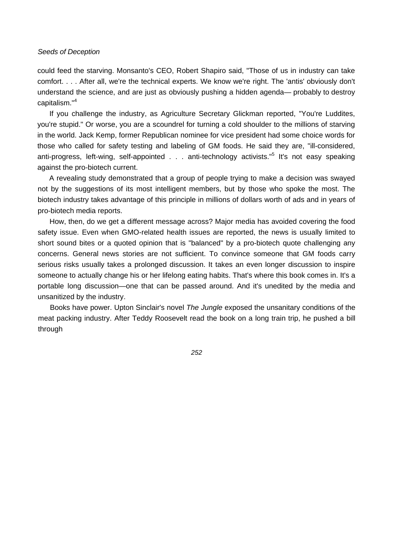could feed the starving. Monsanto's CEO, Robert Shapiro said, "Those of us in industry can take comfort. . . . After all, we're the technical experts. We know we're right. The 'antis' obviously don't understand the science, and are just as obviously pushing a hidden agenda— probably to destroy capitalism."<sup>4</sup>

If you challenge the industry, as Agriculture Secretary Glickman reported, "You're Luddites, you're stupid." Or worse, you are a scoundrel for turning a cold shoulder to the millions of starving in the world. Jack Kemp, former Republican nominee for vice president had some choice words for those who called for safety testing and labeling of GM foods. He said they are, "ill-considered, anti-progress, left-wing, self-appointed . . . anti-technology activists."<sup>5</sup> It's not easy speaking against the pro-biotech current.

A revealing study demonstrated that a group of people trying to make a decision was swayed not by the suggestions of its most intelligent members, but by those who spoke the most. The biotech industry takes advantage of this principle in millions of dollars worth of ads and in years of pro-biotech media reports.

How, then, do we get a different message across? Major media has avoided covering the food safety issue. Even when GMO-related health issues are reported, the news is usually limited to short sound bites or a quoted opinion that is "balanced" by a pro-biotech quote challenging any concerns. General news stories are not sufficient. To convince someone that GM foods carry serious risks usually takes a prolonged discussion. It takes an even longer discussion to inspire someone to actually change his or her lifelong eating habits. That's where this book comes in. It's a portable long discussion—one that can be passed around. And it's unedited by the media and unsanitized by the industry.

Books have power. Upton Sinclair's novel *The Jungle* exposed the unsanitary conditions of the meat packing industry. After Teddy Roosevelt read the book on a long train trip, he pushed a bill through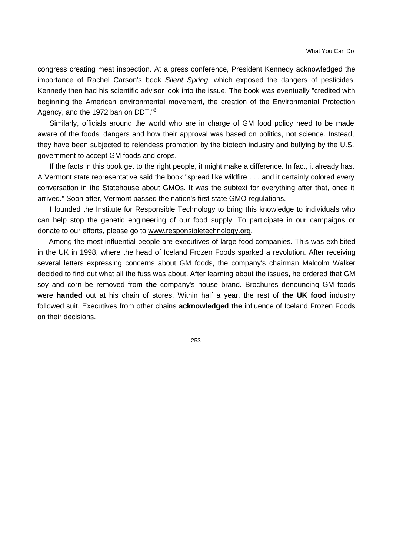congress creating meat inspection. At a press conference, President Kennedy acknowledged the importance of Rachel Carson's book *Silent Spring,* which exposed the dangers of pesticides. Kennedy then had his scientific advisor look into the issue. The book was eventually "credited with beginning the American environmental movement, the creation of the Environmental Protection Agency, and the 1972 ban on DDT."6

Similarly, officials around the world who are in charge of GM food policy need to be made aware of the foods' dangers and how their approval was based on politics, not science. Instead, they have been subjected to relendess promotion by the biotech industry and bullying by the U.S. government to accept GM foods and crops.

If the facts in this book get to the right people, it might make a difference. In fact, it already has. A Vermont state representative said the book "spread like wildfire . . . and it certainly colored every conversation in the Statehouse about GMOs. It was the subtext for everything after that, once it arrived." Soon after, Vermont passed the nation's first state GMO regulations.

I founded the Institute for Responsible Technology to bring this knowledge to individuals who can help stop the genetic engineering of our food supply. To participate in our campaigns or donate to our efforts, please go to www.responsibletechnology.org.

Among the most influential people are executives of large food companies. This was exhibited in the UK in 1998, where the head of Iceland Frozen Foods sparked a revolution. After receiving several letters expressing concerns about GM foods, the company's chairman Malcolm Walker decided to find out what all the fuss was about. After learning about the issues, he ordered that GM soy and corn be removed from **the** company's house brand. Brochures denouncing GM foods were **handed** out at his chain of stores. Within half a year, the rest of **the UK food** industry followed suit. Executives from other chains **acknowledged the** influence of Iceland Frozen Foods on their decisions.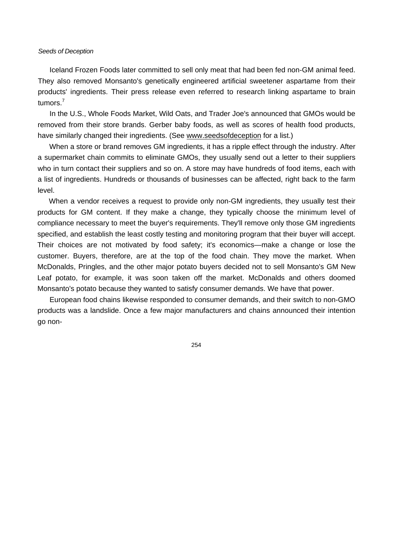Iceland Frozen Foods later committed to sell only meat that had been fed non-GM animal feed. They also removed Monsanto's genetically engineered artificial sweetener aspartame from their products' ingredients. Their press release even referred to research linking aspartame to brain tumors.<sup>7</sup>

In the U.S., Whole Foods Market, Wild Oats, and Trader Joe's announced that GMOs would be removed from their store brands. Gerber baby foods, as well as scores of health food products, have similarly changed their ingredients. (See www.seedsofdeception for a list.)

When a store or brand removes GM ingredients, it has a ripple effect through the industry. After a supermarket chain commits to eliminate GMOs, they usually send out a letter to their suppliers who in turn contact their suppliers and so on. A store may have hundreds of food items, each with a list of ingredients. Hundreds or thousands of businesses can be affected, right back to the farm level.

When a vendor receives a request to provide only non-GM ingredients, they usually test their products for GM content. If they make a change, they typically choose the rninimum level of compliance necessary to meet the buyer's requirements. They'll remove only those GM ingredients specified, and establish the least costly testing and monitoring program that their buyer will accept. Their choices are not motivated by food safety; it's economics—make a change or lose the customer. Buyers, therefore, are at the top of the food chain. They move the market. When McDonalds, Pringles, and the other major potato buyers decided not to sell Monsanto's GM New Leaf potato, for example, it was soon taken off the market. McDonalds and others doomed Monsanto's potato because they wanted to satisfy consumer demands. We have that power.

European food chains likewise responded to consumer demands, and their switch to non-GMO products was a landslide. Once a few major manufacturers and chains announced their intention go non-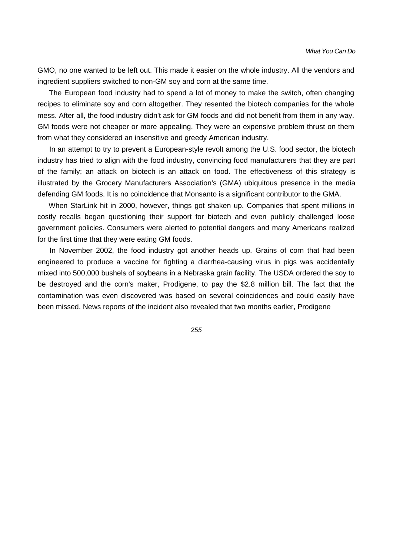GMO, no one wanted to be left out. This made it easier on the whole industry. All the vendors and ingredient suppliers switched to non-GM soy and corn at the same time.

The European food industry had to spend a lot of money to make the switch, often changing recipes to eliminate soy and corn altogether. They resented the biotech companies for the whole mess. After all, the food industry didn't ask for GM foods and did not benefit from them in any way. GM foods were not cheaper or more appealing. They were an expensive problem thrust on them from what they considered an insensitive and greedy American industry.

In an attempt to try to prevent a European-style revolt among the U.S. food sector, the biotech industry has tried to align with the food industry, convincing food manufacturers that they are part of the family; an attack on biotech is an attack on food. The effectiveness of this strategy is illustrated by the Grocery Manufacturers Association's (GMA) ubiquitous presence in the media defending GM foods. It is no coincidence that Monsanto is a significant contributor to the GMA.

When StarLink hit in 2000, however, things got shaken up. Companies that spent millions in costly recalls began questioning their support for biotech and even publicly challenged loose government policies. Consumers were alerted to potential dangers and many Americans realized for the first time that they were eating GM foods.

In November 2002, the food industry got another heads up. Grains of corn that had been engineered to produce a vaccine for fighting a diarrhea-causing virus in pigs was accidentally mixed into 500,000 bushels of soybeans in a Nebraska grain facility. The USDA ordered the soy to be destroyed and the corn's maker, Prodigene, to pay the \$2.8 million bill. The fact that the contamination was even discovered was based on several coincidences and could easily have been missed. News reports of the incident also revealed that two months earlier, Prodigene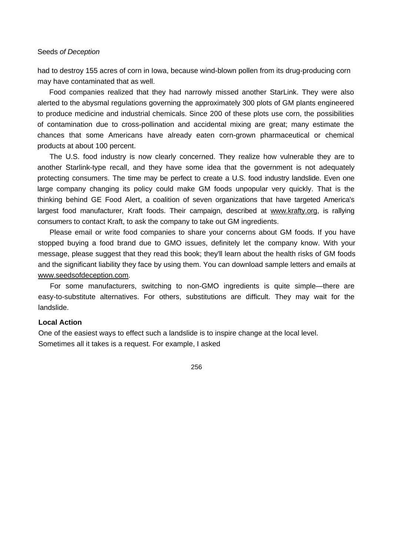had to destroy 155 acres of corn in Iowa, because wind-blown pollen from its drug-producing corn may have contaminated that as well.

Food companies realized that they had narrowly missed another StarLink. They were also alerted to the abysmal regulations governing the approximately 300 plots of GM plants engineered to produce medicine and industrial chemicals. Since 200 of these plots use corn, the possibilities of contamination due to cross-pollination and accidental mixing are great; many estimate the chances that some Americans have already eaten corn-grown pharmaceutical or chemical products at about 100 percent.

The U.S. food industry is now clearly concerned. They realize how vulnerable they are to another Starlink-type recall, and they have some idea that the government is not adequately protecting consumers. The time may be perfect to create a U.S. food industry landslide. Even one large company changing its policy could make GM foods unpopular very quickly. That is the thinking behind GE Food Alert, a coalition of seven organizations that have targeted America's largest food manufacturer, Kraft foods. Their campaign, described at www.krafty.org, is rallying consumers to contact Kraft, to ask the company to take out GM ingredients.

Please email or write food companies to share your concerns about GM foods. If you have stopped buying a food brand due to GMO issues, definitely let the company know. With your message, please suggest that they read this book; they'll learn about the health risks of GM foods and the significant liability they face by using them. You can download sample letters and emails at www.seedsofdeception.com.

For some manufacturers, switching to non-GMO ingredients is quite simple—there are easy-to-substitute alternatives. For others, substitutions are difficult. They may wait for the landslide.

### **Local Action**

One of the easiest ways to effect such a landslide is to inspire change at the local level. Sometimes all it takes is a request. For example, I asked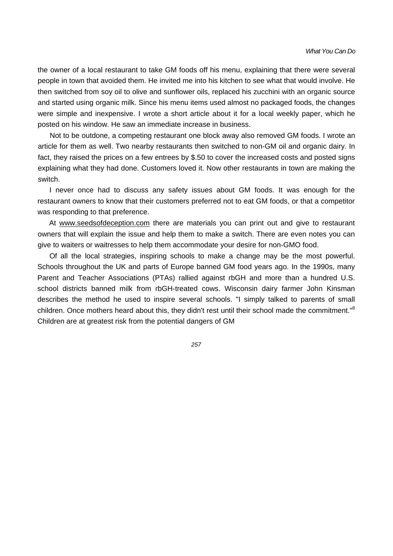the owner of a local restaurant to take GM foods off his menu, explaining that there were several people in town that avoided them. He invited me into his kitchen to see what that would involve. He then switched from soy oil to olive and sunflower oils, replaced his zucchini with an organic source and started using organic milk. Since his menu items used almost no packaged foods, the changes were simple and inexpensive. I wrote a short article about it for a local weekly paper, which he posted on his window. He saw an immediate increase in business.

Not to be outdone, a competing restaurant one block away also removed GM foods. I wrote an article for them as well. Two nearby restaurants then switched to non-GM oil and organic dairy. In fact, they raised the prices on a few entrees by \$.50 to cover the increased costs and posted signs explaining what they had done. Customers loved it. Now other restaurants in town are making the switch.

I never once had to discuss any safety issues about GM foods. It was enough for the restaurant owners to know that their customers preferred not to eat GM foods, or that a competitor was responding to that preference.

At www.seedsofdeception.com there are materials you can print out and give to restaurant owners that will explain the issue and help them to make a switch. There are even notes you can give to waiters or waitresses to help them accommodate your desire for non-GMO food.

Of all the local strategies, inspiring schools to make a change may be the most powerful. Schools throughout the UK and parts of Europe banned GM food years ago. In the 1990s, many Parent and Teacher Associations (PTAs) rallied against rbGH and more than a hundred U.S. school districts banned milk from rbGH-treated cows. Wisconsin dairy farmer John Kinsman describes the method he used to inspire several schools. "I simply talked to parents of small children. Once mothers heard about this, they didn't rest until their school made the commitment."<sup>8</sup> Children are at greatest risk from the potential dangers of GM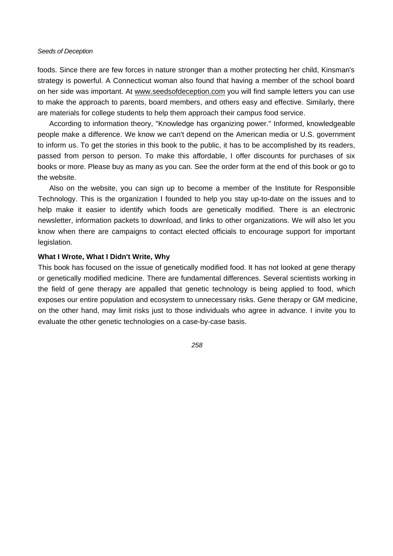foods. Since there are few forces in nature stronger than a mother protecting her child, Kinsman's strategy is powerful. A Connecticut woman also found that having a member of the school board on her side was important. At www.seedsofdeception.com you will find sample letters you can use to make the approach to parents, board members, and others easy and effective. Similarly, there are materials for college students to help them approach their campus food service.

According to information theory, "Knowledge has organizing power." Informed, knowledgeable people make a difference. We know we can't depend on the American media or U.S. government to inform us. To get the stories in this book to the public, it has to be accomplished by its readers, passed from person to person. To make this affordable, I offer discounts for purchases of six books or more. Please buy as many as you can. See the order form at the end of this book or go to the website.

Also on the website, you can sign up to become a member of the Institute for Responsible Technology. This is the organization I founded to help you stay up-to-date on the issues and to help make it easier to identify which foods are genetically modified. There is an electronic newsletter, information packets to download, and links to other organizations. We will also let you know when there are campaigns to contact elected officials to encourage support for important legislation.

### **What I Wrote, What I Didn't Write, Why**

This book has focused on the issue of genetically modified food. It has not looked at gene therapy or genetically modified medicine. There are fundamental differences. Several scientists working in the field of gene therapy are appalled that genetic technology is being applied to food, which exposes our entire population and ecosystem to unnecessary risks. Gene therapy or GM medicine, on the other hand, may limit risks just to those individuals who agree in advance. I invite you to evaluate the other genetic technologies on a case-by-case basis.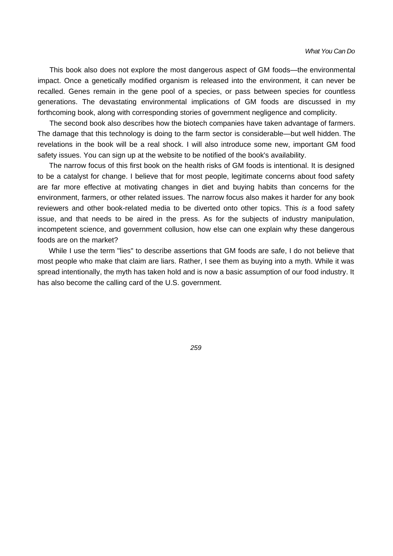This book also does not explore the most dangerous aspect of GM foods—the environmental impact. Once a genetically modified organism is released into the environment, it can never be recalled. Genes remain in the gene pool of a species, or pass between species for countless generations. The devastating environmental implications of GM foods are discussed in my forthcoming book, along with corresponding stories of government negligence and complicity.

The second book also describes how the biotech companies have taken advantage of farmers. The damage that this technology is doing to the farm sector is considerable—but well hidden. The revelations in the book will be a real shock. I will also introduce some new, important GM food safety issues. You can sign up at the website to be notified of the book's availability.

The narrow focus of this first book on the health risks of GM foods is intentional. It is designed to be a catalyst for change. I believe that for most people, legitimate concerns about food safety are far more effective at motivating changes in diet and buying habits than concerns for the environment, farmers, or other related issues. The narrow focus also makes it harder for any book reviewers and other book-related media to be diverted onto other topics. This *is* a food safety issue, and that needs to be aired in the press. As for the subjects of industry manipulation, incompetent science, and government collusion, how else can one explain why these dangerous foods are on the market?

While I use the term "lies" to describe assertions that GM foods are safe, I do not believe that most people who make that claim are liars. Rather, I see them as buying into a myth. While it was spread intentionally, the myth has taken hold and is now a basic assumption of our food industry. It has also become the calling card of the U.S. government.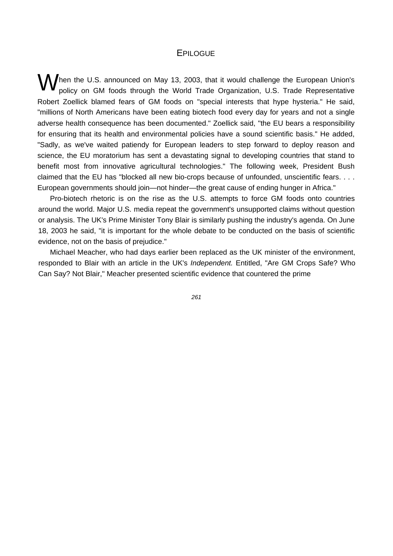### **EPILOGUE**

**W** hen the U.S. announced on May 13, 2003, that it would challenge the European Union's policy on GM foods through the World Trade Organization, U.S. Trade Representative policy on GM foods through the World Trade Organization, U.S. Trade Representative Robert Zoellick blamed fears of GM foods on "special interests that hype hysteria." He said, "millions of North Americans have been eating biotech food every day for years and not a single adverse health consequence has been documented." Zoellick said, "the EU bears a responsibility for ensuring that its health and environmental policies have a sound scientific basis." He added, "Sadly, as we've waited patiendy for European leaders to step forward to deploy reason and science, the EU moratorium has sent a devastating signal to developing countries that stand to benefit most from innovative agricultural technologies." The following week, President Bush claimed that the EU has "blocked all new bio-crops because of unfounded, unscientific fears. . . . European governments should join—not hinder—the great cause of ending hunger in Africa."

Pro-biotech rhetoric is on the rise as the U.S. attempts to force GM foods onto countries around the world. Major U.S. media repeat the government's unsupported claims without question or analysis. The UK's Prime Minister Tony Blair is similarly pushing the industry's agenda. On June 18, 2003 he said, "it is important for the whole debate to be conducted on the basis of scientific evidence, not on the basis of prejudice."

Michael Meacher, who had days earlier been replaced as the UK minister of the environment, responded to Blair with an article in the UK's *Independent.* Entitled, "Are GM Crops Safe? Who Can Say? Not Blair," Meacher presented scientific evidence that countered the prime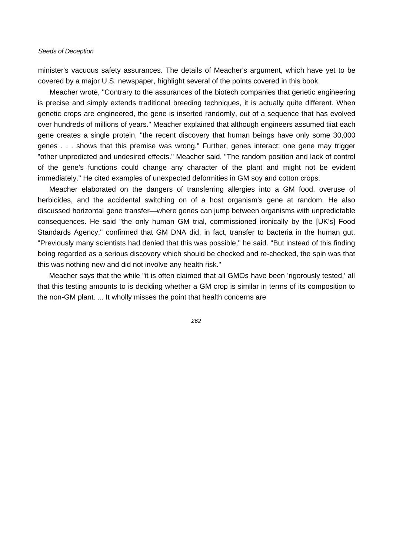minister's vacuous safety assurances. The details of Meacher's argument, which have yet to be covered by a major U.S. newspaper, highlight several of the points covered in this book.

Meacher wrote, "Contrary to the assurances of the biotech companies that genetic engineering is precise and simply extends traditional breeding techniques, it is actually quite different. When genetic crops are engineered, the gene is inserted randomly, out of a sequence that has evolved over hundreds of millions of years." Meacher explained that although engineers assumed tiiat each gene creates a single protein, "the recent discovery that human beings have only some 30,000 genes . . . shows that this premise was wrong." Further, genes interact; one gene may trigger "other unpredicted and undesired effects." Meacher said, "The random position and lack of control of the gene's functions could change any character of the plant and might not be evident immediately." He cited examples of unexpected deformities in GM soy and cotton crops.

Meacher elaborated on the dangers of transferring allergies into a GM food, overuse of herbicides, and the accidental switching on of a host organism's gene at random. He also discussed horizontal gene transfer—where genes can jump between organisms with unpredictable consequences. He said "the only human GM trial, commissioned ironically by the [UK's] Food Standards Agency," confirmed that GM DNA did, in fact, transfer to bacteria in the human gut. "Previously many scientists had denied that this was possible," he said. "But instead of this finding being regarded as a serious discovery which should be checked and re-checked, the spin was that this was nothing new and did not involve any health risk."

Meacher says that the while "it is often claimed that all GMOs have been 'rigorously tested,' all that this testing amounts to is deciding whether a GM crop is similar in terms of its composition to the non-GM plant. ... It wholly misses the point that health concerns are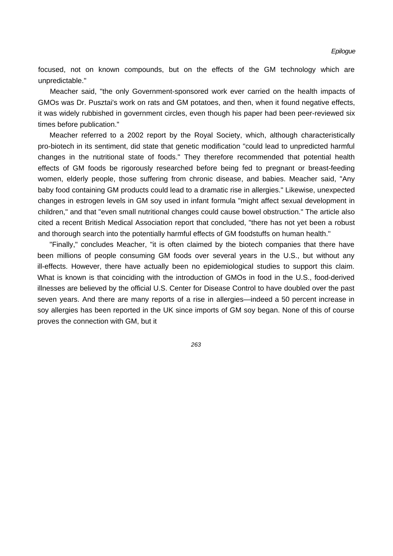focused, not on known compounds, but on the effects of the GM technology which are unpredictable."

Meacher said, "the only Government-sponsored work ever carried on the health impacts of GMOs was Dr. Pusztai's work on rats and GM potatoes, and then, when it found negative effects, it was widely rubbished in government circles, even though his paper had been peer-reviewed six times before publication."

Meacher referred to a 2002 report by the Royal Society, which, although characteristically pro-biotech in its sentiment, did state that genetic modification "could lead to unpredicted harmful changes in the nutritional state of foods." They therefore recommended that potential health effects of GM foods be rigorously researched before being fed to pregnant or breast-feeding women, elderly people, those suffering from chronic disease, and babies. Meacher said, "Any baby food containing GM products could lead to a dramatic rise in allergies." Likewise, unexpected changes in estrogen levels in GM soy used in infant formula "might affect sexual development in children," and that "even small nutritional changes could cause bowel obstruction." The article also cited a recent British Medical Association report that concluded, "there has not yet been a robust and thorough search into the potentially harmful effects of GM foodstuffs on human health."

"Finally," concludes Meacher, "it is often claimed by the biotech companies that there have been millions of people consuming GM foods over several years in the U.S., but without any ill-effects. However, there have actually been no epidemiological studies to support this claim. What is known is that coinciding with the introduction of GMOs in food in the U.S., food-derived illnesses are believed by the official U.S. Center for Disease Control to have doubled over the past seven years. And there are many reports of a rise in allergies—indeed a 50 percent increase in soy allergies has been reported in the UK since imports of GM soy began. None of this of course proves the connection with GM, but it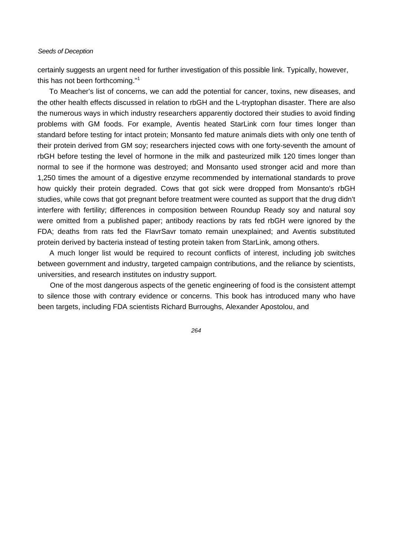certainly suggests an urgent need for further investigation of this possible link. Typically, however, this has not been forthcoming."<sup>1</sup>

To Meacher's list of concerns, we can add the potential for cancer, toxins, new diseases, and the other health effects discussed in relation to rbGH and the L-tryptophan disaster. There are also the numerous ways in which industry researchers apparentiy doctored their studies to avoid finding problems with GM foods. For example, Aventis heated StarLink corn four times longer than standard before testing for intact protein; Monsanto fed mature animals diets with only one tenth of their protein derived from GM soy; researchers injected cows with one forty-seventh the amount of rbGH before testing the level of hormone in the milk and pasteurized milk 120 times longer than normal to see if the hormone was destroyed; and Monsanto used stronger acid and more than 1,250 times the amount of a digestive enzyme recommended by international standards to prove how quickly their protein degraded. Cows that got sick were dropped from Monsanto's rbGH studies, while cows that got pregnant before treatment were counted as support that the drug didn't interfere with fertility; differences in composition between Roundup Ready soy and natural soy were omitted from a published paper; antibody reactions by rats fed rbGH were ignored by the FDA; deaths from rats fed the FlavrSavr tomato remain unexplained; and Aventis substituted protein derived by bacteria instead of testing protein taken from StarLink, among others.

A much longer list would be required to recount conflicts of interest, including job switches between government and industry, targeted campaign contributions, and the reliance by scientists, universities, and research institutes on industry support.

One of the most dangerous aspects of the genetic engineering of food is the consistent attempt to silence those with contrary evidence or concerns. This book has introduced many who have been targets, including FDA scientists Richard Burroughs, Alexander Apostolou, and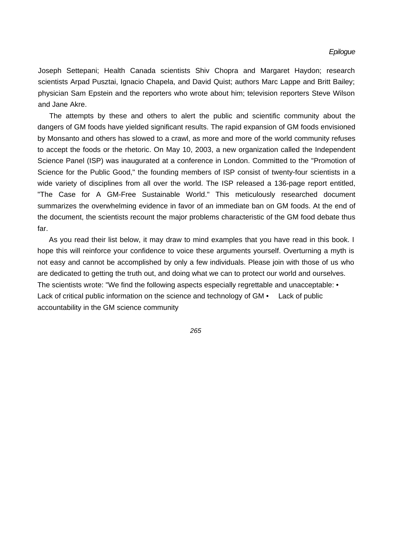#### *Epilogue*

Joseph Settepani; Health Canada scientists Shiv Chopra and Margaret Haydon; research scientists Arpad Pusztai, Ignacio Chapela, and David Quist; authors Marc Lappe and Britt Bailey; physician Sam Epstein and the reporters who wrote about him; television reporters Steve Wilson and Jane Akre.

The attempts by these and others to alert the public and scientific community about the dangers of GM foods have yielded significant results. The rapid expansion of GM foods envisioned by Monsanto and others has slowed to a crawl, as more and more of the world community refuses to accept the foods or the rhetoric. On May 10, 2003, a new organization called the Independent Science Panel (ISP) was inaugurated at a conference in London. Committed to the "Promotion of Science for the Public Good," the founding members of ISP consist of twenty-four scientists in a wide variety of disciplines from all over the world. The ISP released a 136-page report entitled, "The Case for A GM-Free Sustainable World." This meticulously researched document summarizes the overwhelming evidence in favor of an immediate ban on GM foods. At the end of the document, the scientists recount the major problems characteristic of the GM food debate thus far.

As you read their list below, it may draw to mind examples that you have read in this book. I hope this will reinforce your confidence to voice these arguments yourself. Overturning a myth is not easy and cannot be accomplished by only a few individuals. Please join with those of us who are dedicated to getting the truth out, and doing what we can to protect our world and ourselves. The scientists wrote: "We find the following aspects especially regrettable and unacceptable:  $\bullet$ Lack of critical public information on the science and technology of GM • Lack of public accountability in the GM science community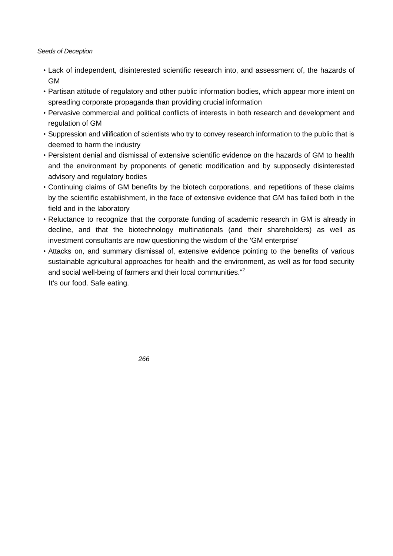- Lack of independent, disinterested scientific research into, and assessment of, the hazards of GM
- Partisan attitude of regulatory and other public information bodies, which appear more intent on spreading corporate propaganda than providing crucial information
- Pervasive commercial and political conflicts of interests in both research and development and regulation of GM
- Suppression and vilification of scientists who try to convey research information to the public that is deemed to harm the industry
- Persistent denial and dismissal of extensive scientific evidence on the hazards of GM to health and the environment by proponents of genetic modification and by supposedly disinterested advisory and regulatory bodies
- Continuing claims of GM benefits by the biotech corporations, and repetitions of these claims by the scientific establishment, in the face of extensive evidence that GM has failed both in the field and in the laboratory
- Reluctance to recognize that the corporate funding of academic research in GM is already in decline, and that the biotechnology multinationals (and their shareholders) as well as investment consultants are now questioning the wisdom of the 'GM enterprise'
- Attacks on, and summary dismissal of, extensive evidence pointing to the benefits of various sustainable agricultural approaches for health and the environment, as well as for food security and social well-being of farmers and their local communities."2 It's our food. Safe eating.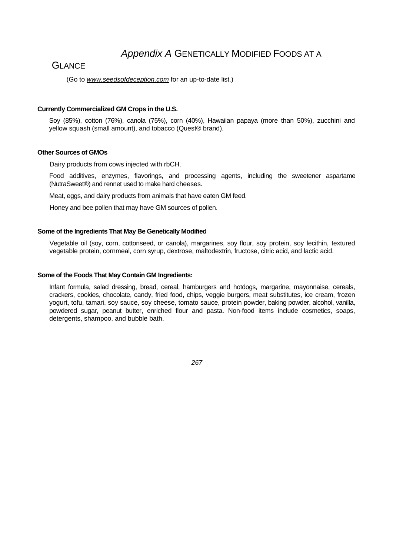# *Appendix A* GENETICALLY MODIFIED FOODS AT A

## **GLANCE**

#### (Go to *www.seedsofdeception.com* for an up-to-date list.)

#### **Currently Commercialized GM Crops in the U.S.**

Soy (85%), cotton (76%), canola (75%), corn (40%), Hawaiian papaya (more than 50%), zucchini and yellow squash (small amount), and tobacco (Quest® brand).

#### **Other Sources of GMOs**

Dairy products from cows injected with rbCH.

Food additives, enzymes, flavorings, and processing agents, including the sweetener aspartame (NutraSweet®) and rennet used to make hard cheeses.

Meat, eggs, and dairy products from animals that have eaten GM feed.

Honey and bee pollen that may have GM sources of pollen.

#### **Some of the Ingredients That May Be Genetically Modified**

Vegetable oil (soy, corn, cottonseed, or canola), margarines, soy flour, soy protein, soy lecithin, textured vegetable protein, cornmeal, corn syrup, dextrose, maltodextrin, fructose, citric acid, and lactic acid.

#### **Some of the Foods That May Contain GM Ingredients:**

Infant formula, salad dressing, bread, cereal, hamburgers and hotdogs, margarine, mayonnaise, cereals, crackers, cookies, chocolate, candy, fried food, chips, veggie burgers, meat substitutes, ice cream, frozen yogurt, tofu, tamari, soy sauce, soy cheese, tomato sauce, protein powder, baking powder, alcohol, vanilla, powdered sugar, peanut butter, enriched flour and pasta. Non-food items include cosmetics, soaps, detergents, shampoo, and bubble bath.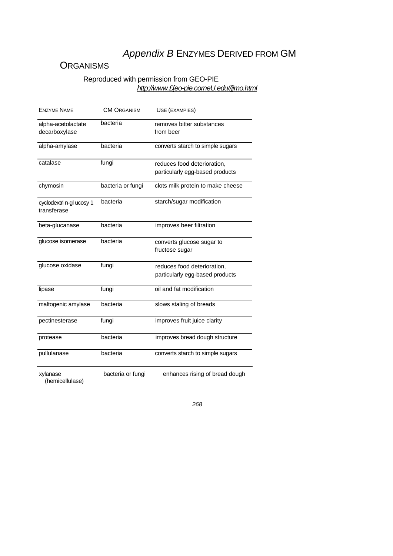# **Appendix B ENZYMES DERIVED FROM GM**

# **ORGANISMS**

### Reproduced with permission from GEO-PIE *http://www.£[eo-pie.corneU.edu//jjmo.html*

| <b>ENZYME NAME</b>                      | <b>CM ORGANISM</b> | USE (EXAMPIES)                                                 |
|-----------------------------------------|--------------------|----------------------------------------------------------------|
| alpha-acetolactate<br>decarboxylase     | bacteria           | removes bitter substances<br>from beer                         |
| alpha-amylase                           | bacteria           | converts starch to simple sugars                               |
| catalase                                | fungi              | reduces food deterioration,<br>particularly egg-based products |
| chymosin                                | bacteria or fungi  | clots milk protein to make cheese                              |
| cyclodextri n-gl ucosy 1<br>transferase | bacteria           | starch/sugar modification                                      |
| beta-glucanase                          | bacteria           | improves beer filtration                                       |
| glucose isomerase                       | bacteria           | converts glucose sugar to<br>fructose sugar                    |
| glucose oxidase                         | fungi              | reduces food deterioration,<br>particularly egg-based products |
| lipase                                  | fungi              | oil and fat modification                                       |
| maltogenic amylase                      | bacteria           | slows staling of breads                                        |
| pectinesterase                          | fungi              | improves fruit juice clarity                                   |
| protease                                | bacteria           | improves bread dough structure                                 |
| pullulanase                             | bacteria           | converts starch to simple sugars                               |

xylanase bacteria or fungi enhances rising of bread dough

(hemicellulase)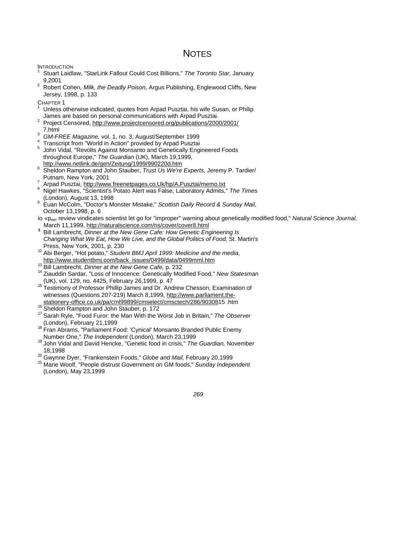# **NOTES**

**INTRODUCTION** 

- 1 Stuart Laidlaw, "StarLink Fallout Could Cost Billions," *The Toronto Star,* January 9,2001
- Robert Cohen, *Milk, the Deadly Poison,* Argus Publishing, Englewood Cliffs, New Jersey, 1998, p. 133
- CHAPTER<sub>1</sub>
- Unless otherwise indicated, quotes from Arpad Pusztai, his wife Susan, or Philip James are based on personal communications with Arpad Pusztai. <sup>2</sup>
- Project Censored, http://www.projectcensored.org/publications/2000/2001/
- 7.html <sup>3</sup> *GM-FREE Magazine,* vol. 1, no. 3, August/September 1999 <sup>4</sup>
- 4 Transcript from "World in Action" provided by Arpad Pusztai
- 5 John Vidal, "Revolts Against Monsanto and Genetically Engineered Foods throughout Europe," *The Guardian* (UK), March 19,1999,
- http://www.netlink.de/gen/Zeitung/1999/990220d.htm <sup>6</sup> Sheldon Rampton and John Stauber, *Trust Us We're Experts,* Jeremy P. Tardier/ Putnam, New York, 2001
- Arpad Pusztai, http://www.freenetpages.co.Uk/hp/A.Pusztai/memo.txt
- Nigel Hawkes, "Scientist's Potato Alert was False, Laboratory Admits," *The Times*  (London), August 13, 1998
- Euan McColm, "Doctor's Monster Mistake," *Scottish Daily Record & Sunday Mail,*  October 13,1998, p. 6
- io «peer review vindicates scientist let go for "improper" warning about genetically modified food," *Natural Science Journal,*  March 11,1999, http://naturalscience.com/ns/cover/cover8.html
- <sup>1</sup> Bill Lambrecht, *Dinner at the New Gene Cafe: How Genetic Engineering Is Changing What We Eat, How We Live, and the Global Politics of Food,* St. Martin's
- Press, New York, 2001, p. 230<br><sup>12</sup> Abi Berger, "Hot potato," *Student BMJ April 1999: Medicine and the media,*
- 
- http://www.studentbmj.com/back\_issues/0499/data/0499mml.htm <sup>13</sup> Bill Lambrecht, *Dinner at the New Gene Cafe, p. 232* <sup>14</sup> Ziauddin Sardar, "Loss of Innocence: Genetically Modified Food," *New Statesman*
- (UK), vol. 129, no. 4425, February 26,1999, p. 47<br><sup>15</sup> Testimony of Professor Phillip James and Dr. Andrew Chesson, Examination of witnesses (Questions 207-219) March 8,1999, http://www.parliament.the-
- 
- stationery-office.co.uk/pa/cml99899/cmselect/cmsctech/286/9030815 .htm<br>
<sup>16</sup> Sheldon Rampton and John Stauber, p. 172<br>
<sup>17</sup> Sarah Ryle, "Food Furor: the Man With the Worst Job in Britain," *The Observer*<br>
(London), Februar
- (Editority, February, February 21, 1999)<br>
<sup>18</sup> Fran Abrams, "Parliament Food: 'Cynical' Monsanto Branded Public Enemy<br>
Number One." *The Independent* (London). March 23.1999
- Number One," *The Independent* (London), March 23,1999 19 John Vidal and David Hencke, "Genetic food in crisis," *The Guardian,* November
- 
- 18,1998 20 Gwynne Dyer, "Frankenstein Foods," *Globe and Mail,* February 20,1999 21 Marie Woolf, "People distrust Government on GM foods," *Sunday Independent*  (London), May 23,1999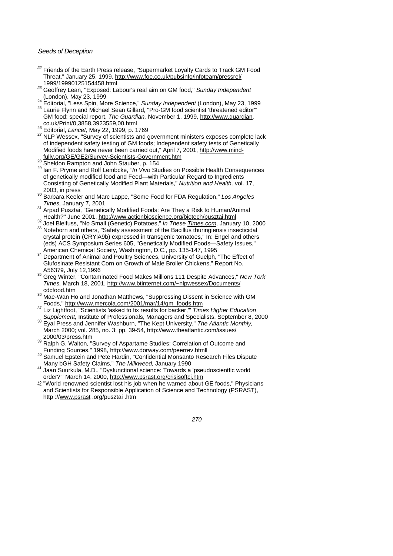- *<sup>22</sup>* Friends of the Earth Press release, "Supermarket Loyalty Cards to Track GM Food Threat," January 25, 1999, http://www.foe.co.uk/pubsinfo/infoteam/pressrel/
- 1999/19990125154458.html *<sup>23</sup>* Geoffrey Lean, "Exposed: Labour's real aim on GM food," *Sunday Independent*
- <sub>24</sub> (London), May 23, 1999<br><sup>24</sup> Editorial, "Less Spin, More Science," *Sunday Independent* (London), May 23, 1999<br><sup>25</sup> Laurie Flynn and Michael Sean Gillard, "Pro-GM food scientist 'threatened editor'"
- GM food: special report, *The Guardian,* November 1, 1999, http://www.guardian.<br>
co.uk/Print/0,3858,3923559,00.html<br>
<sup>26</sup> Editorial, *Lancet*, May 22, 1999, p. 1769
- 
- <sup>27</sup> NLP Wessex, "Survey of scientists and government ministers exposes complete lack of independent safety testing of GM foods; Independent safety tests of Genetically Modified foods have never been carried out," April 7, 2001, http://www.mind-<br>
<u>fully.org/GE/GE2/Survey-Scientists-Government.htm</u><br>
<sup>28</sup> Sheldon Rampton and John Stauber, p. 154
- 
- fully.org/GE/GE2/Survey-Scientists-Government.htm 28 Sheldon Rampton and John Stauber, p. 154 29 Ian F. Pryme and Rolf Lembcke, *"In Vivo* Studies on Possible Health Consequences of genetically modified food and Feed—with Particular Regard to Ingredients Consisting of Genetically Modified Plant Materials," *Nutrition and Health,* vol. 17,
- 2003, in press 30 Barbara Keeler and Marc Lappe, "Some Food for FDA Regulation," *Los Angeles*
- *Times, January 7, 2001*<br><sup>31</sup> Arpad Pusztai, "Genetically Modified Foods: Are They a Risk to Human/Animal<br>Health?" June 2001, http://www.actionbioscience.org/biotech/pusztai.html
- <sup>32</sup> Joel Bleifuss, "No Small (Genetic) Potatoes," *In These <u>Times.com</u>*, January 10, 2000<br><sup>33</sup> Noteborn and others, "Safety assessment of the Bacillus thuringiensis insecticidal crystal protein (CRYlA9b) expressed in transgenic tomatoes," In: Engel and others (eds) ACS Symposium Series 605, "Genetically Modified Foods—Safety Issues,"
- <sup>34</sup> Department of Animal and Poultry Sciences, University of Guelph, "The Effect of Glufosinate Resistant Corn on Growth of Male Broiler Chickens," Report No.
- A56379, July 12,1996 35 Greg Winter, "Contaminated Food Makes Millions 111 Despite Advances," *New Tork Times,* March 18, 2001, http://www.btinternet.com/~nlpwessex/Documents/
- mathan Matthews, "Suppressing Dissent in Science with GM<br>Foods," http://www.mercola.com/2001/mar/14/gm\_foods.htm
- Foods, *increminional component component* in the set of the component. The set of professionals, Managers and Specialists, September 8, 2000<br>Supplement, Institute of Professionals, Managers and Specialists, September 8, 2
- *Supplement,* Institute of Professionals, Managers and Specialists, September 8, 2000 38 Eyal Press and Jennifer Washburn, "The Kept University," *The Atlantic Monthly,*  March 2000; vol. 285, no. 3; pp. 39-54, http://www.theatlantic.com/issues/
- 2000/03/press.htm<br>
<sup>39</sup> Ralph G. Walton, "Survey of Aspartame Studies: Correlation of Outcome and<br>
Funding Sources," 1998, http://www.dorway.com/peerrev.html
- <sup>40</sup> Samuel Epstein and Pete Hardin, "Confidential Monsanto Research Files Dispute<br>Many bGH Safety Claims," The Milkweed, January 1990
- Many bGH Safety Claims," *The Milkweed,* January 1990 41 Jaan Suurkula, M.D., "Dysfunctional science: Towards a 'pseudoscientfic world order?'" March 14, 2000, http://www.psrast.org/crisisoftci.htm
- 42 "World renowned scientist lost his job when he warned about GE foods," Physicians and Scientists for Responsible Application of Science and Technology (PSRAST), http ://www.psrast .org/pusztai .htm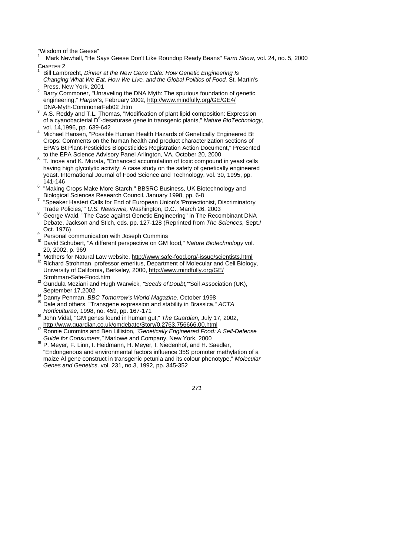"Wisdom of the Geese"

- 1 Mark Newhall, "He Says Geese Don't Like Roundup Ready Beans" *Farm Show,* vol. 24, no. 5, 2000 CHAPTER<sub>2</sub>
- Bill Lambrecht, *Dinner at the New Gene Cafe: How Genetic Engineering Is Changing What We Eat, How We Live, and the Global Politics of Food,* St. Martin's
- Press, New York, 2001<br><sup>2</sup> Barry Commoner, "Unraveling the DNA Myth: The spurious foundation of genetic engineering," *Harper's,* February 2002, http://www.mindfully.org/GE/GE4/ DNA-Myth-CommonerFeb02.htm
- $\frac{3}{3}$  A.S. Reddy and T.L. Thomas, "Modification of plant lipid composition: Expression of a cyanobacterial D<sup>6</sup>-desaturase gene in transgenic plants," Nature BioTechnology,
- vol. 14,1996, pp. 639-642<br><sup>4</sup> Michael Hansen, "Possible Human Health Hazards of Genetically Engineered Bt Crops: Comments on the human health and product characterization sections of EPA's Bt Plant-Pesticides Biopesticides Registration Action Document," Presented to the EPA Science Advisory Panel Arlington, VA, October 20, 2000
- <sup>5</sup> T. Inose and K. Murata, "Enhanced accumulation of toxic compound in yeast cells having high glycolytic activity: A case study on the safety of genetically engineered yeast. International Journal of Food Science and Technology, vol. 30, 1995, pp.
- 141-146<br><sup>6</sup> "Making Crops Make More Starch," BBSRC Business, UK Biotechnology and Biological Sciences Research Council, January 1998, pp. 6-8 <sup>7</sup>
- "Speaker Hastert Calls for End of European Union's 'Protectionist, Discriminatory Trade Policies,'" *U.S. Newswire,* Washington, D.C., March 26, 2003 <sup>8</sup>
- George Wald, "The Case against Genetic Engineering" in The Recombinant DNA Debate, Jackson and Stich, eds. pp. 127-128 (Reprinted from *The Sciences,* Sept./ oct. 1976)<br><sup>9</sup> Personal communication with Joseph Cummins
- 
- 10 David Schubert, "A different perspective on GM food," *Nature Biotechnology* vol.
- 20, 2002, p. 969<br>Mothers for Natural Law website, http://www.safe-food.org/-issue/scientists.html
- <sup>12</sup> Richard Strohman, professor emeritus, Department of Molecular and Cell Biology, University of California, Berkeley, 2000, http://www.mindfully.org/GE/
- Strohman-Safe-Food.htm 13 Gundula Meziani and Hugh Warwick, *"Seeds of'Doubt,"*'Soil Association (UK),
- 
- September 17,2002 14 Danny Penman, *BBC Tomorrow's World Magazine,* October 1998 15 Dale and others, "Transgene expression and stability in Brassica," *ACTA Horticulturae,* 1998, no. 459, pp. 167-171 16 John Vidal, "GM genes found in human gut," *The Guardian,* July 17, 2002,
- 
- http://www.guardian.co.uk/gmdebate/Story/0,2763,756666,00.html 17 Ronnie Cummins and Ben Lilliston, *"Genetically Engineered Food: A Self-Defense*
- *Guide for Consumers," Marlowe and Company, New York, 2000*<br><sup>18</sup> P. Mever, F. Linn, I. Heidmann, H. Meyer, I. Niedenhof, and H. Saedler, "Endongenous and environmental factors influence 35S promoter methylation of a maize Al gene construct in transgenic petunia and its colour phenotype," *Molecular Genes and Genetics,* vol. 231, no.3, 1992, pp. 345-352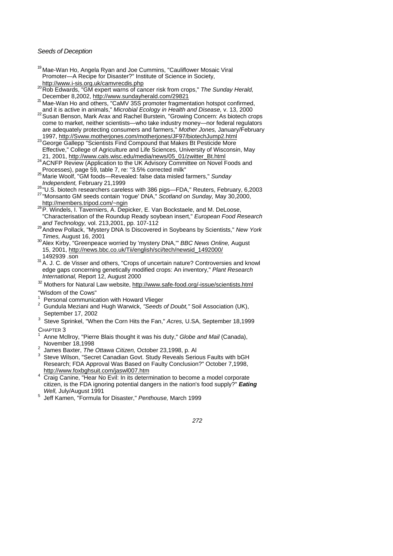- <sup>19</sup> Mae-Wan Ho, Angela Ryan and Joe Cummins, "Cauliflower Mosaic Viral Promoter—A Recipe for Disaster?" Institute of Science in Society,
- http://www.i-sis.org.uk/camvrecdis.php 20 Rob Edwards, "GM expert warns of cancer risk from crops," *The Sunday Herald,*
- 
- December 8,2002, http://www.sundayherald.com/29821<br><sup>21</sup> Mae-Wan Ho and others, "CaMV 35S promoter fragmentation hotspot confirmed,<br>and it is active in animals," *Microbial Ecology in Health and Disease, v.* 13, 2000
- and it is active in animals," *Microbial Ecology in Health and Disease,* v. 13, 2000 22 Susan Benson, Mark Arax and Rachel Burstein, "Growing Concern: As biotech crops come to market, neither scientists—who take industry money—nor federal regulators are adequately protecting consumers and farmers," *Mother Jones, January/February*<br>1997, <u>http://Swww.motherjones.com/motherjones/JF97/biotechJump2.html</u>
- <sup>23</sup> George Gallepp "Scientists Find Compound that Makes Bt Pesticide More Effective," College of Agriculture and Life Sciences, University of Wisconsin, May 21, 2001, http://www.cals.wisc.edu/media/news/05\_01/zwitter\_Bt.html
- 24, 2001, http://www.cals.com/media/news/00011/24 ACNFP Review (Application to the UK Advisory Committee on Novel Foods and<br>Processes), page 59, table 7, re: "3.5% corrected milk"
- <sup>25</sup> Marie Woolf, "GM foods—Revealed: false data misled farmers," *Sunday*<br>*Independent*, February 21,1999
- <sup>26 "U.S. biotech researchers careless with 386 pigs—FDA," Reuters, February, 6,2003<br><sup>27</sup> "Monsanto GM seeds contain 'rogue' DNA," *Scotland on Sunday, May 30,2000,*</sup>
- http://members.tripod.com/~ngin<br><sup>28</sup> P. Windels, I. Taverniers, A. Depicker, E. Van Bockstaele, and M. DeLoose, "Characterisation of the Roundup Ready soybean insert," *European Food Research*
- *and Technology,* vol. 213,2001, pp. 107-112 29 Andrew Pollack, "Mystery DNA Is Discovered in Soybeans by Scientists," *New York*
- *Times, August 16, 2001 30 Alex Kirby, "Greenpeace worried by 'mystery DNA," BBC News Online, August* 15, 2001, http://news.bbc.co.uk/Tii/english/sci/tech/newsid\_1492000/<br>1492939 .son
- <sup>31</sup> A. J. C. de Visser and others, "Crops of uncertain nature? Controversies and knowl edge gaps concerning genetically modified crops: An inventory," *Plant Research International,* Report 12, August 2000
- <sup>32</sup> Mothers for Natural Law website, http://www.safe-food.org/-issue/scientists.html
- "Wisdom of the Cows"
- 1 Personal communication with Howard Vlieger
- 2 Gundula Meziani and Hugh Warwick, *"Seeds of Doubt,"* Soil Association (UK), September 17, 2002
- 3 Steve Sprinkel, "When the Corn Hits the Fan," *Acres,* U.SA, September 18,1999 CHAPTER<sub>3</sub>
- 
- Anne Mcllroy, "Pierre Blais thought it was his duty," *Globe and Mail* (Canada), November 18,1998 <sup>2</sup>
- <sup>2</sup> James Baxter, *The Ottawa Citizen, October 23,1998, p. Al*
- <sup>3</sup> Steve Wilson, "Secret Canadian Govt. Study Reveals Serious Faults with bGH Research; FDA Approval Was Based on Faulty Conclusion?" October 7,1998, http://www.foxbghsuit.com/jaswl007.htm
- Craig Canine, "Hear No Evil: In its determination to become a model corporate citizen, is the FDA ignoring potential dangers in the nation's food supply?" *Eating Well, July/August 1991*
- Jeff Kamen, "Formula for Disaster," *Penthouse,* March 1999
	- *272*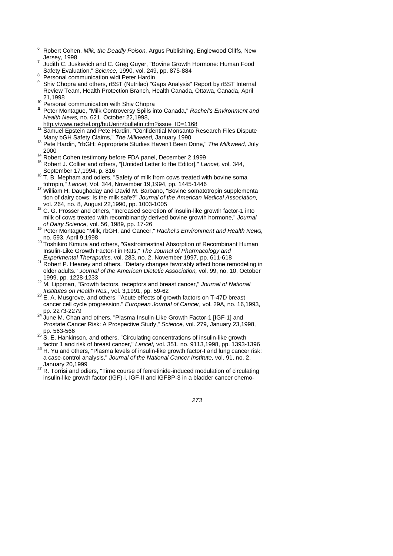- 6 Robert Cohen, *Milk, the Deadly Poison,* Argus Publishing, Englewood Cliffs, New **Jersey, 1998**
- Judith C. Juskevich and C. Greg Guyer, "Bovine Growth Hormone: Human Food Safety Evaluation," *Science,* 1990, vol. 249, pp. 875-884 <sup>8</sup>
- Personal communication widi Peter Hardin 9
- Shiv Chopra and others, rBST (Nutrilac) "Gaps Analysis" Report by rBST Internal Review Team, Health Protection Branch, Health Canada, Ottawa, Canada, April
- 21,1998<br><sup>10</sup> Personal communication with Shiv Chopra
- 11 Peter Montague, "Milk Controversy Spills into Canada," *Rachel's Environment and Health News,* no. 621, October 22,1998,
- 
- http.y/www.rachel.org/buUerin/bulletin.cfm?issue\_ID=1168<br><sup>12</sup> Samuel Epstein and Pete Hardin, "Confidential Monsanto Research Files Dispute<br>
[Many bGH Safety Claims," *The Milkweed, January* 1990
- Many bGH Safety Claims," *The Milkweed,* January 1990 13 Pete Hardin, "rbGH: Appropriate Studies Haven't Been Done," *The Milkweed,* July
- 
- 2000<br><sup>14</sup> Robert Cohen testimony before FDA panel, December 2,1999<br><sup>15</sup> Robert J. Collier and others, "[Untided Letter to the Editor]," *Lancet, vol.* 344,<br>September 17.1994. p. 816
- <sup>16</sup> T. B. Mepham and odiers, "Safety of milk from cows treated with bovine soma totropin," Lancet. Vol. 344, November 19,1994, pp. 1445-1446
- <sup>17</sup> William H. Daughaday and David M. Barbano, "Bovine somatotropin supplementa tion of dairy cows: Is the milk safe?" *Journal of the American Medical Association,*
- vol. 264, no. 8, August 22,1990, pp. 1003-1005<br><sup>18</sup> C. G. Prosser and others, "Increased secretion of insulin-like growth factor-1 into milk of cows treated with recombinandy derived bovine growth hormone," *Journal*
- *of Dairy Science,* vol. 56, 1989, pp. 17-26 19 Peter Montague "Milk, rbGH, and Cancer," *Rachel's Environment and Health News,*
- no. 593, April 9,1998<br><sup>20</sup> Toshikiro Kimura and others, "Gastrointestinal Absorption of Recombinant Human Insulin-Like Growth Factor-I in Rats," *The Journal of Pharmacology and*
- <sup>21</sup> Robert P. Heaney and others, "Dietary changes favorably affect bone remodeling in older adults." *Journal of the American Dietetic Association,* vol. 99, no. 10, October
- 1999, pp. 1228-1233 22 M. Lippman, "Growth factors, receptors and breast cancer," *Journal of National*
- *Institutes on Health Res., vol.* 3,1991, pp. 59-62<br><sup>23</sup> E. A. Musgrove, and others, "Acute effects of growth factors on T-47D breast cancer cell cycle progression." *European Journal of Cancer,* vol. 29A, no. 16,1993,<br>
<sup>24</sup> June M. Chan and others "Dissension" (Cancer, <sup>24</sup> June M. Chan and others "Dissension")
- June M. Chan and others, "Plasma Insulin-Like Growth Factor-1 [IGF-1] and Prostate Cancer Risk: A Prospective Study," *Science,* vol. 279, January 23,1998,
- pp. 563-566<br><sup>25</sup> S. E. Hankinson, and others, "Circulating concentrations of insulin-like growth<br>factor 1 and risk of breast cancer," *Lancet*, vol. 351, no. 9113,1998, pp. 1393-1396
- <sup>26</sup> H. Yu and others, "Plasma levels of insulin-like growth factor-I and lung cancer risk: a case-control analysis," *Journal of the National Cancer Institute,* vol. 91, no. 2,
- January 20,1999<br><sup>27</sup> R. Torrisi and odiers, "Time course of fenretinide-induced modulation of circulating insulin-like growth factor (IGF)-i, IGF-II and IGFBP-3 in a bladder cancer chemo-

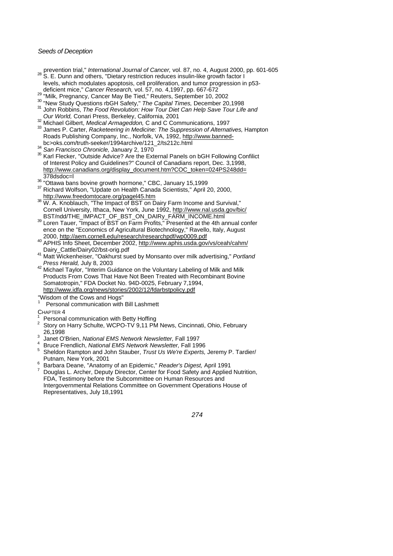- prevention trial," *International Journal of Cancer, vol.* 87, no. 4, August 2000, pp. 601-605<br><sup>28</sup> S. E. Dunn and others, "Dietary restriction reduces insulin-like growth factor I
- levels, which modulates apoptosis, cell proliferation, and tumor progression in p53-<br>deficient mice," Cancer Research, vol. 57, no. 4,1997, pp. 667-672<br><sup>29</sup> "Milke Bases and Contribution"
- 
- <sup>29</sup> "Milk, Pregnancy, Cancer May Be Tied," Reuters, September 10, 2002<br><sup>30</sup> "New Study Questions rbGH Safety," *The Capital Times, December 20,1998*<br><sup>31</sup> John Robbins, *The Food Revolution: How Tour Diet Can Help Save Tou*
- 
- 
- 20 Our World, Conari Press, Berkeley, California, 2001<br><sup>32</sup> Michael Gilbert, *Medical Armageddon,* C and C Communications, 1997<br><sup>33</sup> James P. Carter, *Racketeering in Medicine: The Suppression of Alternatives,* Hampton Roads Publishing Company, Inc., Norfolk, VA, 1992, http://www.banned-<br>bc>oks.com/truth-seeker/1994archive/121 2/ts212c.html
- 
- bc>oks.com/truth-seeker/1994archive/121\_2/ts212c.html <sup>34</sup> *San Francisco Chronicle,* January 2, 1970 35 Karl Flecker, "Outside Advice? Are the External Panels on bGH Following Confilict of Interest Policy and Guidelines?" Council of Canadians report, Dec. 3,1998, http://www.canadians.org/display\_document.htm?COC\_token=024PS248dd=
- 378dsdoc=l<br><sup>36</sup> "Ottawa bans bovine growth hormone," CBC, January 15,1999<br><sup>37</sup> Richard Wolfson, "Update on Health Canada Scientists," April 20, 2000,
- 
- abttp://www.freedomtocare.org/pagel45.htm 38 W. A. Knoblauch, "The Impact of BST on Dairy Farm Income and Survival," Cornell University, Ithaca, New York, June 1992, http://www.nal.usda.gov/bic/
- BST/ndd/THE\_IMPACT\_OF\_BST\_ON\_DAIRy\_FARM\_INCOME.html<br><sup>39</sup> Loren Tauer, "Impact of BST on Farm Profits," Presented at the 4th annual confer ence on the "Economics of Agricultural Biotechnology," Ravello, Italy, August
- 2000, http://aem.cornell.edu/research/researchpdf/wp0009.pdf 40 APHIS Info Sheet, December 2002, http://www.aphis.usda.gov/vs/ceah/cahm/
- Dairy\_Cattle/Dairy02/bst-orig.pdf 41 Matt Wickenheiser, "Oakhurst sued by Monsanto over milk advertising," *Portland*
- *Press Herald,* July 8, 2003 42 Michael Taylor, "Interim Guidance on the Voluntary Labeling of Milk and Milk Products From Cows That Have Not Been Treated with Recombinant Bovine Somatotropin," FDA Docket No. 94D-0025, February 7,1994, http://www.idfa.org/news/stories/2002/12/fdarbstpolicy.pdf
- "Wisdom of the Cows and Hogs"
- 1 Personal communication with Bill Lashmett
- CHAPTER 4
- Personal communication with Betty Hoffing
- 2 Story on Harry Schulte, WCPO-TV 9,11 PM News, Cincinnati, Ohio, February  $26,1998$
- Janet O'Brien, *National EMS Network Newsletter,* Fall 1997 <sup>4</sup>
- Bruce Frendlich, *National EMS Network Newsletter*, Fall 1996
- Sheldon Rampton and John Stauber, *Trust Us We're Experts,* Jeremy P. Tardier/ Putnam, New York, 2001
- <sup>b</sup> Barbara Deane, "Anatomy of an Epidemic," *Reader's Digest,* April 1991<br><sup>7</sup> Develos L. Archar, Deputy Director, Center for Essai Sefety and Applica
- Douglas L. Archer, Deputy Director, Center for Food Safety and Applied Nutrition, FDA, Testimony before the Subcommittee on Human Resources and Intergovernmental Relations Committee on Government Operations House of Representatives, July 18,1991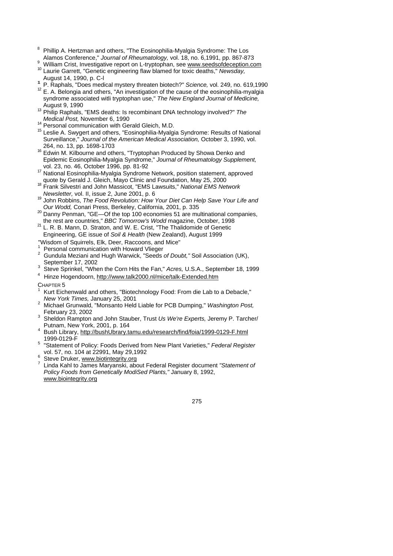- 8 Phillip A. Hertzman and others, "The Eosinophilia-Myalgia Syndrome: The Los Alamos Conference," *Journal of Rheumatology,* vol. 18, no. 6,1991, pp. 867-873 <sup>9</sup>
- <sup>10</sup> Laurie Garrett, "Genetic engineering flaw blamed for toxic deaths," *Newsday,*
- August 14, 1990, p. C-I<br><sup>1</sup> P. Raphals, "Does medical mystery threaten biotech?" Science, vol. 249, no. 619,1990
- 
- <sup>12</sup> E. A. Belongia and others, "An investigation of the cause of the eosinophilia-myalgia syndrome associated witli tryptophan use," *The New England Journal of Medicine,*
- August 9, 1990<br><sup>13</sup> Philip Raphals, "EMS deaths: Is recombinant DNA technology involved?" The *Medical Post.* November 6, 1990
- 
- *Medical Post, Medicalis Post, 1994*<br><sup>14</sup> Personal communication with Gerald Gleich, M.D.<br><sup>15</sup> Leslie A. Swygert and others, "Eosinophilia-Myalgia Syndrome: Results of National Surveillance," *Journal of the American Medical Association,* October 3, 1990, vol.
- 264, no. 13, pp. 1698-1703<br><sup>16</sup> Edwin M. Kilbourne and others, "Tryptophan Produced by Showa Denko and Epidemic Eosinophilia-Myalgia Syndrome," *Journal of Rheumatology Supplement,*
- vol. 23, no. 46, October 1996, pp. 81-92<br>
<sup>17</sup> National Eosinophilia-Myalgia Syndrome Network, position statement, approved<br>
quote by Gerald J. Gleich, Mayo Clinic and Foundation, May 25, 2000
- <sup>18</sup> Frank Silvestri and John Massicot, "EMS Lawsuits," *National EMS Network*<br>Newsletter, vol. II, issue 2, June 2001, p. 6
- *Newsletter, vol. II, issue 2, June 2003, p. 6* 19 19 19 19 19 19 Now Your Diet Can Help Save Your Life and <sup>19</sup> John Robbins, *The Food Revolution: How Your Diet Can Help Save Your Life and*
- *Our Wodd, Conari Press, Berkeley, California, 2001, p. 335*<br><sup>20</sup> Danny Penman, "GE—Of the top 100 economies 51 are multinational companies, the rest are countries." *BBC Tomorrow's Wodd* magazine. October. 1998
- <sup>21</sup> L. R. B. Mann, D. Straton, and W. E. Crist, "The Thalidomide of Genetic Engineering, GE issue of *Soil & Health* (New Zealand), August 1999
- "Wisdom of Squirrels, Elk, Deer, Raccoons, and Mice"
- 1 Personal communication with Howard Vlieger
- 2 Gundula Meziani and Hugh Warwick, "Seeds *of Doubt,"* Soil Association (UK), September 17, 2002
- Steve Sprinkel, "When the Corn Hits the Fan," *Acres,* U.S.A., September 18, 1999
- <sup>4</sup> Hinze Hogendoorn, http://www.talk2000.nl/mice/talk-Extended.htm CHAPTER<sub>5</sub>
- Kurt Eichenwald and others, "Biotechnology Food: From die Lab to a Debacle," *New York Times,* January 25, 2001 <sup>2</sup>
- Michael Grunwald, "Monsanto Held Liable for PCB Dumping," *Washington Post,*  February 23, 2002
- Sheldon Rampton and John Stauber, Trust *Us We're Experts,* Jeremy P. Tarcher/ Putnam, New York, 2001, p. 164 <sup>4</sup>
- Bush Library, http://bushUbrary.tamu.edu/research/find/foia/1999-0129-F.html
- 1999-0129-F<br><sup>5</sup> "Statement of Policy: Foods Derived from New Plant Varieties," *Federal Register*
- vol. 57, no. 104 at 22991, May 29,1992<br><sup>6</sup> Steve Druker, <u>www.biotintegrity.org</u><br><sup>7</sup> Linde Kehl to James Maryaneki, obout
- Linda Kahl to James Maryanski, about Federal Register document *"Statement of Policy Foods from Genetically ModiSed Plants,"* January 8, 1992, www.biointegrity.org

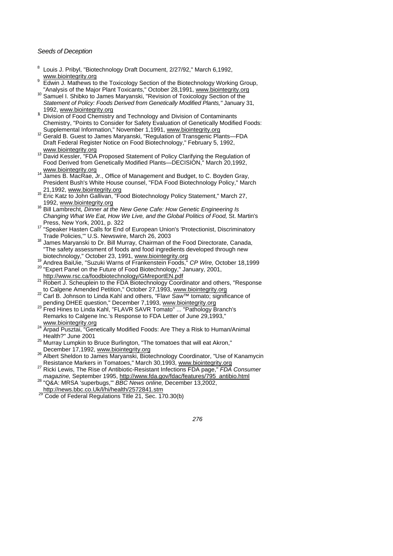- 8 Louis J. Pribyl, "Biotechnology Draft Document, 2/27/92," March 6,1992, www.biointegrity.org
- Edwin J. Mathews to the Toxicology Section of the Biotechnology Working Group, "Analysis of the Major Plant Toxicants," October 28,1991, www.biointegrity.org 10 Samuel I. Shibko to James Maryanski, "Revision of Toxicology Section of the
- *Statement of Policy: Foods Derived from Genetically Modified Plants,"* January 31, 1992, www.biointegrity.org
- Division of Food Chemistry and Technology and Division of Contaminants Chemistry, "Points to Consider for Safety Evaluation of Genetically Modified Foods:
- Supplemental Information," November 1,1991, www.biointegrity.org 12 Gerald B. Guest to James Maryanski, "Regulation of Transgenic Plants—FDA Draft Federal Register Notice on Food Biotechnology," February 5, 1992,
- www.biointegrity.org<br><sup>13</sup> David Kessler, "FDA Proposed Statement of Policy Clarifying the Regulation of Food Derived from Genetically Modified Plants—DECISION," March 20,1992,
- www.biointegrity.org<br><sup>14</sup> James B. MacRae, Jr., Office of Management and Budget, to C. Boyden Gray, President Bush's White House counsel, "FDA Food Biotechnology Policy," March
- 21,1992, www.biointegrity.org<br><sup>15</sup> Eric Katz to John Gallivan, "Food Biotechnology Policy Statement," March 27,
- 1992, www.biointegrity.org 16 Bill Lambrecht, *Dinner at the New Gene Cafe: How Genetic Engineering Is Changing What We Eat, How We Live, and the Global Politics of Food, St. Martin's*<br>Press. New York. 2001. p. 322
- Press, New York, 2001, p. 32.<br>
Press, New York, p. 322 17 "Speaker Hasten Calls for End of European Union's 'Protectionist, Discriminatory<br>
Trade Policies.'" U.S. Newswire, March 26, 2003
- <sup>18</sup> James Marvanski to Dr. Bill Murray, Chairman of the Food Directorate, Canada, "The safety assessment of foods and food ingredients developed through new
- biotechnology," October 23, 1991, www.biointegrity.org<br><sup>19</sup> Andrea BaiUie, "Suzuki Warns of Frankenstein Foods," *CP Wire,* October 18,1999<br><sup>20</sup> "Expert Panel on the Future of Food Biotechnology," January, 2001,
- http://www.rsc.ca/foodbiotechnology/GMreportEN.pdf 21 Robert J. Scheuplein to the FDA Biotechnology Coordinator and others, "Response
- to Calgene Amended Petition," October 27,1993, www.biointegrity.org <sup>22</sup> Carl B. Johnson to Linda Kahl and others, "Flavr Saw™ tomato; significance of pending DHEE question," December 7,1993, <u>www.biointegrity.org</u>
- 23 Fred Hines to Linda Kahl, "FLAVR SAVR Tomato" ... "Pathology Branch's Remarks to Calgene Inc.'s Response to FDA Letter of June 29,1993,"
- 24 Arpad Pusztai, "Genetically Modified Foods: Are They a Risk to Human/Animal<br>Health?" June 2001
- 25 Murray Lumpkin to Bruce Burlington, "The tomatoes that will eat Akron,"<br>December 17,1992, www.biointegrity.org
- December 17,1992, <u>www.biointegrity.org</u><br><sup>26</sup> Albert Sheldon to James Maryanski, Biotechnology Coordinator, "Use of Kanamycin
- Resistance Markers in Tomatoes," March 30,1993, www.biointegrity.org 27 Ricki Lewis, The Rise of Antibiotic-Resistant Infections FDA page," *FDA Consumer magazine,* September 1995, http://www.fda.gov/fdac/features/795\_antibio.html 28 "Q&A: MRSA 'superbugs,'" *BBC News online,* December 13,2002,
- http://news.bbc.co.Uk/l/hi/health/2572841.stm 29 Code of Federal Regulations Title 21, Sec. 170.30(b)
-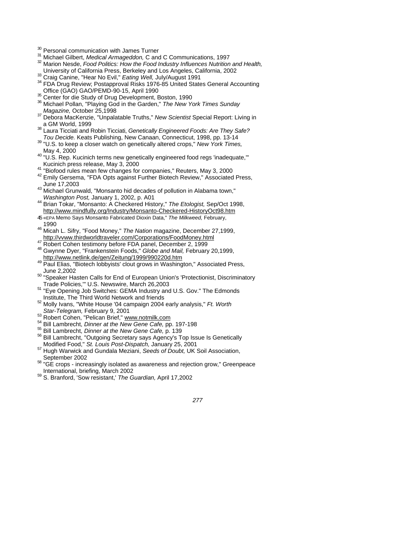- 
- 
- <sup>30</sup> Personal communication with James Turner<br><sup>31</sup> Michael Gilbert, *Medical Armageddon*, C and C Communications, 1997<br><sup>32</sup> Marion Nesde, *Food Politics: How the Food Industry Influences Nutrition and Health,*<br>University o
- 
- <sup>33</sup> Craig Canine, "Hear No Evil," *Eating Well, July/August 1991*<br><sup>34</sup> FDA Drug Review; Postapproval Risks 1976-85 United States General Accounting<br>Office (GAO) GAO/PEMD-90-15, April 1990
- 
- Office (GAO) GAO/PEMD-90-15, April 1990 35 Center for die Study of Drug Development, Boston, 1990 36 Michael Pollan, "Playing God in the Garden," *The New York Times Sunday*
- *Magazine, October 25,1998* 37 Debora MacKenzie, "Unpalatable Truths," *New Scientist* Special Report: Living in
- a GM World, 1999<br><sup>38</sup> Laura Ticciati and Robin Ticciati, *Genetically Engineered Foods: Are They Safe? Tou Decide.* Keats Publishing, New Canaan, Connecticut, 1998, pp. 13-14 39 "U.S. to keep a closer watch on genetically altered crops," *New York Times,*
- 
- May 4, 2000<br>
May 4, 2000<br>
<sup>40</sup> "U.S. Rep. Kucinich terms new genetically engineered food regs 'inadequate,'"<br>
Kucinich press release, May 3, 2000
- 
- Kucinich press release, May 3, 2000<br>
41 "Biofood rules mean few changes for companies," Reuters, May 3, 2000<br>
42 Emily Gersema, "FDA Opts against Further Biotech Review," Associated Press,<br>
11 June 17 2003
- <sup>43</sup> Michael Grunwald, "Monsanto hid decades of pollution in Alabama town,"
- *Washington Post, January 1, 2002, p. A01* 44 Brian Tokar, "Monsanto: A Checkered History," *The Etologist, Sep/Oct 1998,* http://www.mindfully.org/Industry/Monsanto-Checkered-HistoryOct98.htm 45 «EPA Memo Says Monsanto Fabricated Dioxin Data," *The Milkweed,* February,
- 
- <sup>1990</sup> 46 Micah L. Sifry, "Food Money," *The Nation* magazine, December 27,1999,
- 
- Ar Robert Cohen testimony before FDA panel, December 2, 1999<br>
<sup>48</sup> Gwynne Dyer, "Frankenstein Foods," *Globe and Mail*, February 20,1999,<br>
<u>http://www.netlink.de/gen/Zeitung/1999/990220d.htm</u>
- <sup>49</sup> Paul Elias, "Biotech lobbyists' clout grows in Washington," Associated Press,<br>June 2.2002
- $50$  "Speaker Hasten Calls for End of European Union's 'Protectionist, Discriminatory<br>Trade Policies,'" U.S. Newswire, March 26,2003
- <sup>51</sup> "Eye Opening Job Switches: GEMA Industry and U.S. Gov." The Edmonds Institute, The Third World Network and friends
- <sup>52</sup> Molly Ivans, "White House '04 campaign 2004 early analysis," *Ft. Worth* Star-Telegram, February 9, 2001
- 
- 
- 
- <sup>53</sup> Robert Cohen, "Pelican Brief," <u>www.notmilk.com</u><br>
<sup>54</sup> Bill Lambrecht, *Dinner at the New Gene Cafe,* pp. 197-198<br>  $^{56}$  Bill Lambrecht, *Dinner at the New Gene Cafe,* p. 139<br>  $^{56}$  Bill Lambrecht, "Outgoing Secret
- Modified Food," *St. Louis Post-Dispatch,* January 25, 2001 57 Hugh Warwick and Gundala Meziani, *Seeds of Doubt,* UK Soil Association,
- $58$  "GE crops increasingly isolated as awareness and rejection grow," Greenpeace<br>International, briefing, March 2002
- International, briefing, March 2002 59 S. Branford, 'Sow resistant,' *The Guardian,* April 17,2002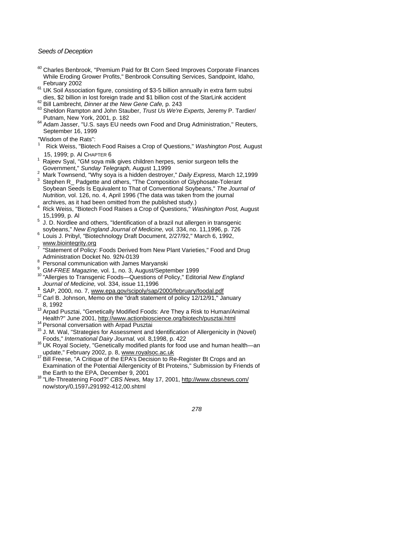- *<sup>60</sup>* Charles Benbrook, "Premium Paid for Bt Corn Seed Improves Corporate Finances While Eroding Grower Profits," Benbrook Consulting Services, Sandpoint, Idaho,
- February 2002<br><sup>61</sup> UK Soil Association figure, consisting of \$3-5 billion annually in extra farm subsi<br>dies, \$2 billion in lost foreign trade and \$1 billion cost of the StarLink accident
- 
- <sup>62</sup> Bill Lambrecht, *Dinner at the New Gene Cafe, p. 243*<br><sup>63</sup> Sheldon Rampton and John Stauber, *Trust Us We're Experts, Jeremy P. Tardier/*
- Putnam, New York, 2001, p. 182<br><sup>64</sup> Adam Jasser, "U.S. says EU needs own Food and Drug Administration," Reuters, September 16, 1999
- "Wisdom of the Rats":
- 1 Rick Weiss, "Biotech Food Raises a Crop of Questions," *Washington Post,* August 15, 1999; p. Al CHAPTER 6 <sup>1</sup>
- Rajeev Syal, "GM soya milk gives children herpes, senior surgeon tells the Government," *Sunday Telegraph,* August 1,1999 <sup>2</sup>
- Mark Townsend, "Why soya is a hidden destroyer," *Daily Express,* March 12,1999 <sup>3</sup>
- Stephen R\_ Padgette and others, "The Composition of Glyphosate-Tolerant Soybean Seeds Is Equivalent to That of Conventional Soybeans," *The Journal of Nutrition,* vol. 126, no. 4, April 1996 (The data was taken from the journal
- archives, as it had been omitted from the published study.) <sup>4</sup> Rick Weiss, "Biotech Food Raises a Crop of Questions," *Washington Post,* August
- 15,1999, p. Al<br><sup>5</sup> J. D. Nordlee and others, "Identification of a brazil nut allergen in transgenic
- soybeans," *New England Journal of Medicine,* vol. 334, no. 11,1996, p. 726 <sup>6</sup> Louis J. Pribyl, "Biotechnology Draft Document, 2/27/92," March 6, 1992,
- www.biointegrity.org<br>7 "Statement of Policy: Foods Derived from New Plant Varieties," Food and Drug Administration Docket No. 92N-0139
- 
- <sup>8</sup><br>Personal communication with James Maryanski<br><sup>9</sup> GM-FREE Magazine, vol. 1, no. 3, August/September 1999
- <sup>10</sup> "Allergies to Transgenic Foods—Questions of Policy," Editorial New England *Journal of Medicine, vol.* 334, issue 11,1996<br>
SAP, 2000, no. 7, www.epa.gov/scipoly/sap/2000/february/foodal.pdf
- 
- <sup>12</sup> Carl B. Johnson, Memo on the "draft statement of policy 12/12/91," January
- 8, 1992<br><sup>13</sup> Arpad Pusztai, "Genetically Modified Foods: Are They a Risk to Human/Animal Health?" June 2001, http://www.actionbioscience.org/biotech/pusztai.html 14 Personal conversation with Arpad Pusztai
- 
- 15 J. M. Wal, "Strategies for Assessment and Identification of Allergenicity in (Novel)
- Foods," *International Dairy Journal*, vol. 8,1998, p. 422<br><sup>16</sup> UK Royal Society, "Genetically modified plants for food use and human health—an<br>update." February 2002, p. 8, www.royalsoc.ac.uk
- <sup>17</sup> Bill Freese, "A Critique of the EPA's Decision to Re-Register Bt Crops and an Examination of the Potential Allergenicity of Bt Proteins," Submission by Friends of
- 18 "Life-Threatening Food?" *CBS News*, May 17, 2001, http://www.cbsnews.com/ now/story/0,1597<sub>v</sub>291992-412,00.shtml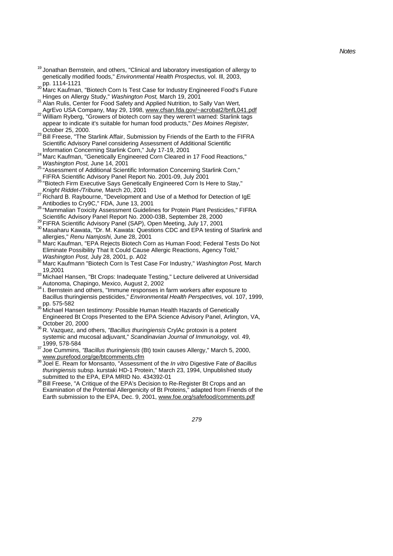- <sup>19</sup> Jonathan Bernstein, and others, "Clinical and laboratory investigation of allergy to genetically modified foods," *Environmental Health Prospectus,* vol. Ill, 2003,
- pp. 1114-1121<br><sup>20</sup> Marc Kaufman, "Biotech Corn Is Test Case for Industry Engineered Food's Future<br>Hinges on Allergy Study," *Washington Post*, March 19, 2001
- <sup>21</sup> Alan Rulis, Center for Food Safety and Applied Nutrition, to Sally Van Wert,<br>AgrEvo USA Company, May 29, 1998, www.cfsan.fda.gov/~acrobat2/bnfL041.pdf
- <sup>22</sup> William Ryberg, "Growers of biotech corn say they weren't warned: Starlink tags appear to indicate it's suitable for human food products," *Des Moines Register,*
- October 25, 2000.<br><sup>23</sup> Bill Freese, "The Starlink Affair, Submission by Friends of the Earth to the FIFRA Scientific Advisory Panel considering Assessment of Additional Scientific
- Information Concerning Starlink Corn," July 17-19, 2001<br><sup>24</sup> Marc Kaufman, "Genetically Engineered Corn Cleared in 17 Food Reactions,"<br>*Washington Post*, June 14, 2001
- *Washington Post, <sup>25</sup>* "Assessment of Additional Scientific Information Concerning Starlink Corn,"<br>FIFRA Scientific Advisory Panel Report No. 2001-09, July 2001
- <sup>26</sup> "Biotech Firm Executive Says Genetically Engineered Corn Is Here to Stay,"
- *Knight Riddet-/Tribune,* March 20, 2001<br><sup>27</sup> Richard B. Raybourne, "Development and Use of a Method for Detection of IgE
- Antibodies to Cry9C," FDA, June 13, 2001<br><sup>28</sup> "Mammalian Toxicity Assessment Guidelines for Protein Plant Pesticides," FIFRA
- 
- Scientific Advisory Panel Report No. 2000-03B, September 28, 2000<br><sup>29</sup> FIFRA Scientific Advisory Panel (SAP), Open Meeting, July 17, 2001<br><sup>30</sup> Masaharu Kawata, "Dr. M. Kawata: Questions CDC and EPA testing of Starlink and<br>
- allergies," *Renu Namjoshi,* June 28, 2001 31 Marc Kaufman, "EPA Rejects Biotech Corn as Human Food; Federal Tests Do Not Eliminate Possibility That It Could Cause Allergic Reactions, Agency Told,"
- *Washington Post,* July 28, 2001, p. A02 32 Marc Kaufmann "Biotech Corn Is Test Case For Industry," *Washington Post,* March
- 19,2001 33 Michael Hansen, "Bt Crops: Inadequate Testing," Lecture delivered at Universidad
- Autonoma, Chapingo, Mexico, August 2, 2002<br><sup>34</sup> I. Bernstein and others, "Immune responses in farm workers after exposure to Bacillus thuringiensis pesticides," *Environmental Health Perspectives,* vol. 107, 1999, pp. 575-582 35 Michael Hansen testimony: Possible Human Health Hazards of Genetically
- Engineered Bt Crops Presented to the EPA Science Advisory Panel, Arlington, VA,
- October 20, 2000 36 R. Vazquez, and others, *"Bacillus thuringiensis* CrylAc protoxin is a potent systemic and mucosal adjuvant," *Scandinavian Journal of Immunology,* vol. 49,
- 1999, 578-584<br>
<sup>37</sup> Joe Cummins, *"Bacillus thuringiensis* (Bt) toxin causes Allergy," March 5, 2000,<br>
<sup>38</sup> Joel E. Boom for Managratic "As
- $Joel$  E. Ream for Monsanto, "Assessment of the *In vitro* Digestive Fate of Bacillus *thuringiensis* subsp. kurstaki HD-1 Protein," March 23, 1994, Unpublished study
- submitted to the EPA, EPA MRID No. 434392-01<br><sup>39</sup> Bill Freese, "A Critique of the EPA's Decision to Re-Register Bt Crops and an Examination of the Potential Allergenicity of Bt Proteins," adapted from Friends of the Earth submission to the EPA, Dec. 9, 2001, www.foe.org/safefood/comments.pdf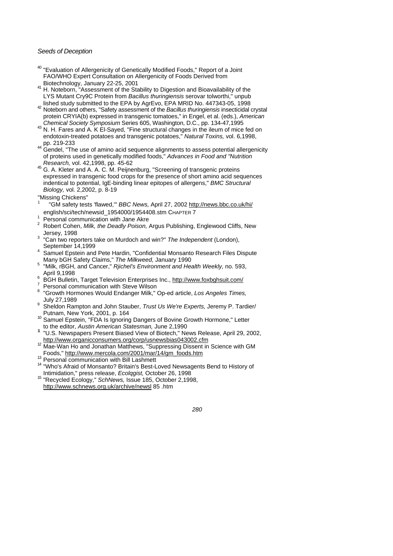- <sup>40</sup> "Evaluation of Allergenicity of Genetically Modified Foods," Report of a Joint FAO/WHO Expert Consultation on Allergenicity of Foods Derived from
- Biotechnology, January 22-25, 2001<br><sup>41</sup> H. Noteborn, "Assessment of the Stability to Digestion and Bioavailability of the LYS Mutant Cry9C Protein from *Bacillus thuringiensis* serovar tolworthi," unpub
- lished study submitted to the EPA by AgrEvo, EPA MRID No. 447343-05, 1998 42 Noteborn and others, "Safety assessment of the *Bacillus thuringiensis* insecticidal crystal protein CRYIA(b) expressed in transgenic tomatoes," in Engel, et al. (eds.), *American*
- *Chemical Society Symposium* Series 605, Washington, D.C., pp. 134-47,1995 43 N. H. Fares and A. K El-Sayed, "Fine structural changes in the ileum of mice fed on endotoxin-treated potatoes and transgenic potatoes," *Natural Toxins,* vol. 6,1998,
- pp. 219-233 44 Gendel, "The use of amino acid sequence alignments to assess potential allergenicity of proteins used in genetically modified foods," *Advances in Food and "Nutrition*
- *Research,* vol. 42,1998, pp. 45-62 45 G. A. Kleter and A. A. C. M. Peijnenburg, "Screening of transgenic proteins expressed in transgenic food crops for the presence of short amino acid sequences indentical to potential, IgE-binding linear epitopes of allergens," *BMC Structural Biology,* vol. 2,2002, p. 8-19
- "Missing Chickens"
- 1 "GM safety tests 'flawed,'" *BBC News,* April 27, 2002 http://news.bbc.co.uk/hi/ english/sci/tech/newsid\_1954000/1954408.stm CHAPTER 7
- Personal communication with Jane Akre
- <sup>2</sup> Robert Cohen, *Milk, the Deadly Poison,* Argus Publishing, Englewood Cliffs, New
- Jersey, 1998 <sup>3</sup> "Can two reporters take on Murdoch and win?" *The Independent* (London),
- September 14,1999 <sup>4</sup> Samuel Epstein and Pete Hardin, "Confidential Monsanto Research Files Dispute
- Many bGH Safety Claims," *The Milkweed,* January 1990<br><sup>5</sup> "Milk, rBGH, and Cancer," *Rjichel's Environment and Health Weekly,* no. 593, April  $9,1998$
- BGH Bulletin, Target Television Enterprises Inc., http://www.foxbghsuit.com/ <sup>7</sup>
- Personal communication with Steve Wilson
- 8 "Growth Hormones Would Endanger Milk," Op-ed article, *Los Angeles Times,*
- July 27,1989 <sup>9</sup> Sheldon Rampton and John Stauber, *Trust Us We're Experts,* Jeremy P. Tardier/
- Putnam, New York, 2001, p. 164<br><sup>10</sup> Samuel Epstein, "FDA Is Ignoring Dangers of Bovine Growth Hormone," Letter<br>to the editor. *Austin American Statesman.* June 2.1990
- to the editor, *Austin American Statesman,* June 2,1990 <sup>11</sup> "U.S. Newspapers Present Biased View of Biotech," News Release, April 29, 2002,
- http://www.organicconsumers.org/corp/usnewsbias043002.cfm<br><sup>12</sup> Mae-Wan Ho and Jonathan Matthews, "Suppressing Dissent in Science with GM Foods," http://www.mercola.com/2001/mar/14/gm\_foods.htm 13 Personal communication with Bill Lashmett
- 
- <sup>14</sup> "Who's Afraid of Monsanto? Britain's Best-Loved Newsagents Bend to History of Intimidation," press release, *Ecologist*, October 26, 1998
- <sup>15</sup> "Recycled Ecology," *SchNews, Issue* 185, October 2,1998, http://www.schnews.org.uk/archive/newsl 85 .htm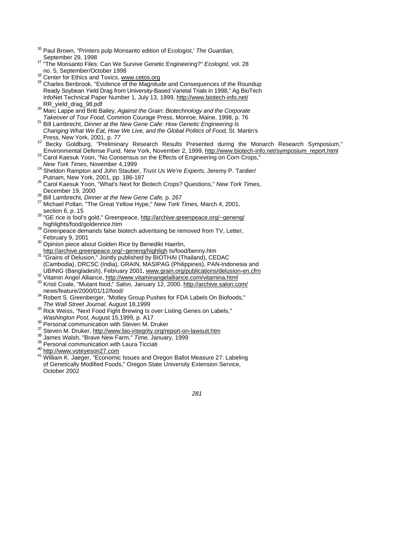- 16 Paul Brown, "Printers pulp Monsanto edition of Ecologist,' *The Guardian,*
- 17 "The Monsanto Files: Can We Survive Genetic Engineering?" *Ecologist*, vol. 28<br>no. 5. September/October 1998
- 
- 18 Center for Ethics and Toxics, www.cetos.org<br><sup>19</sup> Charles Benbrook, "Evidence of the Magnitude and Consequences of the Roundup Ready Soybean Yield Drag from University-Based Varietal Trials in 1998," Ag BioTech InfoNet Technical Paper Number 1, July 13, 1999, http://www.biotech-info.net/
- RR<sub>2006</sub> Contently 20 Marc Lappe and Britt Bailey, *Against the Grain: Biotechnology and the Corporate* <br>Takeover of Tour Food, Common Courage Press, Monroe, Maine, 1998, p. 76
- <sup>21</sup> Bill Lambrecht, *Dinner at the New Gene Cafe: How Genetic Engineering Is Changing What We Eat, How We Live, and the Global Politics of Food,* St. Martin's
- Press, New York, 2001, p. 77<br><sup>12</sup> Becky Goldburg, "Preliminary Research Results Presented during the Monarch Research Symposium,"
- Environmental Defense Fund, New York, November 2, 1999, http://www.biotech-info.net/symposium\_report.html 23 Carol Kaesuk Yoon, "No Consensus on the Effects of Engineering on Corn Crops,"<br>New Tork Times, November 4,1999
- *New Tork Times,* November 4,1999 24 Sheldon Rampton and John Stauber, *Trust Us We're Experts,* Jeremy P. Tardier/
- Putnam, New York, 2001, pp. 186-187 25 Carol Kaesuk Yoon, "What's Next for Biotech Crops? Questions," *New Tork Times,*
- 
- <sup>26</sup> Bill Lambrecht, *Dinner at the New Gene Cafe, p. 267*<br><sup>27</sup> Michael Pollan, "The Great Yellow Hype," *New Tork Times, March 4, 2001*,
- section 6, p. 15<br><sup>28</sup> "GE rice is fool's gold," Greenpeace, http://archive.greenpeace.org/~geneng/
- highlights/food/goldenrice.htm<br>
<sup>29</sup> Greenpeace demands false biotech advertising be removed from TV, Letter,<br>
February 9, 2001
- <sup>30</sup> Opinion piece about Golden Rice by Benedikt Haerlin,
- http://archive.greenpeace.org/~geneng/highligh ts/food/benny.htm 31 "Grains of Delusion," Jointly published by BIOTHAI (Thailand), CEDAC (Cambodia), DRCSC (India), GRAIN, MASIPAG (Philippines), PAN-Indonesia and<br>UBINIG (Bangladesh), February 2001, www.grain.org/publications/delusion-en.cfm
- 
- <sup>32</sup> Vitamin Angel Alliance, http://www.vitaminangelalliance.com/vitamina.html<br><sup>33</sup> Kristi Coale, "Mutant food," Salon, January 12, 2000, http://archive.salon.com/
- news/feature/2000/01/12/food/<br>
<sup>34</sup> Robert S. Greenberger, "Motley Group Pushes for FDA Labels On Biofoods,"<br>
The Wall Street Journal, August 18,1999
- *The Wall Street Journal, August 19,1999*<br><sup>35</sup> Rick Weiss, "Next Food Fight Brewing Is over Listing Genes on Labels,"<br>Washington Post, August 15,1999, p. A17
- 
- 
- 
- 
- 
- <sup>36</sup> Personal communication with Steven M. Druker<br>
<sup>37</sup> Steven M. Druker, http://www.bio-integrity.org/report-on-lawsuit.htm<br>
<sup>38</sup> James Walsh, "Brave New Farm," Time, January, 1999<br>
<sup>39</sup> Personal communication with Laura of Genetically Modified Foods," Oregon State University Extension Service, October 2002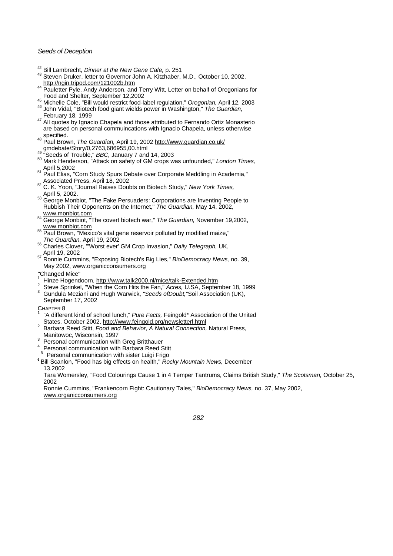- 
- 42 Bill Lambrecht, *Dinner at the New Gene Cafe,* p. 251<br>43 Steven Druker, letter to Governor John A. Kitzhaber, M.D., October 10, 2002,<br>http://ngin.tripod.com/121002b.htm
- http://ngin.tripod.com/121002b.htm 44 Pauletter Pyle, Andy Anderson, and Terry Witt, Letter on behalf of Oregonians for
- Food and Shelter, September 12,2002 45 Michelle Cole, "Bill would restrict food-label regulation," *Oregonian,* April 12, 2003 46 John Vidal, "Biotech food giant wields power in Washington," *The Guardian,*
- February 18, 1999<br><sup>47</sup> All quotes by Ignacio Chapela and those attributed to Fernando Ortiz Monasterio are based on personal commuincations with Ignacio Chapela, unless otherwise
- specified.<br><sup>48</sup> Paul Brown, *The Guardian,* April 19, 2002 http://www.guardian.co.uk/<br>gmdebate/Story/0,2763,686955,00.html<br><sup>49</sup> "Seeds of Trauble " RPC branch -
- 
- <sup>49 "</sup>Seeds of Trouble," *BBC, January 7 and 14, 2003*<br><sup>50</sup> Mark Henderson, "Attack on safety of GM crops was unfounded," *London Times,*
- April 5,2002<br><sup>51</sup> Paul Elias, "Corn Study Spurs Debate over Corporate Meddling in Academia," Associated Press, April 18, 2002<br><sup>52</sup> C. K. Yoon, "Journal Raises Doubts on Biotech Study," *New York Times,*
- 
- April 5, 2002.<br><sup>53</sup> George Monbiot, "The Fake Persuaders: Corporations are Inventing People to Rubbish Their Opponents on the Internet," *The Guardian,* May 14, 2002,
- 54 George Monbiot, "The covert biotech war," The Guardian, November 19,2002,
- www.monbiot.com<br><sup>55</sup> Paul Brown, "Mexico's vital gene reservoir polluted by modified maize,"
- *The Guardian, A*pril 19, 2002<br><sup>56</sup> Charles Clover, "'Worst ever' GM Crop Invasion," *Daily Telegraph,* UK,<br>
<sub>--</sub> April 19, 2002
- April 19, 2002 57 Ronnie Cummins, "Exposing Biotech's Big Lies," *BioDemocracy News,* no. 39, May 2002, www.organicconsumers.org

"Changed Mice"

- 1 Hinze Hogendoorn, http://www.talk2000.nl/mice/talk-Extended.htm
- 2 <sup>2</sup> Steve Sprinkel, "When the Corn Hits the Fan," *Acres, U.SA*, September 18, 1999 Gundula Meziani and Hugh Warwick, *"Seeds ofDoubt,"*Soil Association (UK),
- September 17, 2002

# CHAPTER 8

- "A different kind of school lunch," *Pure Facts,* Feingold\* Association of the United States, October 2002, http://www.feingold.org/newsletterl.html <sup>2</sup>
- Barbara Reed Stitt, *Food and Behavior, A Natural Connection,* Natural Press, Manitowoc, Wisconsin, 1997
- <sup>3</sup> Personal communication with Greg Britthauer
- 4 Personal communication with Barbara Reed Stitt
- <sup>5</sup> Personal communication with sister Luigi Frigo
- <sup>6</sup> Bill Scanlon, "Food has big effects on health," *Rocky Mountain News, December* 13,2002

Tara Womersley, "Food Colourings Cause 1 in 4 Temper Tantrums, Claims British Study," *The Scotsman,* October 25, 2002

Ronnie Cummins, "Frankencorn Fight: Cautionary Tales," *BioDemocracy News,* no. 37, May 2002, www.organicconsumers.org

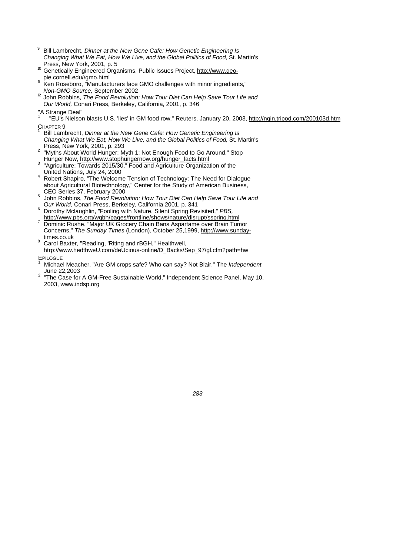- 9 Bill Lambrecht, *Dinner at the New Gene Cafe: How Genetic Engineering Is Changing What We Eat, How We Live, and the Global Politics of Food, St. Martin's Press, New York, 2001, p. 5*
- <sup>10</sup> Genetically Engineered Organisms, Public Issues Project, http://www.geo-<br>pie.cornell.edu//gmo.html
- pie.cornell.edu//gmo.html<br><sup>11</sup> Ken Roseboro, "Manufacturers face GMO challenges with minor ingredients,"
- *Non-GMO Source, September 2002*<br><sup>12</sup> John Robbins, *The Food Revolution: How Tour Diet Can Help Save Tour Life and Our World,* Conari Press, Berkeley, California, 2001, p. 346
- "A Strange Deal"<br><sup>1</sup> In the Niclear

 "EU's Nielson blasts U.S. 'lies' in GM food row," Reuters, January 20, 2003, http://ngin.tripod.com/200103d.htm CHAPTER 9

- Bill Lambrecht, *Dinner at the New Gene Cafe: How Genetic Engineering Is Changing What We Eat, How We Live, and the Global Politics of Food,* St. Martin's
- Press, New York, 2001, p. 293<br><sup>2</sup> "Myths About World Hunger: Myth 1: Not Enough Food to Go Around," Stop
- Hunger Now, http://www.stophungernow.org/hunger\_facts.html<br><sup>3</sup> "Agriculture: Towards 2015/30," Food and Agriculture Organization of the
- United Nations, July 24, 2000<br><sup>4</sup> Robert Shapiro, "The Welcome Tension of Technology: The Need for Dialogue about Agricultural Biotechnology," Center for the Study of American Business, CEO Series 37, February 2000
- John Robbins, *The Food Revolution: How Tour Diet Can Help Save Tour Life and Our World, Conari Press, Berkeley, California 2001, p. 341*
- Dorothy Mclaughlin, "Fooling with Nature, Silent Spring Revisited," *PBS,*  http://www.pbs.org/wgbh/pages/frontline/shows/nature/disrupt/sspring.html <sup>7</sup>
- Dominic Rushe. "Major UK Grocery Chain Bans Aspartame over Brain Tumor Concerns," *The Sunday Times* (London), October 25,1999, http://www.sunday-
- <sub>8</sub> times.co.uk<br><sup>8</sup> Carol Baxter, "Reading, 'Riting and rBGH," Healthwell, htrp://www.hedthweU.com/deUcious-online/D\_Backs/Sep\_97/gl.cfm?path=hw
- **EPILOGUE**
- Michael Meacher, "Are GM crops safe? Who can say? Not Blair," The *Independent,*  June 22,2003<br><sup>2</sup> "The Case for A GM-Free Sustainable World," Independent Science Panel, May 10,
- 2003, www.indsp.org

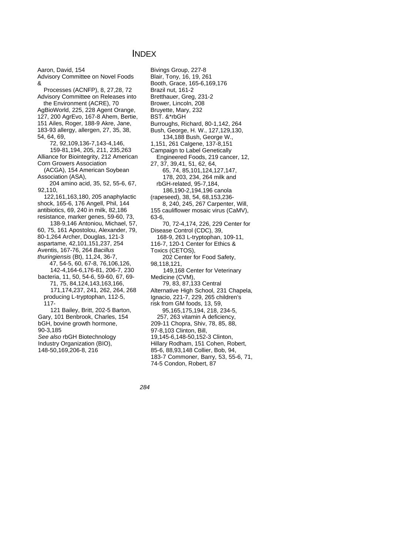### INDEX

Advisory Committee on Novel Foods & Processes (ACNFP), 8, 27,28, 72 Advisory Committee on Releases into the Environment (ACRE), 70 AgBioWorld, 225, 228 Agent Orange, 127, 200 AgrEvo, 167-8 Ahem, Bertie, 151 Ailes, Roger, 188-9 Akre, Jane, 183-93 allergy, allergen, 27, 35, 38, 54, 64, 69, 72, 92,109,136-7,143-4,146, 159-81,194, 205, 211, 235,263 Alliance for Biointegrity, 212 American Corn Growers Association (ACGA), 154 American Soybean Association (ASA), 204 amino acid, 35, 52, 55-6, 67, 92,110, 122,161,163,180, 205 anaphylactic shock, 165-6, 176 Angell, Phil, 144 antibiotics, 69, 240 in milk, 82,186 resistance, marker genes, 59-60, 73, 138-9,146 Antoniou, Michael, 57, 60, 75, 161 Apostolou, Alexander, 79, 80-1,264 Archer, Douglas, 121-3 aspartame, 42,101,151,237, 254 Aventis, 167-76, 264 *Bacillus thuringiensis* (Bt), 11,24, 36-7, 47, 54-5, 60, 67-8, 76,106,126, 142-4,164-6,176-81, 206-7, 230 bacteria, 11, 50, 54-6, 59-60, 67, 69- 71, 75, 84,124,143,163,166, 171,174,237, 241, 262, 264, 268 producing L-tryptophan, 112-5, 117- 121 Bailey, Britt, 202-5 Barton, Gary, 101 Benbrook, Charles, 154 bGH, bovine growth hormone, 90-3,185 *See also* rbGH Biotechnology Industry Organization (BIO), 148-50,169,206-8, 216

Aaron, David, 154

Bivings Group, 227-8 Blair, Tony, 16, 19, 261 Booth, Grace, 165-6,169,176 Brazil nut, 161-2 Bretthauer, Greg, 231-2 Brower, Lincoln, 208 Bruyette, Mary, 232 BST. &\*rbGH Burroughs, Richard, 80-1,142, 264 Bush, George, H. W., 127,129,130, 134,188 Bush, George W., 1,151, 261 Calgene, 137-8,151 Campaign to Label Genetically Engineered Foods, 219 cancer, 12, 27, 37, 39,41, 51, 62, 64, 65, 74, 85,101,124,127,147, 178, 203, 234, 264 milk and rbGH-related, 95-7,184, 186,190-2,194,196 canola (rapeseed), 38, 54, 68,153,236- 8, 240, 245, 267 Carpenter, Will, 155 cauliflower mosaic virus (CaMV), 63-6, 70, 72-4,174, 226, 229 Center for Disease Control (CDC), 39, 168-9, 263 L-tryptophan, 109-11, 116-7, 120-1 Center for Ethics & Toxics (CETOS), 202 Center for Food Safety, 98,118,121, 149,168 Center for Veterinary Medicine (CVM), 79, 83, 87,133 Central Alternative High School, 231 Chapela, Ignacio, 221-7, 229, 265 children's risk from GM foods, 13, 59, 95,165,175,194, 218, 234-5, 257, 263 vitamin A deficiency, 209-11 Chopra, Shiv, 78, 85, 88, 97-8,103 Clinton, Bill, 19,145-6,148-50,152-3 Clinton, Hillary Rodham, 151 Cohen, Robert, 85-6, 88,93,148 Collier, Bob, 94, 183-7 Commoner, Barry, 53, 55-6, 71, 74-5 Condon, Robert, 87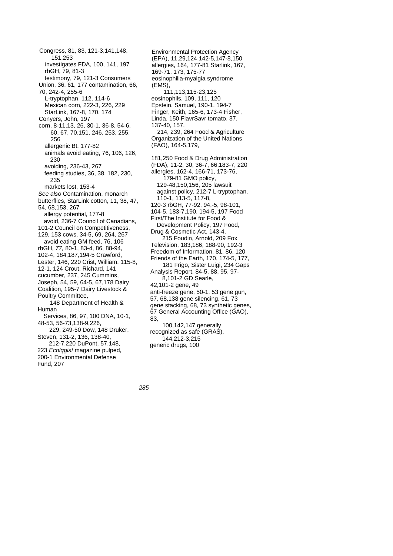Congress, 81, 83, 121-3,141,148, 151,253 investigates FDA, 100, 141, 197 rbGH, 79, 81-3 testimony, 79, 121-3 Consumers Union, 36, 61, 177 contamination, 66, 70, 242-4, 255-6 L-tryptophan, 112, 114-6 Mexican corn, 222-3, 226, 229 StarLink, 167-8, 170, 174 Conyers, John, 197 corn, 8-11,13, 26, 30-1, 36-8, 54-6, 60, 67, 70,151, 246, 253, 255, 256 allergenic Bt, 177-82 animals avoid eating, 76, 106, 126, 230 avoiding, 236-43, 267 feeding studies, 36, 38, 182, 230, 235 markets lost, 153-4 *See also* Contamination, monarch butterflies, StarLink cotton, 11, 38, 47, 54, 68,153, 267 allergy potential, 177-8 avoid, 236-7 Council of Canadians, 101-2 Council on Competitiveness, 129, 153 cows, 34-5, 69, 264, 267 avoid eating GM feed, 76, 106 rbGH, *77,* 80-1, 83-4, 86, 88-94, 102-4, 184,187,194-5 Crawford, Lester, 146, 220 Crist, William, 115-8, 12-1, 124 Crout, Richard, 141 cucumber, 237, 245 Cummins, Joseph, 54, 59, 64-5, 67,178 Dairy Coalition, 195-7 Dairy Livestock & Poultry Committee, 148 Department of Health & Human Services, 86, 97, 100 DNA, 10-1, 48-53, 56-73,138-9,226, 229, 249-50 Dow, 148 Druker, Steven, 131-2, 136, 138-40, 212-7,220 DuPont, 57,148, 223 *Ecolqgist* magazine pulped, 200-1 Environmental Defense

Fund, 207

Environmental Protection Agency (EPA), 11,29,124,142-5,147-8,150 allergies, 164, 177-81 Starlink, 167, 169-71, 173, 175-77 eosinophilia-myalgia syndrome (EMS), 111,113,115-23,125 eosinophils, 109, 111, 120 Epstein, Samuel, 190-1, 194-7 Finger, Keith, 165-6, 173-4 Fisher, Linda, 150 FlavrSavr tomato, 37, 137-40, 157, 214, 239, 264 Food & Agriculture Organization of the United Nations (FAO), 164-5,179, 181,250 Food & Drug Administration (FDA), 11-2, 30, 36-7, 66,183-7, 220 allergies, 162-4, 166-71, 173-76, 179-81 GMO policy, 129-48,150,156, 205 lawsuit against policy, 212-7 L-tryptophan, 110-1, 113-5, 117-8, 120-3 rbGH, 77-92, 94,-5, 98-101, 104-5, 183-7,190, 194-5, 197 Food First/The Institute for Food & Development Policy, 197 Food, Drug & Cosmetic Act, 143-4, 215 Foudin, Arnold, 209 Fox Television, 183,186, 188-90, 192-3 Freedom of Information, 81, 86, 120 Friends of the Earth, 170, 174-5, 177, 181 Frigo, Sister Luigi, 234 Gaps Analysis Report, 84-5, 88, 95, 97- 8,101-2 GD Searle, 42,101-2 gene, 49 anti-freeze gene, 50-1, 53 gene gun, 57, 68,138 gene silencing, 61, 73 gene stacking, 68, 73 synthetic genes, 67 General Accounting Office (GAO), 83, 100,142,147 generally recognized as safe (GRAS), 144,212-3,215 generic drugs, 100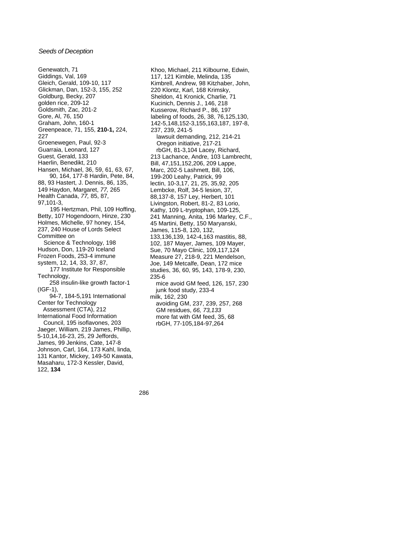Genewatch, 71 Giddings, Val, 169 Gleich, Gerald, 109-10, 117 Glickman, Dan, 152-3, 155, 252 Goldburg, Becky, 207 golden rice, 209-12 Goldsmith, Zac, 201-2 Gore, Al, 76, 150 Graham, John, 160-1 Greenpeace, 71, 155, **210-1,** 224, 227 Groenewegen, Paul, 92-3 Guarraia, Leonard, 127 Guest, Gerald, 133 Haerlin, Benedikt, 210 Hansen, Michael, 36, 59, 61, 63, 67, 90, 164, 177-8 Hardin, Pete, 84, 88, 93 Hastert, J. Dennis, 86, 135, 149 Haydon, Margaret, *77,* 265 Health Canada, *77,* 85, 87, 97,101-3, 195 Hertzman, Phil, 109 Hoffing, Betty, 107 Hogendoorn, Hinze, 230 Holmes, Michelle, 97 honey, 154, 237, 240 House of Lords Select Committee on Science & Technology, 198 Hudson, Don, 119-20 Iceland Frozen Foods, 253-4 immune system, 12, 14, 33, 37, 87, 177 Institute for Responsible Technology, 258 insulin-like growth factor-1 (IGF-1), 94-7, 184-5,191 International Center for Technology Assessment (CTA), 212 International Food Information Council, 195 isoflavones, 203 Jaeger, William, 219 James, Phillip, 5-10,14,16-23, 25, 29 Jeffords, James, 99 Jenkins, Cate, 147-8 Johnson, Carl, 164, 173 Kahl, linda, 131 Kantor, Mickey, 149-50 Kawata, Masaharu, 172-3 Kessler, David, 122, **134**

Khoo, Michael, 211 Kilbourne, Edwin, 117, 121 Kimble, Melinda, 135 Kimbrell, Andrew, 98 Kitzhaber, John, 220 Klontz, Karl, 168 Krimsky, Sheldon, 41 Kronick, Charlie, 71 Kucinich, Dennis J., 146, 218 Kusserow, Richard P., 86, 197 labeling of foods, 26, 38, 76,125,130, 142-5,148,152-3,155,163,187, 197-8, 237, 239, 241-5 lawsuit demanding, 212, 214-21 Oregon initiative, 217-21 rbGH, 81-3,104 Lacey, Richard, 213 Lachance, Andre, 103 Lambrecht, Bill, 47,151,152,206, 209 Lappe, Marc, 202-5 Lashmett, Bill, 106, 199-200 Leahy, Patrick, 99 lectin, 10-3,17, 21, 25, 35,92, 205 Lembcke, Rolf, 34-5 lesion, 37, 88,137-8, 157 Ley, Herbert, 101 Livingston, Robert, 81-2, 83 Lorio, Kathy, 109 L-tryptophan, 109-125, 241 Manning, Anita, 196 Marley, C.F., 45 Martini, Betty, 150 Maryanski, James, 115-8, 120, 132, 133,136,139, 142-4,163 mastitis, 88, 102, 187 Mayer, James, 109 Mayer, Sue, 70 Mayo Clinic, 109,117,124 Measure 27, 218-9, 221 Mendelson, Joe, 149 Metcalfe, Dean, 172 mice studies, 36, 60, 95, 143, 178-9, 230, 235-6 mice avoid GM feed, 126, 157, 230 junk food study, 233-4 milk, 162, 230 avoiding GM, 237, 239, 257, 268 GM residues, *66, 73,133* more fat with GM feed, 35, 68 rbGH, 77-105,184-97,264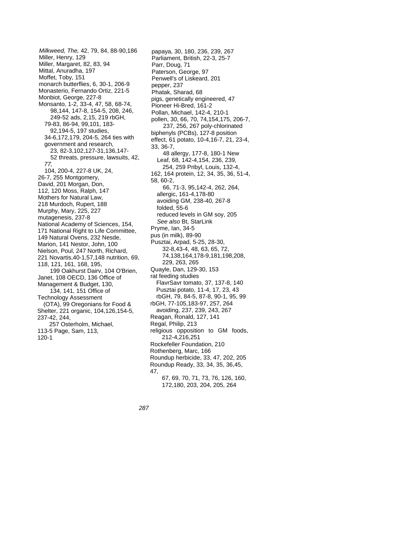*Milkweed, The,* 42, 79, 84, 88-90,186 Miller, Henry, 129 Miller, Margaret, 82, 83, 94 Mittal, Anuradha, 197 Moffet, Toby, 151 monarch butterflies, 6, 30-1, 206-9 Monasterio, Fernando Ortiz, 221-5 Monbiot, George, 227-8 Monsanto, 1-2, 33-4, 47, 58, 68-74, 98,144, 147-8, 154-5, 208, 246, 249-52 ads, 2,15, 219 rbGH, 79-83, 86-94, 99,101, 183- 92,194-5, 197 studies, 34-6,172,179, 204-5, 264 ties with government and research, 23, 82-3,102,127-31,136,147- 52 threats, pressure, lawsuits, 42, *77,* 104, 200-4, 227-8 UK, 24, 26-7, 255 Montgomery, David, 201 Morgan, Don, 112, 120 Moss, Ralph, 147 Mothers for Natural Law, 218 Murdoch, Rupert, 188 Murphy, Mary, 225, 227 mutagenesis, 237-8 National Academy of Sciences, 154, 171 National Right to Life Committee, 149 Natural Ovens, 232 Nesde, Marion, 141 Nestor, John, 100 Nielson, Poul, 247 North, Richard, 221 Novartis,40-1,57,148 nutrition, 69, 118, 121, 161, 168, 195, 199 Oakhurst Dairv, 104 O'Brien, Janet, 108 OECD, 136 Office of Management & Budget, 130, 134, 141, 151 Office of Technology Assessment (OTA), 99 Oregonians for Food & Shelter, 221 organic, 104,126,154-5, 237-42, 244, 257 Osterholm, Michael, 113-5 Page, Sam, 113, 120-1

papaya, 30, 180, 236, 239, 267 Parliament, British, 22-3, 25-7 Parr, Doug, 71 Paterson, George, 97 Penwell's of Liskeard, 201 pepper, 237 Phatak, Sharad, 68 pigs, genetically engineered, 47 Pioneer Hi-Bred, 161-2 Pollan, Michael, 142-4, 210-1 pollen, 30, 66, 70, 74,154,175, 206-7, 237, 256, 267 poly-chlorinated biphenyls (PCBs), 127-8 position effect, 61 potato, 10-4,16-7, 21, 23-4, 33, 36-7, 48 allergy, 177-8, 180-1 New Leaf, 68, 142-4,154, 236, 239, 254, 259 Pribyl, Louis, 132-4, 162, 164 protein, 12, 34, 35, 36, 51-4, 58, 60-2, 66, 71-3, 95,142-4, 262, 264, allergic, 161-4,178-80 avoiding GM, 238-40, 267-8 folded, 55-6 reduced levels in GM soy, 205 *See also* Bt, StarLink Pryme, Ian, 34-5 pus (in milk), 89-90 Pusztai, Arpad, 5-25, 28-30, 32-8,43-4, 48, 63, 65, 72, 74,138,164,178-9,181,198,208, 229, 263, 265 Quayle, Dan, 129-30, 153 rat feeding studies FlavrSavr tomato, 37, 137-8, 140 Pusztai potato, 11-4, 17, 23, 43 rbGH, 79, 84-5, 87-8, 90-1, 95, 99 rbGH, 77-105,183-97, 257, 264 avoiding, 237, 239, 243, 267 Reagan, Ronald, 127, 141 Regal, Philip, 213 religious opposition to GM foods, 212-4,216,251 Rockefeller Foundation, 210 Rothenberg, Marc, 166 Roundup herbicide, 33, 47, 202, 205 Roundup Ready, 33, 34, 35, 36,45, 47, 67, 69, 70, 71, 73, 76, 126, 160, 172,180, 203, 204, 205, 264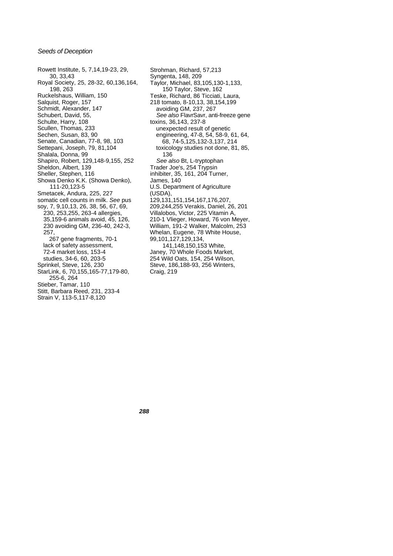## *Seeds of Deception*

Rowett Institute, 5, 7,14,19-23, 29, 30, 33,43 Royal Society, 25, 28-32, 60,136,164, 198, 263 Ruckelshaus, William, 150 Salquist, Roger, 157 Schmidt, Alexander, 147 Schubert, David, 55, Schulte, Harry, 108 Scullen, Thomas, 233 Sechen, Susan, 83, 90 Senate, Canadian, 77-8, 98, 103 Settepani, Joseph, 79, 81,104 Shalala, Donna, 99 Shapiro, Robert, 129,148-9,155, 252 Sheldon, Albert, 139 Sheller, Stephen, 116 Showa Denko K.K. (Showa Denko), 111-20,123-5 Smetacek, Andura, 225, 227 somatic cell counts in milk. *See* pus soy, 7, 9,10,13, 26, 38, 56, 67, 69, 230, 253,255, 263-4 allergies, 35,159-6 animals avoid, 45, 126, 230 avoiding GM, 236-40, 242-3, 257, 267 gene fragments, 70-1 lack of safety assessment, 72-4 market loss, 153-4 studies, 34-6, 60, 203-5 Sprinkel, Steve, 126, 230 StarLink, 6, 70,155,165-77,179-80, 255-6, 264 Stieber, Tamar, 110 Stitt, Barbara Reed, 231, 233-4 Strain V, 113-5,117-8,120

Strohman, Richard, 57,213 Syngenta, 148, 209 Taylor, Michael, 83,105,130-1,133, 150 Taylor, Steve, 162 Teske, Richard, 86 Ticciati, Laura, 218 tomato, 8-10,13, 38,154,199 avoiding GM, 237, 267 *See also* FlavrSavr, anti-freeze gene toxins, 36,143, 237-8 unexpected result of genetic engineering, 47-8, 54, 58-9, 61, 64, 68, 74-5,125,132-3,137, 214 toxicology studies not done, 81, 85, 136 *See also* Bt, L-tryptophan Trader Joe's, 254 Trypsin inhibiter, 35, 161, 204 Turner, James, 140 U.S. Department of Agriculture (USDA), 129,131,151,154,167,176,207, 209,244,255 Verakis, Daniel, 26, 201 Villalobos, Victor, 225 Vitamin A, 210-1 Vlieger, Howard, 76 von Meyer, William, 191-2 Walker, Malcolm, 253 Whelan, Eugene, 78 White House, 99,101,127,129,134, 141,148,150,153 White, Janey, 70 Whole Foods Market, 254 Wild Oats, 154, 254 Wilson, Steve, 186,188-93, 256 Winters, Craig, 219

*288*